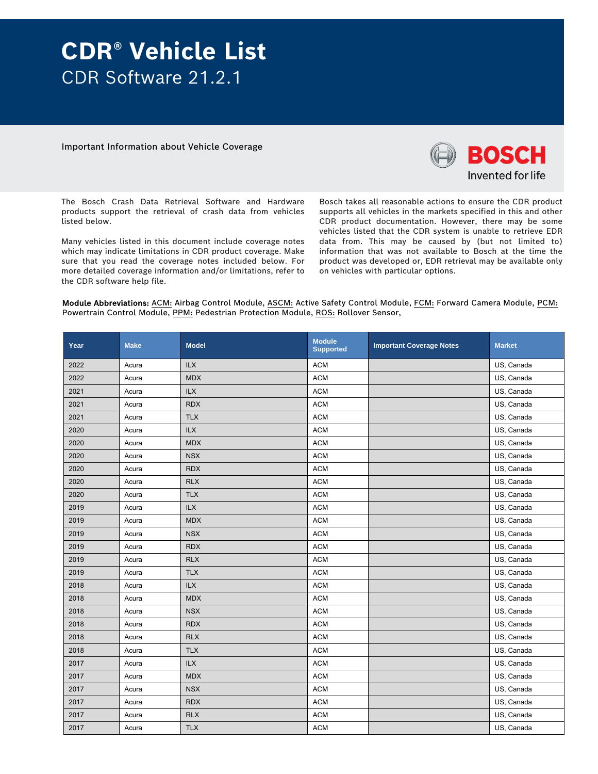# **CDR® Vehicle List**  CDR Software 21.2.1

Important Information about Vehicle Coverage



The Bosch Crash Data Retrieval Software and Hardware products support the retrieval of crash data from vehicles listed below.

Many vehicles listed in this document include coverage notes which may indicate limitations in CDR product coverage. Make sure that you read the coverage notes included below. For more detailed coverage information and/or limitations, refer to the CDR software help file.

Bosch takes all reasonable actions to ensure the CDR product supports all vehicles in the markets specified in this and other CDR product documentation. However, there may be some vehicles listed that the CDR system is unable to retrieve EDR data from. This may be caused by (but not limited to) information that was not available to Bosch at the time the product was developed or, EDR retrieval may be available only on vehicles with particular options.

Module Abbreviations: ACM: Airbag Control Module, ASCM: Active Safety Control Module, FCM: Forward Camera Module, PCM: Powertrain Control Module, PPM: Pedestrian Protection Module, ROS: Rollover Sensor,

| Year | <b>Make</b> | <b>Model</b> | <b>Module</b><br><b>Supported</b> | <b>Important Coverage Notes</b> | <b>Market</b> |
|------|-------------|--------------|-----------------------------------|---------------------------------|---------------|
| 2022 | Acura       | <b>ILX</b>   | <b>ACM</b>                        |                                 | US, Canada    |
| 2022 | Acura       | <b>MDX</b>   | <b>ACM</b>                        |                                 | US, Canada    |
| 2021 | Acura       | <b>ILX</b>   | <b>ACM</b>                        |                                 | US, Canada    |
| 2021 | Acura       | <b>RDX</b>   | <b>ACM</b>                        |                                 | US, Canada    |
| 2021 | Acura       | <b>TLX</b>   | <b>ACM</b>                        |                                 | US, Canada    |
| 2020 | Acura       | ILX          | <b>ACM</b>                        |                                 | US, Canada    |
| 2020 | Acura       | <b>MDX</b>   | <b>ACM</b>                        |                                 | US, Canada    |
| 2020 | Acura       | <b>NSX</b>   | <b>ACM</b>                        |                                 | US, Canada    |
| 2020 | Acura       | <b>RDX</b>   | <b>ACM</b>                        |                                 | US, Canada    |
| 2020 | Acura       | <b>RLX</b>   | <b>ACM</b>                        |                                 | US, Canada    |
| 2020 | Acura       | <b>TLX</b>   | <b>ACM</b>                        |                                 | US, Canada    |
| 2019 | Acura       | <b>ILX</b>   | <b>ACM</b>                        |                                 | US, Canada    |
| 2019 | Acura       | <b>MDX</b>   | <b>ACM</b>                        |                                 | US, Canada    |
| 2019 | Acura       | <b>NSX</b>   | <b>ACM</b>                        |                                 | US, Canada    |
| 2019 | Acura       | <b>RDX</b>   | <b>ACM</b>                        |                                 | US, Canada    |
| 2019 | Acura       | <b>RLX</b>   | <b>ACM</b>                        |                                 | US, Canada    |
| 2019 | Acura       | <b>TLX</b>   | <b>ACM</b>                        |                                 | US, Canada    |
| 2018 | Acura       | <b>ILX</b>   | <b>ACM</b>                        |                                 | US, Canada    |
| 2018 | Acura       | <b>MDX</b>   | <b>ACM</b>                        |                                 | US, Canada    |
| 2018 | Acura       | <b>NSX</b>   | <b>ACM</b>                        |                                 | US, Canada    |
| 2018 | Acura       | <b>RDX</b>   | <b>ACM</b>                        |                                 | US, Canada    |
| 2018 | Acura       | <b>RLX</b>   | <b>ACM</b>                        |                                 | US, Canada    |
| 2018 | Acura       | <b>TLX</b>   | <b>ACM</b>                        |                                 | US, Canada    |
| 2017 | Acura       | <b>ILX</b>   | <b>ACM</b>                        |                                 | US, Canada    |
| 2017 | Acura       | <b>MDX</b>   | <b>ACM</b>                        |                                 | US, Canada    |
| 2017 | Acura       | <b>NSX</b>   | <b>ACM</b>                        |                                 | US, Canada    |
| 2017 | Acura       | <b>RDX</b>   | <b>ACM</b>                        |                                 | US, Canada    |
| 2017 | Acura       | <b>RLX</b>   | <b>ACM</b>                        |                                 | US, Canada    |
| 2017 | Acura       | <b>TLX</b>   | <b>ACM</b>                        |                                 | US, Canada    |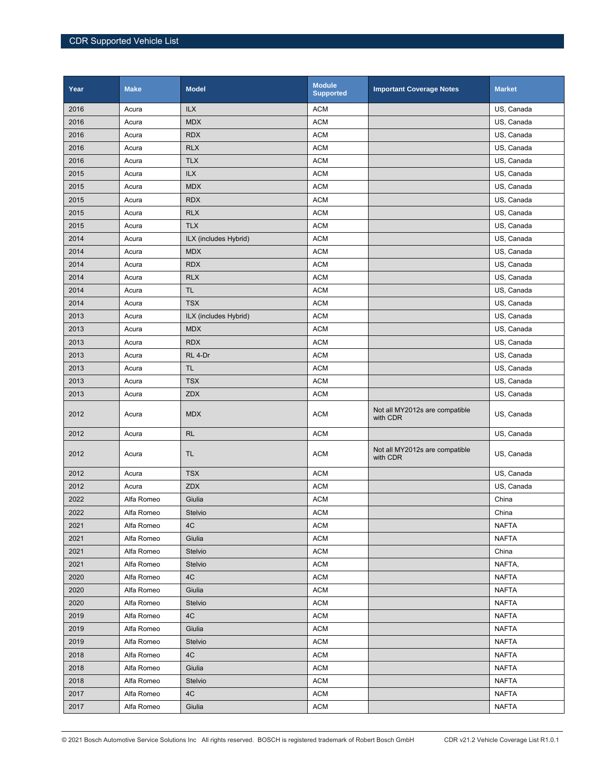| Year | <b>Make</b> | <b>Model</b>          | <b>Module</b><br><b>Supported</b> | <b>Important Coverage Notes</b>            | <b>Market</b> |
|------|-------------|-----------------------|-----------------------------------|--------------------------------------------|---------------|
| 2016 | Acura       | ILX                   | <b>ACM</b>                        |                                            | US, Canada    |
| 2016 | Acura       | <b>MDX</b>            | <b>ACM</b>                        |                                            | US, Canada    |
| 2016 | Acura       | <b>RDX</b>            | <b>ACM</b>                        |                                            | US, Canada    |
| 2016 | Acura       | <b>RLX</b>            | <b>ACM</b>                        |                                            | US, Canada    |
| 2016 | Acura       | <b>TLX</b>            | <b>ACM</b>                        |                                            | US, Canada    |
| 2015 | Acura       | <b>ILX</b>            | <b>ACM</b>                        |                                            | US, Canada    |
| 2015 | Acura       | <b>MDX</b>            | <b>ACM</b>                        |                                            | US, Canada    |
| 2015 | Acura       | <b>RDX</b>            | <b>ACM</b>                        |                                            | US, Canada    |
| 2015 | Acura       | <b>RLX</b>            | <b>ACM</b>                        |                                            | US, Canada    |
| 2015 | Acura       | <b>TLX</b>            | <b>ACM</b>                        |                                            | US, Canada    |
| 2014 | Acura       | ILX (includes Hybrid) | <b>ACM</b>                        |                                            | US, Canada    |
| 2014 | Acura       | <b>MDX</b>            | <b>ACM</b>                        |                                            | US, Canada    |
| 2014 | Acura       | <b>RDX</b>            | <b>ACM</b>                        |                                            | US, Canada    |
| 2014 | Acura       | <b>RLX</b>            | <b>ACM</b>                        |                                            | US, Canada    |
| 2014 | Acura       | <b>TL</b>             | <b>ACM</b>                        |                                            | US, Canada    |
| 2014 | Acura       | <b>TSX</b>            | <b>ACM</b>                        |                                            | US, Canada    |
| 2013 | Acura       | ILX (includes Hybrid) | <b>ACM</b>                        |                                            | US, Canada    |
| 2013 | Acura       | <b>MDX</b>            | <b>ACM</b>                        |                                            | US, Canada    |
| 2013 | Acura       | <b>RDX</b>            | <b>ACM</b>                        |                                            | US, Canada    |
| 2013 | Acura       | RL 4-Dr               | <b>ACM</b>                        |                                            | US, Canada    |
| 2013 | Acura       | <b>TL</b>             | <b>ACM</b>                        |                                            | US, Canada    |
| 2013 | Acura       | <b>TSX</b>            | <b>ACM</b>                        |                                            | US, Canada    |
| 2013 | Acura       | <b>ZDX</b>            | <b>ACM</b>                        |                                            | US, Canada    |
| 2012 | Acura       | <b>MDX</b>            | <b>ACM</b>                        | Not all MY2012s are compatible<br>with CDR | US, Canada    |
| 2012 | Acura       | RL                    | <b>ACM</b>                        |                                            | US, Canada    |
| 2012 | Acura       | TL.                   | <b>ACM</b>                        | Not all MY2012s are compatible<br>with CDR | US, Canada    |
| 2012 | Acura       | <b>TSX</b>            | <b>ACM</b>                        |                                            | US, Canada    |
| 2012 | Acura       | ZDX                   | <b>ACM</b>                        |                                            | US, Canada    |
| 2022 | Alfa Romeo  | Giulia                | <b>ACM</b>                        |                                            | China         |
| 2022 | Alfa Romeo  | Stelvio               | ACM                               |                                            | China         |
| 2021 | Alfa Romeo  | 4C                    | <b>ACM</b>                        |                                            | <b>NAFTA</b>  |
| 2021 | Alfa Romeo  | Giulia                | <b>ACM</b>                        |                                            | <b>NAFTA</b>  |
| 2021 | Alfa Romeo  | Stelvio               | ACM                               |                                            | China         |
| 2021 | Alfa Romeo  | Stelvio               | <b>ACM</b>                        |                                            | NAFTA,        |
| 2020 | Alfa Romeo  | 4C                    | <b>ACM</b>                        |                                            | <b>NAFTA</b>  |
| 2020 | Alfa Romeo  | Giulia                | <b>ACM</b>                        |                                            | <b>NAFTA</b>  |
| 2020 | Alfa Romeo  | Stelvio               | <b>ACM</b>                        |                                            | <b>NAFTA</b>  |
| 2019 | Alfa Romeo  | 4C                    | <b>ACM</b>                        |                                            | <b>NAFTA</b>  |
| 2019 | Alfa Romeo  | Giulia                | <b>ACM</b>                        |                                            | <b>NAFTA</b>  |
| 2019 | Alfa Romeo  | Stelvio               | <b>ACM</b>                        |                                            | <b>NAFTA</b>  |
| 2018 | Alfa Romeo  | 4C                    | <b>ACM</b>                        |                                            | <b>NAFTA</b>  |
| 2018 | Alfa Romeo  | Giulia                | <b>ACM</b>                        |                                            | <b>NAFTA</b>  |
| 2018 | Alfa Romeo  | Stelvio               | <b>ACM</b>                        |                                            | <b>NAFTA</b>  |
| 2017 | Alfa Romeo  | 4C                    | <b>ACM</b>                        |                                            | <b>NAFTA</b>  |
| 2017 | Alfa Romeo  | Giulia                | <b>ACM</b>                        |                                            | <b>NAFTA</b>  |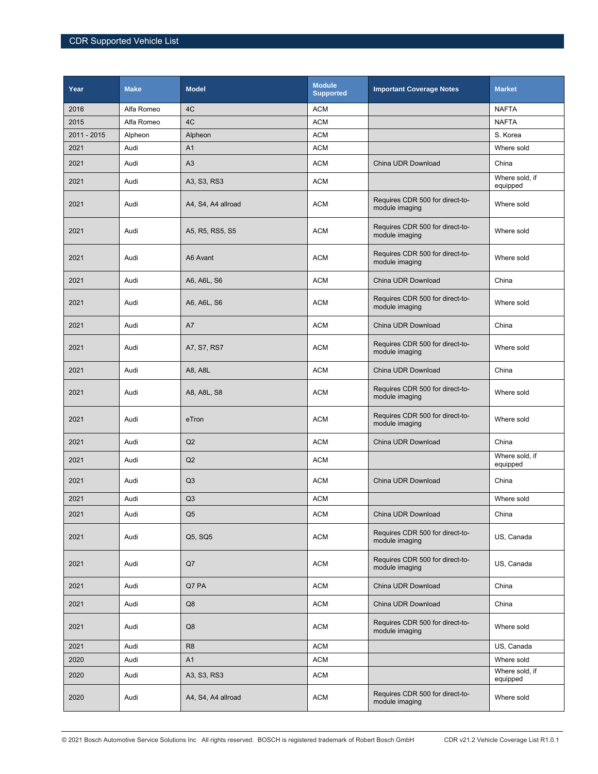| Year        | <b>Make</b> | <b>Model</b>       | <b>Module</b><br><b>Supported</b> | <b>Important Coverage Notes</b>                   | <b>Market</b>              |
|-------------|-------------|--------------------|-----------------------------------|---------------------------------------------------|----------------------------|
| 2016        | Alfa Romeo  | 4C                 | <b>ACM</b>                        |                                                   | <b>NAFTA</b>               |
| 2015        | Alfa Romeo  | 4C                 | <b>ACM</b>                        |                                                   | <b>NAFTA</b>               |
| 2011 - 2015 | Alpheon     | Alpheon            | <b>ACM</b>                        |                                                   | S. Korea                   |
| 2021        | Audi        | A <sub>1</sub>     | <b>ACM</b>                        |                                                   | Where sold                 |
| 2021        | Audi        | A3                 | <b>ACM</b>                        | China UDR Download                                | China                      |
| 2021        | Audi        | A3, S3, RS3        | <b>ACM</b>                        |                                                   | Where sold, if<br>equipped |
| 2021        | Audi        | A4, S4, A4 allroad | <b>ACM</b>                        | Requires CDR 500 for direct-to-<br>module imaging | Where sold                 |
| 2021        | Audi        | A5, R5, RS5, S5    | <b>ACM</b>                        | Requires CDR 500 for direct-to-<br>module imaging | Where sold                 |
| 2021        | Audi        | A6 Avant           | <b>ACM</b>                        | Requires CDR 500 for direct-to-<br>module imaging | Where sold                 |
| 2021        | Audi        | A6, A6L, S6        | <b>ACM</b>                        | China UDR Download                                | China                      |
| 2021        | Audi        | A6, A6L, S6        | <b>ACM</b>                        | Requires CDR 500 for direct-to-<br>module imaging | Where sold                 |
| 2021        | Audi        | A7                 | <b>ACM</b>                        | China UDR Download                                | China                      |
| 2021        | Audi        | A7, S7, RS7        | <b>ACM</b>                        | Requires CDR 500 for direct-to-<br>module imaging | Where sold                 |
| 2021        | Audi        | A8, A8L            | <b>ACM</b>                        | China UDR Download                                | China                      |
| 2021        | Audi        | A8, A8L, S8        | <b>ACM</b>                        | Requires CDR 500 for direct-to-<br>module imaging | Where sold                 |
| 2021        | Audi        | eTron              | <b>ACM</b>                        | Requires CDR 500 for direct-to-<br>module imaging | Where sold                 |
| 2021        | Audi        | Q2                 | <b>ACM</b>                        | China UDR Download                                | China                      |
| 2021        | Audi        | Q2                 | <b>ACM</b>                        |                                                   | Where sold, if<br>equipped |
| 2021        | Audi        | Q <sub>3</sub>     | <b>ACM</b>                        | China UDR Download                                | China                      |
| 2021        | Audi        | Q <sub>3</sub>     | <b>ACM</b>                        |                                                   | Where sold                 |
| 2021        | Audi        | $\mathsf{Q}5$      | $\mathsf{ACM}$                    | China UDR Download                                | China                      |
| 2021        | Audi        | Q5, SQ5            | <b>ACM</b>                        | Requires CDR 500 for direct-to-<br>module imaging | US, Canada                 |
| 2021        | Audi        | Q7                 | <b>ACM</b>                        | Requires CDR 500 for direct-to-<br>module imaging | US, Canada                 |
| 2021        | Audi        | Q7 PA              | <b>ACM</b>                        | China UDR Download                                | China                      |
| 2021        | Audi        | Q8                 | <b>ACM</b>                        | China UDR Download                                | China                      |
| 2021        | Audi        | Q8                 | <b>ACM</b>                        | Requires CDR 500 for direct-to-<br>module imaging | Where sold                 |
| 2021        | Audi        | R <sub>8</sub>     | <b>ACM</b>                        |                                                   | US, Canada                 |
| 2020        | Audi        | A1                 | <b>ACM</b>                        |                                                   | Where sold                 |
| 2020        | Audi        | A3, S3, RS3        | <b>ACM</b>                        |                                                   | Where sold, if<br>equipped |
| 2020        | Audi        | A4, S4, A4 allroad | <b>ACM</b>                        | Requires CDR 500 for direct-to-<br>module imaging | Where sold                 |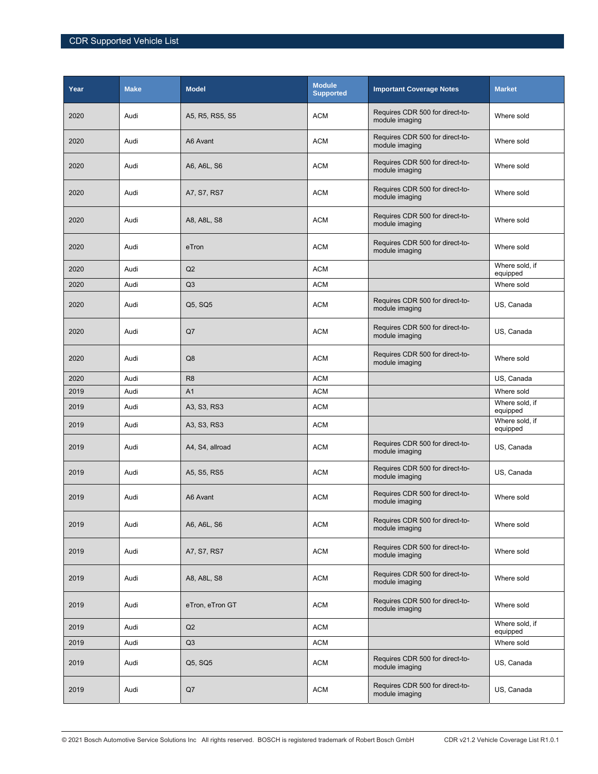| Year | <b>Make</b> | <b>Model</b>    | <b>Module</b><br><b>Supported</b> | <b>Important Coverage Notes</b>                   | <b>Market</b>              |
|------|-------------|-----------------|-----------------------------------|---------------------------------------------------|----------------------------|
| 2020 | Audi        | A5, R5, RS5, S5 | <b>ACM</b>                        | Requires CDR 500 for direct-to-<br>module imaging | Where sold                 |
| 2020 | Audi        | A6 Avant        | <b>ACM</b>                        | Requires CDR 500 for direct-to-<br>module imaging | Where sold                 |
| 2020 | Audi        | A6, A6L, S6     | <b>ACM</b>                        | Requires CDR 500 for direct-to-<br>module imaging | Where sold                 |
| 2020 | Audi        | A7, S7, RS7     | <b>ACM</b>                        | Requires CDR 500 for direct-to-<br>module imaging | Where sold                 |
| 2020 | Audi        | A8, A8L, S8     | <b>ACM</b>                        | Requires CDR 500 for direct-to-<br>module imaging | Where sold                 |
| 2020 | Audi        | eTron           | <b>ACM</b>                        | Requires CDR 500 for direct-to-<br>module imaging | Where sold                 |
| 2020 | Audi        | Q <sub>2</sub>  | <b>ACM</b>                        |                                                   | Where sold, if<br>equipped |
| 2020 | Audi        | Q <sub>3</sub>  | <b>ACM</b>                        |                                                   | Where sold                 |
| 2020 | Audi        | Q5, SQ5         | <b>ACM</b>                        | Requires CDR 500 for direct-to-<br>module imaging | US, Canada                 |
| 2020 | Audi        | Q7              | <b>ACM</b>                        | Requires CDR 500 for direct-to-<br>module imaging | US, Canada                 |
| 2020 | Audi        | Q8              | <b>ACM</b>                        | Requires CDR 500 for direct-to-<br>module imaging | Where sold                 |
| 2020 | Audi        | R <sub>8</sub>  | <b>ACM</b>                        |                                                   | US, Canada                 |
| 2019 | Audi        | A <sub>1</sub>  | <b>ACM</b>                        |                                                   | Where sold                 |
| 2019 | Audi        | A3, S3, RS3     | <b>ACM</b>                        |                                                   | Where sold, if<br>equipped |
| 2019 | Audi        | A3, S3, RS3     | <b>ACM</b>                        |                                                   | Where sold, if<br>equipped |
| 2019 | Audi        | A4, S4, allroad | <b>ACM</b>                        | Requires CDR 500 for direct-to-<br>module imaging | US, Canada                 |
| 2019 | Audi        | A5, S5, RS5     | <b>ACM</b>                        | Requires CDR 500 for direct-to-<br>module imaging | US, Canada                 |
| 2019 | Audi        | A6 Avant        | <b>ACM</b>                        | Requires CDR 500 for direct-to-<br>module imaging | Where sold                 |
| 2019 | Audi        | A6, A6L, S6     | <b>ACM</b>                        | Requires CDR 500 for direct-to-<br>module imaging | Where sold                 |
| 2019 | Audi        | A7, S7, RS7     | <b>ACM</b>                        | Requires CDR 500 for direct-to-<br>module imaging | Where sold                 |
| 2019 | Audi        | A8, A8L, S8     | <b>ACM</b>                        | Requires CDR 500 for direct-to-<br>module imaging | Where sold                 |
| 2019 | Audi        | eTron, eTron GT | <b>ACM</b>                        | Requires CDR 500 for direct-to-<br>module imaging | Where sold                 |
| 2019 | Audi        | Q2              | <b>ACM</b>                        |                                                   | Where sold, if<br>equipped |
| 2019 | Audi        | Q3              | <b>ACM</b>                        |                                                   | Where sold                 |
| 2019 | Audi        | Q5, SQ5         | <b>ACM</b>                        | Requires CDR 500 for direct-to-<br>module imaging | US, Canada                 |
| 2019 | Audi        | Q7              | <b>ACM</b>                        | Requires CDR 500 for direct-to-<br>module imaging | US, Canada                 |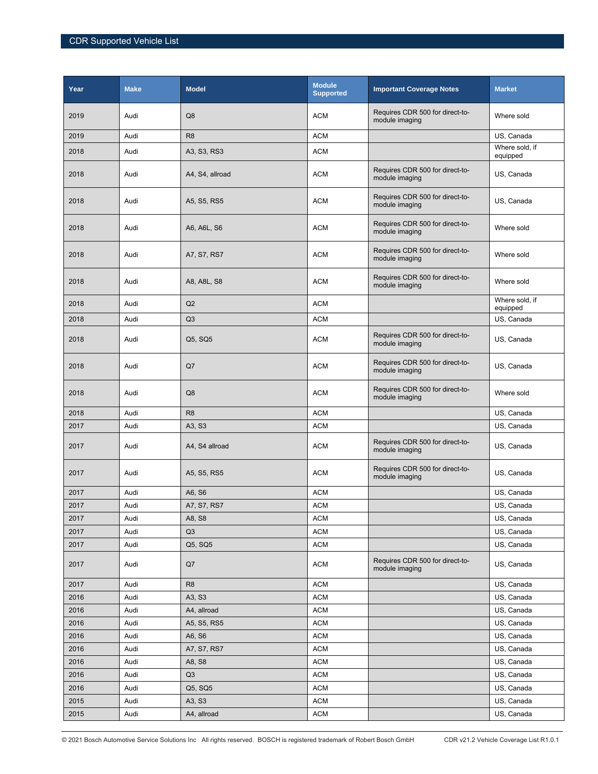| Year | <b>Make</b> | <b>Model</b>    | <b>Module</b><br><b>Supported</b> | <b>Important Coverage Notes</b>                   | <b>Market</b>              |
|------|-------------|-----------------|-----------------------------------|---------------------------------------------------|----------------------------|
| 2019 | Audi        | Q <sub>8</sub>  | <b>ACM</b>                        | Requires CDR 500 for direct-to-<br>module imaging | Where sold                 |
| 2019 | Audi        | R <sub>8</sub>  | <b>ACM</b>                        |                                                   | US, Canada                 |
| 2018 | Audi        | A3, S3, RS3     | <b>ACM</b>                        |                                                   | Where sold, if<br>equipped |
| 2018 | Audi        | A4, S4, allroad | <b>ACM</b>                        | Requires CDR 500 for direct-to-<br>module imaging | US, Canada                 |
| 2018 | Audi        | A5, S5, RS5     | <b>ACM</b>                        | Requires CDR 500 for direct-to-<br>module imaging | US, Canada                 |
| 2018 | Audi        | A6, A6L, S6     | <b>ACM</b>                        | Requires CDR 500 for direct-to-<br>module imaging | Where sold                 |
| 2018 | Audi        | A7, S7, RS7     | <b>ACM</b>                        | Requires CDR 500 for direct-to-<br>module imaging | Where sold                 |
| 2018 | Audi        | A8, A8L, S8     | <b>ACM</b>                        | Requires CDR 500 for direct-to-<br>module imaging | Where sold                 |
| 2018 | Audi        | Q2              | <b>ACM</b>                        |                                                   | Where sold, if<br>equipped |
| 2018 | Audi        | Q3              | <b>ACM</b>                        |                                                   | US, Canada                 |
| 2018 | Audi        | Q5, SQ5         | <b>ACM</b>                        | Requires CDR 500 for direct-to-<br>module imaging | US, Canada                 |
| 2018 | Audi        | Q7              | <b>ACM</b>                        | Requires CDR 500 for direct-to-<br>module imaging | US, Canada                 |
| 2018 | Audi        | Q8              | <b>ACM</b>                        | Requires CDR 500 for direct-to-<br>module imaging | Where sold                 |
| 2018 | Audi        | R <sub>8</sub>  | <b>ACM</b>                        |                                                   | US, Canada                 |
| 2017 | Audi        | A3, S3          | <b>ACM</b>                        |                                                   | US, Canada                 |
| 2017 | Audi        | A4, S4 allroad  | <b>ACM</b>                        | Requires CDR 500 for direct-to-<br>module imaging | US, Canada                 |
| 2017 | Audi        | A5, S5, RS5     | <b>ACM</b>                        | Requires CDR 500 for direct-to-<br>module imaging | US, Canada                 |
| 2017 | Audi        | A6, S6          | <b>ACM</b>                        |                                                   | US, Canada                 |
| 2017 | Audi        | A7, S7, RS7     | <b>ACM</b>                        |                                                   | US, Canada                 |
| 2017 | Audi        | A8, S8          | <b>ACM</b>                        |                                                   | US, Canada                 |
| 2017 | Audi        | Q3              | <b>ACM</b>                        |                                                   | US. Canada                 |
| 2017 | Audi        | Q5, SQ5         | <b>ACM</b>                        |                                                   | US, Canada                 |
| 2017 | Audi        | Q7              | <b>ACM</b>                        | Requires CDR 500 for direct-to-<br>module imaging | US, Canada                 |
| 2017 | Audi        | R <sub>8</sub>  | <b>ACM</b>                        |                                                   | US, Canada                 |
| 2016 | Audi        | A3, S3          | <b>ACM</b>                        |                                                   | US, Canada                 |
| 2016 | Audi        | A4, allroad     | <b>ACM</b>                        |                                                   | US, Canada                 |
| 2016 | Audi        | A5, S5, RS5     | <b>ACM</b>                        |                                                   | US, Canada                 |
| 2016 | Audi        | A6, S6          | <b>ACM</b>                        |                                                   | US, Canada                 |
| 2016 | Audi        | A7, S7, RS7     | <b>ACM</b>                        |                                                   | US, Canada                 |
| 2016 | Audi        | A8, S8          | <b>ACM</b>                        |                                                   | US, Canada                 |
| 2016 | Audi        | Q <sub>3</sub>  | <b>ACM</b>                        |                                                   | US, Canada                 |
| 2016 | Audi        | Q5, SQ5         | <b>ACM</b>                        |                                                   | US, Canada                 |
| 2015 | Audi        | A3, S3          | <b>ACM</b>                        |                                                   | US, Canada                 |
| 2015 | Audi        | A4, allroad     | $\mathsf{ACM}$                    |                                                   | US, Canada                 |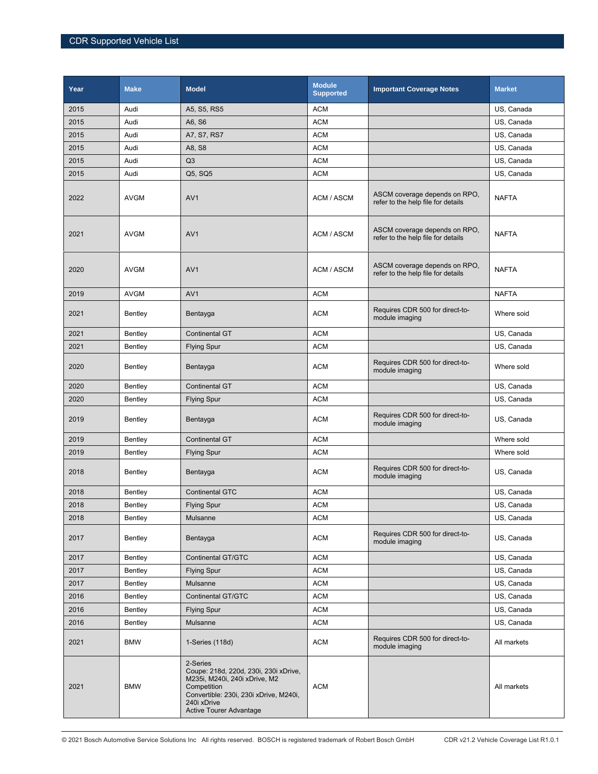| Year | <b>Make</b> | <b>Model</b>                                                                                                                                                                                 | <b>Module</b><br><b>Supported</b> | <b>Important Coverage Notes</b>                                     | <b>Market</b> |
|------|-------------|----------------------------------------------------------------------------------------------------------------------------------------------------------------------------------------------|-----------------------------------|---------------------------------------------------------------------|---------------|
| 2015 | Audi        | A5, S5, RS5                                                                                                                                                                                  | <b>ACM</b>                        |                                                                     | US, Canada    |
| 2015 | Audi        | A6, S6                                                                                                                                                                                       | <b>ACM</b>                        |                                                                     | US, Canada    |
| 2015 | Audi        | A7, S7, RS7                                                                                                                                                                                  | <b>ACM</b>                        |                                                                     | US, Canada    |
| 2015 | Audi        | A8, S8                                                                                                                                                                                       | <b>ACM</b>                        |                                                                     | US, Canada    |
| 2015 | Audi        | Q <sub>3</sub>                                                                                                                                                                               | <b>ACM</b>                        |                                                                     | US, Canada    |
| 2015 | Audi        | Q5, SQ5                                                                                                                                                                                      | <b>ACM</b>                        |                                                                     | US, Canada    |
| 2022 | <b>AVGM</b> | AV <sub>1</sub>                                                                                                                                                                              | ACM / ASCM                        | ASCM coverage depends on RPO,<br>refer to the help file for details | <b>NAFTA</b>  |
| 2021 | <b>AVGM</b> | AV <sub>1</sub>                                                                                                                                                                              | ACM / ASCM                        | ASCM coverage depends on RPO,<br>refer to the help file for details | <b>NAFTA</b>  |
| 2020 | <b>AVGM</b> | AV <sub>1</sub>                                                                                                                                                                              | ACM / ASCM                        | ASCM coverage depends on RPO,<br>refer to the help file for details | <b>NAFTA</b>  |
| 2019 | <b>AVGM</b> | AV <sub>1</sub>                                                                                                                                                                              | <b>ACM</b>                        |                                                                     | <b>NAFTA</b>  |
| 2021 | Bentley     | Bentayga                                                                                                                                                                                     | <b>ACM</b>                        | Requires CDR 500 for direct-to-<br>module imaging                   | Where soid    |
| 2021 | Bentley     | <b>Continental GT</b>                                                                                                                                                                        | <b>ACM</b>                        |                                                                     | US, Canada    |
| 2021 | Bentley     | <b>Flying Spur</b>                                                                                                                                                                           | <b>ACM</b>                        |                                                                     | US, Canada    |
| 2020 | Bentley     | Bentayga                                                                                                                                                                                     | <b>ACM</b>                        | Requires CDR 500 for direct-to-<br>module imaging                   | Where sold    |
| 2020 | Bentley     | <b>Continental GT</b>                                                                                                                                                                        | <b>ACM</b>                        |                                                                     | US, Canada    |
| 2020 | Bentley     | <b>Flying Spur</b>                                                                                                                                                                           | <b>ACM</b>                        |                                                                     | US, Canada    |
| 2019 | Bentley     | Bentayga                                                                                                                                                                                     | <b>ACM</b>                        | Requires CDR 500 for direct-to-<br>module imaging                   | US, Canada    |
| 2019 | Bentley     | <b>Continental GT</b>                                                                                                                                                                        | <b>ACM</b>                        |                                                                     | Where sold    |
| 2019 | Bentley     | <b>Flying Spur</b>                                                                                                                                                                           | <b>ACM</b>                        |                                                                     | Where sold    |
| 2018 | Bentley     | Bentayga                                                                                                                                                                                     | <b>ACM</b>                        | Requires CDR 500 for direct-to-<br>module imaging                   | US, Canada    |
| 2018 | Bentley     | <b>Continental GTC</b>                                                                                                                                                                       | <b>ACM</b>                        |                                                                     | US, Canada    |
| 2018 | Bentley     | <b>Flying Spur</b>                                                                                                                                                                           | <b>ACM</b>                        |                                                                     | US, Canada    |
| 2018 | Bentley     | Mulsanne                                                                                                                                                                                     | <b>ACM</b>                        |                                                                     | US, Canada    |
| 2017 | Bentley     | Bentayga                                                                                                                                                                                     | ACM                               | Requires CDR 500 for direct-to-<br>module imaging                   | US, Canada    |
| 2017 | Bentley     | <b>Continental GT/GTC</b>                                                                                                                                                                    | ACM                               |                                                                     | US, Canada    |
| 2017 | Bentley     | <b>Flying Spur</b>                                                                                                                                                                           | <b>ACM</b>                        |                                                                     | US, Canada    |
| 2017 | Bentley     | Mulsanne                                                                                                                                                                                     | ACM                               |                                                                     | US, Canada    |
| 2016 | Bentley     | <b>Continental GT/GTC</b>                                                                                                                                                                    | ACM                               |                                                                     | US, Canada    |
| 2016 | Bentley     | <b>Flying Spur</b>                                                                                                                                                                           | ACM                               |                                                                     | US, Canada    |
| 2016 | Bentley     | Mulsanne                                                                                                                                                                                     | ACM                               |                                                                     | US, Canada    |
| 2021 | <b>BMW</b>  | 1-Series (118d)                                                                                                                                                                              | ACM                               | Requires CDR 500 for direct-to-<br>module imaging                   | All markets   |
| 2021 | <b>BMW</b>  | 2-Series<br>Coupe: 218d, 220d, 230i, 230i xDrive,<br>M235i, M240i, 240i xDrive, M2<br>Competition<br>Convertible: 230i, 230i xDrive, M240i,<br>240i xDrive<br><b>Active Tourer Advantage</b> | <b>ACM</b>                        |                                                                     | All markets   |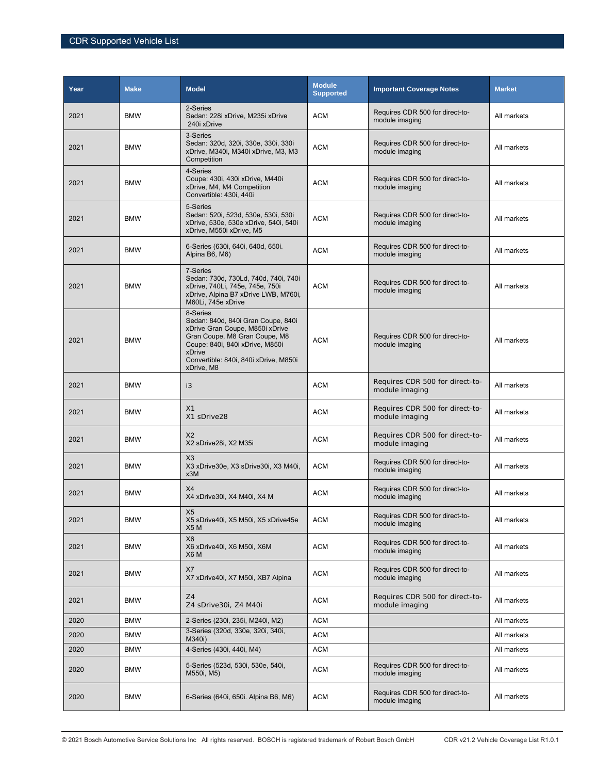| Year | <b>Make</b> | <b>Model</b>                                                                                                                                                                                                           | <b>Module</b><br><b>Supported</b> | <b>Important Coverage Notes</b>                   | <b>Market</b> |
|------|-------------|------------------------------------------------------------------------------------------------------------------------------------------------------------------------------------------------------------------------|-----------------------------------|---------------------------------------------------|---------------|
| 2021 | <b>BMW</b>  | 2-Series<br>Sedan: 228i xDrive, M235i xDrive<br>240i xDrive                                                                                                                                                            | <b>ACM</b>                        | Requires CDR 500 for direct-to-<br>module imaging | All markets   |
| 2021 | <b>BMW</b>  | 3-Series<br>Sedan: 320d, 320i, 330e, 330i, 330i<br>xDrive, M340i, M340i xDrive, M3, M3<br>Competition                                                                                                                  | <b>ACM</b>                        | Requires CDR 500 for direct-to-<br>module imaging | All markets   |
| 2021 | <b>BMW</b>  | 4-Series<br>Coupe: 430i, 430i xDrive, M440i<br>xDrive, M4, M4 Competition<br>Convertible: 430i, 440i                                                                                                                   | <b>ACM</b>                        | Requires CDR 500 for direct-to-<br>module imaging | All markets   |
| 2021 | <b>BMW</b>  | 5-Series<br>Sedan: 520i, 523d, 530e, 530i, 530i<br>xDrive, 530e, 530e xDrive, 540i, 540i<br>xDrive, M550i xDrive, M5                                                                                                   | <b>ACM</b>                        | Requires CDR 500 for direct-to-<br>module imaging | All markets   |
| 2021 | <b>BMW</b>  | 6-Series (630i, 640i, 640d, 650i.<br>Alpina B6, M6)                                                                                                                                                                    | <b>ACM</b>                        | Requires CDR 500 for direct-to-<br>module imaging | All markets   |
| 2021 | <b>BMW</b>  | 7-Series<br>Sedan: 730d, 730Ld, 740d, 740i, 740i<br>xDrive, 740Li, 745e, 745e, 750i<br>xDrive, Alpina B7 xDrive LWB, M760i,<br>M60Li, 745e xDrive                                                                      | <b>ACM</b>                        | Requires CDR 500 for direct-to-<br>module imaging | All markets   |
| 2021 | <b>BMW</b>  | 8-Series<br>Sedan: 840d, 840i Gran Coupe, 840i<br>xDrive Gran Coupe, M850i xDrive<br>Gran Coupe, M8 Gran Coupe, M8<br>Coupe: 840i, 840i xDrive, M850i<br>xDrive<br>Convertible: 840i, 840i xDrive, M850i<br>xDrive, M8 | <b>ACM</b>                        | Requires CDR 500 for direct-to-<br>module imaging | All markets   |
| 2021 | <b>BMW</b>  | i3                                                                                                                                                                                                                     | <b>ACM</b>                        | Requires CDR 500 for direct-to-<br>module imaging | All markets   |
| 2021 | <b>BMW</b>  | X <sub>1</sub><br>X1 sDrive28                                                                                                                                                                                          | <b>ACM</b>                        | Requires CDR 500 for direct-to-<br>module imaging | All markets   |
| 2021 | <b>BMW</b>  | X <sub>2</sub><br>X2 sDrive28i, X2 M35i                                                                                                                                                                                | <b>ACM</b>                        | Requires CDR 500 for direct-to-<br>module imaging | All markets   |
| 2021 | <b>BMW</b>  | X3<br>X3 xDrive30e, X3 sDrive30i, X3 M40i,<br>x3M                                                                                                                                                                      | <b>ACM</b>                        | Requires CDR 500 for direct-to-<br>module imaging | All markets   |
| 2021 | <b>BMW</b>  | X4<br>X4 xDrive30i, X4 M40i, X4 M                                                                                                                                                                                      | <b>ACM</b>                        | Requires CDR 500 for direct-to-<br>module imaging | All markets   |
| 2021 | BMW         | X <sub>5</sub><br>X5 sDrive40i, X5 M50i, X5 xDrive45e<br>X <sub>5</sub> M                                                                                                                                              | <b>ACM</b>                        | Requires CDR 500 for direct-to-<br>module imaging | All markets   |
| 2021 | <b>BMW</b>  | X <sub>6</sub><br>X6 xDrive40i, X6 M50i, X6M<br>X6 M                                                                                                                                                                   | <b>ACM</b>                        | Requires CDR 500 for direct-to-<br>module imaging | All markets   |
| 2021 | <b>BMW</b>  | X7<br>X7 xDrive40i, X7 M50i, XB7 Alpina                                                                                                                                                                                | <b>ACM</b>                        | Requires CDR 500 for direct-to-<br>module imaging | All markets   |
| 2021 | <b>BMW</b>  | Z4<br>Z4 sDrive30i, Z4 M40i                                                                                                                                                                                            | <b>ACM</b>                        | Requires CDR 500 for direct-to-<br>module imaging | All markets   |
| 2020 | <b>BMW</b>  | 2-Series (230i, 235i, M240i, M2)                                                                                                                                                                                       | <b>ACM</b>                        |                                                   | All markets   |
| 2020 | <b>BMW</b>  | 3-Series (320d, 330e, 320i, 340i,<br>M340i)                                                                                                                                                                            | <b>ACM</b>                        |                                                   | All markets   |
| 2020 | <b>BMW</b>  | 4-Series (430i, 440i, M4)                                                                                                                                                                                              | <b>ACM</b>                        |                                                   | All markets   |
| 2020 | <b>BMW</b>  | 5-Series (523d, 530i, 530e, 540i,<br>M550i, M5)                                                                                                                                                                        | <b>ACM</b>                        | Requires CDR 500 for direct-to-<br>module imaging | All markets   |
| 2020 | <b>BMW</b>  | 6-Series (640i, 650i. Alpina B6, M6)                                                                                                                                                                                   | <b>ACM</b>                        | Requires CDR 500 for direct-to-<br>module imaging | All markets   |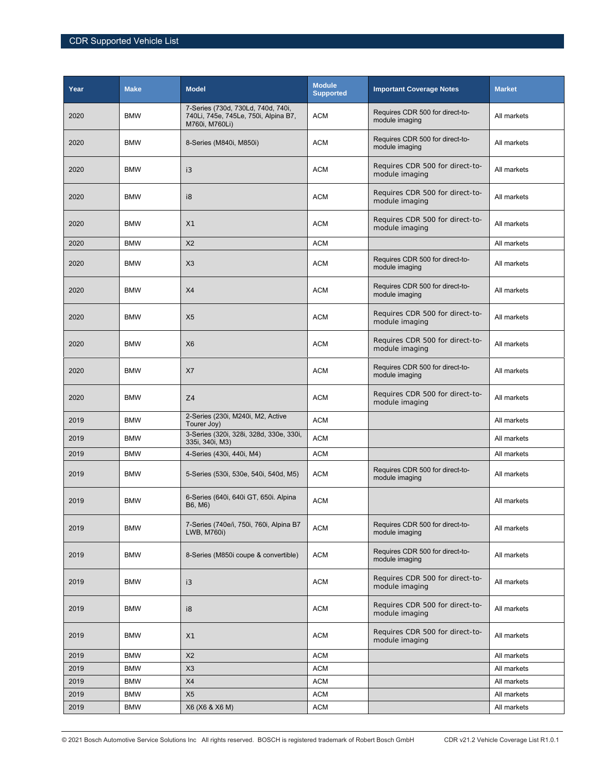| Year | <b>Make</b> | <b>Model</b>                                                                                 | <b>Module</b><br><b>Supported</b> | <b>Important Coverage Notes</b>                   | <b>Market</b> |
|------|-------------|----------------------------------------------------------------------------------------------|-----------------------------------|---------------------------------------------------|---------------|
| 2020 | <b>BMW</b>  | 7-Series (730d, 730Ld, 740d, 740i,<br>740Li, 745e, 745Le, 750i, Alpina B7,<br>M760i, M760Li) | <b>ACM</b>                        | Requires CDR 500 for direct-to-<br>module imaging | All markets   |
| 2020 | <b>BMW</b>  | 8-Series (M840i, M850i)                                                                      | <b>ACM</b>                        | Requires CDR 500 for direct-to-<br>module imaging | All markets   |
| 2020 | <b>BMW</b>  | i3                                                                                           | <b>ACM</b>                        | Requires CDR 500 for direct-to-<br>module imaging | All markets   |
| 2020 | <b>BMW</b>  | i8                                                                                           | <b>ACM</b>                        | Requires CDR 500 for direct-to-<br>module imaging | All markets   |
| 2020 | <b>BMW</b>  | X1                                                                                           | <b>ACM</b>                        | Requires CDR 500 for direct-to-<br>module imaging | All markets   |
| 2020 | <b>BMW</b>  | X <sub>2</sub>                                                                               | <b>ACM</b>                        |                                                   | All markets   |
| 2020 | <b>BMW</b>  | X3                                                                                           | <b>ACM</b>                        | Requires CDR 500 for direct-to-<br>module imaging | All markets   |
| 2020 | <b>BMW</b>  | X4                                                                                           | <b>ACM</b>                        | Requires CDR 500 for direct-to-<br>module imaging | All markets   |
| 2020 | <b>BMW</b>  | X <sub>5</sub>                                                                               | <b>ACM</b>                        | Requires CDR 500 for direct-to-<br>module imaging | All markets   |
| 2020 | <b>BMW</b>  | <b>X6</b>                                                                                    | <b>ACM</b>                        | Requires CDR 500 for direct-to-<br>module imaging | All markets   |
| 2020 | <b>BMW</b>  | X7                                                                                           | <b>ACM</b>                        | Requires CDR 500 for direct-to-<br>module imaging | All markets   |
| 2020 | <b>BMW</b>  | Z4                                                                                           | <b>ACM</b>                        | Requires CDR 500 for direct-to-<br>module imaging | All markets   |
| 2019 | <b>BMW</b>  | 2-Series (230i, M240i, M2, Active<br>Tourer Joy)                                             | <b>ACM</b>                        |                                                   | All markets   |
| 2019 | <b>BMW</b>  | 3-Series (320i, 328i, 328d, 330e, 330i,<br>335i, 340i, M3)                                   | <b>ACM</b>                        |                                                   | All markets   |
| 2019 | <b>BMW</b>  | 4-Series (430i, 440i, M4)                                                                    | <b>ACM</b>                        |                                                   | All markets   |
| 2019 | <b>BMW</b>  | 5-Series (530i, 530e, 540i, 540d, M5)                                                        | <b>ACM</b>                        | Requires CDR 500 for direct-to-<br>module imaging | All markets   |
| 2019 | <b>BMW</b>  | 6-Series (640i, 640i GT, 650i. Alpina<br>B6, M6)                                             | <b>ACM</b>                        |                                                   | All markets   |
| 2019 | <b>BMW</b>  | 7-Series (740e/i, 750i, 760i, Alpina B7<br>LWB, M760i)                                       | <b>ACM</b>                        | Requires CDR 500 for direct-to-<br>module imaging | All markets   |
| 2019 | <b>BMW</b>  | 8-Series (M850i coupe & convertible)                                                         | <b>ACM</b>                        | Requires CDR 500 for direct-to-<br>module imaging | All markets   |
| 2019 | <b>BMW</b>  | i3                                                                                           | <b>ACM</b>                        | Requires CDR 500 for direct-to-<br>module imaging | All markets   |
| 2019 | <b>BMW</b>  | i8                                                                                           | <b>ACM</b>                        | Requires CDR 500 for direct-to-<br>module imaging | All markets   |
| 2019 | <b>BMW</b>  | X1                                                                                           | <b>ACM</b>                        | Requires CDR 500 for direct-to-<br>module imaging | All markets   |
| 2019 | <b>BMW</b>  | X <sub>2</sub>                                                                               | <b>ACM</b>                        |                                                   | All markets   |
| 2019 | <b>BMW</b>  | X3                                                                                           | <b>ACM</b>                        |                                                   | All markets   |
| 2019 | <b>BMW</b>  | X4                                                                                           | <b>ACM</b>                        |                                                   | All markets   |
| 2019 | <b>BMW</b>  | X <sub>5</sub>                                                                               | <b>ACM</b>                        |                                                   | All markets   |
| 2019 | <b>BMW</b>  | X6 (X6 & X6 M)                                                                               | <b>ACM</b>                        |                                                   | All markets   |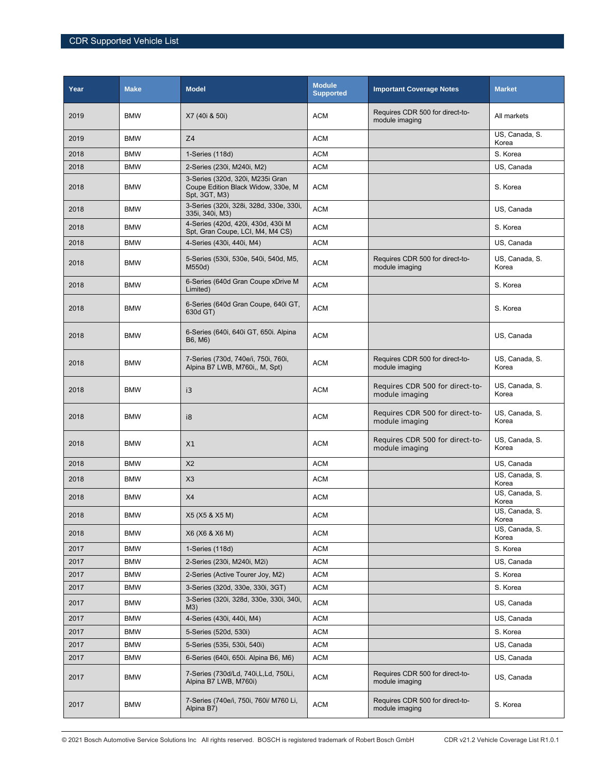| Year | <b>Make</b> | <b>Model</b>                                                                            | <b>Module</b><br><b>Supported</b> | <b>Important Coverage Notes</b>                   | <b>Market</b>           |
|------|-------------|-----------------------------------------------------------------------------------------|-----------------------------------|---------------------------------------------------|-------------------------|
| 2019 | <b>BMW</b>  | X7 (40i & 50i)                                                                          | <b>ACM</b>                        | Requires CDR 500 for direct-to-<br>module imaging | All markets             |
| 2019 | <b>BMW</b>  | Z4                                                                                      | <b>ACM</b>                        |                                                   | US, Canada, S.<br>Korea |
| 2018 | <b>BMW</b>  | 1-Series (118d)                                                                         | <b>ACM</b>                        |                                                   | S. Korea                |
| 2018 | <b>BMW</b>  | 2-Series (230i, M240i, M2)                                                              | <b>ACM</b>                        |                                                   | US, Canada              |
| 2018 | <b>BMW</b>  | 3-Series (320d, 320i, M235i Gran<br>Coupe Edition Black Widow, 330e, M<br>Spt. 3GT, M3) | <b>ACM</b>                        |                                                   | S. Korea                |
| 2018 | <b>BMW</b>  | 3-Series (320i, 328i, 328d, 330e, 330i,<br>335i, 340i, M3)                              | <b>ACM</b>                        |                                                   | US, Canada              |
| 2018 | <b>BMW</b>  | 4-Series (420d, 420i, 430d, 430i M<br>Spt, Gran Coupe, LCI, M4, M4 CS)                  | <b>ACM</b>                        |                                                   | S. Korea                |
| 2018 | <b>BMW</b>  | 4-Series (430i, 440i, M4)                                                               | <b>ACM</b>                        |                                                   | US, Canada              |
| 2018 | <b>BMW</b>  | 5-Series (530i, 530e, 540i, 540d, M5,<br>M550d)                                         | <b>ACM</b>                        | Requires CDR 500 for direct-to-<br>module imaging | US, Canada, S.<br>Korea |
| 2018 | <b>BMW</b>  | 6-Series (640d Gran Coupe xDrive M<br>Limited)                                          | <b>ACM</b>                        |                                                   | S. Korea                |
| 2018 | <b>BMW</b>  | 6-Series (640d Gran Coupe, 640i GT,<br>630d GT)                                         | <b>ACM</b>                        |                                                   | S. Korea                |
| 2018 | <b>BMW</b>  | 6-Series (640i, 640i GT, 650i. Alpina<br>B6, M6)                                        | <b>ACM</b>                        |                                                   | US, Canada              |
| 2018 | <b>BMW</b>  | 7-Series (730d, 740e/i, 750i, 760i,<br>Alpina B7 LWB, M760i,, M, Spt)                   | <b>ACM</b>                        | Requires CDR 500 for direct-to-<br>module imaging | US, Canada, S.<br>Korea |
| 2018 | <b>BMW</b>  | i3                                                                                      | <b>ACM</b>                        | Requires CDR 500 for direct-to-<br>module imaging | US, Canada, S.<br>Korea |
| 2018 | <b>BMW</b>  | i8                                                                                      | <b>ACM</b>                        | Requires CDR 500 for direct-to-<br>module imaging | US, Canada, S.<br>Korea |
| 2018 | <b>BMW</b>  | X <sub>1</sub>                                                                          | <b>ACM</b>                        | Requires CDR 500 for direct-to-<br>module imaging | US, Canada, S.<br>Korea |
| 2018 | <b>BMW</b>  | X <sub>2</sub>                                                                          | <b>ACM</b>                        |                                                   | US. Canada              |
| 2018 | <b>BMW</b>  | X <sub>3</sub>                                                                          | <b>ACM</b>                        |                                                   | US, Canada, S.<br>Korea |
| 2018 | <b>BMW</b>  | X4                                                                                      | <b>ACM</b>                        |                                                   | US, Canada, S.<br>Korea |
| 2018 | BMW         | X5 (X5 & X5 M)                                                                          | ACM                               |                                                   | US, Canada, S.<br>Korea |
| 2018 | <b>BMW</b>  | X6 (X6 & X6 M)                                                                          | <b>ACM</b>                        |                                                   | US, Canada, S.<br>Korea |
| 2017 | <b>BMW</b>  | 1-Series (118d)                                                                         | <b>ACM</b>                        |                                                   | S. Korea                |
| 2017 | <b>BMW</b>  | 2-Series (230i, M240i, M2i)                                                             | <b>ACM</b>                        |                                                   | US, Canada              |
| 2017 | <b>BMW</b>  | 2-Series (Active Tourer Joy, M2)                                                        | <b>ACM</b>                        |                                                   | S. Korea                |
| 2017 | <b>BMW</b>  | 3-Series (320d, 330e, 330i, 3GT)                                                        | <b>ACM</b>                        |                                                   | S. Korea                |
| 2017 | <b>BMW</b>  | 3-Series (320i, 328d, 330e, 330i, 340i,<br>M3)                                          | <b>ACM</b>                        |                                                   | US, Canada              |
| 2017 | <b>BMW</b>  | 4-Series (430i, 440i, M4)                                                               | <b>ACM</b>                        |                                                   | US, Canada              |
| 2017 | <b>BMW</b>  | 5-Series (520d, 530i)                                                                   | <b>ACM</b>                        |                                                   | S. Korea                |
| 2017 | <b>BMW</b>  | 5-Series (535i, 530i, 540i)                                                             | ACM                               |                                                   | US, Canada              |
| 2017 | <b>BMW</b>  | 6-Series (640i, 650i. Alpina B6, M6)                                                    | <b>ACM</b>                        |                                                   | US, Canada              |
| 2017 | <b>BMW</b>  | 7-Series (730d/Ld, 740i, L, Ld, 750Li,<br>Alpina B7 LWB, M760i)                         | <b>ACM</b>                        | Requires CDR 500 for direct-to-<br>module imaging | US, Canada              |
| 2017 | <b>BMW</b>  | 7-Series (740e/i, 750i, 760i/ M760 Li,<br>Alpina B7)                                    | <b>ACM</b>                        | Requires CDR 500 for direct-to-<br>module imaging | S. Korea                |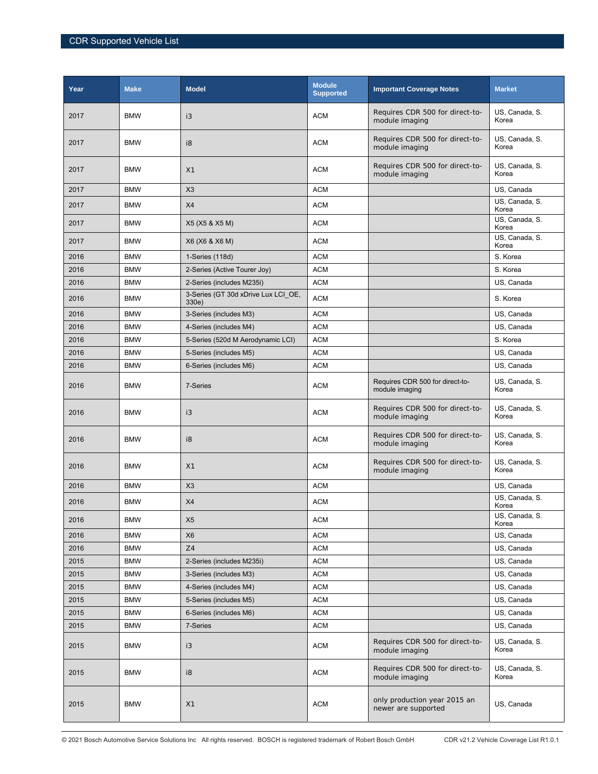| Year | <b>Make</b> | <b>Model</b>                                 | <b>Module</b><br><b>Supported</b> | <b>Important Coverage Notes</b>                     | <b>Market</b>           |
|------|-------------|----------------------------------------------|-----------------------------------|-----------------------------------------------------|-------------------------|
| 2017 | <b>BMW</b>  | i3                                           | <b>ACM</b>                        | Requires CDR 500 for direct-to-<br>module imaging   | US, Canada, S.<br>Korea |
| 2017 | <b>BMW</b>  | i8                                           | <b>ACM</b>                        | Requires CDR 500 for direct-to-<br>module imaging   | US, Canada, S.<br>Korea |
| 2017 | <b>BMW</b>  | X1                                           | <b>ACM</b>                        | Requires CDR 500 for direct-to-<br>module imaging   | US, Canada, S.<br>Korea |
| 2017 | <b>BMW</b>  | X3                                           | <b>ACM</b>                        |                                                     | US, Canada              |
| 2017 | <b>BMW</b>  | X4                                           | <b>ACM</b>                        |                                                     | US, Canada, S.<br>Korea |
| 2017 | <b>BMW</b>  | X5 (X5 & X5 M)                               | <b>ACM</b>                        |                                                     | US, Canada, S.<br>Korea |
| 2017 | <b>BMW</b>  | X6 (X6 & X6 M)                               | <b>ACM</b>                        |                                                     | US, Canada, S.<br>Korea |
| 2016 | <b>BMW</b>  | 1-Series (118d)                              | <b>ACM</b>                        |                                                     | S. Korea                |
| 2016 | <b>BMW</b>  | 2-Series (Active Tourer Joy)                 | <b>ACM</b>                        |                                                     | S. Korea                |
| 2016 | <b>BMW</b>  | 2-Series (includes M235i)                    | <b>ACM</b>                        |                                                     | US, Canada              |
| 2016 | <b>BMW</b>  | 3-Series (GT 30d xDrive Lux LCI OE,<br>330e) | <b>ACM</b>                        |                                                     | S. Korea                |
| 2016 | <b>BMW</b>  | 3-Series (includes M3)                       | <b>ACM</b>                        |                                                     | US, Canada              |
| 2016 | <b>BMW</b>  | 4-Series (includes M4)                       | <b>ACM</b>                        |                                                     | US, Canada              |
| 2016 | <b>BMW</b>  | 5-Series (520d M Aerodynamic LCI)            | <b>ACM</b>                        |                                                     | S. Korea                |
| 2016 | <b>BMW</b>  | 5-Series (includes M5)                       | <b>ACM</b>                        |                                                     | US, Canada              |
| 2016 | <b>BMW</b>  | 6-Series (includes M6)                       | <b>ACM</b>                        |                                                     | US, Canada              |
| 2016 | <b>BMW</b>  | 7-Series                                     | <b>ACM</b>                        | Requires CDR 500 for direct-to-<br>module imaging   | US, Canada, S.<br>Korea |
| 2016 | <b>BMW</b>  | i3                                           | <b>ACM</b>                        | Requires CDR 500 for direct-to-<br>module imaging   | US, Canada, S.<br>Korea |
| 2016 | <b>BMW</b>  | i8                                           | <b>ACM</b>                        | Requires CDR 500 for direct-to-<br>module imaging   | US, Canada, S.<br>Korea |
| 2016 | <b>BMW</b>  | X1                                           | <b>ACM</b>                        | Requires CDR 500 for direct-to-<br>module imaging   | US, Canada, S.<br>Korea |
| 2016 | <b>BMW</b>  | X3                                           | <b>ACM</b>                        |                                                     | US, Canada              |
| 2016 | <b>BMW</b>  | X4                                           | <b>ACM</b>                        |                                                     | US, Canada, S.<br>Korea |
| 2016 | <b>BMW</b>  | X <sub>5</sub>                               | ACM                               |                                                     | US, Canada, S.<br>Korea |
| 2016 | <b>BMW</b>  | X <sub>6</sub>                               | <b>ACM</b>                        |                                                     | US, Canada              |
| 2016 | <b>BMW</b>  | Z4                                           | <b>ACM</b>                        |                                                     | US, Canada              |
| 2015 | <b>BMW</b>  | 2-Series (includes M235i)                    | <b>ACM</b>                        |                                                     | US, Canada              |
| 2015 | <b>BMW</b>  | 3-Series (includes M3)                       | ACM                               |                                                     | US, Canada              |
| 2015 | <b>BMW</b>  | 4-Series (includes M4)                       | ACM                               |                                                     | US, Canada              |
| 2015 | <b>BMW</b>  | 5-Series (includes M5)                       | <b>ACM</b>                        |                                                     | US, Canada              |
| 2015 | <b>BMW</b>  | 6-Series (includes M6)                       | <b>ACM</b>                        |                                                     | US, Canada              |
| 2015 | <b>BMW</b>  | 7-Series                                     | <b>ACM</b>                        |                                                     | US, Canada              |
| 2015 | <b>BMW</b>  | i3                                           | <b>ACM</b>                        | Requires CDR 500 for direct-to-<br>module imaging   | US, Canada, S.<br>Korea |
| 2015 | <b>BMW</b>  | i8                                           | <b>ACM</b>                        | Requires CDR 500 for direct-to-<br>module imaging   | US, Canada, S.<br>Korea |
| 2015 | <b>BMW</b>  | X1                                           | <b>ACM</b>                        | only production year 2015 an<br>newer are supported | US, Canada              |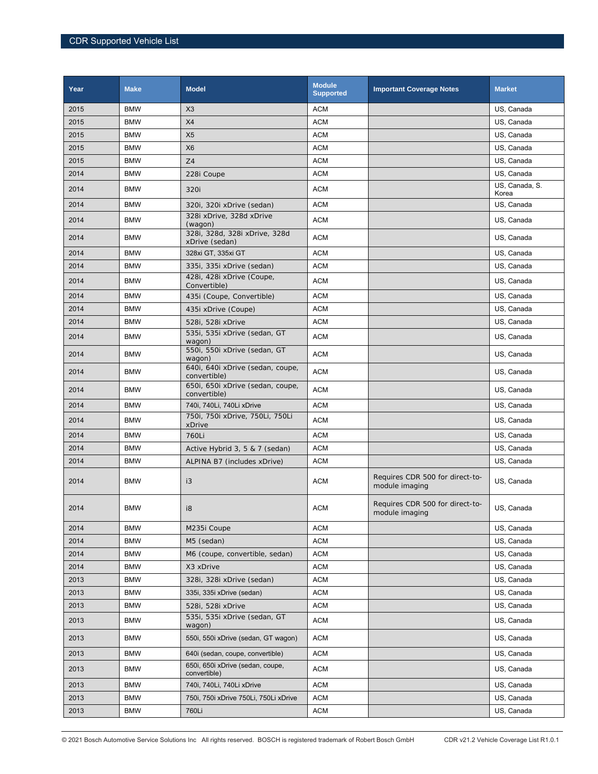| Year | <b>Make</b> | <b>Model</b>                                     | <b>Module</b><br><b>Supported</b> | <b>Important Coverage Notes</b>                   | <b>Market</b>           |
|------|-------------|--------------------------------------------------|-----------------------------------|---------------------------------------------------|-------------------------|
| 2015 | <b>BMW</b>  | X3                                               | <b>ACM</b>                        |                                                   | US. Canada              |
| 2015 | <b>BMW</b>  | X4                                               | <b>ACM</b>                        |                                                   | US, Canada              |
| 2015 | <b>BMW</b>  | X <sub>5</sub>                                   | ACM                               |                                                   | US, Canada              |
| 2015 | <b>BMW</b>  | X <sub>6</sub>                                   | <b>ACM</b>                        |                                                   | US, Canada              |
| 2015 | <b>BMW</b>  | Z4                                               | <b>ACM</b>                        |                                                   | US, Canada              |
| 2014 | <b>BMW</b>  | 228i Coupe                                       | <b>ACM</b>                        |                                                   | US, Canada              |
| 2014 | <b>BMW</b>  | 320i                                             | <b>ACM</b>                        |                                                   | US, Canada, S.<br>Korea |
| 2014 | <b>BMW</b>  | 320i, 320i xDrive (sedan)                        | <b>ACM</b>                        |                                                   | US, Canada              |
| 2014 | <b>BMW</b>  | 328i xDrive, 328d xDrive<br>(wagon)              | <b>ACM</b>                        |                                                   | US, Canada              |
| 2014 | <b>BMW</b>  | 328i, 328d, 328i xDrive, 328d<br>xDrive (sedan)  | <b>ACM</b>                        |                                                   | US, Canada              |
| 2014 | <b>BMW</b>  | 328xi GT, 335xi GT                               | <b>ACM</b>                        |                                                   | US, Canada              |
| 2014 | <b>BMW</b>  | 335i, 335i xDrive (sedan)                        | <b>ACM</b>                        |                                                   | US, Canada              |
| 2014 | <b>BMW</b>  | 428i, 428i xDrive (Coupe,<br>Convertible)        | <b>ACM</b>                        |                                                   | US, Canada              |
| 2014 | <b>BMW</b>  | 435i (Coupe, Convertible)                        | <b>ACM</b>                        |                                                   | US, Canada              |
| 2014 | <b>BMW</b>  | 435i xDrive (Coupe)                              | <b>ACM</b>                        |                                                   | US, Canada              |
| 2014 | <b>BMW</b>  | 528i, 528i xDrive                                | <b>ACM</b>                        |                                                   | US, Canada              |
| 2014 | <b>BMW</b>  | 535i, 535i xDrive (sedan, GT<br>wagon)           | <b>ACM</b>                        |                                                   | US, Canada              |
| 2014 | <b>BMW</b>  | 550i, 550i xDrive (sedan, GT<br>wagon)           | <b>ACM</b>                        |                                                   | US, Canada              |
| 2014 | <b>BMW</b>  | 640i, 640i xDrive (sedan, coupe,<br>convertible) | <b>ACM</b>                        |                                                   | US, Canada              |
| 2014 | <b>BMW</b>  | 650i, 650i xDrive (sedan, coupe,<br>convertible) | <b>ACM</b>                        |                                                   | US, Canada              |
| 2014 | <b>BMW</b>  | 740i, 740Li, 740Li xDrive                        | <b>ACM</b>                        |                                                   | US, Canada              |
| 2014 | <b>BMW</b>  | 750i, 750i xDrive, 750Li, 750Li<br>xDrive        | <b>ACM</b>                        |                                                   | US, Canada              |
| 2014 | <b>BMW</b>  | 760Li                                            | <b>ACM</b>                        |                                                   | US, Canada              |
| 2014 | <b>BMW</b>  | Active Hybrid 3, 5 & 7 (sedan)                   | <b>ACM</b>                        |                                                   | US, Canada              |
| 2014 | <b>BMW</b>  | ALPINA B7 (includes xDrive)                      | <b>ACM</b>                        |                                                   | US, Canada              |
| 2014 | <b>BMW</b>  | i3                                               | <b>ACM</b>                        | Requires CDR 500 for direct-to-<br>module imaging | US, Canada              |
| 2014 | <b>BMW</b>  | i8                                               | <b>ACM</b>                        | Requires CDR 500 for direct-to-<br>module imaging | US, Canada              |
| 2014 | BMW         | M235i Coupe                                      | ACM                               |                                                   | US, Canada              |
| 2014 | <b>BMW</b>  | M5 (sedan)                                       | <b>ACM</b>                        |                                                   | US, Canada              |
| 2014 | <b>BMW</b>  | M6 (coupe, convertible, sedan)                   | <b>ACM</b>                        |                                                   | US, Canada              |
| 2014 | <b>BMW</b>  | X3 xDrive                                        | <b>ACM</b>                        |                                                   | US. Canada              |
| 2013 | <b>BMW</b>  | 328i, 328i xDrive (sedan)                        | <b>ACM</b>                        |                                                   | US, Canada              |
| 2013 | <b>BMW</b>  | 335i, 335i xDrive (sedan)                        | ACM                               |                                                   | US, Canada              |
| 2013 | <b>BMW</b>  | 528i, 528i xDrive                                | <b>ACM</b>                        |                                                   | US, Canada              |
| 2013 | BMW         | 535i, 535i xDrive (sedan, GT<br>wagon)           | <b>ACM</b>                        |                                                   | US, Canada              |
| 2013 | <b>BMW</b>  | 550i, 550i xDrive (sedan, GT wagon)              | <b>ACM</b>                        |                                                   | US, Canada              |
| 2013 | <b>BMW</b>  | 640i (sedan, coupe, convertible)                 | <b>ACM</b>                        |                                                   | US, Canada              |
| 2013 | <b>BMW</b>  | 650i, 650i xDrive (sedan, coupe,<br>convertible) | ACM                               |                                                   | US, Canada              |
| 2013 | <b>BMW</b>  | 740i, 740Li, 740Li xDrive                        | <b>ACM</b>                        |                                                   | US, Canada              |
| 2013 | <b>BMW</b>  | 750i, 750i xDrive 750Li, 750Li xDrive            | ACM                               |                                                   | US, Canada              |
| 2013 | <b>BMW</b>  | 760Li                                            | ACM                               |                                                   | US, Canada              |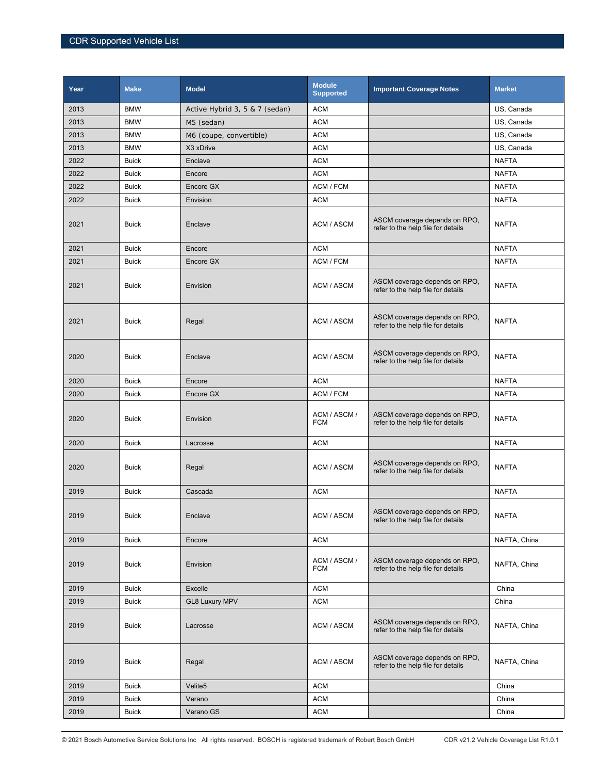| Year | <b>Make</b>  | <b>Model</b>                   | <b>Module</b><br><b>Supported</b> | <b>Important Coverage Notes</b>                                     | <b>Market</b> |
|------|--------------|--------------------------------|-----------------------------------|---------------------------------------------------------------------|---------------|
| 2013 | <b>BMW</b>   | Active Hybrid 3, 5 & 7 (sedan) | <b>ACM</b>                        |                                                                     | US, Canada    |
| 2013 | <b>BMW</b>   | M5 (sedan)                     | <b>ACM</b>                        |                                                                     | US, Canada    |
| 2013 | <b>BMW</b>   | M6 (coupe, convertible)        | <b>ACM</b>                        |                                                                     | US, Canada    |
| 2013 | <b>BMW</b>   | X3 xDrive                      | <b>ACM</b>                        |                                                                     | US, Canada    |
| 2022 | <b>Buick</b> | Enclave                        | <b>ACM</b>                        |                                                                     | <b>NAFTA</b>  |
| 2022 | <b>Buick</b> | Encore                         | <b>ACM</b>                        |                                                                     | <b>NAFTA</b>  |
| 2022 | <b>Buick</b> | Encore GX                      | ACM / FCM                         |                                                                     | <b>NAFTA</b>  |
| 2022 | <b>Buick</b> | Envision                       | <b>ACM</b>                        |                                                                     | <b>NAFTA</b>  |
| 2021 | <b>Buick</b> | Enclave                        | ACM / ASCM                        | ASCM coverage depends on RPO,<br>refer to the help file for details | <b>NAFTA</b>  |
| 2021 | <b>Buick</b> | Encore                         | <b>ACM</b>                        |                                                                     | <b>NAFTA</b>  |
| 2021 | <b>Buick</b> | Encore GX                      | ACM / FCM                         |                                                                     | <b>NAFTA</b>  |
| 2021 | <b>Buick</b> | Envision                       | ACM / ASCM                        | ASCM coverage depends on RPO.<br>refer to the help file for details | <b>NAFTA</b>  |
| 2021 | <b>Buick</b> | Regal                          | ACM / ASCM                        | ASCM coverage depends on RPO,<br>refer to the help file for details | <b>NAFTA</b>  |
| 2020 | <b>Buick</b> | Enclave                        | ACM / ASCM                        | ASCM coverage depends on RPO,<br>refer to the help file for details | <b>NAFTA</b>  |
| 2020 | <b>Buick</b> | Encore                         | <b>ACM</b>                        |                                                                     | <b>NAFTA</b>  |
| 2020 | <b>Buick</b> | Encore GX                      | ACM / FCM                         |                                                                     | <b>NAFTA</b>  |
| 2020 | <b>Buick</b> | Envision                       | ACM / ASCM /<br><b>FCM</b>        | ASCM coverage depends on RPO,<br>refer to the help file for details | <b>NAFTA</b>  |
| 2020 | <b>Buick</b> | Lacrosse                       | <b>ACM</b>                        |                                                                     | <b>NAFTA</b>  |
| 2020 | <b>Buick</b> | Regal                          | ACM / ASCM                        | ASCM coverage depends on RPO,<br>refer to the help file for details | <b>NAFTA</b>  |
| 2019 | <b>Buick</b> | Cascada                        | <b>ACM</b>                        |                                                                     | <b>NAFTA</b>  |
| 2019 | <b>Buick</b> | Enclave                        | ACM / ASCM                        | ASCM coverage depends on RPO,<br>refer to the help file for details | NAFTA         |
| 2019 | <b>Buick</b> | Encore                         | <b>ACM</b>                        |                                                                     | NAFTA, China  |
| 2019 | <b>Buick</b> | Envision                       | ACM / ASCM /<br><b>FCM</b>        | ASCM coverage depends on RPO,<br>refer to the help file for details | NAFTA, China  |
| 2019 | <b>Buick</b> | Excelle                        | <b>ACM</b>                        |                                                                     | China         |
| 2019 | <b>Buick</b> | <b>GL8 Luxury MPV</b>          | <b>ACM</b>                        |                                                                     | China         |
| 2019 | <b>Buick</b> | Lacrosse                       | ACM / ASCM                        | ASCM coverage depends on RPO,<br>refer to the help file for details | NAFTA, China  |
| 2019 | <b>Buick</b> | Regal                          | ACM / ASCM                        | ASCM coverage depends on RPO,<br>refer to the help file for details | NAFTA, China  |
| 2019 | <b>Buick</b> | Velite <sub>5</sub>            | <b>ACM</b>                        |                                                                     | China         |
| 2019 | <b>Buick</b> | Verano                         | <b>ACM</b>                        |                                                                     | China         |
| 2019 | <b>Buick</b> | Verano GS                      | <b>ACM</b>                        |                                                                     | China         |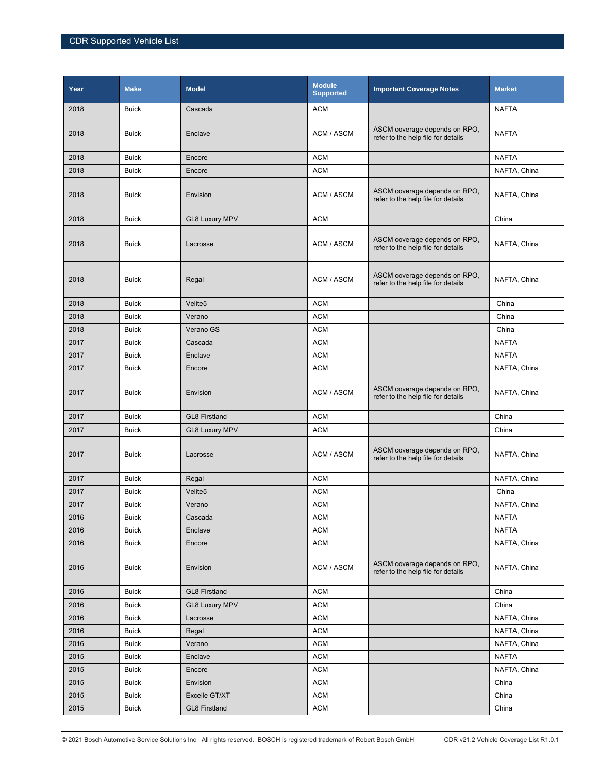| Year | <b>Make</b>  | <b>Model</b>          | <b>Module</b><br><b>Supported</b> | <b>Important Coverage Notes</b>                                     | <b>Market</b> |
|------|--------------|-----------------------|-----------------------------------|---------------------------------------------------------------------|---------------|
| 2018 | <b>Buick</b> | Cascada               | <b>ACM</b>                        |                                                                     | <b>NAFTA</b>  |
| 2018 | <b>Buick</b> | Enclave               | ACM / ASCM                        | ASCM coverage depends on RPO,<br>refer to the help file for details | <b>NAFTA</b>  |
| 2018 | <b>Buick</b> | Encore                | <b>ACM</b>                        |                                                                     | <b>NAFTA</b>  |
| 2018 | <b>Buick</b> | Encore                | <b>ACM</b>                        |                                                                     | NAFTA, China  |
| 2018 | <b>Buick</b> | Envision              | ACM / ASCM                        | ASCM coverage depends on RPO,<br>refer to the help file for details | NAFTA, China  |
| 2018 | <b>Buick</b> | <b>GL8 Luxury MPV</b> | <b>ACM</b>                        |                                                                     | China         |
| 2018 | <b>Buick</b> | Lacrosse              | ACM / ASCM                        | ASCM coverage depends on RPO,<br>refer to the help file for details | NAFTA, China  |
| 2018 | <b>Buick</b> | Regal                 | ACM / ASCM                        | ASCM coverage depends on RPO,<br>refer to the help file for details | NAFTA, China  |
| 2018 | <b>Buick</b> | Velite5               | <b>ACM</b>                        |                                                                     | China         |
| 2018 | <b>Buick</b> | Verano                | <b>ACM</b>                        |                                                                     | China         |
| 2018 | <b>Buick</b> | Verano GS             | <b>ACM</b>                        |                                                                     | China         |
| 2017 | <b>Buick</b> | Cascada               | <b>ACM</b>                        |                                                                     | <b>NAFTA</b>  |
| 2017 | <b>Buick</b> | Enclave               | <b>ACM</b>                        |                                                                     | <b>NAFTA</b>  |
| 2017 | <b>Buick</b> | Encore                | <b>ACM</b>                        |                                                                     | NAFTA, China  |
| 2017 | <b>Buick</b> | Envision              | ACM / ASCM                        | ASCM coverage depends on RPO,<br>refer to the help file for details | NAFTA, China  |
| 2017 | <b>Buick</b> | <b>GL8 Firstland</b>  | <b>ACM</b>                        |                                                                     | China         |
| 2017 | <b>Buick</b> | <b>GL8 Luxury MPV</b> | <b>ACM</b>                        |                                                                     | China         |
| 2017 | <b>Buick</b> | Lacrosse              | ACM / ASCM                        | ASCM coverage depends on RPO,<br>refer to the help file for details | NAFTA, China  |
| 2017 | <b>Buick</b> | Regal                 | <b>ACM</b>                        |                                                                     | NAFTA, China  |
| 2017 | <b>Buick</b> | Velite5               | <b>ACM</b>                        |                                                                     | China         |
| 2017 | <b>Buick</b> | Verano                | <b>ACM</b>                        |                                                                     | NAFTA, China  |
| 2016 | <b>Buick</b> | Cascada               | <b>ACM</b>                        |                                                                     | NAFTA         |
| 2016 | <b>Buick</b> | Enclave               | <b>ACM</b>                        |                                                                     | <b>NAFTA</b>  |
| 2016 | <b>Buick</b> | Encore                | <b>ACM</b>                        |                                                                     | NAFTA, China  |
| 2016 | <b>Buick</b> | Envision              | ACM / ASCM                        | ASCM coverage depends on RPO,<br>refer to the help file for details | NAFTA, China  |
| 2016 | <b>Buick</b> | <b>GL8 Firstland</b>  | <b>ACM</b>                        |                                                                     | China         |
| 2016 | <b>Buick</b> | <b>GL8 Luxury MPV</b> | <b>ACM</b>                        |                                                                     | China         |
| 2016 | <b>Buick</b> | Lacrosse              | <b>ACM</b>                        |                                                                     | NAFTA, China  |
| 2016 | <b>Buick</b> | Regal                 | <b>ACM</b>                        |                                                                     | NAFTA, China  |
| 2016 | <b>Buick</b> | Verano                | <b>ACM</b>                        |                                                                     | NAFTA, China  |
| 2015 | <b>Buick</b> | Enclave               | <b>ACM</b>                        |                                                                     | <b>NAFTA</b>  |
| 2015 | <b>Buick</b> | Encore                | ACM                               |                                                                     | NAFTA, China  |
| 2015 | <b>Buick</b> | Envision              | <b>ACM</b>                        |                                                                     | China         |
| 2015 | <b>Buick</b> | Excelle GT/XT         | <b>ACM</b>                        |                                                                     | China         |
| 2015 | <b>Buick</b> | <b>GL8 Firstland</b>  | <b>ACM</b>                        |                                                                     | China         |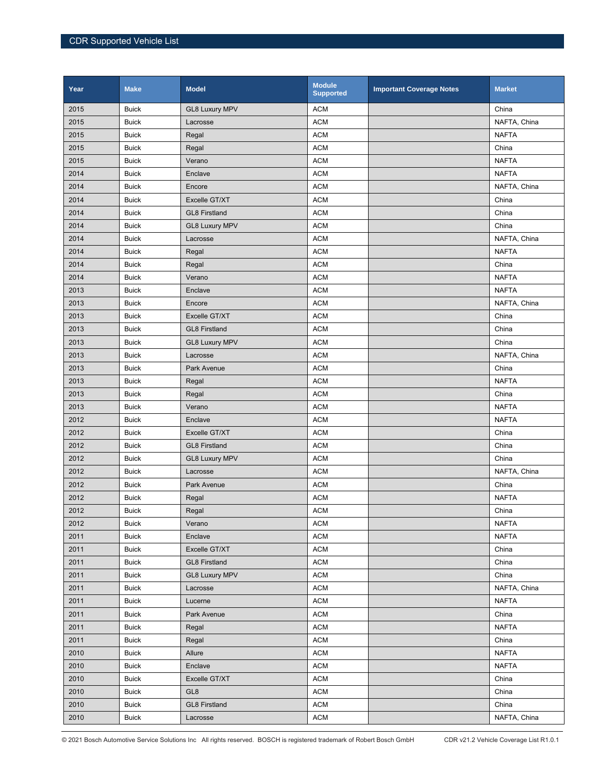| Year | <b>Make</b>  | <b>Model</b>          | <b>Module</b><br><b>Supported</b> | <b>Important Coverage Notes</b> | <b>Market</b> |
|------|--------------|-----------------------|-----------------------------------|---------------------------------|---------------|
| 2015 | <b>Buick</b> | <b>GL8 Luxury MPV</b> | <b>ACM</b>                        |                                 | China         |
| 2015 | <b>Buick</b> | Lacrosse              | <b>ACM</b>                        |                                 | NAFTA, China  |
| 2015 | <b>Buick</b> | Regal                 | <b>ACM</b>                        |                                 | <b>NAFTA</b>  |
| 2015 | <b>Buick</b> | Regal                 | <b>ACM</b>                        |                                 | China         |
| 2015 | <b>Buick</b> | Verano                | <b>ACM</b>                        |                                 | <b>NAFTA</b>  |
| 2014 | <b>Buick</b> | Enclave               | <b>ACM</b>                        |                                 | <b>NAFTA</b>  |
| 2014 | <b>Buick</b> | Encore                | <b>ACM</b>                        |                                 | NAFTA, China  |
| 2014 | <b>Buick</b> | Excelle GT/XT         | <b>ACM</b>                        |                                 | China         |
| 2014 | <b>Buick</b> | <b>GL8 Firstland</b>  | <b>ACM</b>                        |                                 | China         |
| 2014 | <b>Buick</b> | <b>GL8 Luxury MPV</b> | <b>ACM</b>                        |                                 | China         |
| 2014 | <b>Buick</b> | Lacrosse              | <b>ACM</b>                        |                                 | NAFTA, China  |
| 2014 | <b>Buick</b> | Regal                 | <b>ACM</b>                        |                                 | <b>NAFTA</b>  |
| 2014 | <b>Buick</b> | Regal                 | <b>ACM</b>                        |                                 | China         |
| 2014 | <b>Buick</b> | Verano                | <b>ACM</b>                        |                                 | <b>NAFTA</b>  |
| 2013 | <b>Buick</b> | Enclave               | <b>ACM</b>                        |                                 | <b>NAFTA</b>  |
| 2013 | <b>Buick</b> | Encore                | <b>ACM</b>                        |                                 | NAFTA, China  |
| 2013 | <b>Buick</b> | Excelle GT/XT         | <b>ACM</b>                        |                                 | China         |
| 2013 | <b>Buick</b> | <b>GL8 Firstland</b>  | <b>ACM</b>                        |                                 | China         |
| 2013 | <b>Buick</b> | <b>GL8 Luxury MPV</b> | <b>ACM</b>                        |                                 | China         |
| 2013 | <b>Buick</b> | Lacrosse              | <b>ACM</b>                        |                                 | NAFTA, China  |
| 2013 | <b>Buick</b> | Park Avenue           | <b>ACM</b>                        |                                 | China         |
| 2013 | <b>Buick</b> | Regal                 | <b>ACM</b>                        |                                 | <b>NAFTA</b>  |
| 2013 | <b>Buick</b> | Regal                 | <b>ACM</b>                        |                                 | China         |
| 2013 | <b>Buick</b> | Verano                | <b>ACM</b>                        |                                 | <b>NAFTA</b>  |
| 2012 | <b>Buick</b> | Enclave               | <b>ACM</b>                        |                                 | <b>NAFTA</b>  |
| 2012 | <b>Buick</b> | Excelle GT/XT         | <b>ACM</b>                        |                                 | China         |
| 2012 | <b>Buick</b> | <b>GL8 Firstland</b>  | <b>ACM</b>                        |                                 | China         |
| 2012 | <b>Buick</b> | <b>GL8 Luxury MPV</b> | <b>ACM</b>                        |                                 | China         |
| 2012 | <b>Buick</b> | Lacrosse              | <b>ACM</b>                        |                                 | NAFTA, China  |
| 2012 | <b>Buick</b> | Park Avenue           | <b>ACM</b>                        |                                 | China         |
| 2012 | <b>Buick</b> | Regal                 | <b>ACM</b>                        |                                 | <b>NAFTA</b>  |
| 2012 | <b>Buick</b> | Regal                 | <b>ACM</b>                        |                                 | China         |
| 2012 | <b>Buick</b> | Verano                | <b>ACM</b>                        |                                 | <b>NAFTA</b>  |
| 2011 | <b>Buick</b> | Enclave               | <b>ACM</b>                        |                                 | <b>NAFTA</b>  |
| 2011 | <b>Buick</b> | Excelle GT/XT         | <b>ACM</b>                        |                                 | China         |
| 2011 | <b>Buick</b> | <b>GL8 Firstland</b>  | <b>ACM</b>                        |                                 | China         |
| 2011 | <b>Buick</b> | <b>GL8 Luxury MPV</b> | <b>ACM</b>                        |                                 | China         |
| 2011 | <b>Buick</b> | Lacrosse              | <b>ACM</b>                        |                                 | NAFTA, China  |
| 2011 | <b>Buick</b> | Lucerne               | <b>ACM</b>                        |                                 | <b>NAFTA</b>  |
| 2011 | <b>Buick</b> | Park Avenue           | <b>ACM</b>                        |                                 | China         |
| 2011 | <b>Buick</b> | Regal                 | <b>ACM</b>                        |                                 | <b>NAFTA</b>  |
| 2011 | <b>Buick</b> | Regal                 | <b>ACM</b>                        |                                 | China         |
| 2010 | <b>Buick</b> | Allure                | <b>ACM</b>                        |                                 | <b>NAFTA</b>  |
| 2010 | <b>Buick</b> | Enclave               | <b>ACM</b>                        |                                 | <b>NAFTA</b>  |
| 2010 | <b>Buick</b> | Excelle GT/XT         | <b>ACM</b>                        |                                 | China         |
| 2010 | <b>Buick</b> | GL <sub>8</sub>       | <b>ACM</b>                        |                                 | China         |
| 2010 | <b>Buick</b> | <b>GL8 Firstland</b>  | <b>ACM</b>                        |                                 | China         |
| 2010 | <b>Buick</b> | Lacrosse              | <b>ACM</b>                        |                                 | NAFTA, China  |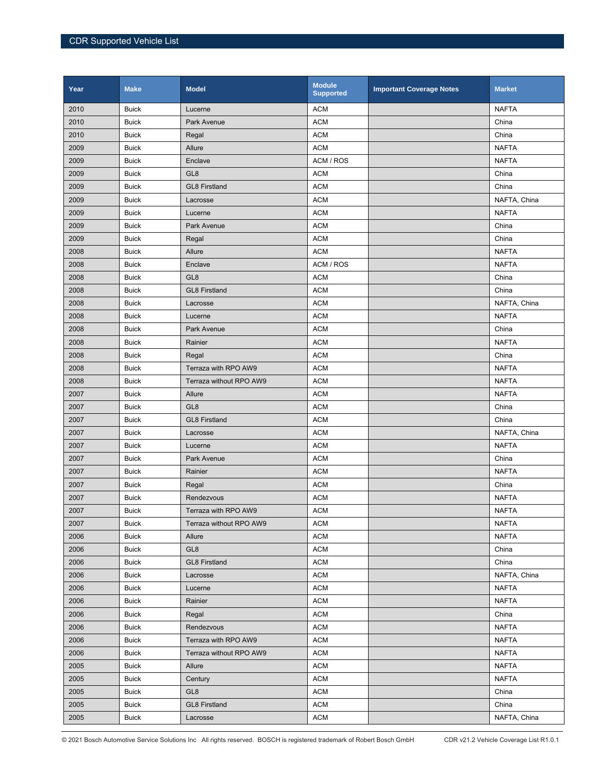| Year | <b>Make</b>  | <b>Model</b>            | <b>Module</b><br><b>Supported</b> | <b>Important Coverage Notes</b> | <b>Market</b> |
|------|--------------|-------------------------|-----------------------------------|---------------------------------|---------------|
| 2010 | <b>Buick</b> | Lucerne                 | <b>ACM</b>                        |                                 | <b>NAFTA</b>  |
| 2010 | <b>Buick</b> | Park Avenue             | <b>ACM</b>                        |                                 | China         |
| 2010 | <b>Buick</b> | Regal                   | <b>ACM</b>                        |                                 | China         |
| 2009 | <b>Buick</b> | Allure                  | <b>ACM</b>                        |                                 | <b>NAFTA</b>  |
| 2009 | <b>Buick</b> | Enclave                 | ACM / ROS                         |                                 | <b>NAFTA</b>  |
| 2009 | <b>Buick</b> | GL <sub>8</sub>         | <b>ACM</b>                        |                                 | China         |
| 2009 | <b>Buick</b> | <b>GL8 Firstland</b>    | <b>ACM</b>                        |                                 | China         |
| 2009 | <b>Buick</b> | Lacrosse                | <b>ACM</b>                        |                                 | NAFTA, China  |
| 2009 | <b>Buick</b> | Lucerne                 | <b>ACM</b>                        |                                 | <b>NAFTA</b>  |
| 2009 | <b>Buick</b> | Park Avenue             | <b>ACM</b>                        |                                 | China         |
| 2009 | <b>Buick</b> | Regal                   | <b>ACM</b>                        |                                 | China         |
| 2008 | <b>Buick</b> | Allure                  | <b>ACM</b>                        |                                 | <b>NAFTA</b>  |
| 2008 | <b>Buick</b> | Enclave                 | ACM / ROS                         |                                 | <b>NAFTA</b>  |
| 2008 | <b>Buick</b> | GL <sub>8</sub>         | <b>ACM</b>                        |                                 | China         |
| 2008 | <b>Buick</b> | <b>GL8 Firstland</b>    | <b>ACM</b>                        |                                 | China         |
| 2008 | <b>Buick</b> | Lacrosse                | <b>ACM</b>                        |                                 | NAFTA, China  |
| 2008 | <b>Buick</b> | Lucerne                 | <b>ACM</b>                        |                                 | <b>NAFTA</b>  |
| 2008 | <b>Buick</b> | Park Avenue             | <b>ACM</b>                        |                                 | China         |
| 2008 | <b>Buick</b> | Rainier                 | <b>ACM</b>                        |                                 | <b>NAFTA</b>  |
| 2008 | <b>Buick</b> | Regal                   | <b>ACM</b>                        |                                 | China         |
| 2008 | <b>Buick</b> | Terraza with RPO AW9    | <b>ACM</b>                        |                                 | <b>NAFTA</b>  |
| 2008 | <b>Buick</b> | Terraza without RPO AW9 | <b>ACM</b>                        |                                 | <b>NAFTA</b>  |
| 2007 | <b>Buick</b> | Allure                  | <b>ACM</b>                        |                                 | <b>NAFTA</b>  |
| 2007 | <b>Buick</b> | GL <sub>8</sub>         | <b>ACM</b>                        |                                 | China         |
| 2007 | <b>Buick</b> | <b>GL8 Firstland</b>    | <b>ACM</b>                        |                                 | China         |
| 2007 | <b>Buick</b> | Lacrosse                | <b>ACM</b>                        |                                 | NAFTA, China  |
| 2007 | <b>Buick</b> | Lucerne                 | <b>ACM</b>                        |                                 | <b>NAFTA</b>  |
| 2007 | <b>Buick</b> | Park Avenue             | <b>ACM</b>                        |                                 | China         |
| 2007 | <b>Buick</b> | Rainier                 | <b>ACM</b>                        |                                 | <b>NAFTA</b>  |
| 2007 | <b>Buick</b> | Regal                   | <b>ACM</b>                        |                                 | China         |
| 2007 | <b>Buick</b> | Rendezvous              | <b>ACM</b>                        |                                 | <b>NAFTA</b>  |
| 2007 | <b>Buick</b> | Terraza with RPO AW9    | <b>ACM</b>                        |                                 | <b>NAFTA</b>  |
| 2007 | <b>Buick</b> | Terraza without RPO AW9 | <b>ACM</b>                        |                                 | <b>NAFTA</b>  |
| 2006 | <b>Buick</b> | Allure                  | <b>ACM</b>                        |                                 | <b>NAFTA</b>  |
| 2006 | <b>Buick</b> | GL8                     | <b>ACM</b>                        |                                 | China         |
| 2006 | Buick        | <b>GL8 Firstland</b>    | <b>ACM</b>                        |                                 | China         |
| 2006 | <b>Buick</b> | Lacrosse                | <b>ACM</b>                        |                                 | NAFTA, China  |
| 2006 | <b>Buick</b> | Lucerne                 | <b>ACM</b>                        |                                 | <b>NAFTA</b>  |
| 2006 | <b>Buick</b> | Rainier                 | <b>ACM</b>                        |                                 | <b>NAFTA</b>  |
| 2006 | <b>Buick</b> | Regal                   | <b>ACM</b>                        |                                 | China         |
| 2006 | <b>Buick</b> | Rendezvous              | <b>ACM</b>                        |                                 | <b>NAFTA</b>  |
| 2006 | <b>Buick</b> | Terraza with RPO AW9    | <b>ACM</b>                        |                                 | <b>NAFTA</b>  |
| 2006 | <b>Buick</b> | Terraza without RPO AW9 | <b>ACM</b>                        |                                 | <b>NAFTA</b>  |
| 2005 | <b>Buick</b> | Allure                  | <b>ACM</b>                        |                                 | <b>NAFTA</b>  |
| 2005 | <b>Buick</b> | Century                 | <b>ACM</b>                        |                                 | <b>NAFTA</b>  |
| 2005 | <b>Buick</b> | GL <sub>8</sub>         | <b>ACM</b>                        |                                 | China         |
| 2005 | <b>Buick</b> | <b>GL8 Firstland</b>    | <b>ACM</b>                        |                                 | China         |
| 2005 | <b>Buick</b> | Lacrosse                | <b>ACM</b>                        |                                 | NAFTA, China  |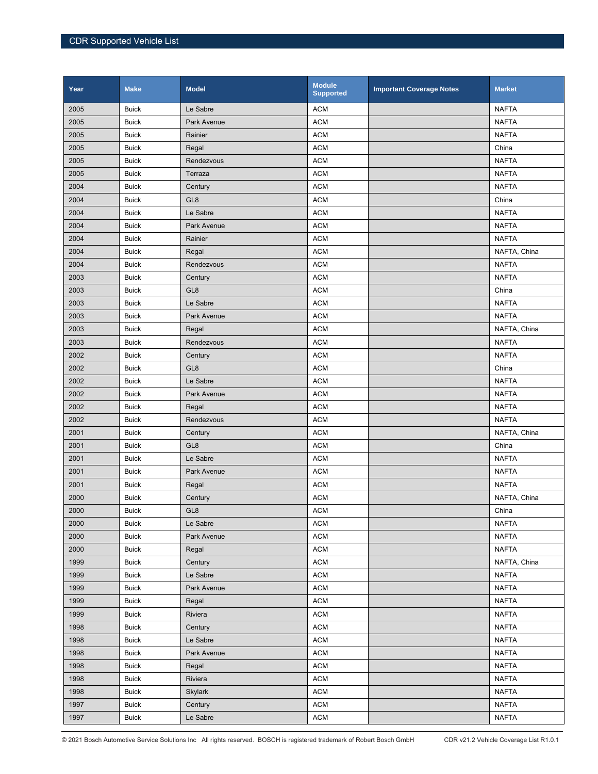| Year | <b>Make</b>  | <b>Model</b>    | <b>Module</b><br><b>Supported</b> | <b>Important Coverage Notes</b> | <b>Market</b> |
|------|--------------|-----------------|-----------------------------------|---------------------------------|---------------|
| 2005 | <b>Buick</b> | Le Sabre        | <b>ACM</b>                        |                                 | <b>NAFTA</b>  |
| 2005 | <b>Buick</b> | Park Avenue     | <b>ACM</b>                        |                                 | <b>NAFTA</b>  |
| 2005 | <b>Buick</b> | Rainier         | <b>ACM</b>                        |                                 | <b>NAFTA</b>  |
| 2005 | <b>Buick</b> | Regal           | <b>ACM</b>                        |                                 | China         |
| 2005 | <b>Buick</b> | Rendezvous      | <b>ACM</b>                        |                                 | <b>NAFTA</b>  |
| 2005 | <b>Buick</b> | Terraza         | <b>ACM</b>                        |                                 | <b>NAFTA</b>  |
| 2004 | <b>Buick</b> | Century         | <b>ACM</b>                        |                                 | <b>NAFTA</b>  |
| 2004 | <b>Buick</b> | GL <sub>8</sub> | <b>ACM</b>                        |                                 | China         |
| 2004 | <b>Buick</b> | Le Sabre        | <b>ACM</b>                        |                                 | <b>NAFTA</b>  |
| 2004 | <b>Buick</b> | Park Avenue     | <b>ACM</b>                        |                                 | <b>NAFTA</b>  |
| 2004 | <b>Buick</b> | Rainier         | <b>ACM</b>                        |                                 | <b>NAFTA</b>  |
| 2004 | <b>Buick</b> | Regal           | <b>ACM</b>                        |                                 | NAFTA, China  |
| 2004 | <b>Buick</b> | Rendezvous      | <b>ACM</b>                        |                                 | <b>NAFTA</b>  |
| 2003 | <b>Buick</b> | Century         | <b>ACM</b>                        |                                 | <b>NAFTA</b>  |
| 2003 | <b>Buick</b> | GL <sub>8</sub> | <b>ACM</b>                        |                                 | China         |
| 2003 | <b>Buick</b> | Le Sabre        | <b>ACM</b>                        |                                 | <b>NAFTA</b>  |
| 2003 | <b>Buick</b> | Park Avenue     | <b>ACM</b>                        |                                 | <b>NAFTA</b>  |
| 2003 | <b>Buick</b> | Regal           | <b>ACM</b>                        |                                 | NAFTA, China  |
| 2003 | <b>Buick</b> | Rendezvous      | <b>ACM</b>                        |                                 | <b>NAFTA</b>  |
| 2002 | <b>Buick</b> | Century         | <b>ACM</b>                        |                                 | <b>NAFTA</b>  |
| 2002 | <b>Buick</b> | GL <sub>8</sub> | <b>ACM</b>                        |                                 | China         |
| 2002 | <b>Buick</b> | Le Sabre        | <b>ACM</b>                        |                                 | <b>NAFTA</b>  |
| 2002 | <b>Buick</b> | Park Avenue     | <b>ACM</b>                        |                                 | <b>NAFTA</b>  |
| 2002 | <b>Buick</b> | Regal           | <b>ACM</b>                        |                                 | <b>NAFTA</b>  |
| 2002 | <b>Buick</b> | Rendezvous      | <b>ACM</b>                        |                                 | <b>NAFTA</b>  |
| 2001 | <b>Buick</b> | Century         | <b>ACM</b>                        |                                 | NAFTA, China  |
| 2001 | <b>Buick</b> | GL <sub>8</sub> | <b>ACM</b>                        |                                 | China         |
| 2001 | <b>Buick</b> | Le Sabre        | <b>ACM</b>                        |                                 | <b>NAFTA</b>  |
| 2001 | <b>Buick</b> | Park Avenue     | <b>ACM</b>                        |                                 | <b>NAFTA</b>  |
| 2001 | <b>Buick</b> | Regal           | <b>ACM</b>                        |                                 | <b>NAFTA</b>  |
| 2000 | <b>Buick</b> | Century         | <b>ACM</b>                        |                                 | NAFTA, China  |
| 2000 | <b>Buick</b> | GL <sub>8</sub> | <b>ACM</b>                        |                                 | China         |
| 2000 | <b>Buick</b> | Le Sabre        | <b>ACM</b>                        |                                 | <b>NAFTA</b>  |
| 2000 | <b>Buick</b> | Park Avenue     | <b>ACM</b>                        |                                 | <b>NAFTA</b>  |
| 2000 | <b>Buick</b> | Regal           | <b>ACM</b>                        |                                 | <b>NAFTA</b>  |
| 1999 | <b>Buick</b> | Century         | <b>ACM</b>                        |                                 | NAFTA, China  |
| 1999 | <b>Buick</b> | Le Sabre        | <b>ACM</b>                        |                                 | <b>NAFTA</b>  |
| 1999 | <b>Buick</b> | Park Avenue     | <b>ACM</b>                        |                                 | NAFTA         |
| 1999 | <b>Buick</b> | Regal           | <b>ACM</b>                        |                                 | <b>NAFTA</b>  |
| 1999 | <b>Buick</b> | Riviera         | <b>ACM</b>                        |                                 | <b>NAFTA</b>  |
| 1998 | <b>Buick</b> | Century         | <b>ACM</b>                        |                                 | <b>NAFTA</b>  |
| 1998 | <b>Buick</b> | Le Sabre        | <b>ACM</b>                        |                                 | <b>NAFTA</b>  |
| 1998 | <b>Buick</b> | Park Avenue     | <b>ACM</b>                        |                                 | <b>NAFTA</b>  |
| 1998 | <b>Buick</b> | Regal           | <b>ACM</b>                        |                                 | <b>NAFTA</b>  |
| 1998 | <b>Buick</b> | Riviera         | <b>ACM</b>                        |                                 | NAFTA         |
| 1998 | <b>Buick</b> | <b>Skylark</b>  | <b>ACM</b>                        |                                 | <b>NAFTA</b>  |
| 1997 | <b>Buick</b> | Century         | <b>ACM</b>                        |                                 | <b>NAFTA</b>  |
| 1997 | <b>Buick</b> | Le Sabre        | <b>ACM</b>                        |                                 | <b>NAFTA</b>  |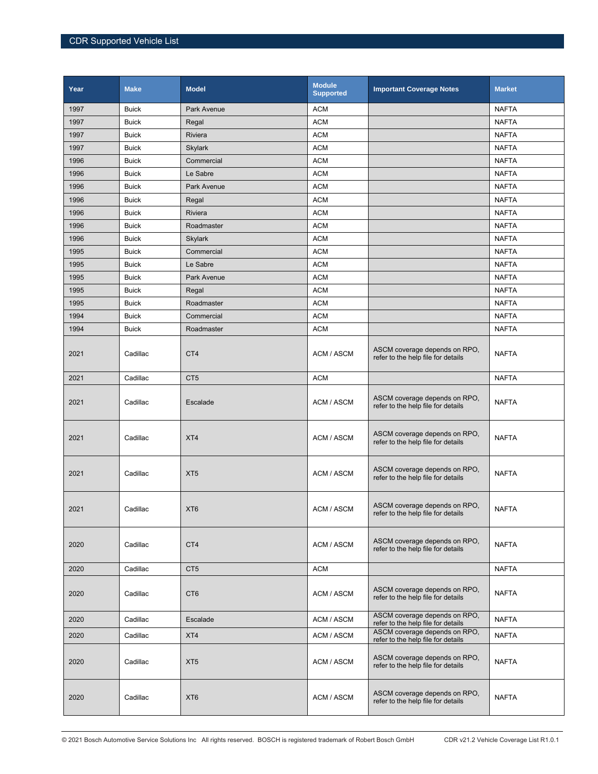| Year | <b>Make</b>  | <b>Model</b>       | <b>Module</b><br><b>Supported</b> | <b>Important Coverage Notes</b>                                     | <b>Market</b> |
|------|--------------|--------------------|-----------------------------------|---------------------------------------------------------------------|---------------|
| 1997 | <b>Buick</b> | Park Avenue        | <b>ACM</b>                        |                                                                     | <b>NAFTA</b>  |
| 1997 | <b>Buick</b> | Regal              | <b>ACM</b>                        |                                                                     | <b>NAFTA</b>  |
| 1997 | <b>Buick</b> | <b>Riviera</b>     | <b>ACM</b>                        |                                                                     | <b>NAFTA</b>  |
| 1997 | <b>Buick</b> | <b>Skylark</b>     | <b>ACM</b>                        |                                                                     | <b>NAFTA</b>  |
| 1996 | <b>Buick</b> | Commercial         | <b>ACM</b>                        |                                                                     | <b>NAFTA</b>  |
| 1996 | <b>Buick</b> | Le Sabre           | <b>ACM</b>                        |                                                                     | <b>NAFTA</b>  |
| 1996 | <b>Buick</b> | <b>Park Avenue</b> | <b>ACM</b>                        |                                                                     | <b>NAFTA</b>  |
| 1996 | <b>Buick</b> | Regal              | <b>ACM</b>                        |                                                                     | <b>NAFTA</b>  |
| 1996 | <b>Buick</b> | Riviera            | <b>ACM</b>                        |                                                                     | <b>NAFTA</b>  |
| 1996 | <b>Buick</b> | Roadmaster         | <b>ACM</b>                        |                                                                     | <b>NAFTA</b>  |
| 1996 | <b>Buick</b> | Skylark            | <b>ACM</b>                        |                                                                     | <b>NAFTA</b>  |
| 1995 | Buick        | Commercial         | <b>ACM</b>                        |                                                                     | <b>NAFTA</b>  |
| 1995 | <b>Buick</b> | Le Sabre           | <b>ACM</b>                        |                                                                     | <b>NAFTA</b>  |
| 1995 | <b>Buick</b> | Park Avenue        | <b>ACM</b>                        |                                                                     | <b>NAFTA</b>  |
| 1995 | <b>Buick</b> | Regal              | <b>ACM</b>                        |                                                                     | <b>NAFTA</b>  |
| 1995 | <b>Buick</b> | Roadmaster         | <b>ACM</b>                        |                                                                     | <b>NAFTA</b>  |
| 1994 | <b>Buick</b> | Commercial         | <b>ACM</b>                        |                                                                     | <b>NAFTA</b>  |
| 1994 | <b>Buick</b> | Roadmaster         | <b>ACM</b>                        |                                                                     | <b>NAFTA</b>  |
| 2021 | Cadillac     | CT4                | ACM / ASCM                        | ASCM coverage depends on RPO,<br>refer to the help file for details | <b>NAFTA</b>  |
| 2021 | Cadillac     | CT <sub>5</sub>    | <b>ACM</b>                        |                                                                     | <b>NAFTA</b>  |
| 2021 | Cadillac     | Escalade           | ACM / ASCM                        | ASCM coverage depends on RPO,<br>refer to the help file for details | <b>NAFTA</b>  |
| 2021 | Cadillac     | XT4                | ACM / ASCM                        | ASCM coverage depends on RPO,<br>refer to the help file for details | <b>NAFTA</b>  |
| 2021 | Cadillac     | XT <sub>5</sub>    | ACM / ASCM                        | ASCM coverage depends on RPO,<br>refer to the help file for details | <b>NAFTA</b>  |
| 2021 | Cadillac     | XT <sub>6</sub>    | ACM / ASCM                        | ASCM coverage depends on RPO,<br>refer to the help file for details | <b>NAFTA</b>  |
| 2020 | Cadillac     | CT4                | ACM / ASCM                        | ASCM coverage depends on RPO,<br>refer to the help file for details | NAFTA         |
| 2020 | Cadillac     | CT <sub>5</sub>    | <b>ACM</b>                        |                                                                     | <b>NAFTA</b>  |
| 2020 | Cadillac     | CT <sub>6</sub>    | ACM / ASCM                        | ASCM coverage depends on RPO,<br>refer to the help file for details | <b>NAFTA</b>  |
| 2020 | Cadillac     | Escalade           | ACM / ASCM                        | ASCM coverage depends on RPO,<br>refer to the help file for details | <b>NAFTA</b>  |
| 2020 | Cadillac     | XT4                | ACM / ASCM                        | ASCM coverage depends on RPO,                                       | NAFTA         |
|      |              |                    |                                   | refer to the help file for details                                  |               |
| 2020 | Cadillac     | XT <sub>5</sub>    | ACM / ASCM                        | ASCM coverage depends on RPO,<br>refer to the help file for details | NAFTA         |
| 2020 | Cadillac     | XT <sub>6</sub>    | ACM / ASCM                        | ASCM coverage depends on RPO,<br>refer to the help file for details | NAFTA         |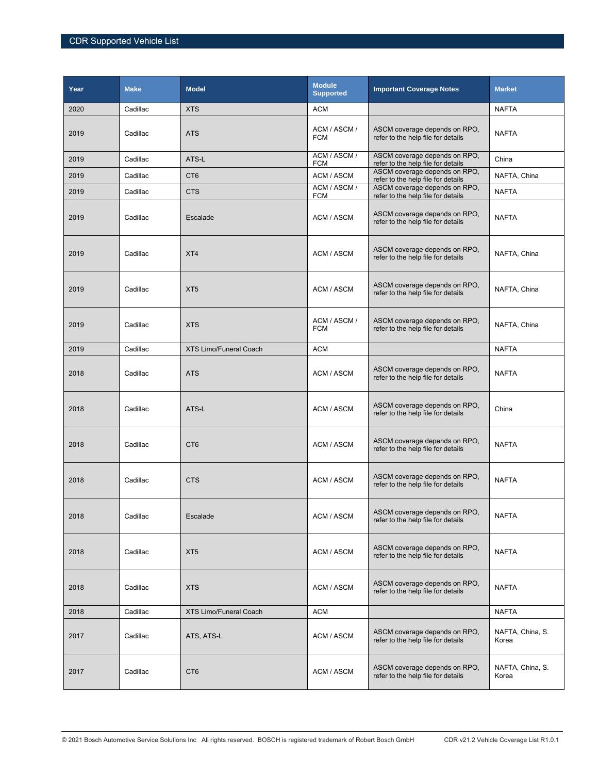| Year | <b>Make</b> | <b>Model</b>                  | <b>Module</b><br><b>Supported</b> | <b>Important Coverage Notes</b>                                     | <b>Market</b>             |
|------|-------------|-------------------------------|-----------------------------------|---------------------------------------------------------------------|---------------------------|
| 2020 | Cadillac    | <b>XTS</b>                    | <b>ACM</b>                        |                                                                     | <b>NAFTA</b>              |
| 2019 | Cadillac    | <b>ATS</b>                    | ACM / ASCM /<br><b>FCM</b>        | ASCM coverage depends on RPO,<br>refer to the help file for details | <b>NAFTA</b>              |
| 2019 | Cadillac    | ATS-L                         | ACM / ASCM /<br><b>FCM</b>        | ASCM coverage depends on RPO,<br>refer to the help file for details | China                     |
| 2019 | Cadillac    | CT <sub>6</sub>               | ACM / ASCM                        | ASCM coverage depends on RPO,<br>refer to the help file for details | NAFTA, China              |
| 2019 | Cadillac    | <b>CTS</b>                    | ACM / ASCM /<br><b>FCM</b>        | ASCM coverage depends on RPO.<br>refer to the help file for details | <b>NAFTA</b>              |
| 2019 | Cadillac    | Escalade                      | ACM / ASCM                        | ASCM coverage depends on RPO,<br>refer to the help file for details | <b>NAFTA</b>              |
| 2019 | Cadillac    | XT4                           | ACM / ASCM                        | ASCM coverage depends on RPO,<br>refer to the help file for details | NAFTA, China              |
| 2019 | Cadillac    | XT <sub>5</sub>               | ACM / ASCM                        | ASCM coverage depends on RPO,<br>refer to the help file for details | NAFTA, China              |
| 2019 | Cadillac    | <b>XTS</b>                    | ACM / ASCM /<br><b>FCM</b>        | ASCM coverage depends on RPO,<br>refer to the help file for details | NAFTA, China              |
| 2019 | Cadillac    | <b>XTS Limo/Funeral Coach</b> | <b>ACM</b>                        |                                                                     | <b>NAFTA</b>              |
| 2018 | Cadillac    | <b>ATS</b>                    | ACM / ASCM                        | ASCM coverage depends on RPO,<br>refer to the help file for details | <b>NAFTA</b>              |
| 2018 | Cadillac    | ATS-L                         | ACM / ASCM                        | ASCM coverage depends on RPO,<br>refer to the help file for details | China                     |
| 2018 | Cadillac    | CT <sub>6</sub>               | ACM / ASCM                        | ASCM coverage depends on RPO,<br>refer to the help file for details | <b>NAFTA</b>              |
| 2018 | Cadillac    | <b>CTS</b>                    | ACM / ASCM                        | ASCM coverage depends on RPO,<br>refer to the help file for details | <b>NAFTA</b>              |
| 2018 | Cadillac    | Escalade                      | ACM / ASCM                        | ASCM coverage depends on RPO,<br>refer to the help file for details | NAFTA                     |
| 2018 | Cadillac    | XT <sub>5</sub>               | ACM / ASCM                        | ASCM coverage depends on RPO,<br>refer to the help file for details | <b>NAFTA</b>              |
| 2018 | Cadillac    | <b>XTS</b>                    | ACM / ASCM                        | ASCM coverage depends on RPO,<br>refer to the help file for details | <b>NAFTA</b>              |
| 2018 | Cadillac    | <b>XTS Limo/Funeral Coach</b> | <b>ACM</b>                        |                                                                     | <b>NAFTA</b>              |
| 2017 | Cadillac    | ATS, ATS-L                    | ACM / ASCM                        | ASCM coverage depends on RPO,<br>refer to the help file for details | NAFTA, China, S.<br>Korea |
| 2017 | Cadillac    | CT <sub>6</sub>               | ACM / ASCM                        | ASCM coverage depends on RPO,<br>refer to the help file for details | NAFTA, China, S.<br>Korea |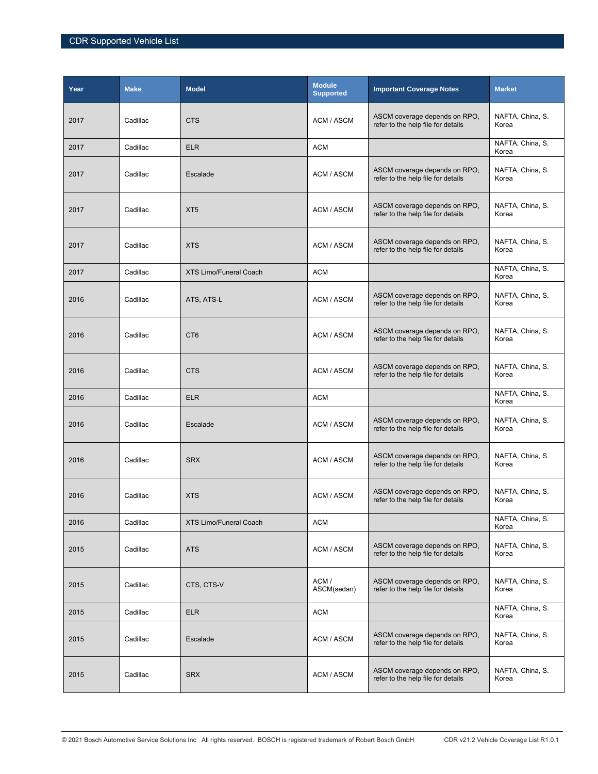| Year | <b>Make</b> | <b>Model</b>                  | <b>Module</b><br><b>Supported</b> | <b>Important Coverage Notes</b>                                     | <b>Market</b>             |
|------|-------------|-------------------------------|-----------------------------------|---------------------------------------------------------------------|---------------------------|
| 2017 | Cadillac    | <b>CTS</b>                    | ACM / ASCM                        | ASCM coverage depends on RPO,<br>refer to the help file for details | NAFTA, China, S.<br>Korea |
| 2017 | Cadillac    | <b>ELR</b>                    | <b>ACM</b>                        |                                                                     | NAFTA, China, S.<br>Korea |
| 2017 | Cadillac    | Escalade                      | ACM / ASCM                        | ASCM coverage depends on RPO,<br>refer to the help file for details | NAFTA, China, S.<br>Korea |
| 2017 | Cadillac    | XT <sub>5</sub>               | ACM / ASCM                        | ASCM coverage depends on RPO,<br>refer to the help file for details | NAFTA, China, S.<br>Korea |
| 2017 | Cadillac    | <b>XTS</b>                    | ACM / ASCM                        | ASCM coverage depends on RPO,<br>refer to the help file for details | NAFTA, China, S.<br>Korea |
| 2017 | Cadillac    | <b>XTS Limo/Funeral Coach</b> | <b>ACM</b>                        |                                                                     | NAFTA, China, S.<br>Korea |
| 2016 | Cadillac    | ATS, ATS-L                    | ACM / ASCM                        | ASCM coverage depends on RPO.<br>refer to the help file for details | NAFTA, China, S.<br>Korea |
| 2016 | Cadillac    | CT <sub>6</sub>               | ACM / ASCM                        | ASCM coverage depends on RPO,<br>refer to the help file for details | NAFTA, China, S.<br>Korea |
| 2016 | Cadillac    | <b>CTS</b>                    | ACM / ASCM                        | ASCM coverage depends on RPO,<br>refer to the help file for details | NAFTA, China, S.<br>Korea |
| 2016 | Cadillac    | <b>ELR</b>                    | <b>ACM</b>                        |                                                                     | NAFTA, China, S.<br>Korea |
| 2016 | Cadillac    | Escalade                      | ACM / ASCM                        | ASCM coverage depends on RPO,<br>refer to the help file for details | NAFTA, China, S.<br>Korea |
| 2016 | Cadillac    | <b>SRX</b>                    | ACM / ASCM                        | ASCM coverage depends on RPO,<br>refer to the help file for details | NAFTA, China, S.<br>Korea |
| 2016 | Cadillac    | <b>XTS</b>                    | ACM / ASCM                        | ASCM coverage depends on RPO,<br>refer to the help file for details | NAFTA, China, S.<br>Korea |
| 2016 | Cadillac    | <b>XTS Limo/Funeral Coach</b> | <b>ACM</b>                        |                                                                     | NAFTA, China, S.<br>Korea |
| 2015 | Cadillac    | <b>ATS</b>                    | ACM / ASCM                        | ASCM coverage depends on RPO,<br>refer to the help file for details | NAFTA, China, S.<br>Korea |
| 2015 | Cadillac    | CTS, CTS-V                    | ACM/<br>ASCM(sedan)               | ASCM coverage depends on RPO,<br>refer to the help file for details | NAFTA, China, S.<br>Korea |
| 2015 | Cadillac    | <b>ELR</b>                    | <b>ACM</b>                        |                                                                     | NAFTA, China, S.<br>Korea |
| 2015 | Cadillac    | Escalade                      | ACM / ASCM                        | ASCM coverage depends on RPO,<br>refer to the help file for details | NAFTA, China, S.<br>Korea |
| 2015 | Cadillac    | <b>SRX</b>                    | ACM / ASCM                        | ASCM coverage depends on RPO,<br>refer to the help file for details | NAFTA, China, S.<br>Korea |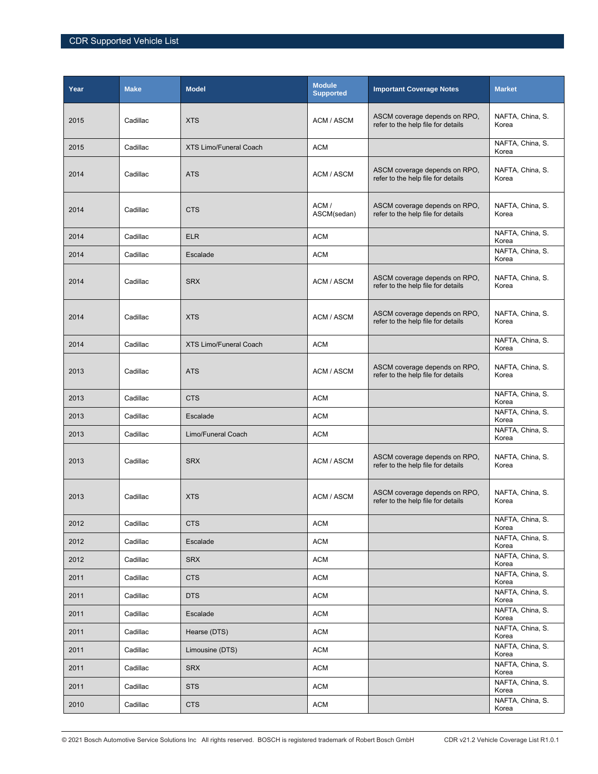| Year | <b>Make</b> | <b>Model</b>                  | <b>Module</b><br><b>Supported</b> | <b>Important Coverage Notes</b>                                     | <b>Market</b>             |
|------|-------------|-------------------------------|-----------------------------------|---------------------------------------------------------------------|---------------------------|
| 2015 | Cadillac    | <b>XTS</b>                    | ACM / ASCM                        | ASCM coverage depends on RPO,<br>refer to the help file for details | NAFTA, China, S.<br>Korea |
| 2015 | Cadillac    | <b>XTS Limo/Funeral Coach</b> | <b>ACM</b>                        |                                                                     | NAFTA, China, S.<br>Korea |
| 2014 | Cadillac    | <b>ATS</b>                    | ACM / ASCM                        | ASCM coverage depends on RPO,<br>refer to the help file for details | NAFTA, China, S.<br>Korea |
| 2014 | Cadillac    | <b>CTS</b>                    | ACM/<br>ASCM(sedan)               | ASCM coverage depends on RPO.<br>refer to the help file for details | NAFTA, China, S.<br>Korea |
| 2014 | Cadillac    | <b>ELR</b>                    | <b>ACM</b>                        |                                                                     | NAFTA, China, S.<br>Korea |
| 2014 | Cadillac    | Escalade                      | <b>ACM</b>                        |                                                                     | NAFTA, China, S.<br>Korea |
| 2014 | Cadillac    | <b>SRX</b>                    | ACM / ASCM                        | ASCM coverage depends on RPO,<br>refer to the help file for details | NAFTA, China, S.<br>Korea |
| 2014 | Cadillac    | <b>XTS</b>                    | ACM / ASCM                        | ASCM coverage depends on RPO.<br>refer to the help file for details | NAFTA, China, S.<br>Korea |
| 2014 | Cadillac    | <b>XTS Limo/Funeral Coach</b> | <b>ACM</b>                        |                                                                     | NAFTA, China, S.<br>Korea |
| 2013 | Cadillac    | <b>ATS</b>                    | ACM / ASCM                        | ASCM coverage depends on RPO,<br>refer to the help file for details | NAFTA, China, S.<br>Korea |
| 2013 | Cadillac    | <b>CTS</b>                    | <b>ACM</b>                        |                                                                     | NAFTA, China, S.<br>Korea |
| 2013 | Cadillac    | Escalade                      | ACM                               |                                                                     | NAFTA, China, S.<br>Korea |
| 2013 | Cadillac    | Limo/Funeral Coach            | <b>ACM</b>                        |                                                                     | NAFTA, China, S.<br>Korea |
| 2013 | Cadillac    | <b>SRX</b>                    | ACM / ASCM                        | ASCM coverage depends on RPO.<br>refer to the help file for details | NAFTA, China, S.<br>Korea |
| 2013 | Cadillac    | <b>XTS</b>                    | ACM / ASCM                        | ASCM coverage depends on RPO,<br>refer to the help file for details | NAFTA, China, S.<br>Korea |
| 2012 | Cadillac    | <b>CTS</b>                    | <b>ACM</b>                        |                                                                     | NAFTA, China, S.<br>Korea |
| 2012 | Cadillac    | Escalade                      | <b>ACM</b>                        |                                                                     | NAFTA, China, S.<br>Korea |
| 2012 | Cadillac    | <b>SRX</b>                    | <b>ACM</b>                        |                                                                     | NAFTA, China, S.<br>Korea |
| 2011 | Cadillac    | <b>CTS</b>                    | <b>ACM</b>                        |                                                                     | NAFTA, China, S.<br>Korea |
| 2011 | Cadillac    | <b>DTS</b>                    | <b>ACM</b>                        |                                                                     | NAFTA, China, S.<br>Korea |
| 2011 | Cadillac    | Escalade                      | <b>ACM</b>                        |                                                                     | NAFTA, China, S.<br>Korea |
| 2011 | Cadillac    | Hearse (DTS)                  | <b>ACM</b>                        |                                                                     | NAFTA, China, S.<br>Korea |
| 2011 | Cadillac    | Limousine (DTS)               | <b>ACM</b>                        |                                                                     | NAFTA, China, S.<br>Korea |
| 2011 | Cadillac    | <b>SRX</b>                    | ACM                               |                                                                     | NAFTA, China, S.<br>Korea |
| 2011 | Cadillac    | <b>STS</b>                    | ACM                               |                                                                     | NAFTA, China, S.<br>Korea |
| 2010 | Cadillac    | <b>CTS</b>                    | ACM                               |                                                                     | NAFTA, China, S.<br>Korea |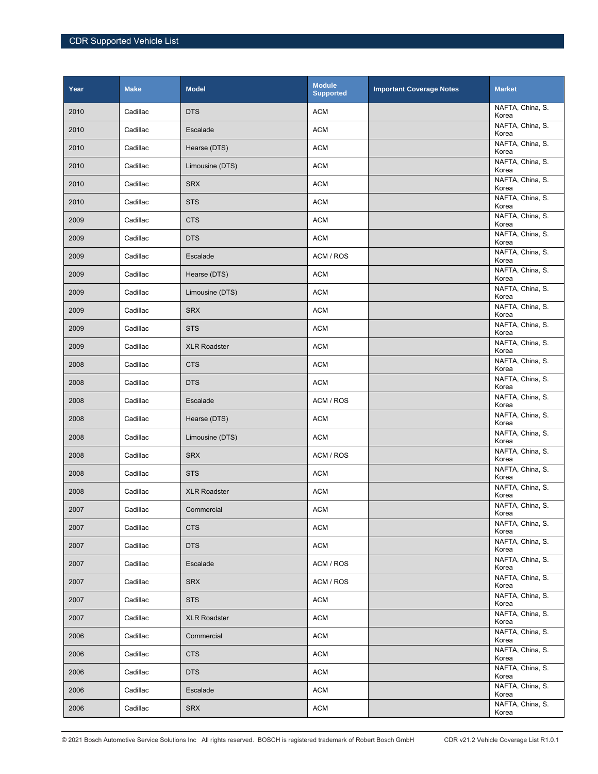| Year | <b>Make</b> | <b>Model</b>        | <b>Module</b><br><b>Supported</b> | <b>Important Coverage Notes</b> | <b>Market</b>             |
|------|-------------|---------------------|-----------------------------------|---------------------------------|---------------------------|
| 2010 | Cadillac    | <b>DTS</b>          | <b>ACM</b>                        |                                 | NAFTA, China, S.<br>Korea |
| 2010 | Cadillac    | Escalade            | <b>ACM</b>                        |                                 | NAFTA, China, S.<br>Korea |
| 2010 | Cadillac    | Hearse (DTS)        | <b>ACM</b>                        |                                 | NAFTA, China, S.<br>Korea |
| 2010 | Cadillac    | Limousine (DTS)     | <b>ACM</b>                        |                                 | NAFTA, China, S.<br>Korea |
| 2010 | Cadillac    | <b>SRX</b>          | <b>ACM</b>                        |                                 | NAFTA, China, S.<br>Korea |
| 2010 | Cadillac    | <b>STS</b>          | <b>ACM</b>                        |                                 | NAFTA, China, S.<br>Korea |
| 2009 | Cadillac    | <b>CTS</b>          | <b>ACM</b>                        |                                 | NAFTA, China, S.<br>Korea |
| 2009 | Cadillac    | <b>DTS</b>          | <b>ACM</b>                        |                                 | NAFTA, China, S.<br>Korea |
| 2009 | Cadillac    | Escalade            | ACM / ROS                         |                                 | NAFTA, China, S.<br>Korea |
| 2009 | Cadillac    | Hearse (DTS)        | <b>ACM</b>                        |                                 | NAFTA, China, S.<br>Korea |
| 2009 | Cadillac    | Limousine (DTS)     | <b>ACM</b>                        |                                 | NAFTA, China, S.<br>Korea |
| 2009 | Cadillac    | <b>SRX</b>          | <b>ACM</b>                        |                                 | NAFTA, China, S.<br>Korea |
| 2009 | Cadillac    | <b>STS</b>          | <b>ACM</b>                        |                                 | NAFTA, China, S.<br>Korea |
| 2009 | Cadillac    | <b>XLR Roadster</b> | <b>ACM</b>                        |                                 | NAFTA, China, S.<br>Korea |
| 2008 | Cadillac    | <b>CTS</b>          | <b>ACM</b>                        |                                 | NAFTA, China, S.<br>Korea |
| 2008 | Cadillac    | <b>DTS</b>          | <b>ACM</b>                        |                                 | NAFTA, China, S.<br>Korea |
| 2008 | Cadillac    | Escalade            | ACM / ROS                         |                                 | NAFTA, China, S.<br>Korea |
| 2008 | Cadillac    | Hearse (DTS)        | <b>ACM</b>                        |                                 | NAFTA, China, S.<br>Korea |
| 2008 | Cadillac    | Limousine (DTS)     | <b>ACM</b>                        |                                 | NAFTA, China, S.<br>Korea |
| 2008 | Cadillac    | <b>SRX</b>          | ACM / ROS                         |                                 | NAFTA, China, S.<br>Korea |
| 2008 | Cadillac    | <b>STS</b>          | <b>ACM</b>                        |                                 | NAFTA, China, S.<br>Korea |
| 2008 | Cadillac    | <b>XLR Roadster</b> | <b>ACM</b>                        |                                 | NAFTA, China, S.<br>Korea |
| 2007 | Cadillac    | Commercial          | <b>ACM</b>                        |                                 | NAFTA, China, S.<br>Korea |
| 2007 | Cadillac    | <b>CTS</b>          | <b>ACM</b>                        |                                 | NAFTA, China, S.<br>Korea |
| 2007 | Cadillac    | <b>DTS</b>          | <b>ACM</b>                        |                                 | NAFTA, China, S.<br>Korea |
| 2007 | Cadillac    | Escalade            | ACM / ROS                         |                                 | NAFTA, China, S.<br>Korea |
| 2007 | Cadillac    | <b>SRX</b>          | ACM / ROS                         |                                 | NAFTA, China, S.<br>Korea |
| 2007 | Cadillac    | <b>STS</b>          | <b>ACM</b>                        |                                 | NAFTA, China, S.<br>Korea |
| 2007 | Cadillac    | <b>XLR Roadster</b> | <b>ACM</b>                        |                                 | NAFTA, China, S.<br>Korea |
| 2006 | Cadillac    | Commercial          | <b>ACM</b>                        |                                 | NAFTA, China, S.<br>Korea |
| 2006 | Cadillac    | <b>CTS</b>          | <b>ACM</b>                        |                                 | NAFTA, China, S.<br>Korea |
| 2006 | Cadillac    | <b>DTS</b>          | <b>ACM</b>                        |                                 | NAFTA, China, S.<br>Korea |
| 2006 | Cadillac    | Escalade            | <b>ACM</b>                        |                                 | NAFTA, China, S.<br>Korea |
| 2006 | Cadillac    | <b>SRX</b>          | <b>ACM</b>                        |                                 | NAFTA, China, S.<br>Korea |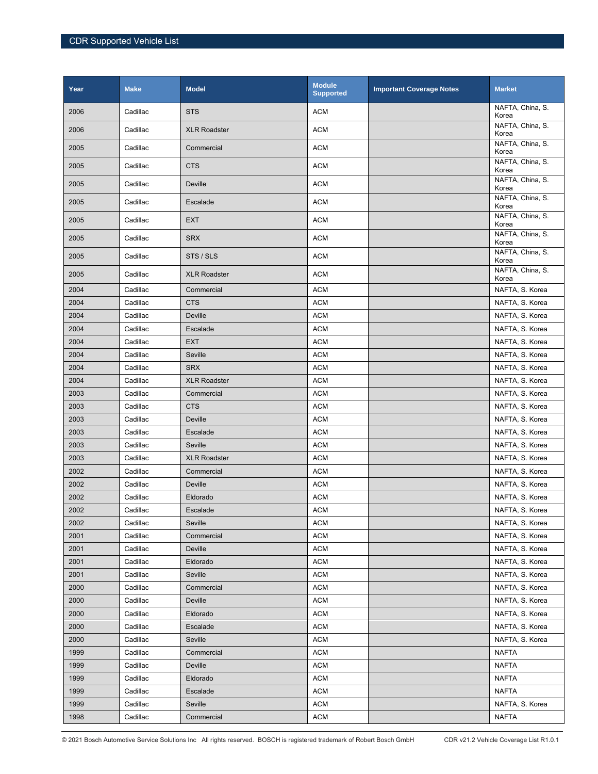| Year | <b>Make</b> | <b>Model</b>        | <b>Module</b><br><b>Supported</b> | <b>Important Coverage Notes</b> | <b>Market</b>             |
|------|-------------|---------------------|-----------------------------------|---------------------------------|---------------------------|
| 2006 | Cadillac    | <b>STS</b>          | <b>ACM</b>                        |                                 | NAFTA, China, S.<br>Korea |
| 2006 | Cadillac    | <b>XLR Roadster</b> | <b>ACM</b>                        |                                 | NAFTA, China, S.<br>Korea |
| 2005 | Cadillac    | Commercial          | <b>ACM</b>                        |                                 | NAFTA, China, S.<br>Korea |
| 2005 | Cadillac    | <b>CTS</b>          | <b>ACM</b>                        |                                 | NAFTA, China, S.<br>Korea |
| 2005 | Cadillac    | Deville             | <b>ACM</b>                        |                                 | NAFTA, China, S.<br>Korea |
| 2005 | Cadillac    | Escalade            | <b>ACM</b>                        |                                 | NAFTA, China, S.<br>Korea |
| 2005 | Cadillac    | <b>EXT</b>          | <b>ACM</b>                        |                                 | NAFTA, China, S.<br>Korea |
| 2005 | Cadillac    | <b>SRX</b>          | <b>ACM</b>                        |                                 | NAFTA, China, S.<br>Korea |
| 2005 | Cadillac    | STS / SLS           | <b>ACM</b>                        |                                 | NAFTA, China, S.<br>Korea |
| 2005 | Cadillac    | <b>XLR Roadster</b> | <b>ACM</b>                        |                                 | NAFTA, China, S.<br>Korea |
| 2004 | Cadillac    | Commercial          | <b>ACM</b>                        |                                 | NAFTA, S. Korea           |
| 2004 | Cadillac    | <b>CTS</b>          | <b>ACM</b>                        |                                 | NAFTA, S. Korea           |
| 2004 | Cadillac    | Deville             | <b>ACM</b>                        |                                 | NAFTA, S. Korea           |
| 2004 | Cadillac    | Escalade            | <b>ACM</b>                        |                                 | NAFTA, S. Korea           |
| 2004 | Cadillac    | <b>EXT</b>          | <b>ACM</b>                        |                                 | NAFTA, S. Korea           |
| 2004 | Cadillac    | Seville             | <b>ACM</b>                        |                                 | NAFTA, S. Korea           |
| 2004 | Cadillac    | <b>SRX</b>          | <b>ACM</b>                        |                                 | NAFTA, S. Korea           |
| 2004 | Cadillac    | <b>XLR Roadster</b> | <b>ACM</b>                        |                                 | NAFTA, S. Korea           |
| 2003 | Cadillac    | Commercial          | <b>ACM</b>                        |                                 | NAFTA, S. Korea           |
| 2003 | Cadillac    | <b>CTS</b>          | <b>ACM</b>                        |                                 | NAFTA, S. Korea           |
| 2003 | Cadillac    | <b>Deville</b>      | <b>ACM</b>                        |                                 | NAFTA, S. Korea           |
| 2003 | Cadillac    | Escalade            | <b>ACM</b>                        |                                 | NAFTA, S. Korea           |
| 2003 | Cadillac    | Seville             | <b>ACM</b>                        |                                 | NAFTA, S. Korea           |
| 2003 | Cadillac    | <b>XLR Roadster</b> | <b>ACM</b>                        |                                 | NAFTA, S. Korea           |
| 2002 | Cadillac    | Commercial          | <b>ACM</b>                        |                                 | NAFTA, S. Korea           |
| 2002 | Cadillac    | Deville             | <b>ACM</b>                        |                                 | NAFTA, S. Korea           |
| 2002 | Cadillac    | Eldorado            | <b>ACM</b>                        |                                 | NAFTA, S. Korea           |
| 2002 | Cadillac    | Escalade            | <b>ACM</b>                        |                                 | NAFTA, S. Korea           |
| 2002 | Cadillac    | Seville             | <b>ACM</b>                        |                                 | NAFTA, S. Korea           |
| 2001 | Cadillac    | Commercial          | <b>ACM</b>                        |                                 | NAFTA, S. Korea           |
| 2001 | Cadillac    | Deville             | <b>ACM</b>                        |                                 | NAFTA, S. Korea           |
| 2001 | Cadillac    | Eldorado            | <b>ACM</b>                        |                                 | NAFTA, S. Korea           |
| 2001 | Cadillac    | Seville             | <b>ACM</b>                        |                                 | NAFTA, S. Korea           |
| 2000 | Cadillac    | Commercial          | <b>ACM</b>                        |                                 | NAFTA, S. Korea           |
| 2000 | Cadillac    | Deville             | <b>ACM</b>                        |                                 | NAFTA, S. Korea           |
| 2000 | Cadillac    | Eldorado            | <b>ACM</b>                        |                                 | NAFTA, S. Korea           |
| 2000 | Cadillac    | Escalade            | <b>ACM</b>                        |                                 | NAFTA, S. Korea           |
| 2000 | Cadillac    | Seville             | <b>ACM</b>                        |                                 | NAFTA, S. Korea           |
| 1999 | Cadillac    | Commercial          | <b>ACM</b>                        |                                 | <b>NAFTA</b>              |
| 1999 | Cadillac    | Deville             | <b>ACM</b>                        |                                 | <b>NAFTA</b>              |
| 1999 | Cadillac    | Eldorado            | <b>ACM</b>                        |                                 | NAFTA                     |
| 1999 | Cadillac    | Escalade            | <b>ACM</b>                        |                                 | <b>NAFTA</b>              |
| 1999 | Cadillac    | Seville             | <b>ACM</b>                        |                                 | NAFTA, S. Korea           |
| 1998 | Cadillac    | Commercial          | <b>ACM</b>                        |                                 | <b>NAFTA</b>              |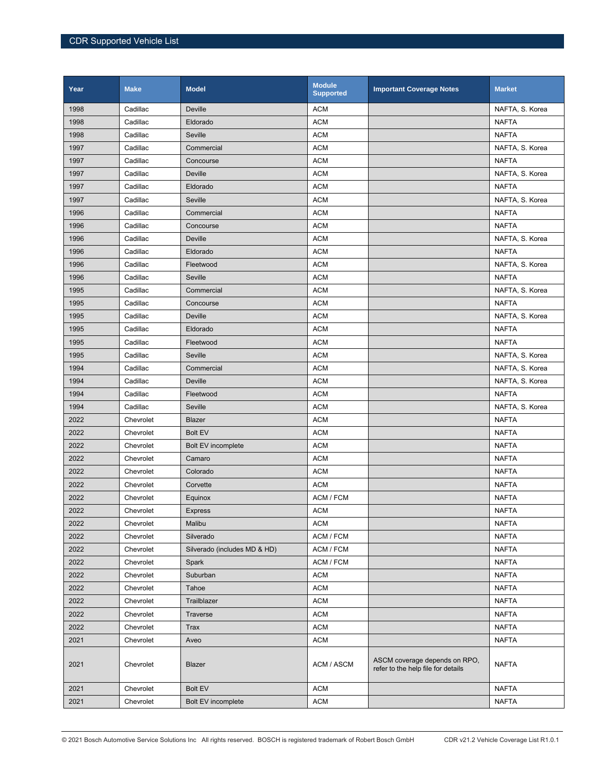| Year | <b>Make</b> | <b>Model</b>                 | <b>Module</b><br><b>Supported</b> | <b>Important Coverage Notes</b>                                     | <b>Market</b>   |
|------|-------------|------------------------------|-----------------------------------|---------------------------------------------------------------------|-----------------|
| 1998 | Cadillac    | Deville                      | <b>ACM</b>                        |                                                                     | NAFTA, S. Korea |
| 1998 | Cadillac    | Eldorado                     | <b>ACM</b>                        |                                                                     | <b>NAFTA</b>    |
| 1998 | Cadillac    | Seville                      | <b>ACM</b>                        |                                                                     | <b>NAFTA</b>    |
| 1997 | Cadillac    | Commercial                   | <b>ACM</b>                        |                                                                     | NAFTA, S. Korea |
| 1997 | Cadillac    | Concourse                    | <b>ACM</b>                        |                                                                     | <b>NAFTA</b>    |
| 1997 | Cadillac    | Deville                      | <b>ACM</b>                        |                                                                     | NAFTA, S. Korea |
| 1997 | Cadillac    | Eldorado                     | <b>ACM</b>                        |                                                                     | <b>NAFTA</b>    |
| 1997 | Cadillac    | Seville                      | <b>ACM</b>                        |                                                                     | NAFTA, S. Korea |
| 1996 | Cadillac    | Commercial                   | <b>ACM</b>                        |                                                                     | <b>NAFTA</b>    |
| 1996 | Cadillac    | Concourse                    | <b>ACM</b>                        |                                                                     | <b>NAFTA</b>    |
| 1996 | Cadillac    | Deville                      | <b>ACM</b>                        |                                                                     | NAFTA, S. Korea |
| 1996 | Cadillac    | Eldorado                     | <b>ACM</b>                        |                                                                     | <b>NAFTA</b>    |
| 1996 | Cadillac    | Fleetwood                    | <b>ACM</b>                        |                                                                     | NAFTA, S. Korea |
| 1996 | Cadillac    | Seville                      | <b>ACM</b>                        |                                                                     | <b>NAFTA</b>    |
| 1995 | Cadillac    | Commercial                   | <b>ACM</b>                        |                                                                     | NAFTA, S. Korea |
| 1995 | Cadillac    | Concourse                    | <b>ACM</b>                        |                                                                     | <b>NAFTA</b>    |
| 1995 | Cadillac    | Deville                      | <b>ACM</b>                        |                                                                     | NAFTA, S. Korea |
| 1995 | Cadillac    | Eldorado                     | <b>ACM</b>                        |                                                                     | <b>NAFTA</b>    |
| 1995 | Cadillac    | Fleetwood                    | <b>ACM</b>                        |                                                                     | <b>NAFTA</b>    |
| 1995 | Cadillac    | Seville                      | <b>ACM</b>                        |                                                                     | NAFTA, S. Korea |
| 1994 | Cadillac    | Commercial                   | <b>ACM</b>                        |                                                                     | NAFTA, S. Korea |
| 1994 | Cadillac    | Deville                      | <b>ACM</b>                        |                                                                     | NAFTA, S. Korea |
| 1994 | Cadillac    | Fleetwood                    | <b>ACM</b>                        |                                                                     | <b>NAFTA</b>    |
| 1994 | Cadillac    | Seville                      | <b>ACM</b>                        |                                                                     | NAFTA, S. Korea |
| 2022 | Chevrolet   | <b>Blazer</b>                | <b>ACM</b>                        |                                                                     | <b>NAFTA</b>    |
| 2022 | Chevrolet   | <b>Bolt EV</b>               | <b>ACM</b>                        |                                                                     | <b>NAFTA</b>    |
| 2022 | Chevrolet   | Bolt EV incomplete           | <b>ACM</b>                        |                                                                     | <b>NAFTA</b>    |
| 2022 | Chevrolet   | Camaro                       | <b>ACM</b>                        |                                                                     | <b>NAFTA</b>    |
| 2022 | Chevrolet   | Colorado                     | <b>ACM</b>                        |                                                                     | <b>NAFTA</b>    |
| 2022 | Chevrolet   | Corvette                     | <b>ACM</b>                        |                                                                     | <b>NAFTA</b>    |
| 2022 | Chevrolet   | Equinox                      | ACM / FCM                         |                                                                     | <b>NAFTA</b>    |
| 2022 | Chevrolet   | Express                      | <b>ACM</b>                        |                                                                     | <b>NAFTA</b>    |
| 2022 | Chevrolet   | Malibu                       | <b>ACM</b>                        |                                                                     | <b>NAFTA</b>    |
| 2022 | Chevrolet   | Silverado                    | ACM / FCM                         |                                                                     | <b>NAFTA</b>    |
| 2022 | Chevrolet   | Silverado (includes MD & HD) | ACM / FCM                         |                                                                     | <b>NAFTA</b>    |
| 2022 | Chevrolet   | Spark                        | ACM / FCM                         |                                                                     | NAFTA           |
| 2022 | Chevrolet   | Suburban                     | <b>ACM</b>                        |                                                                     | <b>NAFTA</b>    |
| 2022 | Chevrolet   | Tahoe                        | <b>ACM</b>                        |                                                                     | <b>NAFTA</b>    |
| 2022 | Chevrolet   | Trailblazer                  | <b>ACM</b>                        |                                                                     | <b>NAFTA</b>    |
| 2022 | Chevrolet   | Traverse                     | <b>ACM</b>                        |                                                                     | <b>NAFTA</b>    |
| 2022 | Chevrolet   | Trax                         | <b>ACM</b>                        |                                                                     | <b>NAFTA</b>    |
| 2021 | Chevrolet   | Aveo                         | <b>ACM</b>                        |                                                                     | <b>NAFTA</b>    |
| 2021 | Chevrolet   | <b>Blazer</b>                | ACM / ASCM                        | ASCM coverage depends on RPO,<br>refer to the help file for details | <b>NAFTA</b>    |
| 2021 | Chevrolet   | <b>Bolt EV</b>               | <b>ACM</b>                        |                                                                     | <b>NAFTA</b>    |
| 2021 | Chevrolet   | <b>Bolt EV incomplete</b>    | <b>ACM</b>                        |                                                                     | <b>NAFTA</b>    |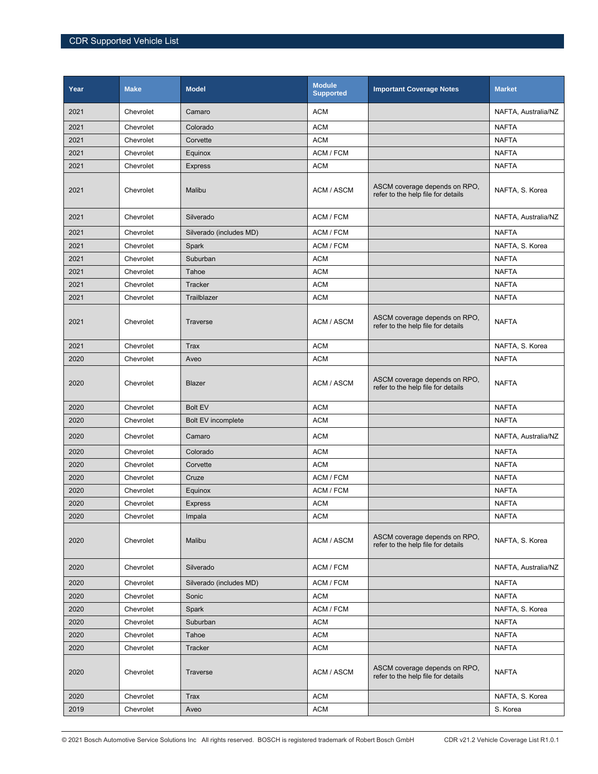| Year | <b>Make</b> | <b>Model</b>            | <b>Module</b><br><b>Supported</b> | <b>Important Coverage Notes</b>                                     | <b>Market</b>       |
|------|-------------|-------------------------|-----------------------------------|---------------------------------------------------------------------|---------------------|
| 2021 | Chevrolet   | Camaro                  | <b>ACM</b>                        |                                                                     | NAFTA, Australia/NZ |
| 2021 | Chevrolet   | Colorado                | <b>ACM</b>                        |                                                                     | <b>NAFTA</b>        |
| 2021 | Chevrolet   | Corvette                | <b>ACM</b>                        |                                                                     | <b>NAFTA</b>        |
| 2021 | Chevrolet   | Equinox                 | ACM / FCM                         |                                                                     | <b>NAFTA</b>        |
| 2021 | Chevrolet   | <b>Express</b>          | <b>ACM</b>                        |                                                                     | <b>NAFTA</b>        |
| 2021 | Chevrolet   | Malibu                  | ACM / ASCM                        | ASCM coverage depends on RPO,<br>refer to the help file for details | NAFTA, S. Korea     |
| 2021 | Chevrolet   | Silverado               | ACM / FCM                         |                                                                     | NAFTA, Australia/NZ |
| 2021 | Chevrolet   | Silverado (includes MD) | ACM / FCM                         |                                                                     | <b>NAFTA</b>        |
| 2021 | Chevrolet   | Spark                   | ACM / FCM                         |                                                                     | NAFTA, S. Korea     |
| 2021 | Chevrolet   | Suburban                | <b>ACM</b>                        |                                                                     | <b>NAFTA</b>        |
| 2021 | Chevrolet   | Tahoe                   | <b>ACM</b>                        |                                                                     | <b>NAFTA</b>        |
| 2021 | Chevrolet   | Tracker                 | <b>ACM</b>                        |                                                                     | <b>NAFTA</b>        |
| 2021 | Chevrolet   | Trailblazer             | <b>ACM</b>                        |                                                                     | <b>NAFTA</b>        |
| 2021 | Chevrolet   | Traverse                | ACM / ASCM                        | ASCM coverage depends on RPO,<br>refer to the help file for details | <b>NAFTA</b>        |
| 2021 | Chevrolet   | Trax                    | <b>ACM</b>                        |                                                                     | NAFTA, S. Korea     |
| 2020 | Chevrolet   | Aveo                    | <b>ACM</b>                        |                                                                     | <b>NAFTA</b>        |
| 2020 | Chevrolet   | Blazer                  | ACM / ASCM                        | ASCM coverage depends on RPO,<br>refer to the help file for details | <b>NAFTA</b>        |
| 2020 | Chevrolet   | <b>Bolt EV</b>          | <b>ACM</b>                        |                                                                     | <b>NAFTA</b>        |
| 2020 | Chevrolet   | Bolt EV incomplete      | <b>ACM</b>                        |                                                                     | <b>NAFTA</b>        |
| 2020 | Chevrolet   | Camaro                  | <b>ACM</b>                        |                                                                     | NAFTA, Australia/NZ |
| 2020 | Chevrolet   | Colorado                | <b>ACM</b>                        |                                                                     | <b>NAFTA</b>        |
| 2020 | Chevrolet   | Corvette                | <b>ACM</b>                        |                                                                     | <b>NAFTA</b>        |
| 2020 | Chevrolet   | Cruze                   | ACM / FCM                         |                                                                     | <b>NAFTA</b>        |
| 2020 | Chevrolet   | Equinox                 | ACM / FCM                         |                                                                     | <b>NAFTA</b>        |
| 2020 | Chevrolet   | <b>Express</b>          | <b>ACM</b>                        |                                                                     | <b>NAFTA</b>        |
| 2020 | Chevrolet   | Impala                  | ACM                               |                                                                     | <b>NAFTA</b>        |
| 2020 | Chevrolet   | Malibu                  | ACM / ASCM                        | ASCM coverage depends on RPO.<br>refer to the help file for details | NAFTA, S. Korea     |
| 2020 | Chevrolet   | Silverado               | ACM / FCM                         |                                                                     | NAFTA, Australia/NZ |
| 2020 | Chevrolet   | Silverado (includes MD) | ACM / FCM                         |                                                                     | <b>NAFTA</b>        |
| 2020 | Chevrolet   | Sonic                   | <b>ACM</b>                        |                                                                     | <b>NAFTA</b>        |
| 2020 | Chevrolet   | Spark                   | ACM / FCM                         |                                                                     | NAFTA, S. Korea     |
| 2020 | Chevrolet   | Suburban                | <b>ACM</b>                        |                                                                     | NAFTA               |
| 2020 | Chevrolet   | Tahoe                   | <b>ACM</b>                        |                                                                     | <b>NAFTA</b>        |
| 2020 | Chevrolet   | Tracker                 | <b>ACM</b>                        |                                                                     | <b>NAFTA</b>        |
| 2020 | Chevrolet   | Traverse                | ACM / ASCM                        | ASCM coverage depends on RPO,<br>refer to the help file for details | <b>NAFTA</b>        |
| 2020 | Chevrolet   | <b>Trax</b>             | <b>ACM</b>                        |                                                                     | NAFTA, S. Korea     |
| 2019 | Chevrolet   | Aveo                    | <b>ACM</b>                        |                                                                     | S. Korea            |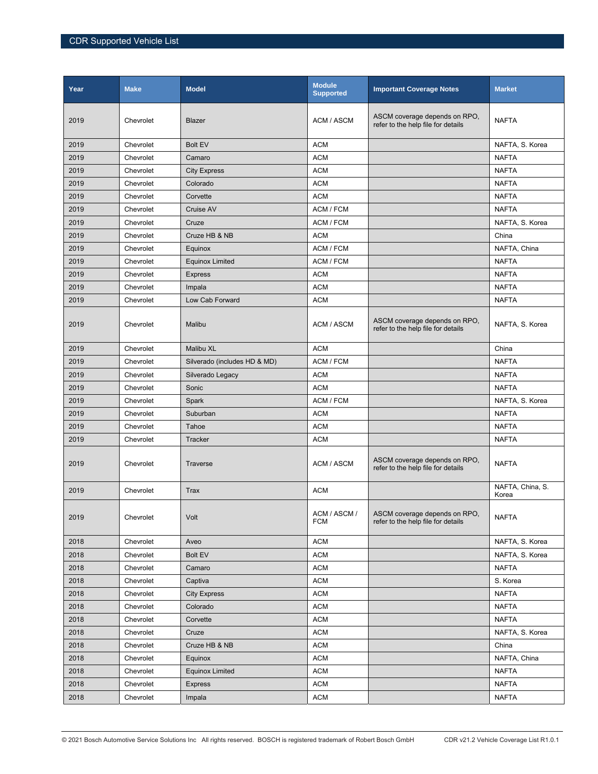| Year | <b>Make</b> | <b>Model</b>                 | <b>Module</b><br><b>Supported</b> | <b>Important Coverage Notes</b>                                     | <b>Market</b>             |
|------|-------------|------------------------------|-----------------------------------|---------------------------------------------------------------------|---------------------------|
| 2019 | Chevrolet   | Blazer                       | <b>ACM / ASCM</b>                 | ASCM coverage depends on RPO,<br>refer to the help file for details | <b>NAFTA</b>              |
| 2019 | Chevrolet   | <b>Bolt EV</b>               | <b>ACM</b>                        |                                                                     | NAFTA, S. Korea           |
| 2019 | Chevrolet   | Camaro                       | <b>ACM</b>                        |                                                                     | <b>NAFTA</b>              |
| 2019 | Chevrolet   | <b>City Express</b>          | <b>ACM</b>                        |                                                                     | <b>NAFTA</b>              |
| 2019 | Chevrolet   | Colorado                     | <b>ACM</b>                        |                                                                     | <b>NAFTA</b>              |
| 2019 | Chevrolet   | Corvette                     | <b>ACM</b>                        |                                                                     | <b>NAFTA</b>              |
| 2019 | Chevrolet   | Cruise AV                    | ACM / FCM                         |                                                                     | <b>NAFTA</b>              |
| 2019 | Chevrolet   | Cruze                        | ACM / FCM                         |                                                                     | NAFTA, S. Korea           |
| 2019 | Chevrolet   | Cruze HB & NB                | <b>ACM</b>                        |                                                                     | China                     |
| 2019 | Chevrolet   | Equinox                      | ACM / FCM                         |                                                                     | NAFTA, China              |
| 2019 | Chevrolet   | <b>Equinox Limited</b>       | ACM / FCM                         |                                                                     | <b>NAFTA</b>              |
| 2019 | Chevrolet   | <b>Express</b>               | <b>ACM</b>                        |                                                                     | <b>NAFTA</b>              |
| 2019 | Chevrolet   | Impala                       | <b>ACM</b>                        |                                                                     | <b>NAFTA</b>              |
| 2019 | Chevrolet   | Low Cab Forward              | <b>ACM</b>                        |                                                                     | <b>NAFTA</b>              |
| 2019 | Chevrolet   | Malibu                       | ACM / ASCM                        | ASCM coverage depends on RPO.<br>refer to the help file for details | NAFTA, S. Korea           |
| 2019 | Chevrolet   | Malibu XL                    | <b>ACM</b>                        |                                                                     | China                     |
| 2019 | Chevrolet   | Silverado (includes HD & MD) | ACM / FCM                         |                                                                     | <b>NAFTA</b>              |
| 2019 | Chevrolet   | Silverado Legacy             | <b>ACM</b>                        |                                                                     | <b>NAFTA</b>              |
| 2019 | Chevrolet   | Sonic                        | <b>ACM</b>                        |                                                                     | <b>NAFTA</b>              |
| 2019 | Chevrolet   | Spark                        | ACM / FCM                         |                                                                     | NAFTA, S. Korea           |
| 2019 | Chevrolet   | Suburban                     | <b>ACM</b>                        |                                                                     | <b>NAFTA</b>              |
| 2019 | Chevrolet   | Tahoe                        | <b>ACM</b>                        |                                                                     | <b>NAFTA</b>              |
| 2019 | Chevrolet   | Tracker                      | <b>ACM</b>                        |                                                                     | <b>NAFTA</b>              |
| 2019 | Chevrolet   | Traverse                     | ACM / ASCM                        | ASCM coverage depends on RPO.<br>refer to the help file for details | <b>NAFTA</b>              |
| 2019 | Chevrolet   | <b>Trax</b>                  | <b>ACM</b>                        |                                                                     | NAFTA, China, S.<br>Korea |
| 2019 | Chevrolet   | Volt                         | ACM / ASCM /<br><b>FCM</b>        | ASCM coverage depends on RPO,<br>refer to the help file for details | <b>NAFTA</b>              |
| 2018 | Chevrolet   | Aveo                         | <b>ACM</b>                        |                                                                     | NAFTA, S. Korea           |
| 2018 | Chevrolet   | <b>Bolt EV</b>               | <b>ACM</b>                        |                                                                     | NAFTA, S. Korea           |
| 2018 | Chevrolet   | Camaro                       | <b>ACM</b>                        |                                                                     | <b>NAFTA</b>              |
| 2018 | Chevrolet   | Captiva                      | <b>ACM</b>                        |                                                                     | S. Korea                  |
| 2018 | Chevrolet   | <b>City Express</b>          | <b>ACM</b>                        |                                                                     | <b>NAFTA</b>              |
| 2018 | Chevrolet   | Colorado                     | <b>ACM</b>                        |                                                                     | <b>NAFTA</b>              |
| 2018 | Chevrolet   | Corvette                     | <b>ACM</b>                        |                                                                     | <b>NAFTA</b>              |
| 2018 | Chevrolet   | Cruze                        | <b>ACM</b>                        |                                                                     | NAFTA, S. Korea           |
| 2018 | Chevrolet   | Cruze HB & NB                | <b>ACM</b>                        |                                                                     | China                     |
| 2018 | Chevrolet   | Equinox                      | <b>ACM</b>                        |                                                                     | NAFTA, China              |
| 2018 | Chevrolet   | <b>Equinox Limited</b>       | <b>ACM</b>                        |                                                                     | <b>NAFTA</b>              |
| 2018 | Chevrolet   | <b>Express</b>               | <b>ACM</b>                        |                                                                     | <b>NAFTA</b>              |
| 2018 | Chevrolet   | Impala                       | <b>ACM</b>                        |                                                                     | <b>NAFTA</b>              |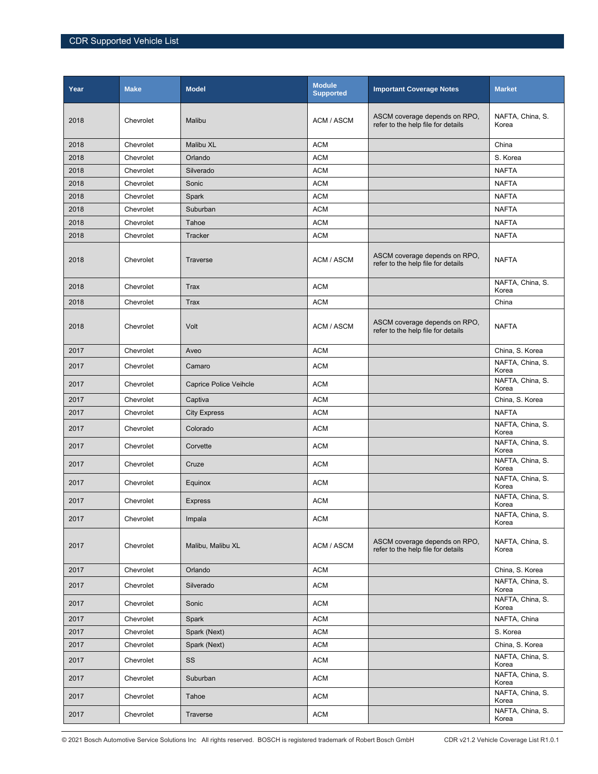| Year | <b>Make</b> | <b>Model</b>                  | <b>Module</b><br><b>Supported</b> | <b>Important Coverage Notes</b>                                     | <b>Market</b>             |
|------|-------------|-------------------------------|-----------------------------------|---------------------------------------------------------------------|---------------------------|
| 2018 | Chevrolet   | Malibu                        | ACM / ASCM                        | ASCM coverage depends on RPO,<br>refer to the help file for details | NAFTA, China, S.<br>Korea |
| 2018 | Chevrolet   | Malibu XL                     | <b>ACM</b>                        |                                                                     | China                     |
| 2018 | Chevrolet   | Orlando                       | <b>ACM</b>                        |                                                                     | S. Korea                  |
| 2018 | Chevrolet   | Silverado                     | <b>ACM</b>                        |                                                                     | <b>NAFTA</b>              |
| 2018 | Chevrolet   | Sonic                         | <b>ACM</b>                        |                                                                     | <b>NAFTA</b>              |
| 2018 | Chevrolet   | Spark                         | <b>ACM</b>                        |                                                                     | <b>NAFTA</b>              |
| 2018 | Chevrolet   | Suburban                      | <b>ACM</b>                        |                                                                     | <b>NAFTA</b>              |
| 2018 | Chevrolet   | Tahoe                         | <b>ACM</b>                        |                                                                     | <b>NAFTA</b>              |
| 2018 | Chevrolet   | <b>Tracker</b>                | <b>ACM</b>                        |                                                                     | <b>NAFTA</b>              |
| 2018 | Chevrolet   | Traverse                      | ACM / ASCM                        | ASCM coverage depends on RPO,<br>refer to the help file for details | <b>NAFTA</b>              |
| 2018 | Chevrolet   | <b>Trax</b>                   | <b>ACM</b>                        |                                                                     | NAFTA, China, S.<br>Korea |
| 2018 | Chevrolet   | Trax                          | <b>ACM</b>                        |                                                                     | China                     |
| 2018 | Chevrolet   | Volt                          | ACM / ASCM                        | ASCM coverage depends on RPO,<br>refer to the help file for details | <b>NAFTA</b>              |
| 2017 | Chevrolet   | Aveo                          | <b>ACM</b>                        |                                                                     | China, S. Korea           |
| 2017 | Chevrolet   | Camaro                        | <b>ACM</b>                        |                                                                     | NAFTA, China, S.<br>Korea |
| 2017 | Chevrolet   | <b>Caprice Police Veihcle</b> | <b>ACM</b>                        |                                                                     | NAFTA, China, S.<br>Korea |
| 2017 | Chevrolet   | Captiva                       | <b>ACM</b>                        |                                                                     | China, S. Korea           |
| 2017 | Chevrolet   | <b>City Express</b>           | <b>ACM</b>                        |                                                                     | <b>NAFTA</b>              |
| 2017 | Chevrolet   | Colorado                      | <b>ACM</b>                        |                                                                     | NAFTA, China, S.<br>Korea |
| 2017 | Chevrolet   | Corvette                      | <b>ACM</b>                        |                                                                     | NAFTA, China, S.<br>Korea |
| 2017 | Chevrolet   | Cruze                         | <b>ACM</b>                        |                                                                     | NAFTA, China, S.<br>Korea |
| 2017 | Chevrolet   | Equinox                       | <b>ACM</b>                        |                                                                     | NAFTA, China, S.<br>Korea |
| 2017 | Chevrolet   | <b>Express</b>                | <b>ACM</b>                        |                                                                     | NAFTA, China, S.<br>Korea |
| 2017 | Chevrolet   | Impala                        | <b>ACM</b>                        |                                                                     | NAFTA, China, S.<br>Korea |
| 2017 | Chevrolet   | Malibu, Malibu XL             | ACM / ASCM                        | ASCM coverage depends on RPO,<br>refer to the help file for details | NAFTA, China, S.<br>Korea |
| 2017 | Chevrolet   | Orlando                       | <b>ACM</b>                        |                                                                     | China, S. Korea           |
| 2017 | Chevrolet   | Silverado                     | <b>ACM</b>                        |                                                                     | NAFTA, China, S.<br>Korea |
| 2017 | Chevrolet   | Sonic                         | <b>ACM</b>                        |                                                                     | NAFTA, China, S.<br>Korea |
| 2017 | Chevrolet   | Spark                         | <b>ACM</b>                        |                                                                     | NAFTA, China              |
| 2017 | Chevrolet   | Spark (Next)                  | <b>ACM</b>                        |                                                                     | S. Korea                  |
| 2017 | Chevrolet   | Spark (Next)                  | <b>ACM</b>                        |                                                                     | China, S. Korea           |
| 2017 | Chevrolet   | SS                            | <b>ACM</b>                        |                                                                     | NAFTA, China, S.<br>Korea |
| 2017 | Chevrolet   | Suburban                      | <b>ACM</b>                        |                                                                     | NAFTA, China, S.<br>Korea |
| 2017 | Chevrolet   | Tahoe                         | <b>ACM</b>                        |                                                                     | NAFTA, China, S.<br>Korea |
| 2017 | Chevrolet   | Traverse                      | <b>ACM</b>                        |                                                                     | NAFTA, China, S.<br>Korea |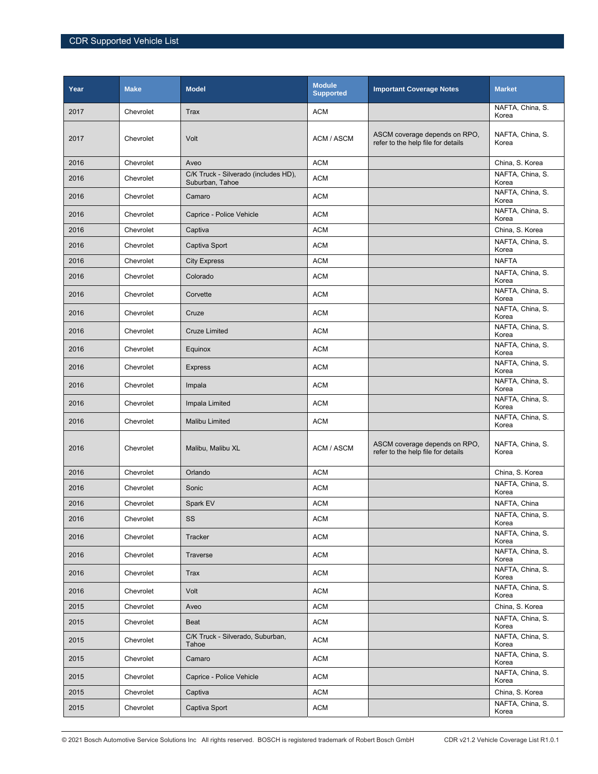| Year | <b>Make</b> | <b>Model</b>                                            | <b>Module</b><br><b>Supported</b> | <b>Important Coverage Notes</b>                                     | <b>Market</b>             |
|------|-------------|---------------------------------------------------------|-----------------------------------|---------------------------------------------------------------------|---------------------------|
| 2017 | Chevrolet   | Trax                                                    | <b>ACM</b>                        |                                                                     | NAFTA, China, S.<br>Korea |
| 2017 | Chevrolet   | Volt                                                    | ACM / ASCM                        | ASCM coverage depends on RPO,<br>refer to the help file for details | NAFTA, China, S.<br>Korea |
| 2016 | Chevrolet   | Aveo                                                    | <b>ACM</b>                        |                                                                     | China, S. Korea           |
| 2016 | Chevrolet   | C/K Truck - Silverado (includes HD),<br>Suburban, Tahoe | <b>ACM</b>                        |                                                                     | NAFTA, China, S.<br>Korea |
| 2016 | Chevrolet   | Camaro                                                  | <b>ACM</b>                        |                                                                     | NAFTA, China, S.<br>Korea |
| 2016 | Chevrolet   | Caprice - Police Vehicle                                | <b>ACM</b>                        |                                                                     | NAFTA, China, S.<br>Korea |
| 2016 | Chevrolet   | Captiva                                                 | <b>ACM</b>                        |                                                                     | China, S. Korea           |
| 2016 | Chevrolet   | Captiva Sport                                           | <b>ACM</b>                        |                                                                     | NAFTA, China, S.<br>Korea |
| 2016 | Chevrolet   | <b>City Express</b>                                     | <b>ACM</b>                        |                                                                     | <b>NAFTA</b>              |
| 2016 | Chevrolet   | Colorado                                                | <b>ACM</b>                        |                                                                     | NAFTA, China, S.<br>Korea |
| 2016 | Chevrolet   | Corvette                                                | <b>ACM</b>                        |                                                                     | NAFTA, China, S.<br>Korea |
| 2016 | Chevrolet   | Cruze                                                   | <b>ACM</b>                        |                                                                     | NAFTA, China, S.<br>Korea |
| 2016 | Chevrolet   | <b>Cruze Limited</b>                                    | <b>ACM</b>                        |                                                                     | NAFTA, China, S.<br>Korea |
| 2016 | Chevrolet   | Equinox                                                 | <b>ACM</b>                        |                                                                     | NAFTA, China, S.<br>Korea |
| 2016 | Chevrolet   | <b>Express</b>                                          | <b>ACM</b>                        |                                                                     | NAFTA, China, S.<br>Korea |
| 2016 | Chevrolet   | Impala                                                  | <b>ACM</b>                        |                                                                     | NAFTA, China, S.<br>Korea |
| 2016 | Chevrolet   | Impala Limited                                          | <b>ACM</b>                        |                                                                     | NAFTA, China, S.<br>Korea |
| 2016 | Chevrolet   | <b>Malibu Limited</b>                                   | <b>ACM</b>                        |                                                                     | NAFTA, China, S.<br>Korea |
| 2016 | Chevrolet   | Malibu, Malibu XL                                       | ACM / ASCM                        | ASCM coverage depends on RPO,<br>refer to the help file for details | NAFTA, China, S.<br>Korea |
| 2016 | Chevrolet   | Orlando                                                 | <b>ACM</b>                        |                                                                     | China, S. Korea           |
| 2016 | Chevrolet   | Sonic                                                   | <b>ACM</b>                        |                                                                     | NAFTA, China, S.<br>Korea |
| 2016 | Chevrolet   | Spark EV                                                | <b>ACM</b>                        |                                                                     | NAFTA, China              |
| 2016 | Chevrolet   | SS                                                      | <b>ACM</b>                        |                                                                     | NAFTA, China, S.<br>Korea |
| 2016 | Chevrolet   | Tracker                                                 | <b>ACM</b>                        |                                                                     | NAFTA, China, S.<br>Korea |
| 2016 | Chevrolet   | Traverse                                                | <b>ACM</b>                        |                                                                     | NAFTA, China, S.<br>Korea |
| 2016 | Chevrolet   | <b>Trax</b>                                             | <b>ACM</b>                        |                                                                     | NAFTA, China, S.<br>Korea |
| 2016 | Chevrolet   | Volt                                                    | <b>ACM</b>                        |                                                                     | NAFTA, China, S.<br>Korea |
| 2015 | Chevrolet   | Aveo                                                    | <b>ACM</b>                        |                                                                     | China, S. Korea           |
| 2015 | Chevrolet   | Beat                                                    | <b>ACM</b>                        |                                                                     | NAFTA, China, S.<br>Korea |
| 2015 | Chevrolet   | C/K Truck - Silverado, Suburban,<br>Tahoe               | <b>ACM</b>                        |                                                                     | NAFTA, China, S.<br>Korea |
| 2015 | Chevrolet   | Camaro                                                  | <b>ACM</b>                        |                                                                     | NAFTA, China, S.<br>Korea |
| 2015 | Chevrolet   | Caprice - Police Vehicle                                | <b>ACM</b>                        |                                                                     | NAFTA, China, S.<br>Korea |
| 2015 | Chevrolet   | Captiva                                                 | <b>ACM</b>                        |                                                                     | China, S. Korea           |
| 2015 | Chevrolet   | Captiva Sport                                           | <b>ACM</b>                        |                                                                     | NAFTA, China, S.<br>Korea |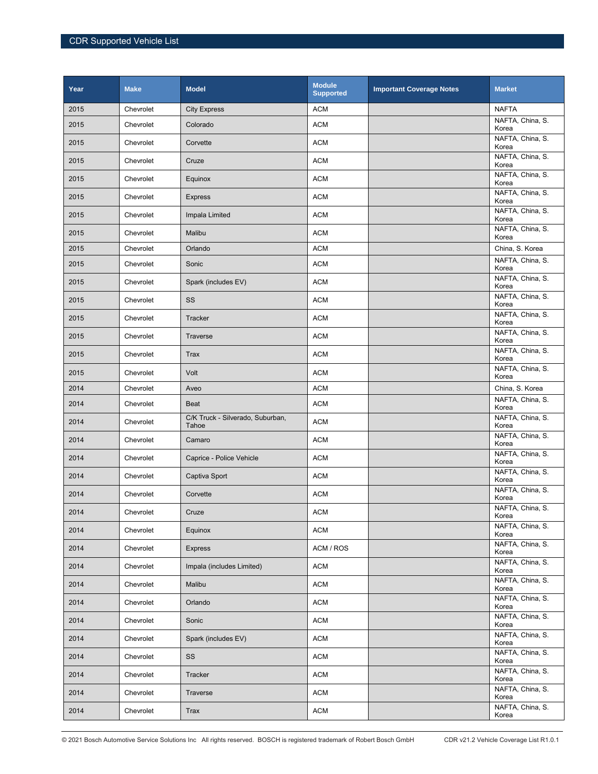| Year | <b>Make</b> | <b>Model</b>                              | <b>Module</b><br><b>Supported</b> | <b>Important Coverage Notes</b> | <b>Market</b>             |
|------|-------------|-------------------------------------------|-----------------------------------|---------------------------------|---------------------------|
| 2015 | Chevrolet   | <b>City Express</b>                       | <b>ACM</b>                        |                                 | <b>NAFTA</b>              |
| 2015 | Chevrolet   | Colorado                                  | <b>ACM</b>                        |                                 | NAFTA, China, S.<br>Korea |
| 2015 | Chevrolet   | Corvette                                  | <b>ACM</b>                        |                                 | NAFTA, China, S.<br>Korea |
| 2015 | Chevrolet   | Cruze                                     | <b>ACM</b>                        |                                 | NAFTA, China, S.<br>Korea |
| 2015 | Chevrolet   | Equinox                                   | <b>ACM</b>                        |                                 | NAFTA, China, S.<br>Korea |
| 2015 | Chevrolet   | <b>Express</b>                            | <b>ACM</b>                        |                                 | NAFTA, China, S.<br>Korea |
| 2015 | Chevrolet   | Impala Limited                            | <b>ACM</b>                        |                                 | NAFTA, China, S.<br>Korea |
| 2015 | Chevrolet   | Malibu                                    | <b>ACM</b>                        |                                 | NAFTA, China, S.<br>Korea |
| 2015 | Chevrolet   | Orlando                                   | <b>ACM</b>                        |                                 | China, S. Korea           |
| 2015 | Chevrolet   | Sonic                                     | <b>ACM</b>                        |                                 | NAFTA, China, S.<br>Korea |
| 2015 | Chevrolet   | Spark (includes EV)                       | <b>ACM</b>                        |                                 | NAFTA, China, S.<br>Korea |
| 2015 | Chevrolet   | SS                                        | <b>ACM</b>                        |                                 | NAFTA, China, S.<br>Korea |
| 2015 | Chevrolet   | Tracker                                   | <b>ACM</b>                        |                                 | NAFTA, China, S.<br>Korea |
| 2015 | Chevrolet   | Traverse                                  | <b>ACM</b>                        |                                 | NAFTA, China, S.<br>Korea |
| 2015 | Chevrolet   | <b>Trax</b>                               | <b>ACM</b>                        |                                 | NAFTA, China, S.<br>Korea |
| 2015 | Chevrolet   | Volt                                      | <b>ACM</b>                        |                                 | NAFTA, China, S.<br>Korea |
| 2014 | Chevrolet   | Aveo                                      | <b>ACM</b>                        |                                 | China, S. Korea           |
| 2014 | Chevrolet   | <b>Beat</b>                               | <b>ACM</b>                        |                                 | NAFTA, China, S.<br>Korea |
| 2014 | Chevrolet   | C/K Truck - Silverado, Suburban,<br>Tahoe | <b>ACM</b>                        |                                 | NAFTA, China, S.<br>Korea |
| 2014 | Chevrolet   | Camaro                                    | <b>ACM</b>                        |                                 | NAFTA, China, S.<br>Korea |
| 2014 | Chevrolet   | Caprice - Police Vehicle                  | <b>ACM</b>                        |                                 | NAFTA, China, S.<br>Korea |
| 2014 | Chevrolet   | Captiva Sport                             | <b>ACM</b>                        |                                 | NAFTA, China, S.<br>Korea |
| 2014 | Chevrolet   | Corvette                                  | <b>ACM</b>                        |                                 | NAFTA, China, S.<br>Korea |
| 2014 | Chevrolet   | Cruze                                     | <b>ACM</b>                        |                                 | NAFTA, China, S.<br>Korea |
| 2014 | Chevrolet   | Equinox                                   | <b>ACM</b>                        |                                 | NAFTA, China, S.<br>Korea |
| 2014 | Chevrolet   | <b>Express</b>                            | ACM / ROS                         |                                 | NAFTA, China, S.<br>Korea |
| 2014 | Chevrolet   | Impala (includes Limited)                 | <b>ACM</b>                        |                                 | NAFTA, China, S.<br>Korea |
| 2014 | Chevrolet   | Malibu                                    | <b>ACM</b>                        |                                 | NAFTA, China, S.<br>Korea |
| 2014 | Chevrolet   | Orlando                                   | <b>ACM</b>                        |                                 | NAFTA, China, S.<br>Korea |
| 2014 | Chevrolet   | Sonic                                     | <b>ACM</b>                        |                                 | NAFTA, China, S.<br>Korea |
| 2014 | Chevrolet   | Spark (includes EV)                       | <b>ACM</b>                        |                                 | NAFTA, China, S.<br>Korea |
| 2014 | Chevrolet   | SS                                        | <b>ACM</b>                        |                                 | NAFTA, China, S.<br>Korea |
| 2014 | Chevrolet   | Tracker                                   | ACM                               |                                 | NAFTA, China, S.<br>Korea |
| 2014 | Chevrolet   | Traverse                                  | <b>ACM</b>                        |                                 | NAFTA, China, S.<br>Korea |
| 2014 | Chevrolet   | Trax                                      | <b>ACM</b>                        |                                 | NAFTA, China, S.<br>Korea |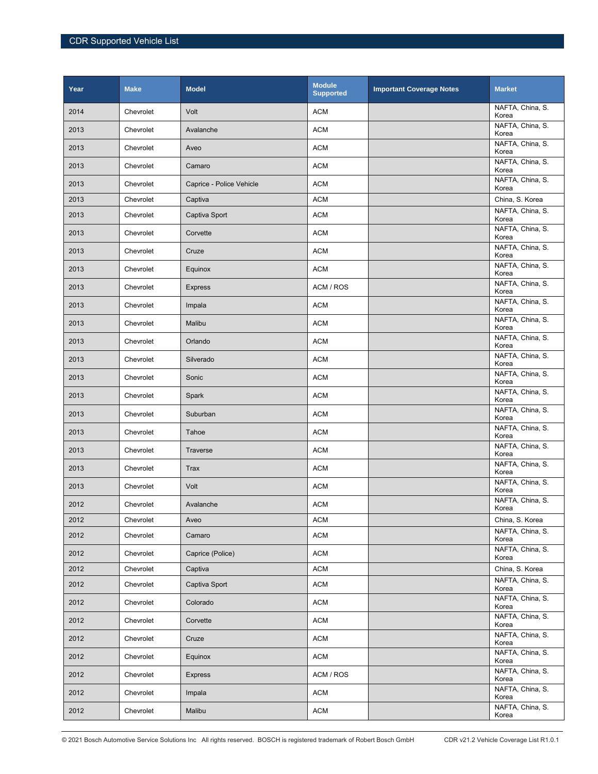| Year | <b>Make</b> | <b>Model</b>             | <b>Module</b><br><b>Supported</b> | <b>Important Coverage Notes</b> | <b>Market</b>             |
|------|-------------|--------------------------|-----------------------------------|---------------------------------|---------------------------|
| 2014 | Chevrolet   | Volt                     | <b>ACM</b>                        |                                 | NAFTA, China, S.<br>Korea |
| 2013 | Chevrolet   | Avalanche                | <b>ACM</b>                        |                                 | NAFTA, China, S.<br>Korea |
| 2013 | Chevrolet   | Aveo                     | <b>ACM</b>                        |                                 | NAFTA, China, S.<br>Korea |
| 2013 | Chevrolet   | Camaro                   | <b>ACM</b>                        |                                 | NAFTA, China, S.<br>Korea |
| 2013 | Chevrolet   | Caprice - Police Vehicle | <b>ACM</b>                        |                                 | NAFTA, China, S.<br>Korea |
| 2013 | Chevrolet   | Captiva                  | <b>ACM</b>                        |                                 | China, S. Korea           |
| 2013 | Chevrolet   | Captiva Sport            | <b>ACM</b>                        |                                 | NAFTA, China, S.<br>Korea |
| 2013 | Chevrolet   | Corvette                 | <b>ACM</b>                        |                                 | NAFTA, China, S.<br>Korea |
| 2013 | Chevrolet   | Cruze                    | <b>ACM</b>                        |                                 | NAFTA, China, S.<br>Korea |
| 2013 | Chevrolet   | Equinox                  | <b>ACM</b>                        |                                 | NAFTA, China, S.<br>Korea |
| 2013 | Chevrolet   | <b>Express</b>           | ACM / ROS                         |                                 | NAFTA, China, S.<br>Korea |
| 2013 | Chevrolet   | Impala                   | <b>ACM</b>                        |                                 | NAFTA, China, S.<br>Korea |
| 2013 | Chevrolet   | Malibu                   | <b>ACM</b>                        |                                 | NAFTA, China, S.<br>Korea |
| 2013 | Chevrolet   | Orlando                  | <b>ACM</b>                        |                                 | NAFTA, China, S.<br>Korea |
| 2013 | Chevrolet   | Silverado                | <b>ACM</b>                        |                                 | NAFTA, China, S.<br>Korea |
| 2013 | Chevrolet   | Sonic                    | <b>ACM</b>                        |                                 | NAFTA, China, S.<br>Korea |
| 2013 | Chevrolet   | Spark                    | <b>ACM</b>                        |                                 | NAFTA, China, S.<br>Korea |
| 2013 | Chevrolet   | Suburban                 | <b>ACM</b>                        |                                 | NAFTA, China, S.<br>Korea |
| 2013 | Chevrolet   | Tahoe                    | <b>ACM</b>                        |                                 | NAFTA, China, S.<br>Korea |
| 2013 | Chevrolet   | <b>Traverse</b>          | <b>ACM</b>                        |                                 | NAFTA, China, S.<br>Korea |
| 2013 | Chevrolet   | <b>Trax</b>              | <b>ACM</b>                        |                                 | NAFTA, China, S.<br>Korea |
| 2013 | Chevrolet   | Volt                     | <b>ACM</b>                        |                                 | NAFTA, China, S.<br>Korea |
| 2012 | Chevrolet   | Avalanche                | <b>ACM</b>                        |                                 | NAFTA, China, S.<br>Korea |
| 2012 | Chevrolet   | Aveo                     | <b>ACM</b>                        |                                 | China, S. Korea           |
| 2012 | Chevrolet   | Camaro                   | <b>ACM</b>                        |                                 | NAFTA, China, S.<br>Korea |
| 2012 | Chevrolet   | Caprice (Police)         | <b>ACM</b>                        |                                 | NAFTA, China, S.<br>Korea |
| 2012 | Chevrolet   | Captiva                  | <b>ACM</b>                        |                                 | China, S. Korea           |
| 2012 | Chevrolet   | Captiva Sport            | <b>ACM</b>                        |                                 | NAFTA, China, S.<br>Korea |
| 2012 | Chevrolet   | Colorado                 | <b>ACM</b>                        |                                 | NAFTA, China, S.<br>Korea |
| 2012 | Chevrolet   | Corvette                 | <b>ACM</b>                        |                                 | NAFTA, China, S.<br>Korea |
| 2012 | Chevrolet   | Cruze                    | <b>ACM</b>                        |                                 | NAFTA, China, S.<br>Korea |
| 2012 | Chevrolet   | Equinox                  | <b>ACM</b>                        |                                 | NAFTA, China, S.<br>Korea |
| 2012 | Chevrolet   | <b>Express</b>           | ACM / ROS                         |                                 | NAFTA, China, S.<br>Korea |
| 2012 | Chevrolet   | Impala                   | <b>ACM</b>                        |                                 | NAFTA, China, S.<br>Korea |
| 2012 | Chevrolet   | Malibu                   | <b>ACM</b>                        |                                 | NAFTA, China, S.<br>Korea |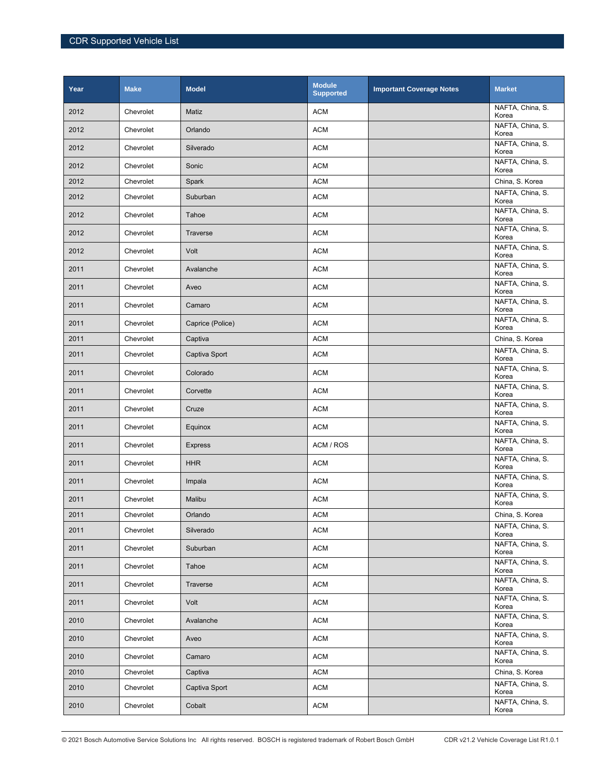| Year | <b>Make</b> | <b>Model</b>     | <b>Module</b><br><b>Supported</b> | <b>Important Coverage Notes</b> | <b>Market</b>             |
|------|-------------|------------------|-----------------------------------|---------------------------------|---------------------------|
| 2012 | Chevrolet   | Matiz            | <b>ACM</b>                        |                                 | NAFTA, China, S.<br>Korea |
| 2012 | Chevrolet   | Orlando          | <b>ACM</b>                        |                                 | NAFTA, China, S.<br>Korea |
| 2012 | Chevrolet   | Silverado        | <b>ACM</b>                        |                                 | NAFTA, China, S.<br>Korea |
| 2012 | Chevrolet   | Sonic            | <b>ACM</b>                        |                                 | NAFTA, China, S.<br>Korea |
| 2012 | Chevrolet   | Spark            | <b>ACM</b>                        |                                 | China, S. Korea           |
| 2012 | Chevrolet   | Suburban         | <b>ACM</b>                        |                                 | NAFTA, China, S.<br>Korea |
| 2012 | Chevrolet   | Tahoe            | <b>ACM</b>                        |                                 | NAFTA, China, S.<br>Korea |
| 2012 | Chevrolet   | Traverse         | <b>ACM</b>                        |                                 | NAFTA, China, S.<br>Korea |
| 2012 | Chevrolet   | Volt             | <b>ACM</b>                        |                                 | NAFTA, China, S.<br>Korea |
| 2011 | Chevrolet   | Avalanche        | <b>ACM</b>                        |                                 | NAFTA, China, S.<br>Korea |
| 2011 | Chevrolet   | Aveo             | <b>ACM</b>                        |                                 | NAFTA, China, S.<br>Korea |
| 2011 | Chevrolet   | Camaro           | <b>ACM</b>                        |                                 | NAFTA, China, S.<br>Korea |
| 2011 | Chevrolet   | Caprice (Police) | <b>ACM</b>                        |                                 | NAFTA, China, S.<br>Korea |
| 2011 | Chevrolet   | Captiva          | <b>ACM</b>                        |                                 | China, S. Korea           |
| 2011 | Chevrolet   | Captiva Sport    | <b>ACM</b>                        |                                 | NAFTA, China, S.<br>Korea |
| 2011 | Chevrolet   | Colorado         | <b>ACM</b>                        |                                 | NAFTA, China, S.<br>Korea |
| 2011 | Chevrolet   | Corvette         | <b>ACM</b>                        |                                 | NAFTA, China, S.<br>Korea |
| 2011 | Chevrolet   | Cruze            | <b>ACM</b>                        |                                 | NAFTA, China, S.<br>Korea |
| 2011 | Chevrolet   | Equinox          | <b>ACM</b>                        |                                 | NAFTA, China, S.<br>Korea |
| 2011 | Chevrolet   | <b>Express</b>   | ACM / ROS                         |                                 | NAFTA, China, S.<br>Korea |
| 2011 | Chevrolet   | <b>HHR</b>       | <b>ACM</b>                        |                                 | NAFTA, China, S.<br>Korea |
| 2011 | Chevrolet   | Impala           | <b>ACM</b>                        |                                 | NAFTA, China, S.<br>Korea |
| 2011 | Chevrolet   | Malibu           | <b>ACM</b>                        |                                 | NAFTA, China, S.<br>Korea |
| 2011 | Chevrolet   | Orlando          | <b>ACM</b>                        |                                 | China, S. Korea           |
| 2011 | Chevrolet   | Silverado        | <b>ACM</b>                        |                                 | NAFTA, China, S.<br>Korea |
| 2011 | Chevrolet   | Suburban         | <b>ACM</b>                        |                                 | NAFTA, China, S.<br>Korea |
| 2011 | Chevrolet   | Tahoe            | <b>ACM</b>                        |                                 | NAFTA, China, S.<br>Korea |
| 2011 | Chevrolet   | Traverse         | <b>ACM</b>                        |                                 | NAFTA, China, S.<br>Korea |
| 2011 | Chevrolet   | Volt             | <b>ACM</b>                        |                                 | NAFTA, China, S.<br>Korea |
| 2010 | Chevrolet   | Avalanche        | <b>ACM</b>                        |                                 | NAFTA, China, S.<br>Korea |
| 2010 | Chevrolet   | Aveo             | <b>ACM</b>                        |                                 | NAFTA, China, S.<br>Korea |
| 2010 | Chevrolet   | Camaro           | <b>ACM</b>                        |                                 | NAFTA, China, S.<br>Korea |
| 2010 | Chevrolet   | Captiva          | <b>ACM</b>                        |                                 | China, S. Korea           |
| 2010 | Chevrolet   | Captiva Sport    | <b>ACM</b>                        |                                 | NAFTA, China, S.<br>Korea |
| 2010 | Chevrolet   | Cobalt           | <b>ACM</b>                        |                                 | NAFTA, China, S.<br>Korea |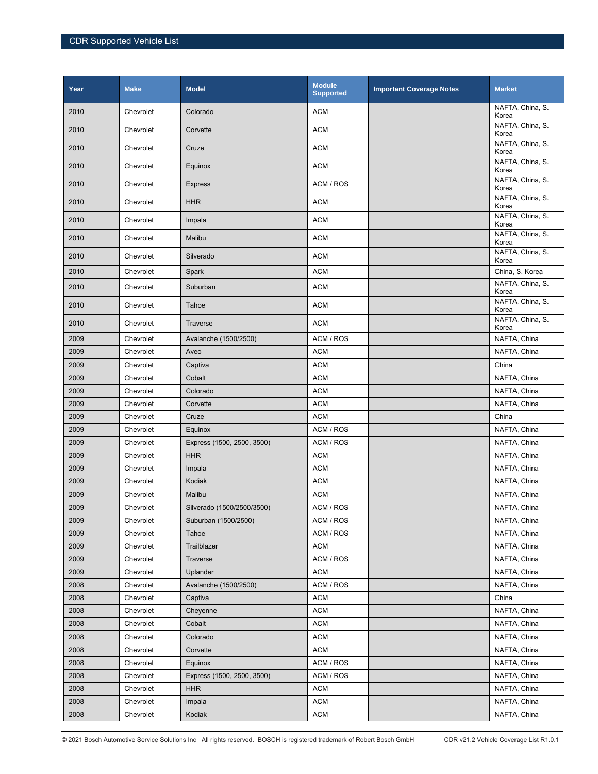| Year | <b>Make</b> | <b>Model</b>               | <b>Module</b><br><b>Supported</b> | <b>Important Coverage Notes</b> | <b>Market</b>             |
|------|-------------|----------------------------|-----------------------------------|---------------------------------|---------------------------|
| 2010 | Chevrolet   | Colorado                   | <b>ACM</b>                        |                                 | NAFTA, China, S.<br>Korea |
| 2010 | Chevrolet   | Corvette                   | <b>ACM</b>                        |                                 | NAFTA, China, S.<br>Korea |
| 2010 | Chevrolet   | Cruze                      | <b>ACM</b>                        |                                 | NAFTA, China, S.<br>Korea |
| 2010 | Chevrolet   | Equinox                    | <b>ACM</b>                        |                                 | NAFTA, China, S.<br>Korea |
| 2010 | Chevrolet   | <b>Express</b>             | ACM / ROS                         |                                 | NAFTA, China, S.<br>Korea |
| 2010 | Chevrolet   | <b>HHR</b>                 | <b>ACM</b>                        |                                 | NAFTA, China, S.<br>Korea |
| 2010 | Chevrolet   | Impala                     | <b>ACM</b>                        |                                 | NAFTA, China, S.<br>Korea |
| 2010 | Chevrolet   | Malibu                     | <b>ACM</b>                        |                                 | NAFTA, China, S.<br>Korea |
| 2010 | Chevrolet   | Silverado                  | <b>ACM</b>                        |                                 | NAFTA, China, S.<br>Korea |
| 2010 | Chevrolet   | Spark                      | <b>ACM</b>                        |                                 | China, S. Korea           |
| 2010 | Chevrolet   | Suburban                   | <b>ACM</b>                        |                                 | NAFTA, China, S.<br>Korea |
| 2010 | Chevrolet   | Tahoe                      | <b>ACM</b>                        |                                 | NAFTA, China, S.<br>Korea |
| 2010 | Chevrolet   | Traverse                   | <b>ACM</b>                        |                                 | NAFTA, China, S.<br>Korea |
| 2009 | Chevrolet   | Avalanche (1500/2500)      | ACM / ROS                         |                                 | NAFTA, China              |
| 2009 | Chevrolet   | Aveo                       | <b>ACM</b>                        |                                 | NAFTA, China              |
| 2009 | Chevrolet   | Captiva                    | <b>ACM</b>                        |                                 | China                     |
| 2009 | Chevrolet   | Cobalt                     | <b>ACM</b>                        |                                 | NAFTA, China              |
| 2009 | Chevrolet   | Colorado                   | <b>ACM</b>                        |                                 | NAFTA, China              |
| 2009 | Chevrolet   | Corvette                   | <b>ACM</b>                        |                                 | NAFTA, China              |
| 2009 | Chevrolet   | Cruze                      | <b>ACM</b>                        |                                 | China                     |
| 2009 | Chevrolet   | Equinox                    | ACM / ROS                         |                                 | NAFTA, China              |
| 2009 | Chevrolet   | Express (1500, 2500, 3500) | ACM / ROS                         |                                 | NAFTA, China              |
| 2009 | Chevrolet   | <b>HHR</b>                 | <b>ACM</b>                        |                                 | NAFTA, China              |
| 2009 | Chevrolet   | Impala                     | <b>ACM</b>                        |                                 | NAFTA, China              |
| 2009 | Chevrolet   | Kodiak                     | <b>ACM</b>                        |                                 | NAFTA, China              |
| 2009 | Chevrolet   | Malibu                     | <b>ACM</b>                        |                                 | NAFTA, China              |
| 2009 | Chevrolet   | Silverado (1500/2500/3500) | ACM / ROS                         |                                 | NAFTA, China              |
| 2009 | Chevrolet   | Suburban (1500/2500)       | ACM / ROS                         |                                 | NAFTA, China              |
| 2009 | Chevrolet   | Tahoe                      | ACM / ROS                         |                                 | NAFTA, China              |
| 2009 | Chevrolet   | Trailblazer                | <b>ACM</b>                        |                                 | NAFTA, China              |
| 2009 | Chevrolet   | Traverse                   | ACM / ROS                         |                                 | NAFTA, China              |
| 2009 | Chevrolet   | Uplander                   | <b>ACM</b>                        |                                 | NAFTA, China              |
| 2008 | Chevrolet   | Avalanche (1500/2500)      | ACM / ROS                         |                                 | NAFTA, China              |
| 2008 | Chevrolet   | Captiva                    | <b>ACM</b>                        |                                 | China                     |
| 2008 | Chevrolet   | Cheyenne                   | <b>ACM</b>                        |                                 | NAFTA, China              |
| 2008 | Chevrolet   | Cobalt                     | <b>ACM</b>                        |                                 | NAFTA, China              |
| 2008 | Chevrolet   | Colorado                   | <b>ACM</b>                        |                                 | NAFTA, China              |
| 2008 | Chevrolet   | Corvette                   | <b>ACM</b>                        |                                 | NAFTA, China              |
| 2008 | Chevrolet   | Equinox                    | ACM / ROS                         |                                 | NAFTA, China              |
| 2008 | Chevrolet   | Express (1500, 2500, 3500) | ACM / ROS                         |                                 | NAFTA, China              |
| 2008 | Chevrolet   | <b>HHR</b>                 | <b>ACM</b>                        |                                 | NAFTA, China              |
| 2008 | Chevrolet   | Impala                     | <b>ACM</b>                        |                                 | NAFTA, China              |
| 2008 | Chevrolet   | Kodiak                     | <b>ACM</b>                        |                                 | NAFTA, China              |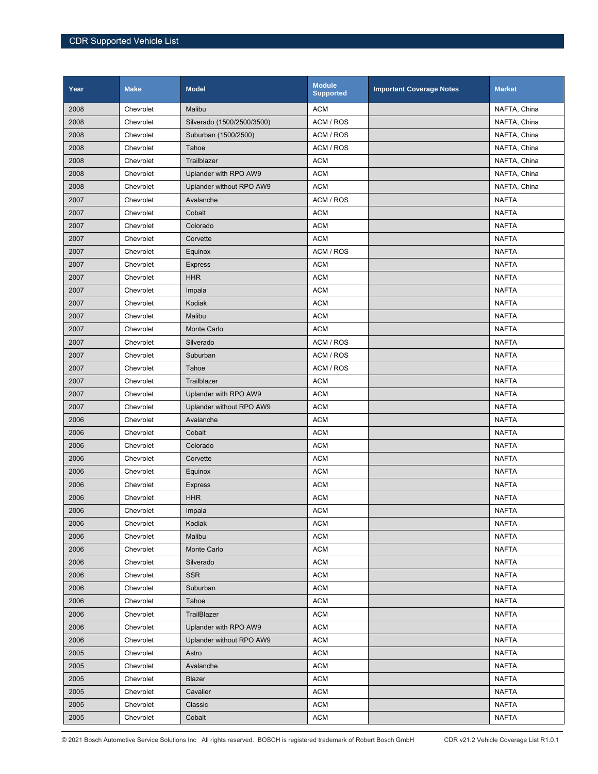| Year | <b>Make</b> | <b>Model</b>               | <b>Module</b><br><b>Supported</b> | <b>Important Coverage Notes</b> | <b>Market</b> |
|------|-------------|----------------------------|-----------------------------------|---------------------------------|---------------|
| 2008 | Chevrolet   | Malibu                     | <b>ACM</b>                        |                                 | NAFTA, China  |
| 2008 | Chevrolet   | Silverado (1500/2500/3500) | ACM / ROS                         |                                 | NAFTA, China  |
| 2008 | Chevrolet   | Suburban (1500/2500)       | ACM / ROS                         |                                 | NAFTA, China  |
| 2008 | Chevrolet   | Tahoe                      | ACM / ROS                         |                                 | NAFTA, China  |
| 2008 | Chevrolet   | Trailblazer                | <b>ACM</b>                        |                                 | NAFTA, China  |
| 2008 | Chevrolet   | Uplander with RPO AW9      | <b>ACM</b>                        |                                 | NAFTA, China  |
| 2008 | Chevrolet   | Uplander without RPO AW9   | <b>ACM</b>                        |                                 | NAFTA, China  |
| 2007 | Chevrolet   | Avalanche                  | ACM / ROS                         |                                 | <b>NAFTA</b>  |
| 2007 | Chevrolet   | Cobalt                     | <b>ACM</b>                        |                                 | <b>NAFTA</b>  |
| 2007 | Chevrolet   | Colorado                   | <b>ACM</b>                        |                                 | <b>NAFTA</b>  |
| 2007 | Chevrolet   | Corvette                   | <b>ACM</b>                        |                                 | <b>NAFTA</b>  |
| 2007 | Chevrolet   | Equinox                    | ACM / ROS                         |                                 | <b>NAFTA</b>  |
| 2007 | Chevrolet   | <b>Express</b>             | <b>ACM</b>                        |                                 | <b>NAFTA</b>  |
| 2007 | Chevrolet   | <b>HHR</b>                 | <b>ACM</b>                        |                                 | <b>NAFTA</b>  |
| 2007 | Chevrolet   | Impala                     | <b>ACM</b>                        |                                 | <b>NAFTA</b>  |
| 2007 | Chevrolet   | Kodiak                     | <b>ACM</b>                        |                                 | <b>NAFTA</b>  |
| 2007 | Chevrolet   | Malibu                     | <b>ACM</b>                        |                                 | <b>NAFTA</b>  |
| 2007 | Chevrolet   | Monte Carlo                | <b>ACM</b>                        |                                 | <b>NAFTA</b>  |
| 2007 | Chevrolet   | Silverado                  | ACM / ROS                         |                                 | <b>NAFTA</b>  |
| 2007 | Chevrolet   | Suburban                   | ACM / ROS                         |                                 | <b>NAFTA</b>  |
| 2007 | Chevrolet   | Tahoe                      | ACM / ROS                         |                                 | <b>NAFTA</b>  |
| 2007 | Chevrolet   | Trailblazer                | <b>ACM</b>                        |                                 | <b>NAFTA</b>  |
| 2007 | Chevrolet   | Uplander with RPO AW9      | <b>ACM</b>                        |                                 | <b>NAFTA</b>  |
| 2007 | Chevrolet   | Uplander without RPO AW9   | <b>ACM</b>                        |                                 | <b>NAFTA</b>  |
| 2006 | Chevrolet   | Avalanche                  | <b>ACM</b>                        |                                 | <b>NAFTA</b>  |
| 2006 | Chevrolet   | Cobalt                     | <b>ACM</b>                        |                                 | <b>NAFTA</b>  |
| 2006 | Chevrolet   | Colorado                   | <b>ACM</b>                        |                                 | <b>NAFTA</b>  |
| 2006 | Chevrolet   | Corvette                   | <b>ACM</b>                        |                                 | <b>NAFTA</b>  |
| 2006 | Chevrolet   | Equinox                    | <b>ACM</b>                        |                                 | <b>NAFTA</b>  |
| 2006 | Chevrolet   | <b>Express</b>             | <b>ACM</b>                        |                                 | <b>NAFTA</b>  |
| 2006 | Chevrolet   | <b>HHR</b>                 | <b>ACM</b>                        |                                 | <b>NAFTA</b>  |
| 2006 | Chevrolet   | Impala                     | <b>ACM</b>                        |                                 | <b>NAFTA</b>  |
| 2006 | Chevrolet   | Kodiak                     | <b>ACM</b>                        |                                 | <b>NAFTA</b>  |
| 2006 | Chevrolet   | Malibu                     | <b>ACM</b>                        |                                 | <b>NAFTA</b>  |
| 2006 | Chevrolet   | Monte Carlo                | <b>ACM</b>                        |                                 | <b>NAFTA</b>  |
| 2006 | Chevrolet   | Silverado                  | <b>ACM</b>                        |                                 | <b>NAFTA</b>  |
| 2006 | Chevrolet   | <b>SSR</b>                 | <b>ACM</b>                        |                                 | <b>NAFTA</b>  |
| 2006 | Chevrolet   | Suburban                   | <b>ACM</b>                        |                                 | <b>NAFTA</b>  |
| 2006 | Chevrolet   | Tahoe                      | <b>ACM</b>                        |                                 | <b>NAFTA</b>  |
| 2006 | Chevrolet   | TrailBlazer                | <b>ACM</b>                        |                                 | <b>NAFTA</b>  |
| 2006 | Chevrolet   | Uplander with RPO AW9      | <b>ACM</b>                        |                                 | <b>NAFTA</b>  |
| 2006 | Chevrolet   | Uplander without RPO AW9   | <b>ACM</b>                        |                                 | <b>NAFTA</b>  |
| 2005 | Chevrolet   | Astro                      | <b>ACM</b>                        |                                 | <b>NAFTA</b>  |
| 2005 | Chevrolet   | Avalanche                  | <b>ACM</b>                        |                                 | <b>NAFTA</b>  |
| 2005 | Chevrolet   | Blazer                     | <b>ACM</b>                        |                                 | <b>NAFTA</b>  |
| 2005 | Chevrolet   | Cavalier                   | <b>ACM</b>                        |                                 | <b>NAFTA</b>  |
| 2005 | Chevrolet   | Classic                    | <b>ACM</b>                        |                                 | <b>NAFTA</b>  |
| 2005 | Chevrolet   | Cobalt                     | <b>ACM</b>                        |                                 | <b>NAFTA</b>  |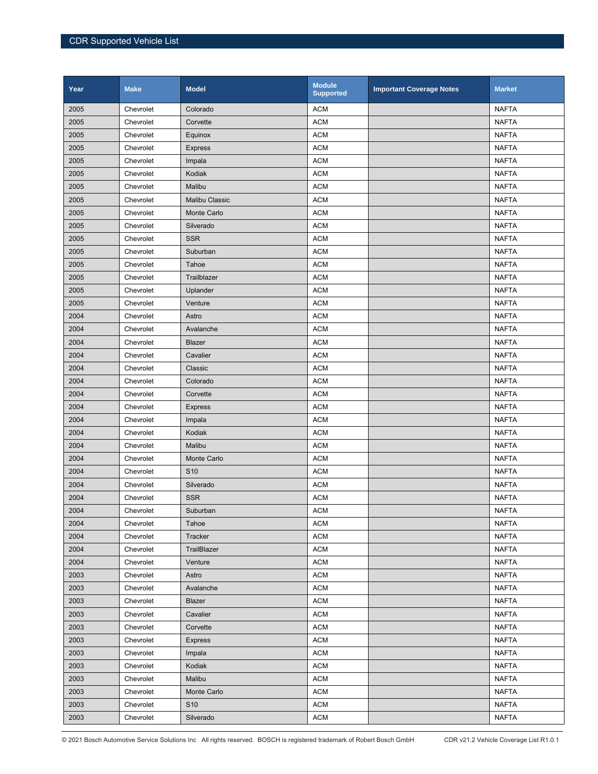| Year | <b>Make</b> | <b>Model</b>          | <b>Module</b><br><b>Supported</b> | <b>Important Coverage Notes</b> | <b>Market</b> |
|------|-------------|-----------------------|-----------------------------------|---------------------------------|---------------|
| 2005 | Chevrolet   | Colorado              | <b>ACM</b>                        |                                 | <b>NAFTA</b>  |
| 2005 | Chevrolet   | Corvette              | <b>ACM</b>                        |                                 | <b>NAFTA</b>  |
| 2005 | Chevrolet   | Equinox               | <b>ACM</b>                        |                                 | <b>NAFTA</b>  |
| 2005 | Chevrolet   | <b>Express</b>        | <b>ACM</b>                        |                                 | <b>NAFTA</b>  |
| 2005 | Chevrolet   | Impala                | <b>ACM</b>                        |                                 | <b>NAFTA</b>  |
| 2005 | Chevrolet   | Kodiak                | <b>ACM</b>                        |                                 | <b>NAFTA</b>  |
| 2005 | Chevrolet   | Malibu                | <b>ACM</b>                        |                                 | <b>NAFTA</b>  |
| 2005 | Chevrolet   | <b>Malibu Classic</b> | <b>ACM</b>                        |                                 | <b>NAFTA</b>  |
| 2005 | Chevrolet   | Monte Carlo           | <b>ACM</b>                        |                                 | <b>NAFTA</b>  |
| 2005 | Chevrolet   | Silverado             | <b>ACM</b>                        |                                 | <b>NAFTA</b>  |
| 2005 | Chevrolet   | <b>SSR</b>            | <b>ACM</b>                        |                                 | <b>NAFTA</b>  |
| 2005 | Chevrolet   | Suburban              | <b>ACM</b>                        |                                 | <b>NAFTA</b>  |
| 2005 | Chevrolet   | Tahoe                 | <b>ACM</b>                        |                                 | <b>NAFTA</b>  |
| 2005 | Chevrolet   | Trailblazer           | <b>ACM</b>                        |                                 | <b>NAFTA</b>  |
| 2005 | Chevrolet   | Uplander              | <b>ACM</b>                        |                                 | <b>NAFTA</b>  |
| 2005 | Chevrolet   | Venture               | <b>ACM</b>                        |                                 | <b>NAFTA</b>  |
| 2004 | Chevrolet   | Astro                 | <b>ACM</b>                        |                                 | <b>NAFTA</b>  |
| 2004 | Chevrolet   | Avalanche             | <b>ACM</b>                        |                                 | <b>NAFTA</b>  |
| 2004 | Chevrolet   | Blazer                | <b>ACM</b>                        |                                 | <b>NAFTA</b>  |
| 2004 | Chevrolet   | Cavalier              | <b>ACM</b>                        |                                 | <b>NAFTA</b>  |
| 2004 | Chevrolet   | Classic               | <b>ACM</b>                        |                                 | <b>NAFTA</b>  |
| 2004 | Chevrolet   | Colorado              | <b>ACM</b>                        |                                 | <b>NAFTA</b>  |
| 2004 | Chevrolet   | Corvette              | <b>ACM</b>                        |                                 | <b>NAFTA</b>  |
| 2004 | Chevrolet   | <b>Express</b>        | <b>ACM</b>                        |                                 | <b>NAFTA</b>  |
| 2004 | Chevrolet   | Impala                | <b>ACM</b>                        |                                 | <b>NAFTA</b>  |
| 2004 | Chevrolet   | Kodiak                | <b>ACM</b>                        |                                 | <b>NAFTA</b>  |
| 2004 | Chevrolet   | Malibu                | <b>ACM</b>                        |                                 | <b>NAFTA</b>  |
| 2004 | Chevrolet   | Monte Carlo           | <b>ACM</b>                        |                                 | <b>NAFTA</b>  |
| 2004 | Chevrolet   | S <sub>10</sub>       | <b>ACM</b>                        |                                 | <b>NAFTA</b>  |
| 2004 | Chevrolet   | Silverado             | <b>ACM</b>                        |                                 | <b>NAFTA</b>  |
| 2004 | Chevrolet   | <b>SSR</b>            | <b>ACM</b>                        |                                 | <b>NAFTA</b>  |
| 2004 | Chevrolet   | Suburban              | <b>ACM</b>                        |                                 | <b>NAFTA</b>  |
| 2004 | Chevrolet   | Tahoe                 | <b>ACM</b>                        |                                 | <b>NAFTA</b>  |
| 2004 | Chevrolet   | Tracker               | <b>ACM</b>                        |                                 | <b>NAFTA</b>  |
| 2004 | Chevrolet   | TrailBlazer           | <b>ACM</b>                        |                                 | <b>NAFTA</b>  |
| 2004 | Chevrolet   | Venture               | <b>ACM</b>                        |                                 | NAFTA         |
| 2003 | Chevrolet   | Astro                 | <b>ACM</b>                        |                                 | <b>NAFTA</b>  |
| 2003 | Chevrolet   | Avalanche             | <b>ACM</b>                        |                                 | <b>NAFTA</b>  |
| 2003 | Chevrolet   | <b>Blazer</b>         | <b>ACM</b>                        |                                 | <b>NAFTA</b>  |
| 2003 | Chevrolet   | Cavalier              | <b>ACM</b>                        |                                 | <b>NAFTA</b>  |
| 2003 | Chevrolet   | Corvette              | <b>ACM</b>                        |                                 | <b>NAFTA</b>  |
| 2003 | Chevrolet   | <b>Express</b>        | <b>ACM</b>                        |                                 | <b>NAFTA</b>  |
| 2003 | Chevrolet   | Impala                | <b>ACM</b>                        |                                 | <b>NAFTA</b>  |
| 2003 | Chevrolet   | Kodiak                | <b>ACM</b>                        |                                 | <b>NAFTA</b>  |
| 2003 | Chevrolet   | Malibu                | <b>ACM</b>                        |                                 | <b>NAFTA</b>  |
| 2003 | Chevrolet   | Monte Carlo           | <b>ACM</b>                        |                                 | <b>NAFTA</b>  |
| 2003 | Chevrolet   | S <sub>10</sub>       | <b>ACM</b>                        |                                 | <b>NAFTA</b>  |
| 2003 | Chevrolet   | Silverado             | <b>ACM</b>                        |                                 | <b>NAFTA</b>  |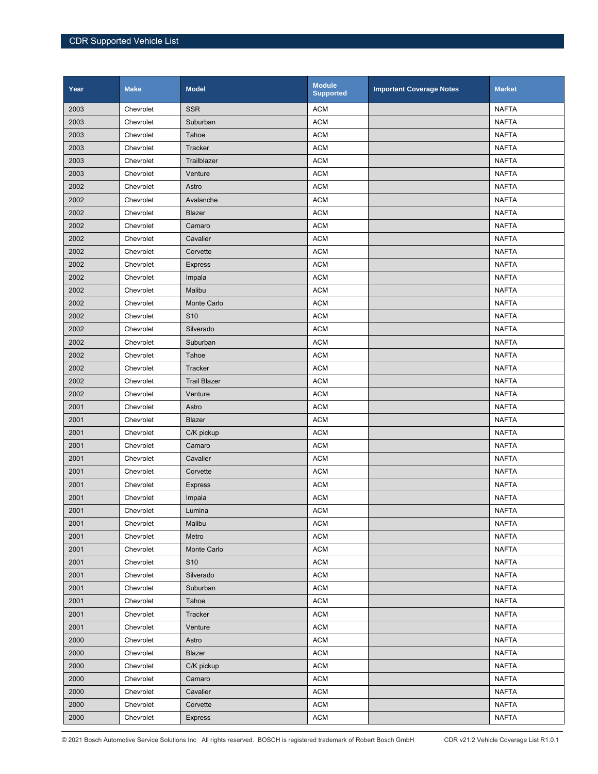| Year | <b>Make</b> | <b>Model</b>        | <b>Module</b><br><b>Supported</b> | <b>Important Coverage Notes</b> | <b>Market</b> |
|------|-------------|---------------------|-----------------------------------|---------------------------------|---------------|
| 2003 | Chevrolet   | <b>SSR</b>          | <b>ACM</b>                        |                                 | <b>NAFTA</b>  |
| 2003 | Chevrolet   | Suburban            | <b>ACM</b>                        |                                 | <b>NAFTA</b>  |
| 2003 | Chevrolet   | Tahoe               | <b>ACM</b>                        |                                 | <b>NAFTA</b>  |
| 2003 | Chevrolet   | Tracker             | <b>ACM</b>                        |                                 | <b>NAFTA</b>  |
| 2003 | Chevrolet   | Trailblazer         | <b>ACM</b>                        |                                 | <b>NAFTA</b>  |
| 2003 | Chevrolet   | Venture             | <b>ACM</b>                        |                                 | <b>NAFTA</b>  |
| 2002 | Chevrolet   | Astro               | <b>ACM</b>                        |                                 | <b>NAFTA</b>  |
| 2002 | Chevrolet   | Avalanche           | <b>ACM</b>                        |                                 | <b>NAFTA</b>  |
| 2002 | Chevrolet   | Blazer              | <b>ACM</b>                        |                                 | <b>NAFTA</b>  |
| 2002 | Chevrolet   | Camaro              | <b>ACM</b>                        |                                 | <b>NAFTA</b>  |
| 2002 | Chevrolet   | Cavalier            | <b>ACM</b>                        |                                 | <b>NAFTA</b>  |
| 2002 | Chevrolet   | Corvette            | <b>ACM</b>                        |                                 | <b>NAFTA</b>  |
| 2002 | Chevrolet   | <b>Express</b>      | <b>ACM</b>                        |                                 | <b>NAFTA</b>  |
| 2002 | Chevrolet   | Impala              | <b>ACM</b>                        |                                 | <b>NAFTA</b>  |
| 2002 | Chevrolet   | Malibu              | <b>ACM</b>                        |                                 | <b>NAFTA</b>  |
| 2002 | Chevrolet   | Monte Carlo         | <b>ACM</b>                        |                                 | <b>NAFTA</b>  |
| 2002 | Chevrolet   | S <sub>10</sub>     | <b>ACM</b>                        |                                 | <b>NAFTA</b>  |
| 2002 | Chevrolet   | Silverado           | <b>ACM</b>                        |                                 | <b>NAFTA</b>  |
| 2002 | Chevrolet   | Suburban            | <b>ACM</b>                        |                                 | <b>NAFTA</b>  |
| 2002 | Chevrolet   | Tahoe               | <b>ACM</b>                        |                                 | <b>NAFTA</b>  |
| 2002 | Chevrolet   | Tracker             | <b>ACM</b>                        |                                 | <b>NAFTA</b>  |
| 2002 | Chevrolet   | <b>Trail Blazer</b> | <b>ACM</b>                        |                                 | <b>NAFTA</b>  |
| 2002 | Chevrolet   | Venture             | <b>ACM</b>                        |                                 | <b>NAFTA</b>  |
| 2001 | Chevrolet   | Astro               | <b>ACM</b>                        |                                 | <b>NAFTA</b>  |
| 2001 | Chevrolet   | Blazer              | <b>ACM</b>                        |                                 | <b>NAFTA</b>  |
| 2001 | Chevrolet   | C/K pickup          | <b>ACM</b>                        |                                 | <b>NAFTA</b>  |
| 2001 | Chevrolet   | Camaro              | <b>ACM</b>                        |                                 | <b>NAFTA</b>  |
| 2001 | Chevrolet   | Cavalier            | <b>ACM</b>                        |                                 | <b>NAFTA</b>  |
| 2001 | Chevrolet   | Corvette            | <b>ACM</b>                        |                                 | <b>NAFTA</b>  |
| 2001 | Chevrolet   | <b>Express</b>      | <b>ACM</b>                        |                                 | <b>NAFTA</b>  |
| 2001 | Chevrolet   | Impala              | <b>ACM</b>                        |                                 | <b>NAFTA</b>  |
| 2001 | Chevrolet   | Lumina              | <b>ACM</b>                        |                                 | <b>NAFTA</b>  |
| 2001 | Chevrolet   | Malibu              | <b>ACM</b>                        |                                 | <b>NAFTA</b>  |
| 2001 | Chevrolet   | Metro               | <b>ACM</b>                        |                                 | <b>NAFTA</b>  |
| 2001 | Chevrolet   | Monte Carlo         | <b>ACM</b>                        |                                 | <b>NAFTA</b>  |
| 2001 | Chevrolet   | S <sub>10</sub>     | <b>ACM</b>                        |                                 | <b>NAFTA</b>  |
| 2001 | Chevrolet   | Silverado           | <b>ACM</b>                        |                                 | <b>NAFTA</b>  |
| 2001 | Chevrolet   | Suburban            | <b>ACM</b>                        |                                 | <b>NAFTA</b>  |
| 2001 | Chevrolet   | Tahoe               | <b>ACM</b>                        |                                 | <b>NAFTA</b>  |
| 2001 | Chevrolet   | Tracker             | <b>ACM</b>                        |                                 | <b>NAFTA</b>  |
| 2001 | Chevrolet   | Venture             | <b>ACM</b>                        |                                 | <b>NAFTA</b>  |
| 2000 | Chevrolet   | Astro               | <b>ACM</b>                        |                                 | <b>NAFTA</b>  |
| 2000 | Chevrolet   | Blazer              | <b>ACM</b>                        |                                 | <b>NAFTA</b>  |
| 2000 | Chevrolet   | C/K pickup          | <b>ACM</b>                        |                                 | <b>NAFTA</b>  |
| 2000 | Chevrolet   | Camaro              | <b>ACM</b>                        |                                 | <b>NAFTA</b>  |
| 2000 | Chevrolet   | Cavalier            | <b>ACM</b>                        |                                 | <b>NAFTA</b>  |
| 2000 | Chevrolet   | Corvette            | <b>ACM</b>                        |                                 | <b>NAFTA</b>  |
| 2000 | Chevrolet   | <b>Express</b>      | <b>ACM</b>                        |                                 | <b>NAFTA</b>  |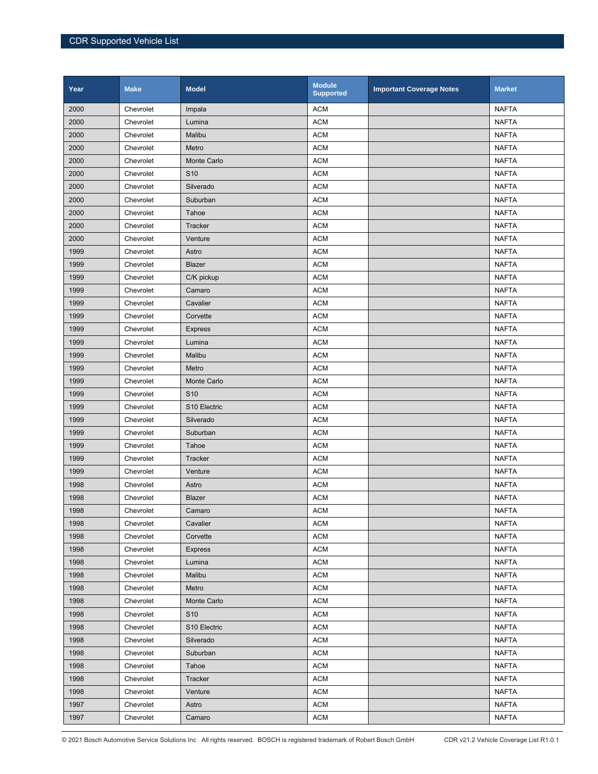| Year | <b>Make</b> | <b>Model</b>             | <b>Module</b><br><b>Supported</b> | <b>Important Coverage Notes</b> | <b>Market</b> |
|------|-------------|--------------------------|-----------------------------------|---------------------------------|---------------|
| 2000 | Chevrolet   | Impala                   | <b>ACM</b>                        |                                 | <b>NAFTA</b>  |
| 2000 | Chevrolet   | Lumina                   | <b>ACM</b>                        |                                 | <b>NAFTA</b>  |
| 2000 | Chevrolet   | Malibu                   | <b>ACM</b>                        |                                 | <b>NAFTA</b>  |
| 2000 | Chevrolet   | Metro                    | <b>ACM</b>                        |                                 | <b>NAFTA</b>  |
| 2000 | Chevrolet   | Monte Carlo              | <b>ACM</b>                        |                                 | <b>NAFTA</b>  |
| 2000 | Chevrolet   | S <sub>10</sub>          | <b>ACM</b>                        |                                 | <b>NAFTA</b>  |
| 2000 | Chevrolet   | Silverado                | <b>ACM</b>                        |                                 | <b>NAFTA</b>  |
| 2000 | Chevrolet   | Suburban                 | <b>ACM</b>                        |                                 | <b>NAFTA</b>  |
| 2000 | Chevrolet   | Tahoe                    | <b>ACM</b>                        |                                 | <b>NAFTA</b>  |
| 2000 | Chevrolet   | Tracker                  | <b>ACM</b>                        |                                 | <b>NAFTA</b>  |
| 2000 | Chevrolet   | Venture                  | <b>ACM</b>                        |                                 | <b>NAFTA</b>  |
| 1999 | Chevrolet   | Astro                    | <b>ACM</b>                        |                                 | <b>NAFTA</b>  |
| 1999 | Chevrolet   | Blazer                   | <b>ACM</b>                        |                                 | <b>NAFTA</b>  |
| 1999 | Chevrolet   | C/K pickup               | <b>ACM</b>                        |                                 | <b>NAFTA</b>  |
| 1999 | Chevrolet   | Camaro                   | <b>ACM</b>                        |                                 | <b>NAFTA</b>  |
| 1999 | Chevrolet   | Cavalier                 | <b>ACM</b>                        |                                 | <b>NAFTA</b>  |
| 1999 | Chevrolet   | Corvette                 | <b>ACM</b>                        |                                 | <b>NAFTA</b>  |
| 1999 | Chevrolet   | <b>Express</b>           | <b>ACM</b>                        |                                 | <b>NAFTA</b>  |
| 1999 | Chevrolet   | Lumina                   | <b>ACM</b>                        |                                 | <b>NAFTA</b>  |
| 1999 | Chevrolet   | Malibu                   | <b>ACM</b>                        |                                 | <b>NAFTA</b>  |
| 1999 | Chevrolet   | Metro                    | <b>ACM</b>                        |                                 | <b>NAFTA</b>  |
| 1999 | Chevrolet   | Monte Carlo              | <b>ACM</b>                        |                                 | <b>NAFTA</b>  |
| 1999 | Chevrolet   | S <sub>10</sub>          | <b>ACM</b>                        |                                 | <b>NAFTA</b>  |
| 1999 | Chevrolet   | S10 Electric             | <b>ACM</b>                        |                                 | <b>NAFTA</b>  |
| 1999 | Chevrolet   | Silverado                | <b>ACM</b>                        |                                 | <b>NAFTA</b>  |
| 1999 | Chevrolet   | Suburban                 | <b>ACM</b>                        |                                 | <b>NAFTA</b>  |
| 1999 | Chevrolet   | Tahoe                    | <b>ACM</b>                        |                                 | <b>NAFTA</b>  |
| 1999 | Chevrolet   | Tracker                  | <b>ACM</b>                        |                                 | <b>NAFTA</b>  |
| 1999 | Chevrolet   | Venture                  | <b>ACM</b>                        |                                 | <b>NAFTA</b>  |
| 1998 | Chevrolet   | Astro                    | <b>ACM</b>                        |                                 | <b>NAFTA</b>  |
| 1998 | Chevrolet   | Blazer                   | <b>ACM</b>                        |                                 | <b>NAFTA</b>  |
| 1998 | Chevrolet   | Camaro                   | <b>ACM</b>                        |                                 | <b>NAFTA</b>  |
| 1998 | Chevrolet   | Cavalier                 | <b>ACM</b>                        |                                 | <b>NAFTA</b>  |
| 1998 | Chevrolet   | Corvette                 | <b>ACM</b>                        |                                 | <b>NAFTA</b>  |
| 1998 | Chevrolet   | <b>Express</b>           | <b>ACM</b>                        |                                 | <b>NAFTA</b>  |
| 1998 | Chevrolet   | Lumina                   | <b>ACM</b>                        |                                 | NAFTA         |
| 1998 | Chevrolet   | Malibu                   | <b>ACM</b>                        |                                 | <b>NAFTA</b>  |
| 1998 | Chevrolet   | Metro                    | <b>ACM</b>                        |                                 | <b>NAFTA</b>  |
| 1998 | Chevrolet   | Monte Carlo              | <b>ACM</b>                        |                                 | <b>NAFTA</b>  |
| 1998 | Chevrolet   | S <sub>10</sub>          | <b>ACM</b>                        |                                 | <b>NAFTA</b>  |
| 1998 | Chevrolet   | S <sub>10</sub> Electric | <b>ACM</b>                        |                                 | <b>NAFTA</b>  |
| 1998 | Chevrolet   | Silverado                | <b>ACM</b>                        |                                 | <b>NAFTA</b>  |
| 1998 | Chevrolet   | Suburban                 | <b>ACM</b>                        |                                 | <b>NAFTA</b>  |
| 1998 | Chevrolet   | Tahoe                    | <b>ACM</b>                        |                                 | <b>NAFTA</b>  |
| 1998 | Chevrolet   | Tracker                  | <b>ACM</b>                        |                                 | <b>NAFTA</b>  |
| 1998 | Chevrolet   | Venture                  | <b>ACM</b>                        |                                 | <b>NAFTA</b>  |
| 1997 | Chevrolet   | Astro                    | <b>ACM</b>                        |                                 | <b>NAFTA</b>  |
| 1997 | Chevrolet   | Camaro                   | <b>ACM</b>                        |                                 | <b>NAFTA</b>  |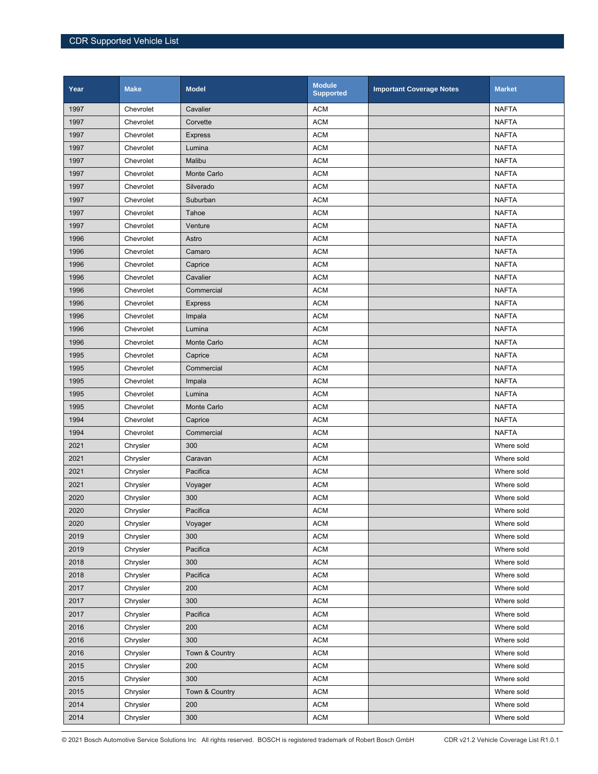| Year | <b>Make</b> | <b>Model</b>   | <b>Module</b><br><b>Supported</b> | <b>Important Coverage Notes</b> | <b>Market</b> |
|------|-------------|----------------|-----------------------------------|---------------------------------|---------------|
| 1997 | Chevrolet   | Cavalier       | <b>ACM</b>                        |                                 | <b>NAFTA</b>  |
| 1997 | Chevrolet   | Corvette       | <b>ACM</b>                        |                                 | <b>NAFTA</b>  |
| 1997 | Chevrolet   | <b>Express</b> | <b>ACM</b>                        |                                 | <b>NAFTA</b>  |
| 1997 | Chevrolet   | Lumina         | <b>ACM</b>                        |                                 | <b>NAFTA</b>  |
| 1997 | Chevrolet   | Malibu         | <b>ACM</b>                        |                                 | <b>NAFTA</b>  |
| 1997 | Chevrolet   | Monte Carlo    | <b>ACM</b>                        |                                 | <b>NAFTA</b>  |
| 1997 | Chevrolet   | Silverado      | <b>ACM</b>                        |                                 | <b>NAFTA</b>  |
| 1997 | Chevrolet   | Suburban       | <b>ACM</b>                        |                                 | <b>NAFTA</b>  |
| 1997 | Chevrolet   | Tahoe          | <b>ACM</b>                        |                                 | <b>NAFTA</b>  |
| 1997 | Chevrolet   | Venture        | <b>ACM</b>                        |                                 | <b>NAFTA</b>  |
| 1996 | Chevrolet   | Astro          | <b>ACM</b>                        |                                 | <b>NAFTA</b>  |
| 1996 | Chevrolet   | Camaro         | <b>ACM</b>                        |                                 | <b>NAFTA</b>  |
| 1996 | Chevrolet   | Caprice        | <b>ACM</b>                        |                                 | <b>NAFTA</b>  |
| 1996 | Chevrolet   | Cavalier       | <b>ACM</b>                        |                                 | <b>NAFTA</b>  |
| 1996 | Chevrolet   | Commercial     | <b>ACM</b>                        |                                 | <b>NAFTA</b>  |
| 1996 | Chevrolet   | <b>Express</b> | <b>ACM</b>                        |                                 | <b>NAFTA</b>  |
| 1996 | Chevrolet   | Impala         | <b>ACM</b>                        |                                 | <b>NAFTA</b>  |
| 1996 | Chevrolet   | Lumina         | <b>ACM</b>                        |                                 | <b>NAFTA</b>  |
| 1996 | Chevrolet   | Monte Carlo    | <b>ACM</b>                        |                                 | <b>NAFTA</b>  |
| 1995 | Chevrolet   | Caprice        | <b>ACM</b>                        |                                 | <b>NAFTA</b>  |
| 1995 | Chevrolet   | Commercial     | <b>ACM</b>                        |                                 | <b>NAFTA</b>  |
| 1995 | Chevrolet   | Impala         | <b>ACM</b>                        |                                 | <b>NAFTA</b>  |
| 1995 | Chevrolet   | Lumina         | <b>ACM</b>                        |                                 | <b>NAFTA</b>  |
| 1995 | Chevrolet   | Monte Carlo    | <b>ACM</b>                        |                                 | <b>NAFTA</b>  |
| 1994 | Chevrolet   | Caprice        | <b>ACM</b>                        |                                 | <b>NAFTA</b>  |
| 1994 | Chevrolet   | Commercial     | <b>ACM</b>                        |                                 | <b>NAFTA</b>  |
| 2021 | Chrysler    | 300            | <b>ACM</b>                        |                                 | Where sold    |
| 2021 | Chrysler    | Caravan        | <b>ACM</b>                        |                                 | Where sold    |
| 2021 | Chrysler    | Pacifica       | <b>ACM</b>                        |                                 | Where sold    |
| 2021 | Chrysler    | Voyager        | <b>ACM</b>                        |                                 | Where sold    |
| 2020 | Chrysler    | 300            | <b>ACM</b>                        |                                 | Where sold    |
| 2020 | Chrysler    | Pacifica       | <b>ACM</b>                        |                                 | Where sold    |
| 2020 | Chrysler    | Voyager        | <b>ACM</b>                        |                                 | Where sold    |
| 2019 | Chrysler    | 300            | <b>ACM</b>                        |                                 | Where sold    |
| 2019 | Chrysler    | Pacifica       | <b>ACM</b>                        |                                 | Where sold    |
| 2018 | Chrysler    | 300            | <b>ACM</b>                        |                                 | Where sold    |
| 2018 | Chrysler    | Pacifica       | <b>ACM</b>                        |                                 | Where sold    |
| 2017 | Chrysler    | 200            | <b>ACM</b>                        |                                 | Where sold    |
| 2017 | Chrysler    | 300            | <b>ACM</b>                        |                                 | Where sold    |
| 2017 | Chrysler    | Pacifica       | <b>ACM</b>                        |                                 | Where sold    |
| 2016 | Chrysler    | 200            | <b>ACM</b>                        |                                 | Where sold    |
| 2016 | Chrysler    | 300            | <b>ACM</b>                        |                                 | Where sold    |
| 2016 | Chrysler    | Town & Country | <b>ACM</b>                        |                                 | Where sold    |
| 2015 | Chrysler    | 200            | <b>ACM</b>                        |                                 | Where sold    |
| 2015 | Chrysler    | 300            | <b>ACM</b>                        |                                 | Where sold    |
| 2015 | Chrysler    | Town & Country | <b>ACM</b>                        |                                 | Where sold    |
| 2014 | Chrysler    | 200            | <b>ACM</b>                        |                                 | Where sold    |
| 2014 | Chrysler    | 300            | $\mathsf{ACM}$                    |                                 | Where sold    |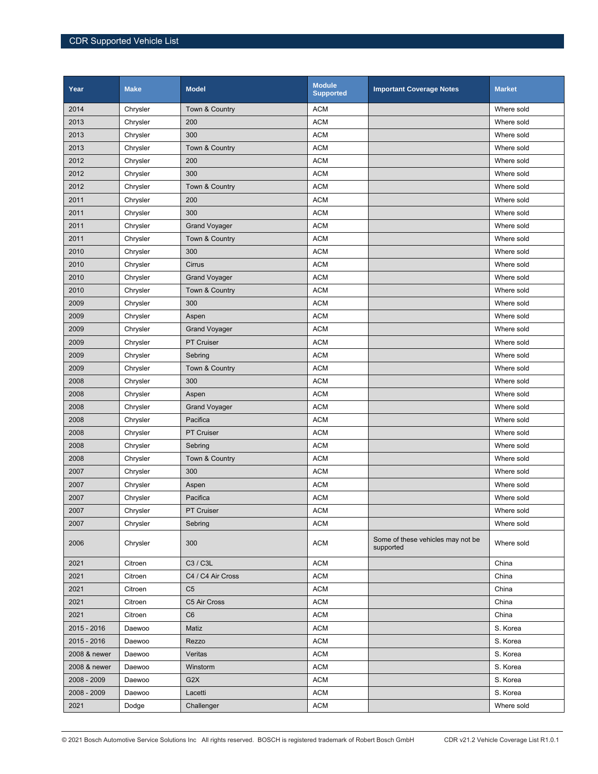| Year         | <b>Make</b> | <b>Model</b>         | <b>Module</b><br><b>Supported</b> | <b>Important Coverage Notes</b>                | <b>Market</b> |
|--------------|-------------|----------------------|-----------------------------------|------------------------------------------------|---------------|
| 2014         | Chrysler    | Town & Country       | <b>ACM</b>                        |                                                | Where sold    |
| 2013         | Chrysler    | 200                  | <b>ACM</b>                        |                                                | Where sold    |
| 2013         | Chrysler    | 300                  | <b>ACM</b>                        |                                                | Where sold    |
| 2013         | Chrysler    | Town & Country       | <b>ACM</b>                        |                                                | Where sold    |
| 2012         | Chrysler    | 200                  | <b>ACM</b>                        |                                                | Where sold    |
| 2012         | Chrysler    | 300                  | <b>ACM</b>                        |                                                | Where sold    |
| 2012         | Chrysler    | Town & Country       | <b>ACM</b>                        |                                                | Where sold    |
| 2011         | Chrysler    | 200                  | <b>ACM</b>                        |                                                | Where sold    |
| 2011         | Chrysler    | 300                  | <b>ACM</b>                        |                                                | Where sold    |
| 2011         | Chrysler    | <b>Grand Voyager</b> | <b>ACM</b>                        |                                                | Where sold    |
| 2011         | Chrysler    | Town & Country       | <b>ACM</b>                        |                                                | Where sold    |
| 2010         | Chrysler    | 300                  | <b>ACM</b>                        |                                                | Where sold    |
| 2010         | Chrysler    | Cirrus               | <b>ACM</b>                        |                                                | Where sold    |
| 2010         | Chrysler    | <b>Grand Voyager</b> | <b>ACM</b>                        |                                                | Where sold    |
| 2010         | Chrysler    | Town & Country       | <b>ACM</b>                        |                                                | Where sold    |
| 2009         | Chrysler    | 300                  | <b>ACM</b>                        |                                                | Where sold    |
| 2009         | Chrysler    | Aspen                | <b>ACM</b>                        |                                                | Where sold    |
| 2009         | Chrysler    | <b>Grand Voyager</b> | <b>ACM</b>                        |                                                | Where sold    |
| 2009         | Chrysler    | <b>PT Cruiser</b>    | <b>ACM</b>                        |                                                | Where sold    |
| 2009         | Chrysler    | Sebring              | <b>ACM</b>                        |                                                | Where sold    |
| 2009         | Chrysler    | Town & Country       | <b>ACM</b>                        |                                                | Where sold    |
| 2008         | Chrysler    | 300                  | <b>ACM</b>                        |                                                | Where sold    |
| 2008         | Chrysler    | Aspen                | <b>ACM</b>                        |                                                | Where sold    |
| 2008         | Chrysler    | <b>Grand Voyager</b> | <b>ACM</b>                        |                                                | Where sold    |
| 2008         | Chrysler    | Pacifica             | <b>ACM</b>                        |                                                | Where sold    |
| 2008         | Chrysler    | PT Cruiser           | <b>ACM</b>                        |                                                | Where sold    |
| 2008         | Chrysler    | Sebring              | <b>ACM</b>                        |                                                | Where sold    |
| 2008         | Chrysler    | Town & Country       | <b>ACM</b>                        |                                                | Where sold    |
| 2007         | Chrysler    | 300                  | <b>ACM</b>                        |                                                | Where sold    |
| 2007         | Chrysler    | Aspen                | <b>ACM</b>                        |                                                | Where sold    |
| 2007         | Chrysler    | Pacifica             | <b>ACM</b>                        |                                                | Where sold    |
| 2007         | Chrysler    | <b>PT Cruiser</b>    | <b>ACM</b>                        |                                                | Where sold    |
| 2007         | Chrysler    | Sebring              | <b>ACM</b>                        |                                                | Where sold    |
| 2006         | Chrysler    | 300                  | <b>ACM</b>                        | Some of these vehicles may not be<br>supported | Where sold    |
| 2021         | Citroen     | C3 / C3L             | <b>ACM</b>                        |                                                | China         |
| 2021         | Citroen     | C4 / C4 Air Cross    | <b>ACM</b>                        |                                                | China         |
| 2021         | Citroen     | C <sub>5</sub>       | <b>ACM</b>                        |                                                | China         |
| 2021         | Citroen     | C5 Air Cross         | <b>ACM</b>                        |                                                | China         |
| 2021         | Citroen     | C <sub>6</sub>       | <b>ACM</b>                        |                                                | China         |
| 2015 - 2016  | Daewoo      | Matiz                | <b>ACM</b>                        |                                                | S. Korea      |
| 2015 - 2016  | Daewoo      | Rezzo                | <b>ACM</b>                        |                                                | S. Korea      |
| 2008 & newer | Daewoo      | Veritas              | <b>ACM</b>                        |                                                | S. Korea      |
| 2008 & newer | Daewoo      | Winstorm             | <b>ACM</b>                        |                                                | S. Korea      |
| 2008 - 2009  | Daewoo      | G <sub>2</sub> X     | <b>ACM</b>                        |                                                | S. Korea      |
| 2008 - 2009  | Daewoo      | Lacetti              | <b>ACM</b>                        |                                                | S. Korea      |
| 2021         | Dodge       | Challenger           | <b>ACM</b>                        |                                                | Where sold    |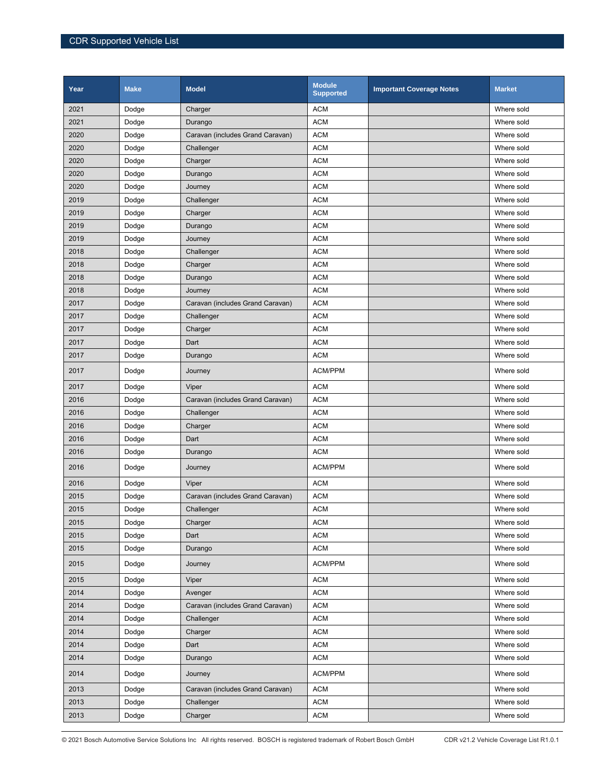| Year | <b>Make</b> | <b>Model</b>                     | <b>Module</b><br><b>Supported</b> | <b>Important Coverage Notes</b> | <b>Market</b> |
|------|-------------|----------------------------------|-----------------------------------|---------------------------------|---------------|
| 2021 | Dodge       | Charger                          | <b>ACM</b>                        |                                 | Where sold    |
| 2021 | Dodge       | Durango                          | <b>ACM</b>                        |                                 | Where sold    |
| 2020 | Dodge       | Caravan (includes Grand Caravan) | <b>ACM</b>                        |                                 | Where sold    |
| 2020 | Dodge       | Challenger                       | <b>ACM</b>                        |                                 | Where sold    |
| 2020 | Dodge       | Charger                          | <b>ACM</b>                        |                                 | Where sold    |
| 2020 | Dodge       | Durango                          | <b>ACM</b>                        |                                 | Where sold    |
| 2020 | Dodge       | Journey                          | <b>ACM</b>                        |                                 | Where sold    |
| 2019 | Dodge       | Challenger                       | <b>ACM</b>                        |                                 | Where sold    |
| 2019 | Dodge       | Charger                          | <b>ACM</b>                        |                                 | Where sold    |
| 2019 | Dodge       | Durango                          | <b>ACM</b>                        |                                 | Where sold    |
| 2019 | Dodge       | Journey                          | <b>ACM</b>                        |                                 | Where sold    |
| 2018 | Dodge       | Challenger                       | <b>ACM</b>                        |                                 | Where sold    |
| 2018 | Dodge       | Charger                          | <b>ACM</b>                        |                                 | Where sold    |
| 2018 | Dodge       | Durango                          | <b>ACM</b>                        |                                 | Where sold    |
| 2018 | Dodge       | Journey                          | <b>ACM</b>                        |                                 | Where sold    |
| 2017 | Dodge       | Caravan (includes Grand Caravan) | <b>ACM</b>                        |                                 | Where sold    |
| 2017 | Dodge       | Challenger                       | <b>ACM</b>                        |                                 | Where sold    |
| 2017 | Dodge       | Charger                          | <b>ACM</b>                        |                                 | Where sold    |
| 2017 | Dodge       | Dart                             | <b>ACM</b>                        |                                 | Where sold    |
| 2017 | Dodge       | Durango                          | <b>ACM</b>                        |                                 | Where sold    |
| 2017 | Dodge       | Journey                          | ACM/PPM                           |                                 | Where sold    |
| 2017 | Dodge       | Viper                            | <b>ACM</b>                        |                                 | Where sold    |
| 2016 | Dodge       | Caravan (includes Grand Caravan) | <b>ACM</b>                        |                                 | Where sold    |
| 2016 | Dodge       | Challenger                       | <b>ACM</b>                        |                                 | Where sold    |
| 2016 | Dodge       | Charger                          | <b>ACM</b>                        |                                 | Where sold    |
| 2016 | Dodge       | Dart                             | <b>ACM</b>                        |                                 | Where sold    |
| 2016 | Dodge       | Durango                          | <b>ACM</b>                        |                                 | Where sold    |
| 2016 | Dodge       | Journey                          | ACM/PPM                           |                                 | Where sold    |
| 2016 | Dodge       | Viper                            | <b>ACM</b>                        |                                 | Where sold    |
| 2015 | Dodge       | Caravan (includes Grand Caravan) | <b>ACM</b>                        |                                 | Where sold    |
| 2015 | Dodge       | Challenger                       | <b>ACM</b>                        |                                 | Where sold    |
| 2015 | Dodge       | Charger                          | <b>ACM</b>                        |                                 | Where sold    |
| 2015 | Dodge       | Dart                             | <b>ACM</b>                        |                                 | Where sold    |
| 2015 | Dodge       | Durango                          | <b>ACM</b>                        |                                 | Where sold    |
| 2015 | Dodge       | Journey                          | ACM/PPM                           |                                 | Where sold    |
| 2015 | Dodge       | Viper                            | <b>ACM</b>                        |                                 | Where sold    |
| 2014 | Dodge       | Avenger                          | <b>ACM</b>                        |                                 | Where sold    |
| 2014 | Dodge       | Caravan (includes Grand Caravan) | <b>ACM</b>                        |                                 | Where sold    |
| 2014 | Dodge       | Challenger                       | <b>ACM</b>                        |                                 | Where sold    |
| 2014 | Dodge       | Charger                          | <b>ACM</b>                        |                                 | Where sold    |
| 2014 | Dodge       | Dart                             | <b>ACM</b>                        |                                 | Where sold    |
| 2014 | Dodge       | Durango                          | <b>ACM</b>                        |                                 | Where sold    |
| 2014 | Dodge       | Journey                          | ACM/PPM                           |                                 | Where sold    |
| 2013 | Dodge       | Caravan (includes Grand Caravan) | <b>ACM</b>                        |                                 | Where sold    |
| 2013 | Dodge       | Challenger                       | <b>ACM</b>                        |                                 | Where sold    |
| 2013 | Dodge       | Charger                          | <b>ACM</b>                        |                                 | Where sold    |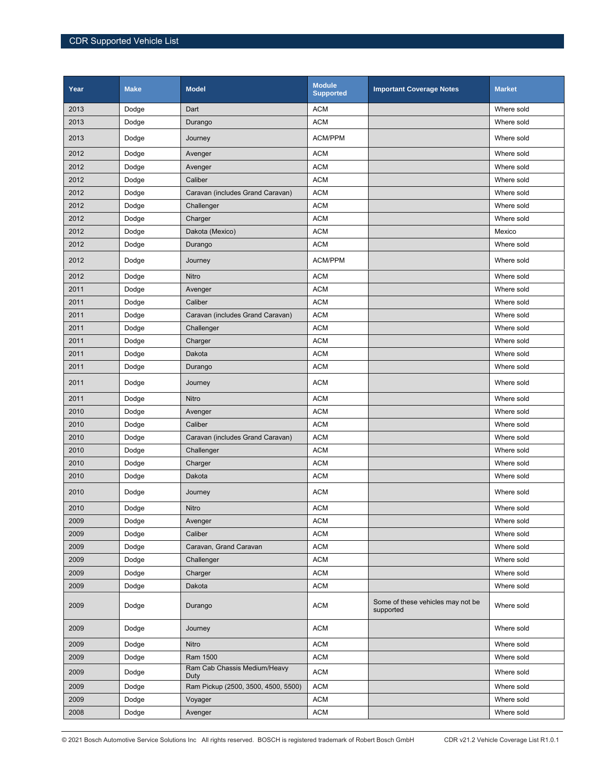| Year | <b>Make</b> | <b>Model</b>                         | <b>Module</b><br><b>Supported</b> | <b>Important Coverage Notes</b>                | <b>Market</b> |
|------|-------------|--------------------------------------|-----------------------------------|------------------------------------------------|---------------|
| 2013 | Dodge       | Dart                                 | <b>ACM</b>                        |                                                | Where sold    |
| 2013 | Dodge       | Durango                              | <b>ACM</b>                        |                                                | Where sold    |
| 2013 | Dodge       | Journey                              | <b>ACM/PPM</b>                    |                                                | Where sold    |
| 2012 | Dodge       | Avenger                              | <b>ACM</b>                        |                                                | Where sold    |
| 2012 | Dodge       | Avenger                              | <b>ACM</b>                        |                                                | Where sold    |
| 2012 | Dodge       | Caliber                              | <b>ACM</b>                        |                                                | Where sold    |
| 2012 | Dodge       | Caravan (includes Grand Caravan)     | <b>ACM</b>                        |                                                | Where sold    |
| 2012 | Dodge       | Challenger                           | <b>ACM</b>                        |                                                | Where sold    |
| 2012 | Dodge       | Charger                              | <b>ACM</b>                        |                                                | Where sold    |
| 2012 | Dodge       | Dakota (Mexico)                      | <b>ACM</b>                        |                                                | Mexico        |
| 2012 | Dodge       | Durango                              | <b>ACM</b>                        |                                                | Where sold    |
| 2012 | Dodge       | Journey                              | ACM/PPM                           |                                                | Where sold    |
| 2012 | Dodge       | Nitro                                | <b>ACM</b>                        |                                                | Where sold    |
| 2011 | Dodge       | Avenger                              | <b>ACM</b>                        |                                                | Where sold    |
| 2011 | Dodge       | Caliber                              | <b>ACM</b>                        |                                                | Where sold    |
| 2011 | Dodge       | Caravan (includes Grand Caravan)     | <b>ACM</b>                        |                                                | Where sold    |
| 2011 | Dodge       | Challenger                           | <b>ACM</b>                        |                                                | Where sold    |
| 2011 | Dodge       | Charger                              | <b>ACM</b>                        |                                                | Where sold    |
| 2011 | Dodge       | Dakota                               | <b>ACM</b>                        |                                                | Where sold    |
| 2011 | Dodge       | Durango                              | <b>ACM</b>                        |                                                | Where sold    |
| 2011 | Dodge       | Journey                              | <b>ACM</b>                        |                                                | Where sold    |
| 2011 | Dodge       | Nitro                                | <b>ACM</b>                        |                                                | Where sold    |
| 2010 | Dodge       | Avenger                              | <b>ACM</b>                        |                                                | Where sold    |
| 2010 | Dodge       | Caliber                              | <b>ACM</b>                        |                                                | Where sold    |
| 2010 | Dodge       | Caravan (includes Grand Caravan)     | <b>ACM</b>                        |                                                | Where sold    |
| 2010 | Dodge       | Challenger                           | <b>ACM</b>                        |                                                | Where sold    |
| 2010 | Dodge       | Charger                              | <b>ACM</b>                        |                                                | Where sold    |
| 2010 | Dodge       | Dakota                               | <b>ACM</b>                        |                                                | Where sold    |
| 2010 | Dodge       | Journey                              | <b>ACM</b>                        |                                                | Where sold    |
| 2010 | Dodge       | Nitro                                | <b>ACM</b>                        |                                                | Where sold    |
| 2009 | Dodge       | Avenger                              | <b>ACM</b>                        |                                                | Where sold    |
| 2009 | Dodge       | Caliber                              | <b>ACM</b>                        |                                                | Where sold    |
| 2009 | Dodge       | Caravan, Grand Caravan               | <b>ACM</b>                        |                                                | Where sold    |
| 2009 | Dodge       | Challenger                           | <b>ACM</b>                        |                                                | Where sold    |
| 2009 | Dodge       | Charger                              | <b>ACM</b>                        |                                                | Where sold    |
| 2009 | Dodge       | Dakota                               | <b>ACM</b>                        |                                                | Where sold    |
| 2009 | Dodge       | Durango                              | <b>ACM</b>                        | Some of these vehicles may not be<br>supported | Where sold    |
| 2009 | Dodge       | Journey                              | <b>ACM</b>                        |                                                | Where sold    |
| 2009 | Dodge       | Nitro                                | <b>ACM</b>                        |                                                | Where sold    |
| 2009 | Dodge       | Ram 1500                             | <b>ACM</b>                        |                                                | Where sold    |
| 2009 | Dodge       | Ram Cab Chassis Medium/Heavy<br>Duty | <b>ACM</b>                        |                                                | Where sold    |
| 2009 | Dodge       | Ram Pickup (2500, 3500, 4500, 5500)  | <b>ACM</b>                        |                                                | Where sold    |
| 2009 | Dodge       | Voyager                              | <b>ACM</b>                        |                                                | Where sold    |
| 2008 | Dodge       | Avenger                              | <b>ACM</b>                        |                                                | Where sold    |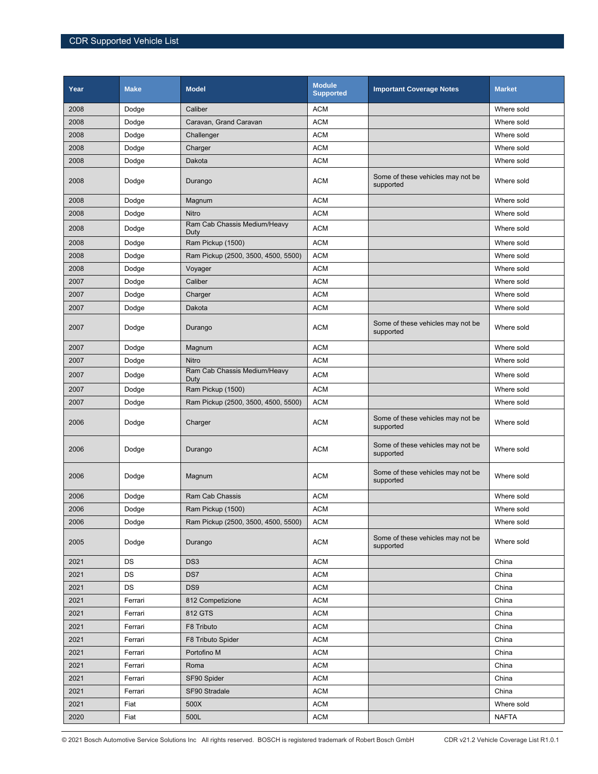| Year | <b>Make</b> | <b>Model</b>                         | Module<br><b>Supported</b> | <b>Important Coverage Notes</b>                | <b>Market</b> |
|------|-------------|--------------------------------------|----------------------------|------------------------------------------------|---------------|
| 2008 | Dodge       | Caliber                              | <b>ACM</b>                 |                                                | Where sold    |
| 2008 | Dodge       | Caravan, Grand Caravan               | <b>ACM</b>                 |                                                | Where sold    |
| 2008 | Dodge       | Challenger                           | <b>ACM</b>                 |                                                | Where sold    |
| 2008 | Dodge       | Charger                              | <b>ACM</b>                 |                                                | Where sold    |
| 2008 | Dodge       | Dakota                               | <b>ACM</b>                 |                                                | Where sold    |
| 2008 | Dodge       | Durango                              | <b>ACM</b>                 | Some of these vehicles may not be<br>supported | Where sold    |
| 2008 | Dodge       | Magnum                               | <b>ACM</b>                 |                                                | Where sold    |
| 2008 | Dodge       | Nitro                                | <b>ACM</b>                 |                                                | Where sold    |
| 2008 | Dodge       | Ram Cab Chassis Medium/Heavy<br>Duty | <b>ACM</b>                 |                                                | Where sold    |
| 2008 | Dodge       | Ram Pickup (1500)                    | <b>ACM</b>                 |                                                | Where sold    |
| 2008 | Dodge       | Ram Pickup (2500, 3500, 4500, 5500)  | <b>ACM</b>                 |                                                | Where sold    |
| 2008 | Dodge       | Voyager                              | <b>ACM</b>                 |                                                | Where sold    |
| 2007 | Dodge       | Caliber                              | <b>ACM</b>                 |                                                | Where sold    |
| 2007 | Dodge       | Charger                              | <b>ACM</b>                 |                                                | Where sold    |
| 2007 | Dodge       | Dakota                               | <b>ACM</b>                 |                                                | Where sold    |
| 2007 | Dodge       | Durango                              | <b>ACM</b>                 | Some of these vehicles may not be<br>supported | Where sold    |
| 2007 | Dodge       | Magnum                               | <b>ACM</b>                 |                                                | Where sold    |
| 2007 | Dodge       | Nitro                                | <b>ACM</b>                 |                                                | Where sold    |
| 2007 | Dodge       | Ram Cab Chassis Medium/Heavy<br>Duty | <b>ACM</b>                 |                                                | Where sold    |
| 2007 | Dodge       | Ram Pickup (1500)                    | <b>ACM</b>                 |                                                | Where sold    |
| 2007 | Dodge       | Ram Pickup (2500, 3500, 4500, 5500)  | <b>ACM</b>                 |                                                | Where sold    |
| 2006 | Dodge       | Charger                              | <b>ACM</b>                 | Some of these vehicles may not be<br>supported | Where sold    |
| 2006 | Dodge       | Durango                              | <b>ACM</b>                 | Some of these vehicles may not be<br>supported | Where sold    |
| 2006 | Dodge       | Magnum                               | <b>ACM</b>                 | Some of these vehicles may not be<br>supported | Where sold    |
| 2006 | Dodge       | Ram Cab Chassis                      | <b>ACM</b>                 |                                                | Where sold    |
| 2006 | Dodge       | Ram Pickup (1500)                    | <b>ACM</b>                 |                                                | Where sold    |
| 2006 | Dodge       | Ram Pickup (2500, 3500, 4500, 5500)  | <b>ACM</b>                 |                                                | Where sold    |
| 2005 | Dodge       | Durango                              | <b>ACM</b>                 | Some of these vehicles may not be<br>supported | Where sold    |
| 2021 | <b>DS</b>   | DS <sub>3</sub>                      | <b>ACM</b>                 |                                                | China         |
| 2021 | DS          | DS7                                  | <b>ACM</b>                 |                                                | China         |
| 2021 | DS          | DS9                                  | <b>ACM</b>                 |                                                | China         |
| 2021 | Ferrari     | 812 Competizione                     | <b>ACM</b>                 |                                                | China         |
| 2021 | Ferrari     | 812 GTS                              | <b>ACM</b>                 |                                                | China         |
| 2021 | Ferrari     | F8 Tributo                           | <b>ACM</b>                 |                                                | China         |
| 2021 | Ferrari     | F8 Tributo Spider                    | <b>ACM</b>                 |                                                | China         |
| 2021 | Ferrari     | Portofino M                          | <b>ACM</b>                 |                                                | China         |
| 2021 | Ferrari     | Roma                                 | <b>ACM</b>                 |                                                | China         |
| 2021 | Ferrari     | SF90 Spider                          | <b>ACM</b>                 |                                                | China         |
| 2021 | Ferrari     | SF90 Stradale                        | <b>ACM</b>                 |                                                | China         |
| 2021 | Fiat        | 500X                                 | <b>ACM</b>                 |                                                | Where sold    |
| 2020 | Fiat        | 500L                                 | <b>ACM</b>                 |                                                | <b>NAFTA</b>  |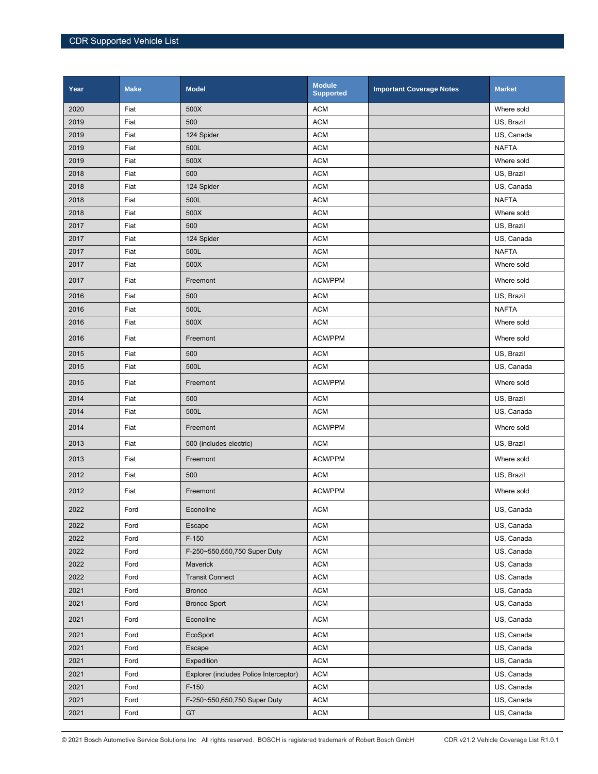| Year | <b>Make</b> | <b>Model</b>                           | <b>Module</b><br><b>Supported</b> | <b>Important Coverage Notes</b> | <b>Market</b> |
|------|-------------|----------------------------------------|-----------------------------------|---------------------------------|---------------|
| 2020 | Fiat        | 500X                                   | <b>ACM</b>                        |                                 | Where sold    |
| 2019 | Fiat        | 500                                    | <b>ACM</b>                        |                                 | US, Brazil    |
| 2019 | Fiat        | 124 Spider                             | <b>ACM</b>                        |                                 | US, Canada    |
| 2019 | Fiat        | 500L                                   | <b>ACM</b>                        |                                 | <b>NAFTA</b>  |
| 2019 | Fiat        | 500X                                   | <b>ACM</b>                        |                                 | Where sold    |
| 2018 | Fiat        | 500                                    | <b>ACM</b>                        |                                 | US, Brazil    |
| 2018 | Fiat        | 124 Spider                             | <b>ACM</b>                        |                                 | US, Canada    |
| 2018 | Fiat        | 500L                                   | <b>ACM</b>                        |                                 | <b>NAFTA</b>  |
| 2018 | Fiat        | 500X                                   | <b>ACM</b>                        |                                 | Where sold    |
| 2017 | Fiat        | 500                                    | <b>ACM</b>                        |                                 | US, Brazil    |
| 2017 | Fiat        | 124 Spider                             | <b>ACM</b>                        |                                 | US, Canada    |
| 2017 | Fiat        | 500L                                   | <b>ACM</b>                        |                                 | <b>NAFTA</b>  |
| 2017 | Fiat        | 500X                                   | <b>ACM</b>                        |                                 | Where sold    |
| 2017 | Fiat        | Freemont                               | ACM/PPM                           |                                 | Where sold    |
| 2016 | Fiat        | 500                                    | <b>ACM</b>                        |                                 | US, Brazil    |
| 2016 | Fiat        | 500L                                   | <b>ACM</b>                        |                                 | <b>NAFTA</b>  |
| 2016 | Fiat        | 500X                                   | <b>ACM</b>                        |                                 | Where sold    |
| 2016 | Fiat        | Freemont                               | ACM/PPM                           |                                 | Where sold    |
| 2015 | Fiat        | 500                                    | <b>ACM</b>                        |                                 | US, Brazil    |
| 2015 | Fiat        | 500L                                   | <b>ACM</b>                        |                                 | US, Canada    |
| 2015 | Fiat        | Freemont                               | ACM/PPM                           |                                 | Where sold    |
| 2014 | Fiat        | 500                                    | <b>ACM</b>                        |                                 | US, Brazil    |
| 2014 | Fiat        | 500L                                   | <b>ACM</b>                        |                                 | US, Canada    |
| 2014 | Fiat        | Freemont                               | ACM/PPM                           |                                 | Where sold    |
| 2013 | Fiat        | 500 (includes electric)                | <b>ACM</b>                        |                                 | US, Brazil    |
| 2013 | Fiat        | Freemont                               | ACM/PPM                           |                                 | Where sold    |
| 2012 | Fiat        | 500                                    | <b>ACM</b>                        |                                 | US, Brazil    |
| 2012 | Fiat        | Freemont                               | ACM/PPM                           |                                 | Where sold    |
| 2022 | Ford        | Econoline                              | <b>ACM</b>                        |                                 | US, Canada    |
| 2022 | Ford        | Escape                                 | <b>ACM</b>                        |                                 | US, Canada    |
| 2022 | Ford        | $F-150$                                | <b>ACM</b>                        |                                 | US, Canada    |
| 2022 | Ford        | F-250~550,650,750 Super Duty           | <b>ACM</b>                        |                                 | US, Canada    |
| 2022 | Ford        | Maverick                               | <b>ACM</b>                        |                                 | US, Canada    |
| 2022 | Ford        | <b>Transit Connect</b>                 | <b>ACM</b>                        |                                 | US, Canada    |
| 2021 | Ford        | <b>Bronco</b>                          | <b>ACM</b>                        |                                 | US, Canada    |
| 2021 | Ford        | <b>Bronco Sport</b>                    | <b>ACM</b>                        |                                 | US, Canada    |
| 2021 | Ford        | Econoline                              | <b>ACM</b>                        |                                 | US, Canada    |
| 2021 | Ford        | EcoSport                               | <b>ACM</b>                        |                                 | US, Canada    |
| 2021 | Ford        | Escape                                 | <b>ACM</b>                        |                                 | US, Canada    |
| 2021 | Ford        | Expedition                             | <b>ACM</b>                        |                                 | US, Canada    |
| 2021 | Ford        | Explorer (includes Police Interceptor) | <b>ACM</b>                        |                                 | US, Canada    |
| 2021 | Ford        | $F-150$                                | <b>ACM</b>                        |                                 | US, Canada    |
| 2021 | Ford        | F-250~550,650,750 Super Duty           | <b>ACM</b>                        |                                 | US, Canada    |
| 2021 | Ford        | GT                                     | <b>ACM</b>                        |                                 | US, Canada    |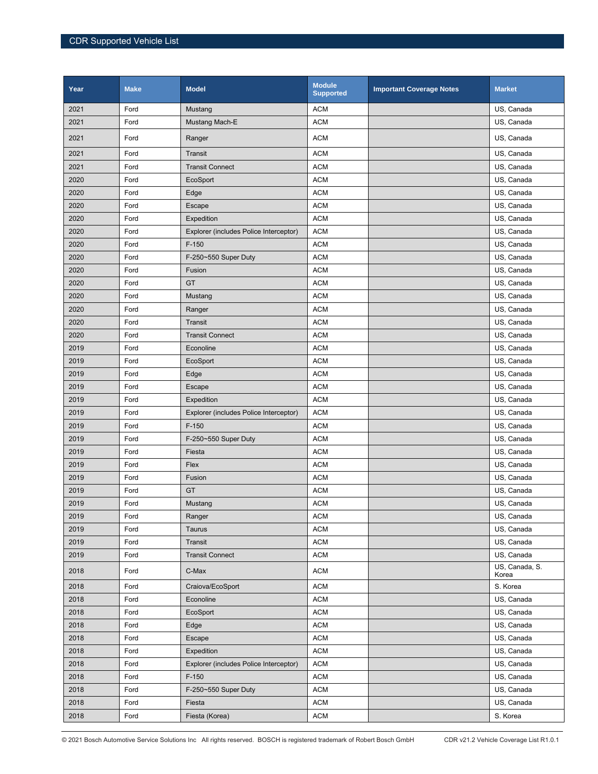| Year | <b>Make</b> | <b>Model</b>                           | <b>Module</b><br><b>Supported</b> | <b>Important Coverage Notes</b> | <b>Market</b>           |
|------|-------------|----------------------------------------|-----------------------------------|---------------------------------|-------------------------|
| 2021 | Ford        | Mustang                                | <b>ACM</b>                        |                                 | US, Canada              |
| 2021 | Ford        | Mustang Mach-E                         | <b>ACM</b>                        |                                 | US, Canada              |
| 2021 | Ford        | Ranger                                 | <b>ACM</b>                        |                                 | US, Canada              |
| 2021 | Ford        | Transit                                | <b>ACM</b>                        |                                 | US, Canada              |
| 2021 | Ford        | <b>Transit Connect</b>                 | <b>ACM</b>                        |                                 | US, Canada              |
| 2020 | Ford        | EcoSport                               | <b>ACM</b>                        |                                 | US, Canada              |
| 2020 | Ford        | Edge                                   | <b>ACM</b>                        |                                 | US, Canada              |
| 2020 | Ford        | Escape                                 | <b>ACM</b>                        |                                 | US, Canada              |
| 2020 | Ford        | Expedition                             | <b>ACM</b>                        |                                 | US, Canada              |
| 2020 | Ford        | Explorer (includes Police Interceptor) | <b>ACM</b>                        |                                 | US, Canada              |
| 2020 | Ford        | $F-150$                                | <b>ACM</b>                        |                                 | US, Canada              |
| 2020 | Ford        | F-250~550 Super Duty                   | <b>ACM</b>                        |                                 | US, Canada              |
| 2020 | Ford        | Fusion                                 | <b>ACM</b>                        |                                 | US, Canada              |
| 2020 | Ford        | <b>GT</b>                              | <b>ACM</b>                        |                                 | US, Canada              |
| 2020 | Ford        | Mustang                                | <b>ACM</b>                        |                                 | US, Canada              |
| 2020 | Ford        | Ranger                                 | <b>ACM</b>                        |                                 | US, Canada              |
| 2020 | Ford        | Transit                                | <b>ACM</b>                        |                                 | US, Canada              |
| 2020 | Ford        | <b>Transit Connect</b>                 | <b>ACM</b>                        |                                 | US, Canada              |
| 2019 | Ford        | Econoline                              | <b>ACM</b>                        |                                 | US, Canada              |
| 2019 | Ford        | EcoSport                               | <b>ACM</b>                        |                                 | US, Canada              |
| 2019 | Ford        | Edge                                   | <b>ACM</b>                        |                                 | US, Canada              |
| 2019 | Ford        | Escape                                 | <b>ACM</b>                        |                                 | US, Canada              |
| 2019 | Ford        | Expedition                             | <b>ACM</b>                        |                                 | US, Canada              |
| 2019 | Ford        | Explorer (includes Police Interceptor) | <b>ACM</b>                        |                                 | US, Canada              |
| 2019 | Ford        | $F-150$                                | <b>ACM</b>                        |                                 | US, Canada              |
| 2019 | Ford        | F-250~550 Super Duty                   | <b>ACM</b>                        |                                 | US, Canada              |
| 2019 | Ford        | Fiesta                                 | <b>ACM</b>                        |                                 | US, Canada              |
| 2019 | Ford        | Flex                                   | <b>ACM</b>                        |                                 | US, Canada              |
| 2019 | Ford        | Fusion                                 | <b>ACM</b>                        |                                 | US, Canada              |
| 2019 | Ford        | GT                                     | <b>ACM</b>                        |                                 | US, Canada              |
| 2019 | Ford        | Mustang                                | <b>ACM</b>                        |                                 | US, Canada              |
| 2019 | Ford        | Ranger                                 | <b>ACM</b>                        |                                 | US, Canada              |
| 2019 | Ford        | Taurus                                 | <b>ACM</b>                        |                                 | US. Canada              |
| 2019 | Ford        | Transit                                | <b>ACM</b>                        |                                 | US, Canada              |
| 2019 | Ford        | <b>Transit Connect</b>                 | <b>ACM</b>                        |                                 | US, Canada              |
| 2018 | Ford        | C-Max                                  | <b>ACM</b>                        |                                 | US, Canada, S.<br>Korea |
| 2018 | Ford        | Craiova/EcoSport                       | <b>ACM</b>                        |                                 | S. Korea                |
| 2018 | Ford        | Econoline                              | <b>ACM</b>                        |                                 | US, Canada              |
| 2018 | Ford        | EcoSport                               | <b>ACM</b>                        |                                 | US, Canada              |
| 2018 | Ford        | Edge                                   | <b>ACM</b>                        |                                 | US, Canada              |
| 2018 | Ford        | Escape                                 | <b>ACM</b>                        |                                 | US, Canada              |
| 2018 | Ford        | Expedition                             | <b>ACM</b>                        |                                 | US, Canada              |
| 2018 | Ford        | Explorer (includes Police Interceptor) | <b>ACM</b>                        |                                 | US, Canada              |
| 2018 | Ford        | $F-150$                                | <b>ACM</b>                        |                                 | US, Canada              |
| 2018 | Ford        | F-250~550 Super Duty                   | <b>ACM</b>                        |                                 | US, Canada              |
| 2018 | Ford        | Fiesta                                 | <b>ACM</b>                        |                                 | US, Canada              |
| 2018 | Ford        | Fiesta (Korea)                         | <b>ACM</b>                        |                                 | S. Korea                |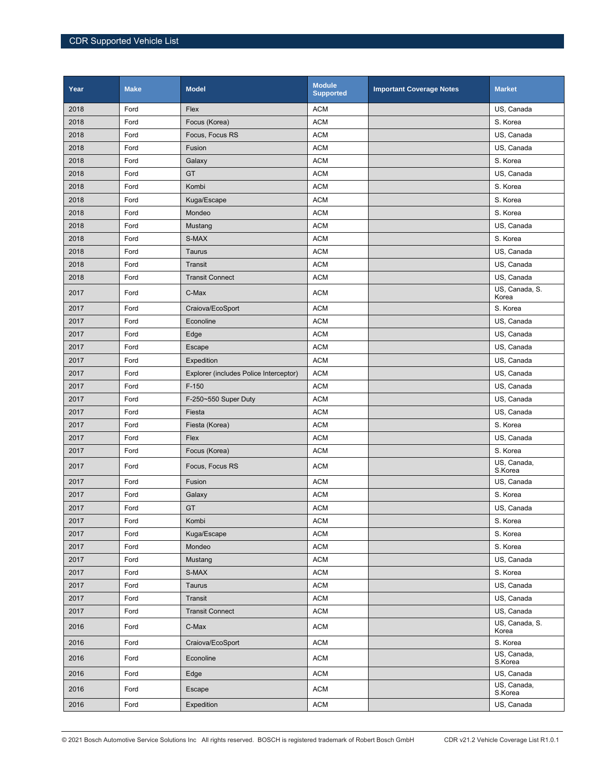| Year | <b>Make</b> | <b>Model</b>                           | <b>Module</b><br><b>Supported</b> | <b>Important Coverage Notes</b> | <b>Market</b>           |
|------|-------------|----------------------------------------|-----------------------------------|---------------------------------|-------------------------|
| 2018 | Ford        | Flex                                   | <b>ACM</b>                        |                                 | US, Canada              |
| 2018 | Ford        | Focus (Korea)                          | <b>ACM</b>                        |                                 | S. Korea                |
| 2018 | Ford        | Focus, Focus RS                        | <b>ACM</b>                        |                                 | US, Canada              |
| 2018 | Ford        | Fusion                                 | <b>ACM</b>                        |                                 | US, Canada              |
| 2018 | Ford        | Galaxy                                 | <b>ACM</b>                        |                                 | S. Korea                |
| 2018 | Ford        | GT                                     | <b>ACM</b>                        |                                 | US, Canada              |
| 2018 | Ford        | Kombi                                  | <b>ACM</b>                        |                                 | S. Korea                |
| 2018 | Ford        | Kuga/Escape                            | <b>ACM</b>                        |                                 | S. Korea                |
| 2018 | Ford        | Mondeo                                 | <b>ACM</b>                        |                                 | S. Korea                |
| 2018 | Ford        | Mustang                                | <b>ACM</b>                        |                                 | US, Canada              |
| 2018 | Ford        | S-MAX                                  | <b>ACM</b>                        |                                 | S. Korea                |
| 2018 | Ford        | Taurus                                 | <b>ACM</b>                        |                                 | US, Canada              |
| 2018 | Ford        | Transit                                | <b>ACM</b>                        |                                 | US, Canada              |
| 2018 | Ford        | <b>Transit Connect</b>                 | <b>ACM</b>                        |                                 | US, Canada              |
| 2017 | Ford        | C-Max                                  | <b>ACM</b>                        |                                 | US, Canada, S.<br>Korea |
| 2017 | Ford        | Craiova/EcoSport                       | <b>ACM</b>                        |                                 | S. Korea                |
| 2017 | Ford        | Econoline                              | <b>ACM</b>                        |                                 | US, Canada              |
| 2017 | Ford        | Edge                                   | <b>ACM</b>                        |                                 | US, Canada              |
| 2017 | Ford        | Escape                                 | <b>ACM</b>                        |                                 | US, Canada              |
| 2017 | Ford        | Expedition                             | <b>ACM</b>                        |                                 | US, Canada              |
| 2017 | Ford        | Explorer (includes Police Interceptor) | <b>ACM</b>                        |                                 | US, Canada              |
| 2017 | Ford        | $F-150$                                | <b>ACM</b>                        |                                 | US, Canada              |
| 2017 | Ford        | F-250~550 Super Duty                   | <b>ACM</b>                        |                                 | US, Canada              |
| 2017 | Ford        | Fiesta                                 | <b>ACM</b>                        |                                 | US, Canada              |
| 2017 | Ford        | Fiesta (Korea)                         | <b>ACM</b>                        |                                 | S. Korea                |
| 2017 | Ford        | Flex                                   | <b>ACM</b>                        |                                 | US, Canada              |
| 2017 | Ford        | Focus (Korea)                          | <b>ACM</b>                        |                                 | S. Korea                |
| 2017 | Ford        | Focus, Focus RS                        | <b>ACM</b>                        |                                 | US, Canada,<br>S.Korea  |
| 2017 | Ford        | Fusion                                 | <b>ACM</b>                        |                                 | US, Canada              |
| 2017 | Ford        | Galaxy                                 | <b>ACM</b>                        |                                 | S. Korea                |
| 2017 | Ford        | GT                                     | <b>ACM</b>                        |                                 | US, Canada              |
| 2017 | Ford        | Kombi                                  | <b>ACM</b>                        |                                 | S. Korea                |
| 2017 | Ford        | Kuga/Escape                            | <b>ACM</b>                        |                                 | S. Korea                |
| 2017 | Ford        | Mondeo                                 | <b>ACM</b>                        |                                 | S. Korea                |
| 2017 | Ford        | Mustang                                | <b>ACM</b>                        |                                 | US, Canada              |
| 2017 | Ford        | S-MAX                                  | <b>ACM</b>                        |                                 | S. Korea                |
| 2017 | Ford        | Taurus                                 | <b>ACM</b>                        |                                 | US, Canada              |
| 2017 | Ford        | Transit                                | <b>ACM</b>                        |                                 | US, Canada              |
| 2017 | Ford        | <b>Transit Connect</b>                 | <b>ACM</b>                        |                                 | US, Canada              |
| 2016 | Ford        | C-Max                                  | <b>ACM</b>                        |                                 | US, Canada, S.<br>Korea |
| 2016 | Ford        | Craiova/EcoSport                       | <b>ACM</b>                        |                                 | S. Korea                |
| 2016 | Ford        | Econoline                              | <b>ACM</b>                        |                                 | US, Canada,<br>S.Korea  |
| 2016 | Ford        | Edge                                   | <b>ACM</b>                        |                                 | US, Canada              |
| 2016 | Ford        | Escape                                 | <b>ACM</b>                        |                                 | US, Canada,<br>S.Korea  |
| 2016 | Ford        | Expedition                             | <b>ACM</b>                        |                                 | US, Canada              |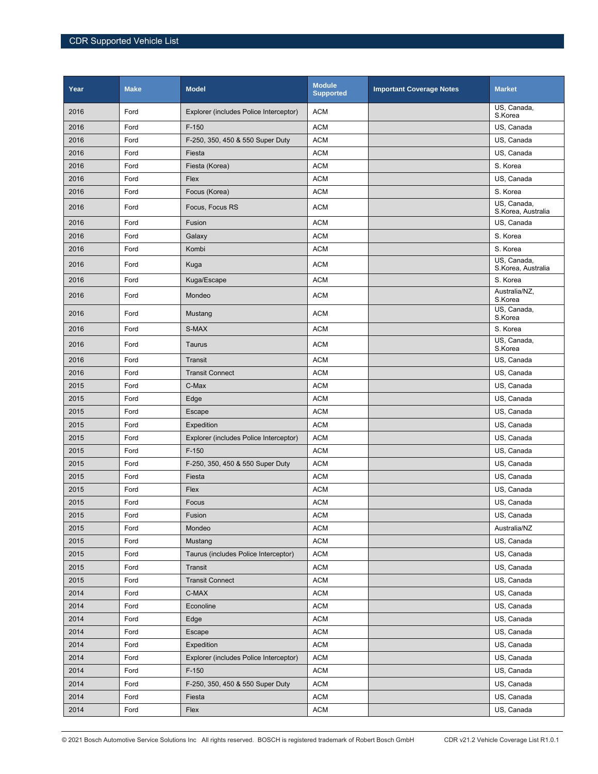| Year | <b>Make</b> | <b>Model</b>                           | <b>Module</b><br><b>Supported</b> | <b>Important Coverage Notes</b> | <b>Market</b>                     |
|------|-------------|----------------------------------------|-----------------------------------|---------------------------------|-----------------------------------|
| 2016 | Ford        | Explorer (includes Police Interceptor) | <b>ACM</b>                        |                                 | US, Canada,<br>S.Korea            |
| 2016 | Ford        | $F-150$                                | <b>ACM</b>                        |                                 | US, Canada                        |
| 2016 | Ford        | F-250, 350, 450 & 550 Super Duty       | <b>ACM</b>                        |                                 | US, Canada                        |
| 2016 | Ford        | Fiesta                                 | <b>ACM</b>                        |                                 | US, Canada                        |
| 2016 | Ford        | Fiesta (Korea)                         | <b>ACM</b>                        |                                 | S. Korea                          |
| 2016 | Ford        | Flex                                   | <b>ACM</b>                        |                                 | US, Canada                        |
| 2016 | Ford        | Focus (Korea)                          | <b>ACM</b>                        |                                 | S. Korea                          |
| 2016 | Ford        | Focus, Focus RS                        | <b>ACM</b>                        |                                 | US, Canada,<br>S.Korea, Australia |
| 2016 | Ford        | Fusion                                 | <b>ACM</b>                        |                                 | US, Canada                        |
| 2016 | Ford        | Galaxy                                 | <b>ACM</b>                        |                                 | S. Korea                          |
| 2016 | Ford        | Kombi                                  | <b>ACM</b>                        |                                 | S. Korea                          |
| 2016 | Ford        | Kuga                                   | <b>ACM</b>                        |                                 | US, Canada,<br>S.Korea, Australia |
| 2016 | Ford        | Kuga/Escape                            | <b>ACM</b>                        |                                 | S. Korea                          |
| 2016 | Ford        | Mondeo                                 | <b>ACM</b>                        |                                 | Australia/NZ,<br>S.Korea          |
| 2016 | Ford        | Mustang                                | <b>ACM</b>                        |                                 | US, Canada,<br>S.Korea            |
| 2016 | Ford        | S-MAX                                  | <b>ACM</b>                        |                                 | S. Korea                          |
| 2016 | Ford        | Taurus                                 | <b>ACM</b>                        |                                 | US, Canada,<br>S.Korea            |
| 2016 | Ford        | Transit                                | <b>ACM</b>                        |                                 | US, Canada                        |
| 2016 | Ford        | <b>Transit Connect</b>                 | <b>ACM</b>                        |                                 | US, Canada                        |
| 2015 | Ford        | C-Max                                  | <b>ACM</b>                        |                                 | US, Canada                        |
| 2015 | Ford        | Edge                                   | <b>ACM</b>                        |                                 | US, Canada                        |
| 2015 | Ford        | Escape                                 | <b>ACM</b>                        |                                 | US, Canada                        |
| 2015 | Ford        | Expedition                             | <b>ACM</b>                        |                                 | US, Canada                        |
| 2015 | Ford        | Explorer (includes Police Interceptor) | <b>ACM</b>                        |                                 | US, Canada                        |
| 2015 | Ford        | $F-150$                                | <b>ACM</b>                        |                                 | US, Canada                        |
| 2015 | Ford        | F-250, 350, 450 & 550 Super Duty       | <b>ACM</b>                        |                                 | US, Canada                        |
| 2015 | Ford        | Fiesta                                 | <b>ACM</b>                        |                                 | US, Canada                        |
| 2015 | Ford        | Flex                                   | <b>ACM</b>                        |                                 | US, Canada                        |
| 2015 | Ford        | Focus                                  | <b>ACM</b>                        |                                 | US, Canada                        |
| 2015 | Ford        | Fusion                                 | ACM                               |                                 | US, Canada                        |
| 2015 | Ford        | Mondeo                                 | <b>ACM</b>                        |                                 | Australia/NZ                      |
| 2015 | Ford        | Mustang                                | <b>ACM</b>                        |                                 | US, Canada                        |
| 2015 | Ford        | Taurus (includes Police Interceptor)   | <b>ACM</b>                        |                                 | US, Canada                        |
| 2015 | Ford        | Transit                                | <b>ACM</b>                        |                                 | US. Canada                        |
| 2015 | Ford        | <b>Transit Connect</b>                 | <b>ACM</b>                        |                                 | US, Canada                        |
| 2014 | Ford        | C-MAX                                  | <b>ACM</b>                        |                                 | US, Canada                        |
| 2014 | Ford        | Econoline                              | <b>ACM</b>                        |                                 | US, Canada                        |
| 2014 | Ford        | Edge                                   | <b>ACM</b>                        |                                 | US, Canada                        |
| 2014 | Ford        | Escape                                 | <b>ACM</b>                        |                                 | US, Canada                        |
| 2014 | Ford        | Expedition                             | <b>ACM</b>                        |                                 | US, Canada                        |
| 2014 | Ford        | Explorer (includes Police Interceptor) | <b>ACM</b>                        |                                 | US, Canada                        |
| 2014 | Ford        | $F-150$                                | <b>ACM</b>                        |                                 | US, Canada                        |
| 2014 | Ford        | F-250, 350, 450 & 550 Super Duty       | <b>ACM</b>                        |                                 | US, Canada                        |
| 2014 | Ford        | Fiesta                                 | <b>ACM</b>                        |                                 | US, Canada                        |
| 2014 | Ford        | Flex                                   | <b>ACM</b>                        |                                 | US, Canada                        |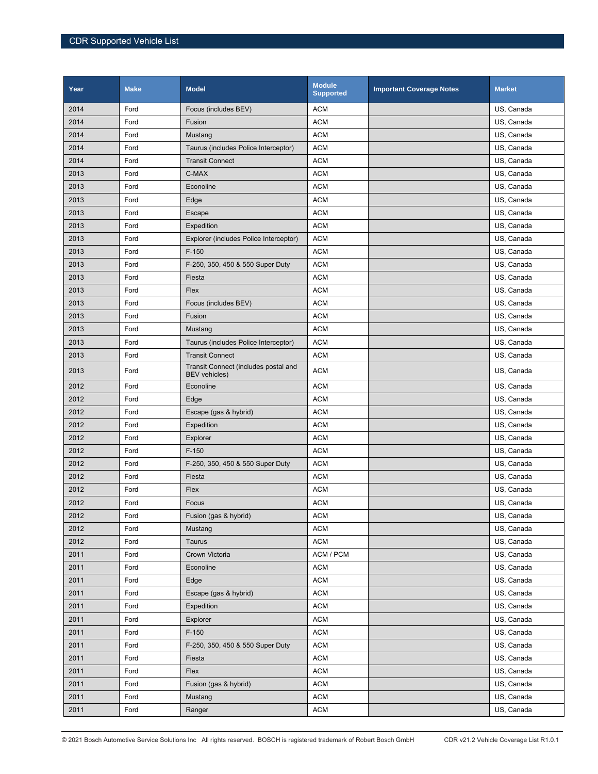| Year | <b>Make</b> | <b>Model</b>                                                 | <b>Module</b><br><b>Supported</b> | <b>Important Coverage Notes</b> | <b>Market</b> |
|------|-------------|--------------------------------------------------------------|-----------------------------------|---------------------------------|---------------|
| 2014 | Ford        | Focus (includes BEV)                                         | <b>ACM</b>                        |                                 | US, Canada    |
| 2014 | Ford        | Fusion                                                       | <b>ACM</b>                        |                                 | US, Canada    |
| 2014 | Ford        | Mustang                                                      | <b>ACM</b>                        |                                 | US, Canada    |
| 2014 | Ford        | Taurus (includes Police Interceptor)                         | <b>ACM</b>                        |                                 | US, Canada    |
| 2014 | Ford        | <b>Transit Connect</b>                                       | <b>ACM</b>                        |                                 | US, Canada    |
| 2013 | Ford        | C-MAX                                                        | <b>ACM</b>                        |                                 | US, Canada    |
| 2013 | Ford        | Econoline                                                    | <b>ACM</b>                        |                                 | US, Canada    |
| 2013 | Ford        | Edge                                                         | <b>ACM</b>                        |                                 | US, Canada    |
| 2013 | Ford        | Escape                                                       | <b>ACM</b>                        |                                 | US, Canada    |
| 2013 | Ford        | Expedition                                                   | <b>ACM</b>                        |                                 | US, Canada    |
| 2013 | Ford        | Explorer (includes Police Interceptor)                       | <b>ACM</b>                        |                                 | US, Canada    |
| 2013 | Ford        | $F-150$                                                      | <b>ACM</b>                        |                                 | US, Canada    |
| 2013 | Ford        | F-250, 350, 450 & 550 Super Duty                             | <b>ACM</b>                        |                                 | US, Canada    |
| 2013 | Ford        | Fiesta                                                       | <b>ACM</b>                        |                                 | US, Canada    |
| 2013 | Ford        | Flex                                                         | <b>ACM</b>                        |                                 | US, Canada    |
| 2013 | Ford        | Focus (includes BEV)                                         | <b>ACM</b>                        |                                 | US. Canada    |
| 2013 | Ford        | Fusion                                                       | <b>ACM</b>                        |                                 | US, Canada    |
| 2013 | Ford        | Mustang                                                      | <b>ACM</b>                        |                                 | US, Canada    |
| 2013 | Ford        | Taurus (includes Police Interceptor)                         | <b>ACM</b>                        |                                 | US, Canada    |
| 2013 | Ford        | <b>Transit Connect</b>                                       | <b>ACM</b>                        |                                 | US, Canada    |
| 2013 | Ford        | Transit Connect (includes postal and<br><b>BEV</b> vehicles) | <b>ACM</b>                        |                                 | US, Canada    |
| 2012 | Ford        | Econoline                                                    | <b>ACM</b>                        |                                 | US, Canada    |
| 2012 | Ford        | Edge                                                         | <b>ACM</b>                        |                                 | US, Canada    |
| 2012 | Ford        | Escape (gas & hybrid)                                        | <b>ACM</b>                        |                                 | US, Canada    |
| 2012 | Ford        | Expedition                                                   | <b>ACM</b>                        |                                 | US, Canada    |
| 2012 | Ford        | Explorer                                                     | <b>ACM</b>                        |                                 | US, Canada    |
| 2012 | Ford        | $F-150$                                                      | <b>ACM</b>                        |                                 | US, Canada    |
| 2012 | Ford        | F-250, 350, 450 & 550 Super Duty                             | <b>ACM</b>                        |                                 | US, Canada    |
| 2012 | Ford        | Fiesta                                                       | <b>ACM</b>                        |                                 | US, Canada    |
| 2012 | Ford        | Flex                                                         | <b>ACM</b>                        |                                 | US, Canada    |
| 2012 | Ford        | Focus                                                        | <b>ACM</b>                        |                                 | US. Canada    |
| 2012 | Ford        | Fusion (gas & hybrid)                                        | <b>ACM</b>                        |                                 | US, Canada    |
| 2012 | Ford        | Mustang                                                      | <b>ACM</b>                        |                                 | US, Canada    |
| 2012 | Ford        | <b>Taurus</b>                                                | <b>ACM</b>                        |                                 | US, Canada    |
| 2011 | Ford        | Crown Victoria                                               | ACM / PCM                         |                                 | US, Canada    |
| 2011 | Ford        | Econoline                                                    | <b>ACM</b>                        |                                 | US, Canada    |
| 2011 | Ford        | Edge                                                         | <b>ACM</b>                        |                                 | US, Canada    |
| 2011 | Ford        | Escape (gas & hybrid)                                        | <b>ACM</b>                        |                                 | US, Canada    |
| 2011 | Ford        | Expedition                                                   | <b>ACM</b>                        |                                 | US, Canada    |
| 2011 | Ford        | Explorer                                                     | <b>ACM</b>                        |                                 | US, Canada    |
| 2011 | Ford        | $F-150$                                                      | ACM                               |                                 | US, Canada    |
| 2011 | Ford        | F-250, 350, 450 & 550 Super Duty                             | <b>ACM</b>                        |                                 | US, Canada    |
| 2011 | Ford        | Fiesta                                                       | <b>ACM</b>                        |                                 | US, Canada    |
| 2011 | Ford        | Flex                                                         | <b>ACM</b>                        |                                 | US, Canada    |
| 2011 | Ford        | Fusion (gas & hybrid)                                        | <b>ACM</b>                        |                                 | US, Canada    |
| 2011 | Ford        | Mustang                                                      | ACM                               |                                 | US, Canada    |
| 2011 | Ford        | Ranger                                                       | <b>ACM</b>                        |                                 | US, Canada    |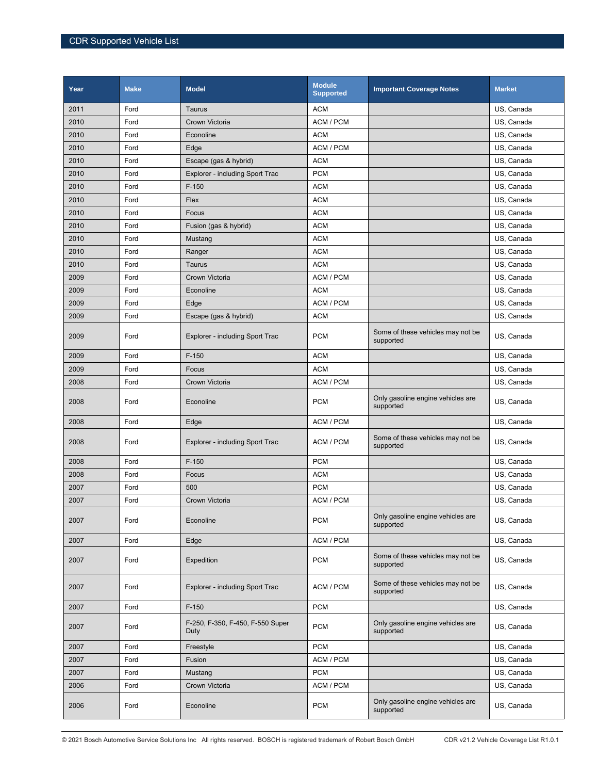| Year | <b>Make</b> | <b>Model</b>                             | <b>Module</b><br><b>Supported</b> | <b>Important Coverage Notes</b>                | <b>Market</b> |
|------|-------------|------------------------------------------|-----------------------------------|------------------------------------------------|---------------|
| 2011 | Ford        | Taurus                                   | <b>ACM</b>                        |                                                | US, Canada    |
| 2010 | Ford        | Crown Victoria                           | ACM / PCM                         |                                                | US, Canada    |
| 2010 | Ford        | Econoline                                | <b>ACM</b>                        |                                                | US, Canada    |
| 2010 | Ford        | Edge                                     | ACM / PCM                         |                                                | US, Canada    |
| 2010 | Ford        | Escape (gas & hybrid)                    | <b>ACM</b>                        |                                                | US, Canada    |
| 2010 | Ford        | Explorer - including Sport Trac          | <b>PCM</b>                        |                                                | US, Canada    |
| 2010 | Ford        | $F-150$                                  | <b>ACM</b>                        |                                                | US, Canada    |
| 2010 | Ford        | Flex                                     | <b>ACM</b>                        |                                                | US, Canada    |
| 2010 | Ford        | Focus                                    | <b>ACM</b>                        |                                                | US, Canada    |
| 2010 | Ford        | Fusion (gas & hybrid)                    | <b>ACM</b>                        |                                                | US, Canada    |
| 2010 | Ford        | Mustang                                  | <b>ACM</b>                        |                                                | US, Canada    |
| 2010 | Ford        | Ranger                                   | <b>ACM</b>                        |                                                | US, Canada    |
| 2010 | Ford        | Taurus                                   | <b>ACM</b>                        |                                                | US, Canada    |
| 2009 | Ford        | Crown Victoria                           | ACM / PCM                         |                                                | US, Canada    |
| 2009 | Ford        | Econoline                                | <b>ACM</b>                        |                                                | US, Canada    |
| 2009 | Ford        | Edge                                     | ACM / PCM                         |                                                | US, Canada    |
| 2009 | Ford        | Escape (gas & hybrid)                    | <b>ACM</b>                        |                                                | US, Canada    |
| 2009 | Ford        | Explorer - including Sport Trac          | <b>PCM</b>                        | Some of these vehicles may not be<br>supported | US, Canada    |
| 2009 | Ford        | $F-150$                                  | <b>ACM</b>                        |                                                | US, Canada    |
| 2009 | Ford        | Focus                                    | <b>ACM</b>                        |                                                | US, Canada    |
| 2008 | Ford        | Crown Victoria                           | ACM / PCM                         |                                                | US, Canada    |
| 2008 | Ford        | Econoline                                | <b>PCM</b>                        | Only gasoline engine vehicles are<br>supported | US, Canada    |
| 2008 | Ford        | Edge                                     | ACM / PCM                         |                                                | US, Canada    |
| 2008 | Ford        | Explorer - including Sport Trac          | ACM / PCM                         | Some of these vehicles may not be<br>supported | US, Canada    |
| 2008 | Ford        | $F-150$                                  | <b>PCM</b>                        |                                                | US, Canada    |
| 2008 | Ford        | Focus                                    | <b>ACM</b>                        |                                                | US, Canada    |
| 2007 | Ford        | 500                                      | <b>PCM</b>                        |                                                | US, Canada    |
| 2007 | Ford        | Crown Victoria                           | ACM / PCM                         |                                                | US, Canada    |
| 2007 | Ford        | Econoline                                | <b>PCM</b>                        | Only gasoline engine vehicles are<br>supported | US, Canada    |
| 2007 | Ford        | Edge                                     | ACM / PCM                         |                                                | US, Canada    |
| 2007 | Ford        | Expedition                               | <b>PCM</b>                        | Some of these vehicles may not be<br>supported | US, Canada    |
| 2007 | Ford        | Explorer - including Sport Trac          | ACM / PCM                         | Some of these vehicles may not be<br>supported | US, Canada    |
| 2007 | Ford        | $F-150$                                  | <b>PCM</b>                        |                                                | US, Canada    |
| 2007 | Ford        | F-250, F-350, F-450, F-550 Super<br>Duty | <b>PCM</b>                        | Only gasoline engine vehicles are<br>supported | US, Canada    |
| 2007 | Ford        | Freestyle                                | <b>PCM</b>                        |                                                | US, Canada    |
| 2007 | Ford        | Fusion                                   | ACM / PCM                         |                                                | US, Canada    |
| 2007 | Ford        | Mustang                                  | <b>PCM</b>                        |                                                | US, Canada    |
| 2006 | Ford        | Crown Victoria                           | ACM / PCM                         |                                                | US, Canada    |
| 2006 | Ford        | Econoline                                | <b>PCM</b>                        | Only gasoline engine vehicles are<br>supported | US, Canada    |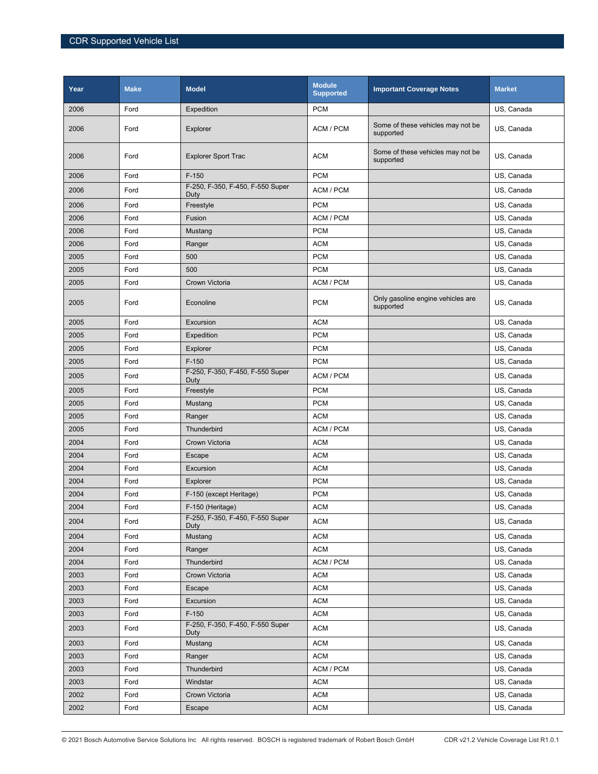| Year | <b>Make</b> | <b>Model</b>                             | <b>Module</b><br><b>Supported</b> | <b>Important Coverage Notes</b>                | <b>Market</b> |
|------|-------------|------------------------------------------|-----------------------------------|------------------------------------------------|---------------|
| 2006 | Ford        | Expedition                               | <b>PCM</b>                        |                                                | US, Canada    |
| 2006 | Ford        | Explorer                                 | ACM / PCM                         | Some of these vehicles may not be<br>supported | US, Canada    |
| 2006 | Ford        | <b>Explorer Sport Trac</b>               | <b>ACM</b>                        | Some of these vehicles may not be<br>supported | US, Canada    |
| 2006 | Ford        | $F-150$                                  | <b>PCM</b>                        |                                                | US, Canada    |
| 2006 | Ford        | F-250, F-350, F-450, F-550 Super<br>Duty | ACM / PCM                         |                                                | US, Canada    |
| 2006 | Ford        | Freestyle                                | <b>PCM</b>                        |                                                | US, Canada    |
| 2006 | Ford        | Fusion                                   | ACM / PCM                         |                                                | US, Canada    |
| 2006 | Ford        | Mustang                                  | <b>PCM</b>                        |                                                | US, Canada    |
| 2006 | Ford        | Ranger                                   | <b>ACM</b>                        |                                                | US, Canada    |
| 2005 | Ford        | 500                                      | <b>PCM</b>                        |                                                | US, Canada    |
| 2005 | Ford        | 500                                      | <b>PCM</b>                        |                                                | US, Canada    |
| 2005 | Ford        | Crown Victoria                           | ACM / PCM                         |                                                | US, Canada    |
| 2005 | Ford        | Econoline                                | <b>PCM</b>                        | Only gasoline engine vehicles are<br>supported | US, Canada    |
| 2005 | Ford        | Excursion                                | <b>ACM</b>                        |                                                | US, Canada    |
| 2005 | Ford        | Expedition                               | <b>PCM</b>                        |                                                | US, Canada    |
| 2005 | Ford        | Explorer                                 | <b>PCM</b>                        |                                                | US, Canada    |
| 2005 | Ford        | $F-150$                                  | <b>PCM</b>                        |                                                | US, Canada    |
| 2005 | Ford        | F-250, F-350, F-450, F-550 Super<br>Duty | ACM / PCM                         |                                                | US, Canada    |
| 2005 | Ford        | Freestyle                                | <b>PCM</b>                        |                                                | US, Canada    |
| 2005 | Ford        | Mustang                                  | <b>PCM</b>                        |                                                | US, Canada    |
| 2005 | Ford        | Ranger                                   | <b>ACM</b>                        |                                                | US, Canada    |
| 2005 | Ford        | Thunderbird                              | ACM / PCM                         |                                                | US, Canada    |
| 2004 | Ford        | Crown Victoria                           | <b>ACM</b>                        |                                                | US, Canada    |
| 2004 | Ford        | Escape                                   | <b>ACM</b>                        |                                                | US, Canada    |
| 2004 | Ford        | Excursion                                | <b>ACM</b>                        |                                                | US, Canada    |
| 2004 | Ford        | Explorer                                 | <b>PCM</b>                        |                                                | US, Canada    |
| 2004 | Ford        | F-150 (except Heritage)                  | <b>PCM</b>                        |                                                | US, Canada    |
| 2004 | Ford        | F-150 (Heritage)                         | <b>ACM</b>                        |                                                | US, Canada    |
| 2004 | Ford        | F-250, F-350, F-450, F-550 Super<br>Duty | <b>ACM</b>                        |                                                | US, Canada    |
| 2004 | Ford        | Mustang                                  | <b>ACM</b>                        |                                                | US, Canada    |
| 2004 | Ford        | Ranger                                   | <b>ACM</b>                        |                                                | US, Canada    |
| 2004 | Ford        | Thunderbird                              | ACM / PCM                         |                                                | US, Canada    |
| 2003 | Ford        | Crown Victoria                           | <b>ACM</b>                        |                                                | US, Canada    |
| 2003 | Ford        | Escape                                   | <b>ACM</b>                        |                                                | US, Canada    |
| 2003 | Ford        | Excursion                                | ACM                               |                                                | US, Canada    |
| 2003 | Ford        | $F-150$                                  | <b>ACM</b>                        |                                                | US, Canada    |
| 2003 | Ford        | F-250, F-350, F-450, F-550 Super<br>Duty | <b>ACM</b>                        |                                                | US, Canada    |
| 2003 | Ford        | Mustang                                  | <b>ACM</b>                        |                                                | US, Canada    |
| 2003 | Ford        | Ranger                                   | <b>ACM</b>                        |                                                | US, Canada    |
| 2003 | Ford        | Thunderbird                              | ACM / PCM                         |                                                | US, Canada    |
| 2003 | Ford        | Windstar                                 | <b>ACM</b>                        |                                                | US, Canada    |
| 2002 | Ford        | Crown Victoria                           | <b>ACM</b>                        |                                                | US, Canada    |
| 2002 | Ford        | Escape                                   | <b>ACM</b>                        |                                                | US, Canada    |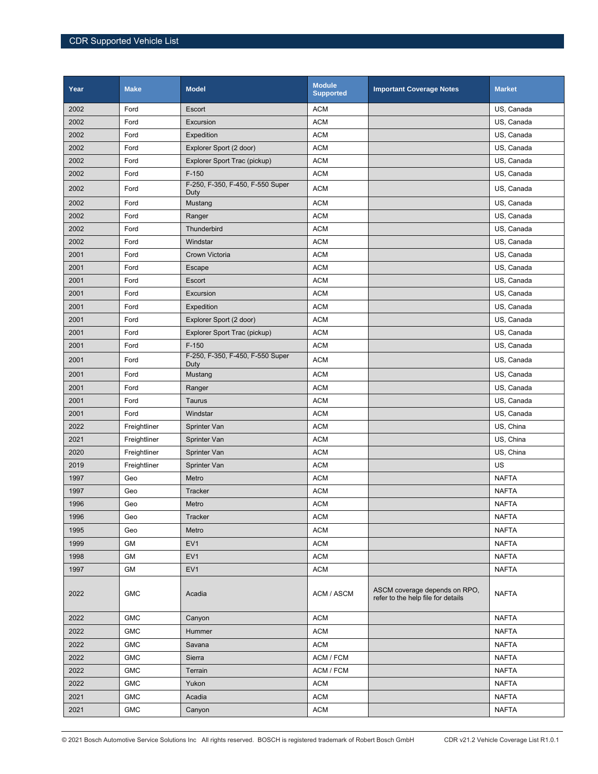| Year | <b>Make</b>  | <b>Model</b>                             | <b>Module</b><br><b>Supported</b> | <b>Important Coverage Notes</b>                                     | <b>Market</b> |
|------|--------------|------------------------------------------|-----------------------------------|---------------------------------------------------------------------|---------------|
| 2002 | Ford         | Escort                                   | <b>ACM</b>                        |                                                                     | US, Canada    |
| 2002 | Ford         | Excursion                                | <b>ACM</b>                        |                                                                     | US, Canada    |
| 2002 | Ford         | Expedition                               | <b>ACM</b>                        |                                                                     | US, Canada    |
| 2002 | Ford         | Explorer Sport (2 door)                  | <b>ACM</b>                        |                                                                     | US, Canada    |
| 2002 | Ford         | Explorer Sport Trac (pickup)             | <b>ACM</b>                        |                                                                     | US, Canada    |
| 2002 | Ford         | $F-150$                                  | <b>ACM</b>                        |                                                                     | US, Canada    |
| 2002 | Ford         | F-250, F-350, F-450, F-550 Super<br>Duty | <b>ACM</b>                        |                                                                     | US, Canada    |
| 2002 | Ford         | Mustang                                  | <b>ACM</b>                        |                                                                     | US, Canada    |
| 2002 | Ford         | Ranger                                   | <b>ACM</b>                        |                                                                     | US, Canada    |
| 2002 | Ford         | Thunderbird                              | <b>ACM</b>                        |                                                                     | US, Canada    |
| 2002 | Ford         | Windstar                                 | <b>ACM</b>                        |                                                                     | US, Canada    |
| 2001 | Ford         | Crown Victoria                           | <b>ACM</b>                        |                                                                     | US, Canada    |
| 2001 | Ford         | Escape                                   | <b>ACM</b>                        |                                                                     | US, Canada    |
| 2001 | Ford         | Escort                                   | <b>ACM</b>                        |                                                                     | US, Canada    |
| 2001 | Ford         | Excursion                                | <b>ACM</b>                        |                                                                     | US, Canada    |
| 2001 | Ford         | Expedition                               | <b>ACM</b>                        |                                                                     | US, Canada    |
| 2001 | Ford         | Explorer Sport (2 door)                  | <b>ACM</b>                        |                                                                     | US, Canada    |
| 2001 | Ford         | Explorer Sport Trac (pickup)             | <b>ACM</b>                        |                                                                     | US, Canada    |
| 2001 | Ford         | $F-150$                                  | <b>ACM</b>                        |                                                                     | US, Canada    |
| 2001 | Ford         | F-250, F-350, F-450, F-550 Super<br>Duty | <b>ACM</b>                        |                                                                     | US, Canada    |
| 2001 | Ford         | Mustang                                  | <b>ACM</b>                        |                                                                     | US, Canada    |
| 2001 | Ford         | Ranger                                   | <b>ACM</b>                        |                                                                     | US, Canada    |
| 2001 | Ford         | Taurus                                   | <b>ACM</b>                        |                                                                     | US, Canada    |
| 2001 | Ford         | Windstar                                 | <b>ACM</b>                        |                                                                     | US, Canada    |
| 2022 | Freightliner | Sprinter Van                             | <b>ACM</b>                        |                                                                     | US, China     |
| 2021 | Freightliner | Sprinter Van                             | <b>ACM</b>                        |                                                                     | US, China     |
| 2020 | Freightliner | Sprinter Van                             | <b>ACM</b>                        |                                                                     | US, China     |
| 2019 | Freightliner | Sprinter Van                             | <b>ACM</b>                        |                                                                     | US            |
| 1997 | Geo          | Metro                                    | <b>ACM</b>                        |                                                                     | <b>NAFTA</b>  |
| 1997 | Geo          | <b>Tracker</b>                           | <b>ACM</b>                        |                                                                     | <b>NAFTA</b>  |
| 1996 | Geo          | Metro                                    | <b>ACM</b>                        |                                                                     | <b>NAFTA</b>  |
| 1996 | Geo          | Tracker                                  | <b>ACM</b>                        |                                                                     | <b>NAFTA</b>  |
| 1995 | Geo          | Metro                                    | <b>ACM</b>                        |                                                                     | <b>NAFTA</b>  |
| 1999 | GM           | EV <sub>1</sub>                          | <b>ACM</b>                        |                                                                     | <b>NAFTA</b>  |
| 1998 | GM           | EV <sub>1</sub>                          | <b>ACM</b>                        |                                                                     | <b>NAFTA</b>  |
| 1997 | GM           | EV <sub>1</sub>                          | <b>ACM</b>                        |                                                                     | <b>NAFTA</b>  |
| 2022 | <b>GMC</b>   | Acadia                                   | ACM / ASCM                        | ASCM coverage depends on RPO,<br>refer to the help file for details | <b>NAFTA</b>  |
| 2022 | <b>GMC</b>   | Canyon                                   | <b>ACM</b>                        |                                                                     | <b>NAFTA</b>  |
| 2022 | <b>GMC</b>   | Hummer                                   | <b>ACM</b>                        |                                                                     | <b>NAFTA</b>  |
| 2022 | <b>GMC</b>   | Savana                                   | ACM                               |                                                                     | <b>NAFTA</b>  |
| 2022 | <b>GMC</b>   | Sierra                                   | ACM / FCM                         |                                                                     | <b>NAFTA</b>  |
| 2022 | <b>GMC</b>   | Terrain                                  | ACM / FCM                         |                                                                     | <b>NAFTA</b>  |
| 2022 | <b>GMC</b>   | Yukon                                    | <b>ACM</b>                        |                                                                     | <b>NAFTA</b>  |
| 2021 | <b>GMC</b>   | Acadia                                   | <b>ACM</b>                        |                                                                     | <b>NAFTA</b>  |
| 2021 | <b>GMC</b>   | Canyon                                   | <b>ACM</b>                        |                                                                     | <b>NAFTA</b>  |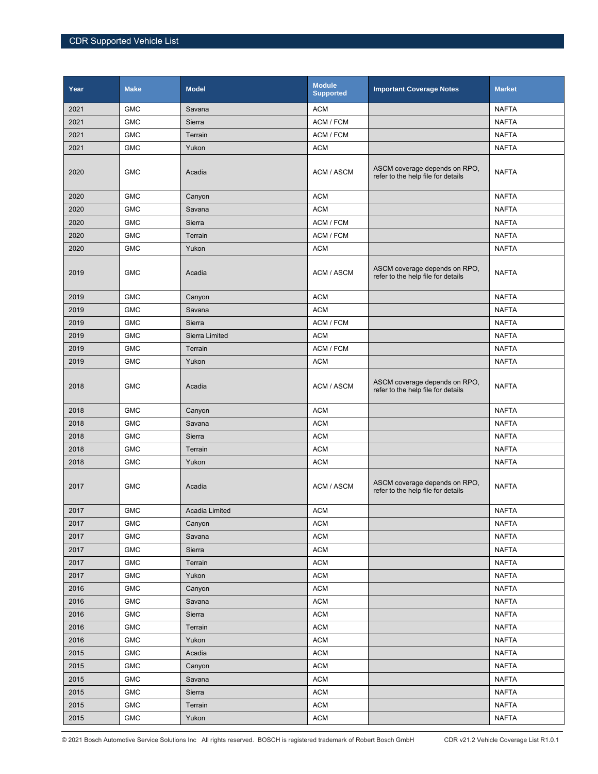| Year | <b>Make</b> | <b>Model</b>   | <b>Module</b><br><b>Supported</b> | <b>Important Coverage Notes</b>                                     | <b>Market</b> |
|------|-------------|----------------|-----------------------------------|---------------------------------------------------------------------|---------------|
| 2021 | <b>GMC</b>  | Savana         | <b>ACM</b>                        |                                                                     | <b>NAFTA</b>  |
| 2021 | <b>GMC</b>  | Sierra         | ACM / FCM                         |                                                                     | <b>NAFTA</b>  |
| 2021 | <b>GMC</b>  | Terrain        | ACM / FCM                         |                                                                     | <b>NAFTA</b>  |
| 2021 | <b>GMC</b>  | Yukon          | <b>ACM</b>                        |                                                                     | <b>NAFTA</b>  |
| 2020 | <b>GMC</b>  | Acadia         | ACM / ASCM                        | ASCM coverage depends on RPO,<br>refer to the help file for details | <b>NAFTA</b>  |
| 2020 | <b>GMC</b>  | Canyon         | <b>ACM</b>                        |                                                                     | <b>NAFTA</b>  |
| 2020 | <b>GMC</b>  | Savana         | <b>ACM</b>                        |                                                                     | <b>NAFTA</b>  |
| 2020 | <b>GMC</b>  | <b>Sierra</b>  | ACM / FCM                         |                                                                     | <b>NAFTA</b>  |
| 2020 | <b>GMC</b>  | Terrain        | ACM / FCM                         |                                                                     | <b>NAFTA</b>  |
| 2020 | <b>GMC</b>  | Yukon          | <b>ACM</b>                        |                                                                     | <b>NAFTA</b>  |
| 2019 | <b>GMC</b>  | Acadia         | ACM / ASCM                        | ASCM coverage depends on RPO,<br>refer to the help file for details | <b>NAFTA</b>  |
| 2019 | <b>GMC</b>  | Canyon         | <b>ACM</b>                        |                                                                     | <b>NAFTA</b>  |
| 2019 | <b>GMC</b>  | Savana         | <b>ACM</b>                        |                                                                     | <b>NAFTA</b>  |
| 2019 | <b>GMC</b>  | Sierra         | ACM / FCM                         |                                                                     | <b>NAFTA</b>  |
| 2019 | <b>GMC</b>  | Sierra Limited | <b>ACM</b>                        |                                                                     | <b>NAFTA</b>  |
| 2019 | <b>GMC</b>  | Terrain        | ACM / FCM                         |                                                                     | <b>NAFTA</b>  |
| 2019 | <b>GMC</b>  | Yukon          | <b>ACM</b>                        |                                                                     | <b>NAFTA</b>  |
| 2018 | <b>GMC</b>  | Acadia         | ACM / ASCM                        | ASCM coverage depends on RPO,<br>refer to the help file for details | <b>NAFTA</b>  |
| 2018 | <b>GMC</b>  | Canyon         | <b>ACM</b>                        |                                                                     | <b>NAFTA</b>  |
| 2018 | <b>GMC</b>  | Savana         | <b>ACM</b>                        |                                                                     | <b>NAFTA</b>  |
| 2018 | <b>GMC</b>  | <b>Sierra</b>  | <b>ACM</b>                        |                                                                     | <b>NAFTA</b>  |
| 2018 | <b>GMC</b>  | Terrain        | <b>ACM</b>                        |                                                                     | <b>NAFTA</b>  |
| 2018 | <b>GMC</b>  | Yukon          | <b>ACM</b>                        |                                                                     | <b>NAFTA</b>  |
| 2017 | <b>GMC</b>  | Acadia         | ACM / ASCM                        | ASCM coverage depends on RPO,<br>refer to the help file for details | <b>NAFTA</b>  |
| 2017 | <b>GMC</b>  | Acadia Limited | <b>ACM</b>                        |                                                                     | <b>NAFTA</b>  |
| 2017 | <b>GMC</b>  | Canyon         | <b>ACM</b>                        |                                                                     | <b>NAFTA</b>  |
| 2017 | <b>GMC</b>  | Savana         | <b>ACM</b>                        |                                                                     | <b>NAFTA</b>  |
| 2017 | <b>GMC</b>  | Sierra         | <b>ACM</b>                        |                                                                     | <b>NAFTA</b>  |
| 2017 | <b>GMC</b>  | Terrain        | $\mathsf{ACM}$                    |                                                                     | <b>NAFTA</b>  |
| 2017 | <b>GMC</b>  | Yukon          | <b>ACM</b>                        |                                                                     | <b>NAFTA</b>  |
| 2016 | <b>GMC</b>  | Canyon         | <b>ACM</b>                        |                                                                     | <b>NAFTA</b>  |
| 2016 | <b>GMC</b>  | Savana         | <b>ACM</b>                        |                                                                     | <b>NAFTA</b>  |
| 2016 | <b>GMC</b>  | Sierra         | <b>ACM</b>                        |                                                                     | <b>NAFTA</b>  |
| 2016 | ${\sf GMC}$ | Terrain        | <b>ACM</b>                        |                                                                     | <b>NAFTA</b>  |
| 2016 | ${\sf GMC}$ | Yukon          | <b>ACM</b>                        |                                                                     | <b>NAFTA</b>  |
| 2015 | <b>GMC</b>  | Acadia         | <b>ACM</b>                        |                                                                     | <b>NAFTA</b>  |
| 2015 | <b>GMC</b>  | Canyon         | <b>ACM</b>                        |                                                                     | <b>NAFTA</b>  |
| 2015 | <b>GMC</b>  | Savana         | <b>ACM</b>                        |                                                                     | <b>NAFTA</b>  |
| 2015 | ${\sf GMC}$ | Sierra         | <b>ACM</b>                        |                                                                     | <b>NAFTA</b>  |
| 2015 | ${\sf GMC}$ | Terrain        | <b>ACM</b>                        |                                                                     | <b>NAFTA</b>  |
| 2015 | <b>GMC</b>  | Yukon          | <b>ACM</b>                        |                                                                     | <b>NAFTA</b>  |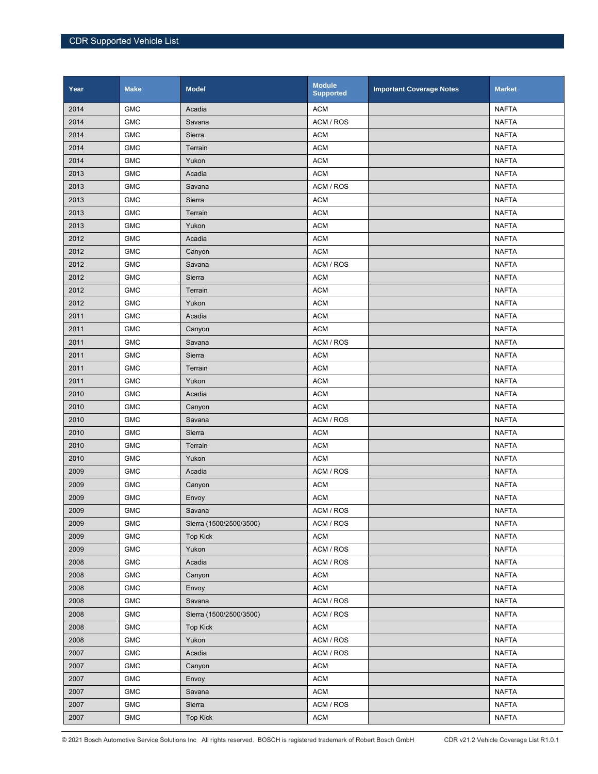| Year | <b>Make</b> | <b>Model</b>            | <b>Module</b><br><b>Supported</b> | <b>Important Coverage Notes</b> | <b>Market</b> |
|------|-------------|-------------------------|-----------------------------------|---------------------------------|---------------|
| 2014 | <b>GMC</b>  | Acadia                  | <b>ACM</b>                        |                                 | <b>NAFTA</b>  |
| 2014 | <b>GMC</b>  | Savana                  | ACM / ROS                         |                                 | <b>NAFTA</b>  |
| 2014 | <b>GMC</b>  | Sierra                  | <b>ACM</b>                        |                                 | <b>NAFTA</b>  |
| 2014 | <b>GMC</b>  | Terrain                 | <b>ACM</b>                        |                                 | <b>NAFTA</b>  |
| 2014 | <b>GMC</b>  | Yukon                   | <b>ACM</b>                        |                                 | <b>NAFTA</b>  |
| 2013 | <b>GMC</b>  | Acadia                  | <b>ACM</b>                        |                                 | <b>NAFTA</b>  |
| 2013 | <b>GMC</b>  | Savana                  | ACM / ROS                         |                                 | <b>NAFTA</b>  |
| 2013 | <b>GMC</b>  | Sierra                  | <b>ACM</b>                        |                                 | <b>NAFTA</b>  |
| 2013 | <b>GMC</b>  | Terrain                 | <b>ACM</b>                        |                                 | <b>NAFTA</b>  |
| 2013 | <b>GMC</b>  | Yukon                   | <b>ACM</b>                        |                                 | <b>NAFTA</b>  |
| 2012 | <b>GMC</b>  | Acadia                  | <b>ACM</b>                        |                                 | <b>NAFTA</b>  |
| 2012 | <b>GMC</b>  | Canyon                  | <b>ACM</b>                        |                                 | <b>NAFTA</b>  |
| 2012 | <b>GMC</b>  | Savana                  | ACM / ROS                         |                                 | <b>NAFTA</b>  |
| 2012 | <b>GMC</b>  | Sierra                  | <b>ACM</b>                        |                                 | <b>NAFTA</b>  |
| 2012 | <b>GMC</b>  | Terrain                 | <b>ACM</b>                        |                                 | <b>NAFTA</b>  |
| 2012 | <b>GMC</b>  | Yukon                   | <b>ACM</b>                        |                                 | <b>NAFTA</b>  |
| 2011 | <b>GMC</b>  | Acadia                  | <b>ACM</b>                        |                                 | <b>NAFTA</b>  |
| 2011 | <b>GMC</b>  | Canyon                  | <b>ACM</b>                        |                                 | <b>NAFTA</b>  |
| 2011 | <b>GMC</b>  | Savana                  | ACM / ROS                         |                                 | <b>NAFTA</b>  |
| 2011 | <b>GMC</b>  | Sierra                  | <b>ACM</b>                        |                                 | <b>NAFTA</b>  |
| 2011 | <b>GMC</b>  | Terrain                 | <b>ACM</b>                        |                                 | <b>NAFTA</b>  |
| 2011 | <b>GMC</b>  | Yukon                   | <b>ACM</b>                        |                                 | <b>NAFTA</b>  |
| 2010 | <b>GMC</b>  | Acadia                  | <b>ACM</b>                        |                                 | <b>NAFTA</b>  |
| 2010 | <b>GMC</b>  | Canyon                  | <b>ACM</b>                        |                                 | <b>NAFTA</b>  |
| 2010 | <b>GMC</b>  | Savana                  | ACM / ROS                         |                                 | <b>NAFTA</b>  |
| 2010 | <b>GMC</b>  | Sierra                  | <b>ACM</b>                        |                                 | <b>NAFTA</b>  |
| 2010 | <b>GMC</b>  | Terrain                 | <b>ACM</b>                        |                                 | <b>NAFTA</b>  |
| 2010 | <b>GMC</b>  | Yukon                   | <b>ACM</b>                        |                                 | <b>NAFTA</b>  |
| 2009 | <b>GMC</b>  | Acadia                  | ACM / ROS                         |                                 | <b>NAFTA</b>  |
| 2009 | <b>GMC</b>  | Canyon                  | <b>ACM</b>                        |                                 | <b>NAFTA</b>  |
| 2009 | <b>GMC</b>  | Envoy                   | <b>ACM</b>                        |                                 | <b>NAFTA</b>  |
| 2009 | <b>GMC</b>  | Savana                  | ACM / ROS                         |                                 | <b>NAFTA</b>  |
| 2009 | <b>GMC</b>  | Sierra (1500/2500/3500) | ACM / ROS                         |                                 | <b>NAFTA</b>  |
| 2009 | <b>GMC</b>  | <b>Top Kick</b>         | <b>ACM</b>                        |                                 | <b>NAFTA</b>  |
| 2009 | ${\sf GMC}$ | Yukon                   | ACM / ROS                         |                                 | <b>NAFTA</b>  |
| 2008 | ${\sf GMC}$ | Acadia                  | ACM / ROS                         |                                 | <b>NAFTA</b>  |
| 2008 | <b>GMC</b>  | Canyon                  | <b>ACM</b>                        |                                 | <b>NAFTA</b>  |
| 2008 | <b>GMC</b>  | Envoy                   | <b>ACM</b>                        |                                 | <b>NAFTA</b>  |
| 2008 | <b>GMC</b>  | Savana                  | ACM / ROS                         |                                 | <b>NAFTA</b>  |
| 2008 | <b>GMC</b>  | Sierra (1500/2500/3500) | ACM / ROS                         |                                 | <b>NAFTA</b>  |
| 2008 | <b>GMC</b>  | <b>Top Kick</b>         | <b>ACM</b>                        |                                 | <b>NAFTA</b>  |
| 2008 | <b>GMC</b>  | Yukon                   | ACM / ROS                         |                                 | <b>NAFTA</b>  |
| 2007 | <b>GMC</b>  | Acadia                  | ACM / ROS                         |                                 | <b>NAFTA</b>  |
| 2007 | <b>GMC</b>  | Canyon                  | <b>ACM</b>                        |                                 | <b>NAFTA</b>  |
| 2007 | <b>GMC</b>  | Envoy                   | <b>ACM</b>                        |                                 | <b>NAFTA</b>  |
| 2007 | <b>GMC</b>  | Savana                  | <b>ACM</b>                        |                                 | <b>NAFTA</b>  |
| 2007 | <b>GMC</b>  | Sierra                  | ACM / ROS                         |                                 | <b>NAFTA</b>  |
| 2007 | <b>GMC</b>  | <b>Top Kick</b>         | <b>ACM</b>                        |                                 | <b>NAFTA</b>  |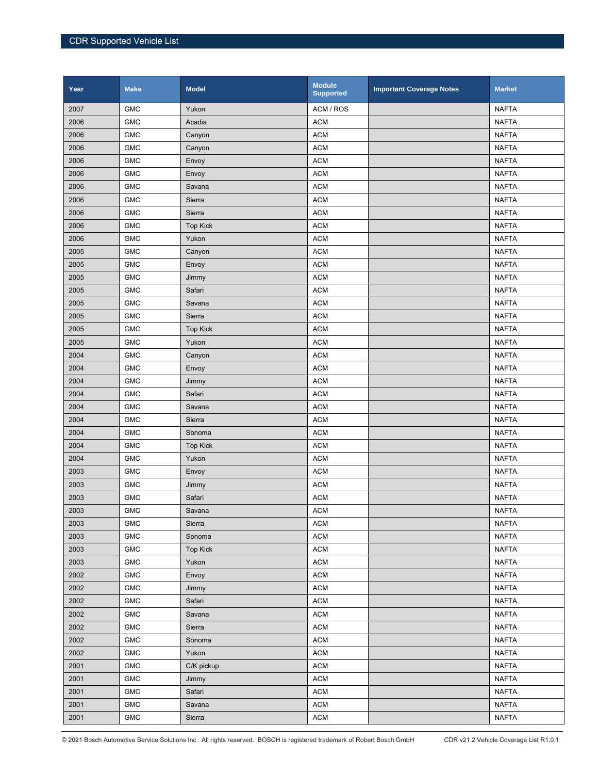| Year | <b>Make</b> | <b>Model</b>    | <b>Module</b><br><b>Supported</b> | <b>Important Coverage Notes</b> | <b>Market</b> |
|------|-------------|-----------------|-----------------------------------|---------------------------------|---------------|
| 2007 | <b>GMC</b>  | Yukon           | ACM / ROS                         |                                 | <b>NAFTA</b>  |
| 2006 | <b>GMC</b>  | Acadia          | <b>ACM</b>                        |                                 | <b>NAFTA</b>  |
| 2006 | <b>GMC</b>  | Canyon          | <b>ACM</b>                        |                                 | <b>NAFTA</b>  |
| 2006 | <b>GMC</b>  | Canyon          | <b>ACM</b>                        |                                 | <b>NAFTA</b>  |
| 2006 | <b>GMC</b>  | Envoy           | <b>ACM</b>                        |                                 | <b>NAFTA</b>  |
| 2006 | <b>GMC</b>  | Envoy           | <b>ACM</b>                        |                                 | <b>NAFTA</b>  |
| 2006 | <b>GMC</b>  | Savana          | <b>ACM</b>                        |                                 | <b>NAFTA</b>  |
| 2006 | <b>GMC</b>  | Sierra          | <b>ACM</b>                        |                                 | <b>NAFTA</b>  |
| 2006 | <b>GMC</b>  | Sierra          | <b>ACM</b>                        |                                 | <b>NAFTA</b>  |
| 2006 | <b>GMC</b>  | <b>Top Kick</b> | <b>ACM</b>                        |                                 | <b>NAFTA</b>  |
| 2006 | <b>GMC</b>  | Yukon           | <b>ACM</b>                        |                                 | <b>NAFTA</b>  |
| 2005 | <b>GMC</b>  | Canyon          | <b>ACM</b>                        |                                 | <b>NAFTA</b>  |
| 2005 | <b>GMC</b>  | Envoy           | <b>ACM</b>                        |                                 | <b>NAFTA</b>  |
| 2005 | <b>GMC</b>  | Jimmy           | <b>ACM</b>                        |                                 | <b>NAFTA</b>  |
| 2005 | <b>GMC</b>  | Safari          | <b>ACM</b>                        |                                 | <b>NAFTA</b>  |
| 2005 | <b>GMC</b>  | Savana          | <b>ACM</b>                        |                                 | <b>NAFTA</b>  |
| 2005 | <b>GMC</b>  | Sierra          | <b>ACM</b>                        |                                 | <b>NAFTA</b>  |
| 2005 | <b>GMC</b>  | <b>Top Kick</b> | <b>ACM</b>                        |                                 | <b>NAFTA</b>  |
| 2005 | <b>GMC</b>  | Yukon           | <b>ACM</b>                        |                                 | <b>NAFTA</b>  |
| 2004 | <b>GMC</b>  | Canyon          | <b>ACM</b>                        |                                 | <b>NAFTA</b>  |
| 2004 | <b>GMC</b>  | Envoy           | <b>ACM</b>                        |                                 | <b>NAFTA</b>  |
| 2004 | <b>GMC</b>  | Jimmy           | <b>ACM</b>                        |                                 | <b>NAFTA</b>  |
| 2004 | <b>GMC</b>  | Safari          | <b>ACM</b>                        |                                 | <b>NAFTA</b>  |
| 2004 | <b>GMC</b>  | Savana          | <b>ACM</b>                        |                                 | <b>NAFTA</b>  |
| 2004 | <b>GMC</b>  | Sierra          | <b>ACM</b>                        |                                 | <b>NAFTA</b>  |
| 2004 | <b>GMC</b>  | Sonoma          | <b>ACM</b>                        |                                 | <b>NAFTA</b>  |
| 2004 | <b>GMC</b>  | <b>Top Kick</b> | <b>ACM</b>                        |                                 | <b>NAFTA</b>  |
| 2004 | <b>GMC</b>  | Yukon           | <b>ACM</b>                        |                                 | <b>NAFTA</b>  |
| 2003 | <b>GMC</b>  | Envoy           | <b>ACM</b>                        |                                 | <b>NAFTA</b>  |
| 2003 | <b>GMC</b>  | Jimmy           | <b>ACM</b>                        |                                 | <b>NAFTA</b>  |
| 2003 | <b>GMC</b>  | Safari          | <b>ACM</b>                        |                                 | <b>NAFTA</b>  |
| 2003 | <b>GMC</b>  | Savana          | <b>ACM</b>                        |                                 | <b>NAFTA</b>  |
| 2003 | <b>GMC</b>  | Sierra          | <b>ACM</b>                        |                                 | <b>NAFTA</b>  |
| 2003 | <b>GMC</b>  | Sonoma          | <b>ACM</b>                        |                                 | <b>NAFTA</b>  |
| 2003 | ${\sf GMC}$ | <b>Top Kick</b> | <b>ACM</b>                        |                                 | <b>NAFTA</b>  |
| 2003 | ${\sf GMC}$ | Yukon           | <b>ACM</b>                        |                                 | <b>NAFTA</b>  |
| 2002 | ${\sf GMC}$ | Envoy           | <b>ACM</b>                        |                                 | <b>NAFTA</b>  |
| 2002 | <b>GMC</b>  | Jimmy           | <b>ACM</b>                        |                                 | <b>NAFTA</b>  |
| 2002 | <b>GMC</b>  | Safari          | <b>ACM</b>                        |                                 | <b>NAFTA</b>  |
| 2002 | <b>GMC</b>  | Savana          | <b>ACM</b>                        |                                 | <b>NAFTA</b>  |
| 2002 | <b>GMC</b>  | Sierra          | <b>ACM</b>                        |                                 | <b>NAFTA</b>  |
| 2002 | ${\sf GMC}$ | Sonoma          | <b>ACM</b>                        |                                 | <b>NAFTA</b>  |
| 2002 | GMC         | Yukon           | <b>ACM</b>                        |                                 | <b>NAFTA</b>  |
| 2001 | <b>GMC</b>  | C/K pickup      | <b>ACM</b>                        |                                 | <b>NAFTA</b>  |
| 2001 | ${\sf GMC}$ | Jimmy           | <b>ACM</b>                        |                                 | NAFTA         |
| 2001 | <b>GMC</b>  | Safari          | <b>ACM</b>                        |                                 | <b>NAFTA</b>  |
| 2001 | ${\sf GMC}$ | Savana          | <b>ACM</b>                        |                                 | <b>NAFTA</b>  |
| 2001 | <b>GMC</b>  | Sierra          | <b>ACM</b>                        |                                 | <b>NAFTA</b>  |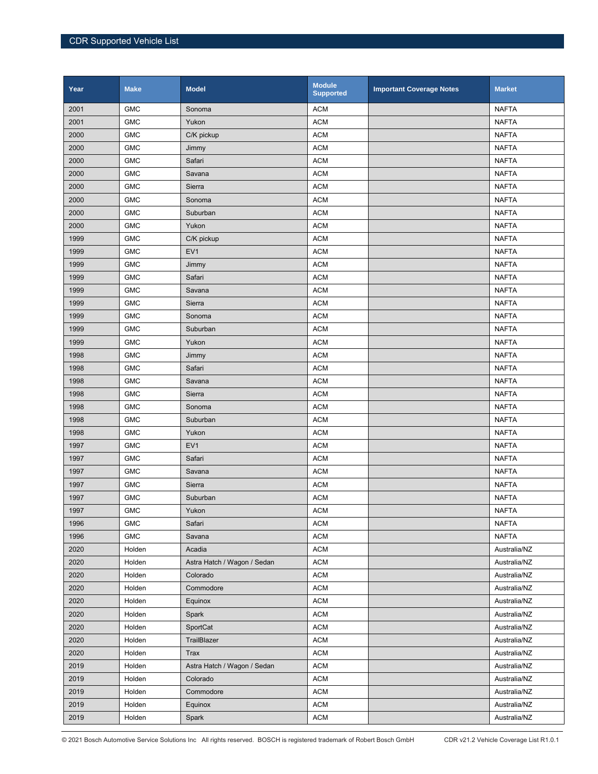| Year | <b>Make</b> | <b>Model</b>                | <b>Module</b><br><b>Supported</b> | <b>Important Coverage Notes</b> | <b>Market</b> |
|------|-------------|-----------------------------|-----------------------------------|---------------------------------|---------------|
| 2001 | <b>GMC</b>  | Sonoma                      | <b>ACM</b>                        |                                 | <b>NAFTA</b>  |
| 2001 | <b>GMC</b>  | Yukon                       | <b>ACM</b>                        |                                 | <b>NAFTA</b>  |
| 2000 | <b>GMC</b>  | C/K pickup                  | <b>ACM</b>                        |                                 | <b>NAFTA</b>  |
| 2000 | <b>GMC</b>  | Jimmy                       | <b>ACM</b>                        |                                 | <b>NAFTA</b>  |
| 2000 | <b>GMC</b>  | Safari                      | <b>ACM</b>                        |                                 | <b>NAFTA</b>  |
| 2000 | <b>GMC</b>  | Savana                      | <b>ACM</b>                        |                                 | <b>NAFTA</b>  |
| 2000 | <b>GMC</b>  | Sierra                      | <b>ACM</b>                        |                                 | <b>NAFTA</b>  |
| 2000 | <b>GMC</b>  | Sonoma                      | <b>ACM</b>                        |                                 | <b>NAFTA</b>  |
| 2000 | <b>GMC</b>  | Suburban                    | <b>ACM</b>                        |                                 | <b>NAFTA</b>  |
| 2000 | <b>GMC</b>  | Yukon                       | <b>ACM</b>                        |                                 | <b>NAFTA</b>  |
| 1999 | <b>GMC</b>  | C/K pickup                  | <b>ACM</b>                        |                                 | <b>NAFTA</b>  |
| 1999 | <b>GMC</b>  | EV <sub>1</sub>             | <b>ACM</b>                        |                                 | <b>NAFTA</b>  |
| 1999 | <b>GMC</b>  | Jimmy                       | <b>ACM</b>                        |                                 | <b>NAFTA</b>  |
| 1999 | <b>GMC</b>  | Safari                      | <b>ACM</b>                        |                                 | <b>NAFTA</b>  |
| 1999 | <b>GMC</b>  | Savana                      | <b>ACM</b>                        |                                 | <b>NAFTA</b>  |
| 1999 | <b>GMC</b>  | Sierra                      | <b>ACM</b>                        |                                 | <b>NAFTA</b>  |
| 1999 | <b>GMC</b>  | Sonoma                      | <b>ACM</b>                        |                                 | <b>NAFTA</b>  |
| 1999 | <b>GMC</b>  | Suburban                    | <b>ACM</b>                        |                                 | <b>NAFTA</b>  |
| 1999 | <b>GMC</b>  | Yukon                       | <b>ACM</b>                        |                                 | <b>NAFTA</b>  |
| 1998 | <b>GMC</b>  | Jimmy                       | <b>ACM</b>                        |                                 | <b>NAFTA</b>  |
| 1998 | <b>GMC</b>  | Safari                      | <b>ACM</b>                        |                                 | <b>NAFTA</b>  |
| 1998 | <b>GMC</b>  | Savana                      | <b>ACM</b>                        |                                 | <b>NAFTA</b>  |
| 1998 | <b>GMC</b>  | Sierra                      | <b>ACM</b>                        |                                 | <b>NAFTA</b>  |
| 1998 | <b>GMC</b>  | Sonoma                      | <b>ACM</b>                        |                                 | <b>NAFTA</b>  |
| 1998 | <b>GMC</b>  | Suburban                    | <b>ACM</b>                        |                                 | <b>NAFTA</b>  |
| 1998 | <b>GMC</b>  | Yukon                       | <b>ACM</b>                        |                                 | <b>NAFTA</b>  |
| 1997 | <b>GMC</b>  | EV <sub>1</sub>             | <b>ACM</b>                        |                                 | <b>NAFTA</b>  |
| 1997 | <b>GMC</b>  | Safari                      | <b>ACM</b>                        |                                 | <b>NAFTA</b>  |
| 1997 | <b>GMC</b>  | Savana                      | <b>ACM</b>                        |                                 | <b>NAFTA</b>  |
| 1997 | <b>GMC</b>  | Sierra                      | <b>ACM</b>                        |                                 | <b>NAFTA</b>  |
| 1997 | <b>GMC</b>  | Suburban                    | <b>ACM</b>                        |                                 | <b>NAFTA</b>  |
| 1997 | <b>GMC</b>  | Yukon                       | <b>ACM</b>                        |                                 | <b>NAFTA</b>  |
| 1996 | <b>GMC</b>  | Safari                      | <b>ACM</b>                        |                                 | <b>NAFTA</b>  |
| 1996 | <b>GMC</b>  | Savana                      | <b>ACM</b>                        |                                 | <b>NAFTA</b>  |
| 2020 | Holden      | Acadia                      | <b>ACM</b>                        |                                 | Australia/NZ  |
| 2020 | Holden      | Astra Hatch / Wagon / Sedan | <b>ACM</b>                        |                                 | Australia/NZ  |
| 2020 | Holden      | Colorado                    | <b>ACM</b>                        |                                 | Australia/NZ  |
| 2020 | Holden      | Commodore                   | <b>ACM</b>                        |                                 | Australia/NZ  |
| 2020 | Holden      | Equinox                     | <b>ACM</b>                        |                                 | Australia/NZ  |
| 2020 | Holden      | Spark                       | <b>ACM</b>                        |                                 | Australia/NZ  |
| 2020 | Holden      | SportCat                    | <b>ACM</b>                        |                                 | Australia/NZ  |
| 2020 | Holden      | TrailBlazer                 | <b>ACM</b>                        |                                 | Australia/NZ  |
| 2020 | Holden      | Trax                        | <b>ACM</b>                        |                                 | Australia/NZ  |
| 2019 | Holden      | Astra Hatch / Wagon / Sedan | <b>ACM</b>                        |                                 | Australia/NZ  |
| 2019 | Holden      | Colorado                    | <b>ACM</b>                        |                                 | Australia/NZ  |
| 2019 | Holden      | Commodore                   | <b>ACM</b>                        |                                 | Australia/NZ  |
| 2019 | Holden      | Equinox                     | <b>ACM</b>                        |                                 | Australia/NZ  |
| 2019 | Holden      | Spark                       | <b>ACM</b>                        |                                 | Australia/NZ  |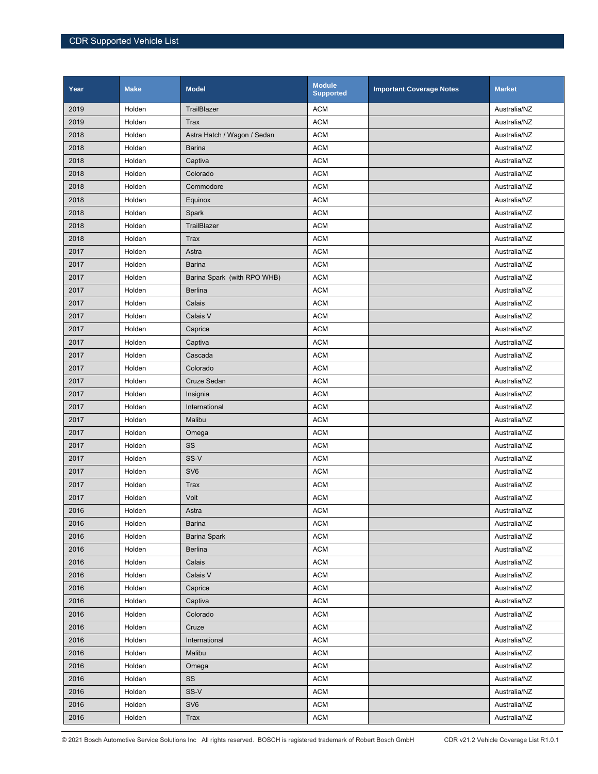| Year | <b>Make</b> | <b>Model</b>                | <b>Module</b><br><b>Supported</b> | <b>Important Coverage Notes</b> | <b>Market</b> |
|------|-------------|-----------------------------|-----------------------------------|---------------------------------|---------------|
| 2019 | Holden      | TrailBlazer                 | <b>ACM</b>                        |                                 | Australia/NZ  |
| 2019 | Holden      | Trax                        | <b>ACM</b>                        |                                 | Australia/NZ  |
| 2018 | Holden      | Astra Hatch / Wagon / Sedan | <b>ACM</b>                        |                                 | Australia/NZ  |
| 2018 | Holden      | <b>Barina</b>               | <b>ACM</b>                        |                                 | Australia/NZ  |
| 2018 | Holden      | Captiva                     | <b>ACM</b>                        |                                 | Australia/NZ  |
| 2018 | Holden      | Colorado                    | <b>ACM</b>                        |                                 | Australia/NZ  |
| 2018 | Holden      | Commodore                   | <b>ACM</b>                        |                                 | Australia/NZ  |
| 2018 | Holden      | Equinox                     | <b>ACM</b>                        |                                 | Australia/NZ  |
| 2018 | Holden      | Spark                       | <b>ACM</b>                        |                                 | Australia/NZ  |
| 2018 | Holden      | TrailBlazer                 | <b>ACM</b>                        |                                 | Australia/NZ  |
| 2018 | Holden      | Trax                        | <b>ACM</b>                        |                                 | Australia/NZ  |
| 2017 | Holden      | Astra                       | <b>ACM</b>                        |                                 | Australia/NZ  |
| 2017 | Holden      | <b>Barina</b>               | <b>ACM</b>                        |                                 | Australia/NZ  |
| 2017 | Holden      | Barina Spark (with RPO WHB) | <b>ACM</b>                        |                                 | Australia/NZ  |
| 2017 | Holden      | <b>Berlina</b>              | <b>ACM</b>                        |                                 | Australia/NZ  |
| 2017 | Holden      | Calais                      | <b>ACM</b>                        |                                 | Australia/NZ  |
| 2017 | Holden      | Calais V                    | <b>ACM</b>                        |                                 | Australia/NZ  |
| 2017 | Holden      | Caprice                     | <b>ACM</b>                        |                                 | Australia/NZ  |
| 2017 | Holden      | Captiva                     | <b>ACM</b>                        |                                 | Australia/NZ  |
| 2017 | Holden      | Cascada                     | <b>ACM</b>                        |                                 | Australia/NZ  |
| 2017 | Holden      | Colorado                    | <b>ACM</b>                        |                                 | Australia/NZ  |
| 2017 | Holden      | Cruze Sedan                 | <b>ACM</b>                        |                                 | Australia/NZ  |
| 2017 | Holden      | Insignia                    | <b>ACM</b>                        |                                 | Australia/NZ  |
| 2017 | Holden      | International               | <b>ACM</b>                        |                                 | Australia/NZ  |
| 2017 | Holden      | Malibu                      | <b>ACM</b>                        |                                 | Australia/NZ  |
| 2017 | Holden      | Omega                       | <b>ACM</b>                        |                                 | Australia/NZ  |
| 2017 | Holden      | SS                          | <b>ACM</b>                        |                                 | Australia/NZ  |
| 2017 | Holden      | SS-V                        | <b>ACM</b>                        |                                 | Australia/NZ  |
| 2017 | Holden      | SV <sub>6</sub>             | <b>ACM</b>                        |                                 | Australia/NZ  |
| 2017 | Holden      | Trax                        | <b>ACM</b>                        |                                 | Australia/NZ  |
| 2017 | Holden      | Volt                        | <b>ACM</b>                        |                                 | Australia/NZ  |
| 2016 | Holden      | Astra                       | <b>ACM</b>                        |                                 | Australia/NZ  |
| 2016 | Holden      | <b>Barina</b>               | <b>ACM</b>                        |                                 | Australia/NZ  |
| 2016 | Holden      | <b>Barina Spark</b>         | <b>ACM</b>                        |                                 | Australia/NZ  |
| 2016 | Holden      | <b>Berlina</b>              | <b>ACM</b>                        |                                 | Australia/NZ  |
| 2016 | Holden      | Calais                      | <b>ACM</b>                        |                                 | Australia/NZ  |
| 2016 | Holden      | Calais V                    | <b>ACM</b>                        |                                 | Australia/NZ  |
| 2016 | Holden      | Caprice                     | <b>ACM</b>                        |                                 | Australia/NZ  |
| 2016 | Holden      | Captiva                     | <b>ACM</b>                        |                                 | Australia/NZ  |
| 2016 | Holden      | Colorado                    | <b>ACM</b>                        |                                 | Australia/NZ  |
| 2016 | Holden      | Cruze                       | <b>ACM</b>                        |                                 | Australia/NZ  |
| 2016 | Holden      | International               | <b>ACM</b>                        |                                 | Australia/NZ  |
| 2016 | Holden      | Malibu                      | <b>ACM</b>                        |                                 | Australia/NZ  |
| 2016 | Holden      | Omega                       | <b>ACM</b>                        |                                 | Australia/NZ  |
| 2016 | Holden      | SS                          | <b>ACM</b>                        |                                 | Australia/NZ  |
| 2016 | Holden      | SS-V                        | <b>ACM</b>                        |                                 | Australia/NZ  |
| 2016 | Holden      | SV <sub>6</sub>             | <b>ACM</b>                        |                                 | Australia/NZ  |
| 2016 | Holden      | Trax                        | <b>ACM</b>                        |                                 | Australia/NZ  |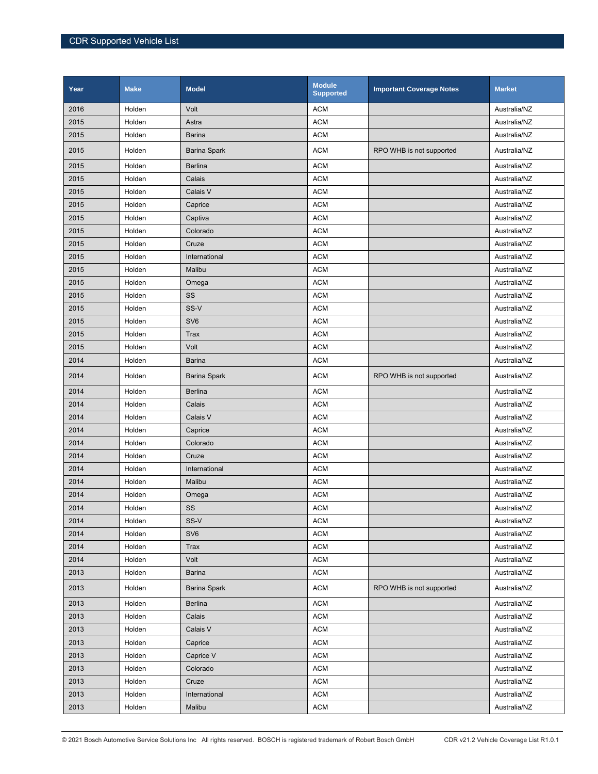| Year | <b>Make</b> | <b>Model</b>        | <b>Module</b><br><b>Supported</b> | <b>Important Coverage Notes</b> | <b>Market</b> |
|------|-------------|---------------------|-----------------------------------|---------------------------------|---------------|
| 2016 | Holden      | Volt                | <b>ACM</b>                        |                                 | Australia/NZ  |
| 2015 | Holden      | Astra               | <b>ACM</b>                        |                                 | Australia/NZ  |
| 2015 | Holden      | <b>Barina</b>       | <b>ACM</b>                        |                                 | Australia/NZ  |
| 2015 | Holden      | <b>Barina Spark</b> | <b>ACM</b>                        | RPO WHB is not supported        | Australia/NZ  |
| 2015 | Holden      | <b>Berlina</b>      | <b>ACM</b>                        |                                 | Australia/NZ  |
| 2015 | Holden      | Calais              | <b>ACM</b>                        |                                 | Australia/NZ  |
| 2015 | Holden      | Calais V            | <b>ACM</b>                        |                                 | Australia/NZ  |
| 2015 | Holden      | Caprice             | <b>ACM</b>                        |                                 | Australia/NZ  |
| 2015 | Holden      | Captiva             | <b>ACM</b>                        |                                 | Australia/NZ  |
| 2015 | Holden      | Colorado            | <b>ACM</b>                        |                                 | Australia/NZ  |
| 2015 | Holden      | Cruze               | <b>ACM</b>                        |                                 | Australia/NZ  |
| 2015 | Holden      | International       | <b>ACM</b>                        |                                 | Australia/NZ  |
| 2015 | Holden      | Malibu              | <b>ACM</b>                        |                                 | Australia/NZ  |
| 2015 | Holden      | Omega               | <b>ACM</b>                        |                                 | Australia/NZ  |
| 2015 | Holden      | SS                  | <b>ACM</b>                        |                                 | Australia/NZ  |
| 2015 | Holden      | SS-V                | <b>ACM</b>                        |                                 | Australia/NZ  |
| 2015 | Holden      | SV <sub>6</sub>     | <b>ACM</b>                        |                                 | Australia/NZ  |
| 2015 | Holden      | <b>Trax</b>         | <b>ACM</b>                        |                                 | Australia/NZ  |
| 2015 | Holden      | Volt                | <b>ACM</b>                        |                                 | Australia/NZ  |
| 2014 | Holden      | <b>Barina</b>       | <b>ACM</b>                        |                                 | Australia/NZ  |
| 2014 | Holden      | <b>Barina Spark</b> | <b>ACM</b>                        | RPO WHB is not supported        | Australia/NZ  |
| 2014 | Holden      | <b>Berlina</b>      | <b>ACM</b>                        |                                 | Australia/NZ  |
| 2014 | Holden      | Calais              | <b>ACM</b>                        |                                 | Australia/NZ  |
| 2014 | Holden      | Calais V            | <b>ACM</b>                        |                                 | Australia/NZ  |
| 2014 | Holden      | Caprice             | <b>ACM</b>                        |                                 | Australia/NZ  |
| 2014 | Holden      | Colorado            | <b>ACM</b>                        |                                 | Australia/NZ  |
| 2014 | Holden      | Cruze               | <b>ACM</b>                        |                                 | Australia/NZ  |
| 2014 | Holden      | International       | <b>ACM</b>                        |                                 | Australia/NZ  |
| 2014 | Holden      | Malibu              | <b>ACM</b>                        |                                 | Australia/NZ  |
| 2014 | Holden      | Omega               | <b>ACM</b>                        |                                 | Australia/NZ  |
| 2014 | Holden      | SS                  | <b>ACM</b>                        |                                 | Australia/NZ  |
| 2014 | Holden      | SS-V                | <b>ACM</b>                        |                                 | Australia/NZ  |
| 2014 | Holden      | SV <sub>6</sub>     | <b>ACM</b>                        |                                 | Australia/NZ  |
| 2014 | Holden      | <b>Trax</b>         | <b>ACM</b>                        |                                 | Australia/NZ  |
| 2014 | Holden      | Volt                | <b>ACM</b>                        |                                 | Australia/NZ  |
| 2013 | Holden      | <b>Barina</b>       | <b>ACM</b>                        |                                 | Australia/NZ  |
| 2013 | Holden      | <b>Barina Spark</b> | <b>ACM</b>                        | RPO WHB is not supported        | Australia/NZ  |
| 2013 | Holden      | <b>Berlina</b>      | <b>ACM</b>                        |                                 | Australia/NZ  |
| 2013 | Holden      | Calais              | <b>ACM</b>                        |                                 | Australia/NZ  |
| 2013 | Holden      | Calais V            | <b>ACM</b>                        |                                 | Australia/NZ  |
| 2013 | Holden      | Caprice             | <b>ACM</b>                        |                                 | Australia/NZ  |
| 2013 | Holden      | Caprice V           | <b>ACM</b>                        |                                 | Australia/NZ  |
| 2013 | Holden      | Colorado            | <b>ACM</b>                        |                                 | Australia/NZ  |
| 2013 | Holden      | Cruze               | <b>ACM</b>                        |                                 | Australia/NZ  |
| 2013 | Holden      | International       | <b>ACM</b>                        |                                 | Australia/NZ  |
| 2013 | Holden      | Malibu              | <b>ACM</b>                        |                                 | Australia/NZ  |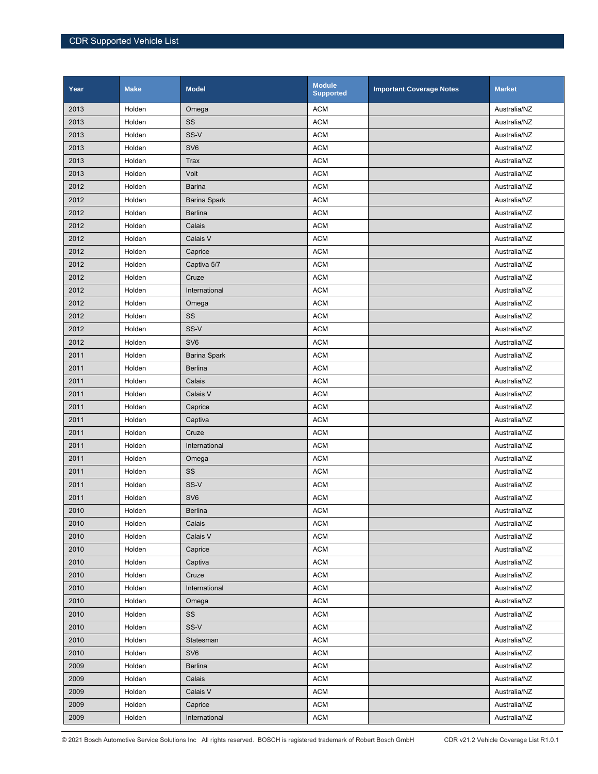| Year | <b>Make</b> | <b>Model</b>        | <b>Module</b><br><b>Supported</b> | <b>Important Coverage Notes</b> | <b>Market</b> |
|------|-------------|---------------------|-----------------------------------|---------------------------------|---------------|
| 2013 | Holden      | Omega               | <b>ACM</b>                        |                                 | Australia/NZ  |
| 2013 | Holden      | SS                  | <b>ACM</b>                        |                                 | Australia/NZ  |
| 2013 | Holden      | SS-V                | <b>ACM</b>                        |                                 | Australia/NZ  |
| 2013 | Holden      | SV <sub>6</sub>     | <b>ACM</b>                        |                                 | Australia/NZ  |
| 2013 | Holden      | <b>Trax</b>         | <b>ACM</b>                        |                                 | Australia/NZ  |
| 2013 | Holden      | Volt                | <b>ACM</b>                        |                                 | Australia/NZ  |
| 2012 | Holden      | <b>Barina</b>       | <b>ACM</b>                        |                                 | Australia/NZ  |
| 2012 | Holden      | <b>Barina Spark</b> | <b>ACM</b>                        |                                 | Australia/NZ  |
| 2012 | Holden      | <b>Berlina</b>      | <b>ACM</b>                        |                                 | Australia/NZ  |
| 2012 | Holden      | Calais              | <b>ACM</b>                        |                                 | Australia/NZ  |
| 2012 | Holden      | Calais V            | <b>ACM</b>                        |                                 | Australia/NZ  |
| 2012 | Holden      | Caprice             | <b>ACM</b>                        |                                 | Australia/NZ  |
| 2012 | Holden      | Captiva 5/7         | <b>ACM</b>                        |                                 | Australia/NZ  |
| 2012 | Holden      | Cruze               | <b>ACM</b>                        |                                 | Australia/NZ  |
| 2012 | Holden      | International       | <b>ACM</b>                        |                                 | Australia/NZ  |
| 2012 | Holden      | Omega               | <b>ACM</b>                        |                                 | Australia/NZ  |
| 2012 | Holden      | SS                  | <b>ACM</b>                        |                                 | Australia/NZ  |
| 2012 | Holden      | SS-V                | <b>ACM</b>                        |                                 | Australia/NZ  |
| 2012 | Holden      | SV <sub>6</sub>     | <b>ACM</b>                        |                                 | Australia/NZ  |
| 2011 | Holden      | <b>Barina Spark</b> | <b>ACM</b>                        |                                 | Australia/NZ  |
| 2011 | Holden      | <b>Berlina</b>      | <b>ACM</b>                        |                                 | Australia/NZ  |
| 2011 | Holden      | Calais              | <b>ACM</b>                        |                                 | Australia/NZ  |
| 2011 | Holden      | Calais V            | <b>ACM</b>                        |                                 | Australia/NZ  |
| 2011 | Holden      | Caprice             | <b>ACM</b>                        |                                 | Australia/NZ  |
| 2011 | Holden      | Captiva             | <b>ACM</b>                        |                                 | Australia/NZ  |
| 2011 | Holden      | Cruze               | <b>ACM</b>                        |                                 | Australia/NZ  |
| 2011 | Holden      | International       | <b>ACM</b>                        |                                 | Australia/NZ  |
| 2011 | Holden      | Omega               | <b>ACM</b>                        |                                 | Australia/NZ  |
| 2011 | Holden      | SS                  | <b>ACM</b>                        |                                 | Australia/NZ  |
| 2011 | Holden      | SS-V                | <b>ACM</b>                        |                                 | Australia/NZ  |
| 2011 | Holden      | SV <sub>6</sub>     | <b>ACM</b>                        |                                 | Australia/NZ  |
| 2010 | Holden      | <b>Berlina</b>      | <b>ACM</b>                        |                                 | Australia/NZ  |
| 2010 | Holden      | Calais              | <b>ACM</b>                        |                                 | Australia/NZ  |
| 2010 | Holden      | Calais V            | <b>ACM</b>                        |                                 | Australia/NZ  |
| 2010 | Holden      | Caprice             | <b>ACM</b>                        |                                 | Australia/NZ  |
| 2010 | Holden      | Captiva             | <b>ACM</b>                        |                                 | Australia/NZ  |
| 2010 | Holden      | Cruze               | <b>ACM</b>                        |                                 | Australia/NZ  |
| 2010 | Holden      | International       | <b>ACM</b>                        |                                 | Australia/NZ  |
| 2010 | Holden      | Omega               | <b>ACM</b>                        |                                 | Australia/NZ  |
| 2010 | Holden      | SS                  | <b>ACM</b>                        |                                 | Australia/NZ  |
| 2010 | Holden      | SS-V                | <b>ACM</b>                        |                                 | Australia/NZ  |
| 2010 | Holden      | Statesman           | <b>ACM</b>                        |                                 | Australia/NZ  |
| 2010 | Holden      | SV <sub>6</sub>     | <b>ACM</b>                        |                                 | Australia/NZ  |
| 2009 | Holden      | Berlina             | <b>ACM</b>                        |                                 | Australia/NZ  |
| 2009 | Holden      | Calais              | <b>ACM</b>                        |                                 | Australia/NZ  |
| 2009 | Holden      | Calais V            | <b>ACM</b>                        |                                 | Australia/NZ  |
| 2009 | Holden      | Caprice             | <b>ACM</b>                        |                                 | Australia/NZ  |
| 2009 | Holden      | International       | <b>ACM</b>                        |                                 | Australia/NZ  |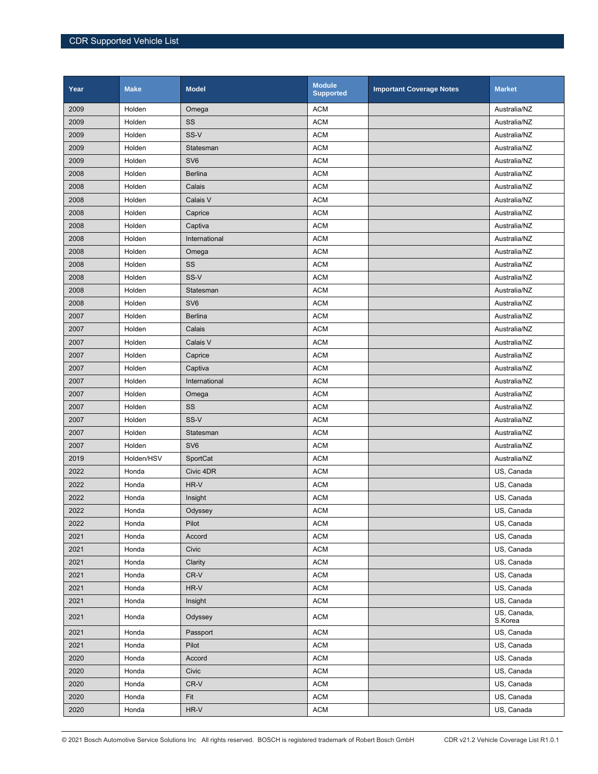| Year | <b>Make</b> | <b>Model</b>    | <b>Module</b><br><b>Supported</b> | <b>Important Coverage Notes</b> | <b>Market</b>          |
|------|-------------|-----------------|-----------------------------------|---------------------------------|------------------------|
| 2009 | Holden      | Omega           | <b>ACM</b>                        |                                 | Australia/NZ           |
| 2009 | Holden      | SS              | <b>ACM</b>                        |                                 | Australia/NZ           |
| 2009 | Holden      | SS-V            | <b>ACM</b>                        |                                 | Australia/NZ           |
| 2009 | Holden      | Statesman       | <b>ACM</b>                        |                                 | Australia/NZ           |
| 2009 | Holden      | SV <sub>6</sub> | <b>ACM</b>                        |                                 | Australia/NZ           |
| 2008 | Holden      | <b>Berlina</b>  | <b>ACM</b>                        |                                 | Australia/NZ           |
| 2008 | Holden      | Calais          | <b>ACM</b>                        |                                 | Australia/NZ           |
| 2008 | Holden      | Calais V        | <b>ACM</b>                        |                                 | Australia/NZ           |
| 2008 | Holden      | Caprice         | <b>ACM</b>                        |                                 | Australia/NZ           |
| 2008 | Holden      | Captiva         | <b>ACM</b>                        |                                 | Australia/NZ           |
| 2008 | Holden      | International   | <b>ACM</b>                        |                                 | Australia/NZ           |
| 2008 | Holden      | Omega           | <b>ACM</b>                        |                                 | Australia/NZ           |
| 2008 | Holden      | SS              | <b>ACM</b>                        |                                 | Australia/NZ           |
| 2008 | Holden      | SS-V            | <b>ACM</b>                        |                                 | Australia/NZ           |
| 2008 | Holden      | Statesman       | <b>ACM</b>                        |                                 | Australia/NZ           |
| 2008 | Holden      | SV <sub>6</sub> | <b>ACM</b>                        |                                 | Australia/NZ           |
| 2007 | Holden      | <b>Berlina</b>  | <b>ACM</b>                        |                                 | Australia/NZ           |
| 2007 | Holden      | Calais          | <b>ACM</b>                        |                                 | Australia/NZ           |
| 2007 | Holden      | Calais V        | <b>ACM</b>                        |                                 | Australia/NZ           |
| 2007 | Holden      | Caprice         | <b>ACM</b>                        |                                 | Australia/NZ           |
| 2007 | Holden      | Captiva         | <b>ACM</b>                        |                                 | Australia/NZ           |
| 2007 | Holden      | International   | <b>ACM</b>                        |                                 | Australia/NZ           |
| 2007 | Holden      | Omega           | <b>ACM</b>                        |                                 | Australia/NZ           |
| 2007 | Holden      | SS              | <b>ACM</b>                        |                                 | Australia/NZ           |
| 2007 | Holden      | SS-V            | <b>ACM</b>                        |                                 | Australia/NZ           |
| 2007 | Holden      | Statesman       | <b>ACM</b>                        |                                 | Australia/NZ           |
| 2007 | Holden      | SV <sub>6</sub> | <b>ACM</b>                        |                                 | Australia/NZ           |
| 2019 | Holden/HSV  | SportCat        | <b>ACM</b>                        |                                 | Australia/NZ           |
| 2022 | Honda       | Civic 4DR       | <b>ACM</b>                        |                                 | US, Canada             |
| 2022 | Honda       | HR-V            | <b>ACM</b>                        |                                 | US, Canada             |
| 2022 | Honda       | Insight         | <b>ACM</b>                        |                                 | US, Canada             |
| 2022 | Honda       | Odyssey         | <b>ACM</b>                        |                                 | US, Canada             |
| 2022 | Honda       | Pilot           | <b>ACM</b>                        |                                 | US, Canada             |
| 2021 | Honda       | Accord          | <b>ACM</b>                        |                                 | US, Canada             |
| 2021 | Honda       | Civic           | <b>ACM</b>                        |                                 | US, Canada             |
| 2021 | Honda       | Clarity         | <b>ACM</b>                        |                                 | US, Canada             |
| 2021 | Honda       | CR-V            | <b>ACM</b>                        |                                 | US, Canada             |
| 2021 | Honda       | HR-V            | <b>ACM</b>                        |                                 | US, Canada             |
| 2021 | Honda       | Insight         | <b>ACM</b>                        |                                 | US, Canada             |
| 2021 | Honda       | Odyssey         | <b>ACM</b>                        |                                 | US, Canada,<br>S.Korea |
| 2021 | Honda       | Passport        | <b>ACM</b>                        |                                 | US, Canada             |
| 2021 | Honda       | Pilot           | <b>ACM</b>                        |                                 | US, Canada             |
| 2020 | Honda       | Accord          | <b>ACM</b>                        |                                 | US, Canada             |
| 2020 | Honda       | Civic           | <b>ACM</b>                        |                                 | US, Canada             |
| 2020 | Honda       | CR-V            | <b>ACM</b>                        |                                 | US, Canada             |
| 2020 | Honda       | Fit             | <b>ACM</b>                        |                                 | US, Canada             |
| 2020 | Honda       | $HR-V$          | <b>ACM</b>                        |                                 | US, Canada             |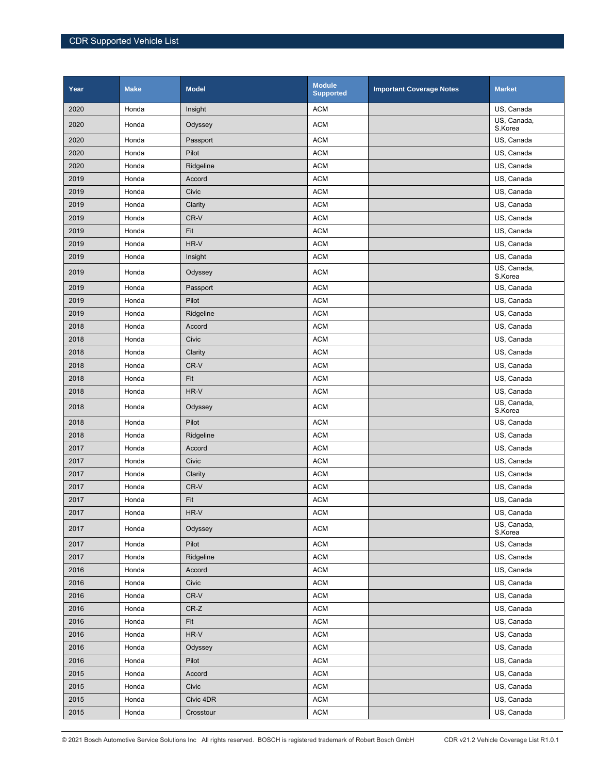| Year | <b>Make</b> | <b>Model</b> | <b>Module</b><br><b>Supported</b> | <b>Important Coverage Notes</b> | <b>Market</b>          |
|------|-------------|--------------|-----------------------------------|---------------------------------|------------------------|
| 2020 | Honda       | Insight      | <b>ACM</b>                        |                                 | US, Canada             |
| 2020 | Honda       | Odyssey      | <b>ACM</b>                        |                                 | US, Canada,<br>S.Korea |
| 2020 | Honda       | Passport     | <b>ACM</b>                        |                                 | US, Canada             |
| 2020 | Honda       | Pilot        | <b>ACM</b>                        |                                 | US, Canada             |
| 2020 | Honda       | Ridgeline    | <b>ACM</b>                        |                                 | US, Canada             |
| 2019 | Honda       | Accord       | <b>ACM</b>                        |                                 | US, Canada             |
| 2019 | Honda       | Civic        | <b>ACM</b>                        |                                 | US, Canada             |
| 2019 | Honda       | Clarity      | <b>ACM</b>                        |                                 | US, Canada             |
| 2019 | Honda       | CR-V         | <b>ACM</b>                        |                                 | US, Canada             |
| 2019 | Honda       | Fit          | <b>ACM</b>                        |                                 | US, Canada             |
| 2019 | Honda       | HR-V         | <b>ACM</b>                        |                                 | US, Canada             |
| 2019 | Honda       | Insight      | <b>ACM</b>                        |                                 | US, Canada             |
| 2019 | Honda       | Odyssey      | <b>ACM</b>                        |                                 | US, Canada,<br>S.Korea |
| 2019 | Honda       | Passport     | <b>ACM</b>                        |                                 | US, Canada             |
| 2019 | Honda       | Pilot        | <b>ACM</b>                        |                                 | US, Canada             |
| 2019 | Honda       | Ridgeline    | <b>ACM</b>                        |                                 | US, Canada             |
| 2018 | Honda       | Accord       | <b>ACM</b>                        |                                 | US, Canada             |
| 2018 | Honda       | Civic        | <b>ACM</b>                        |                                 | US, Canada             |
| 2018 | Honda       | Clarity      | <b>ACM</b>                        |                                 | US, Canada             |
| 2018 | Honda       | CR-V         | <b>ACM</b>                        |                                 | US, Canada             |
| 2018 | Honda       | Fit          | <b>ACM</b>                        |                                 | US, Canada             |
| 2018 | Honda       | HR-V         | <b>ACM</b>                        |                                 | US, Canada             |
| 2018 | Honda       | Odyssey      | <b>ACM</b>                        |                                 | US, Canada,<br>S.Korea |
| 2018 | Honda       | Pilot        | <b>ACM</b>                        |                                 | US, Canada             |
| 2018 | Honda       | Ridgeline    | <b>ACM</b>                        |                                 | US, Canada             |
| 2017 | Honda       | Accord       | <b>ACM</b>                        |                                 | US, Canada             |
| 2017 | Honda       | Civic        | <b>ACM</b>                        |                                 | US, Canada             |
| 2017 | Honda       | Clarity      | <b>ACM</b>                        |                                 | US, Canada             |
| 2017 | Honda       | CR-V         | <b>ACM</b>                        |                                 | US, Canada             |
| 2017 | Honda       | Fit          | <b>ACM</b>                        |                                 | US, Canada             |
| 2017 | Honda       | $HR-V$       | $\mathsf{ACM}$                    |                                 | US, Canada             |
| 2017 | Honda       | Odyssey      | <b>ACM</b>                        |                                 | US, Canada,<br>S.Korea |
| 2017 | Honda       | Pilot        | <b>ACM</b>                        |                                 | US, Canada             |
| 2017 | Honda       | Ridgeline    | <b>ACM</b>                        |                                 | US, Canada             |
| 2016 | Honda       | Accord       | <b>ACM</b>                        |                                 | US, Canada             |
| 2016 | Honda       | Civic        | <b>ACM</b>                        |                                 | US, Canada             |
| 2016 | Honda       | CR-V         | <b>ACM</b>                        |                                 | US, Canada             |
| 2016 | Honda       | CR-Z         | <b>ACM</b>                        |                                 | US, Canada             |
| 2016 | Honda       | Fit          | <b>ACM</b>                        |                                 | US, Canada             |
| 2016 | Honda       | HR-V         | <b>ACM</b>                        |                                 | US, Canada             |
| 2016 | Honda       | Odyssey      | <b>ACM</b>                        |                                 | US, Canada             |
| 2016 | Honda       | Pilot        | <b>ACM</b>                        |                                 | US, Canada             |
| 2015 | Honda       | Accord       | <b>ACM</b>                        |                                 | US, Canada             |
| 2015 | Honda       | Civic        | <b>ACM</b>                        |                                 | US, Canada             |
| 2015 | Honda       | Civic 4DR    | <b>ACM</b>                        |                                 | US, Canada             |
| 2015 | Honda       | Crosstour    | <b>ACM</b>                        |                                 | US, Canada             |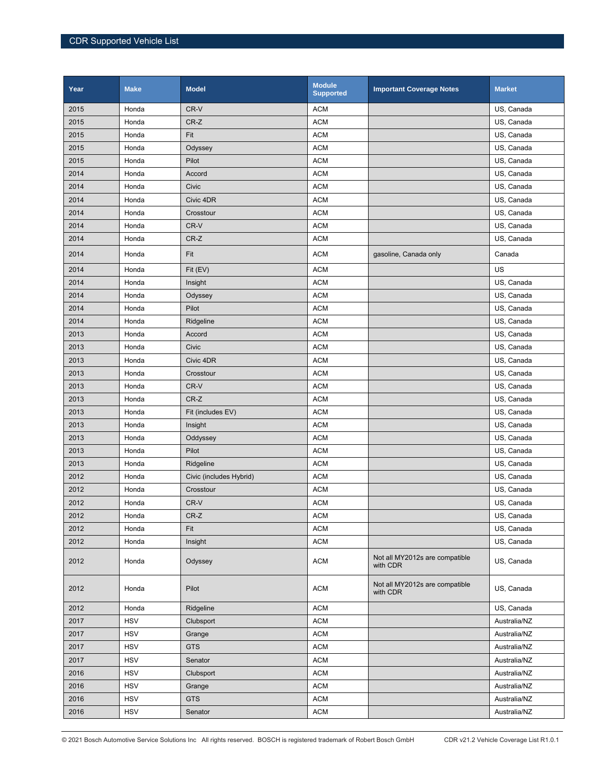| Year | <b>Make</b> | <b>Model</b>            | <b>Module</b><br><b>Supported</b> | <b>Important Coverage Notes</b>            | <b>Market</b> |
|------|-------------|-------------------------|-----------------------------------|--------------------------------------------|---------------|
| 2015 | Honda       | CR-V                    | <b>ACM</b>                        |                                            | US, Canada    |
| 2015 | Honda       | CR-Z                    | <b>ACM</b>                        |                                            | US, Canada    |
| 2015 | Honda       | Fit                     | <b>ACM</b>                        |                                            | US, Canada    |
| 2015 | Honda       | Odyssey                 | <b>ACM</b>                        |                                            | US, Canada    |
| 2015 | Honda       | Pilot                   | <b>ACM</b>                        |                                            | US, Canada    |
| 2014 | Honda       | Accord                  | <b>ACM</b>                        |                                            | US, Canada    |
| 2014 | Honda       | Civic                   | <b>ACM</b>                        |                                            | US, Canada    |
| 2014 | Honda       | Civic 4DR               | <b>ACM</b>                        |                                            | US, Canada    |
| 2014 | Honda       | Crosstour               | <b>ACM</b>                        |                                            | US, Canada    |
| 2014 | Honda       | CR-V                    | <b>ACM</b>                        |                                            | US, Canada    |
| 2014 | Honda       | CR-Z                    | <b>ACM</b>                        |                                            | US, Canada    |
| 2014 | Honda       | Fit                     | <b>ACM</b>                        | gasoline, Canada only                      | Canada        |
| 2014 | Honda       | Fit (EV)                | <b>ACM</b>                        |                                            | US            |
| 2014 | Honda       | Insight                 | <b>ACM</b>                        |                                            | US, Canada    |
| 2014 | Honda       | Odyssey                 | <b>ACM</b>                        |                                            | US, Canada    |
| 2014 | Honda       | Pilot                   | <b>ACM</b>                        |                                            | US, Canada    |
| 2014 | Honda       | Ridgeline               | <b>ACM</b>                        |                                            | US, Canada    |
| 2013 | Honda       | Accord                  | <b>ACM</b>                        |                                            | US, Canada    |
| 2013 | Honda       | Civic                   | <b>ACM</b>                        |                                            | US, Canada    |
| 2013 | Honda       | Civic 4DR               | <b>ACM</b>                        |                                            | US, Canada    |
| 2013 | Honda       | Crosstour               | <b>ACM</b>                        |                                            | US, Canada    |
| 2013 | Honda       | CR-V                    | <b>ACM</b>                        |                                            | US, Canada    |
| 2013 | Honda       | CR-Z                    | <b>ACM</b>                        |                                            | US, Canada    |
| 2013 | Honda       | Fit (includes EV)       | <b>ACM</b>                        |                                            | US, Canada    |
| 2013 | Honda       | Insight                 | <b>ACM</b>                        |                                            | US, Canada    |
| 2013 | Honda       | Oddyssey                | <b>ACM</b>                        |                                            | US, Canada    |
| 2013 | Honda       | Pilot                   | <b>ACM</b>                        |                                            | US, Canada    |
| 2013 | Honda       | Ridgeline               | <b>ACM</b>                        |                                            | US, Canada    |
| 2012 | Honda       | Civic (includes Hybrid) | <b>ACM</b>                        |                                            | US, Canada    |
| 2012 | Honda       | Crosstour               | <b>ACM</b>                        |                                            | US. Canada    |
| 2012 | Honda       | CR-V                    | <b>ACM</b>                        |                                            | US, Canada    |
| 2012 | Honda       | CR-Z                    | <b>ACM</b>                        |                                            | US, Canada    |
| 2012 | Honda       | Fit                     | <b>ACM</b>                        |                                            | US, Canada    |
| 2012 | Honda       | Insight                 | <b>ACM</b>                        |                                            | US, Canada    |
| 2012 | Honda       | Odyssey                 | <b>ACM</b>                        | Not all MY2012s are compatible<br>with CDR | US, Canada    |
| 2012 | Honda       | Pilot                   | <b>ACM</b>                        | Not all MY2012s are compatible<br>with CDR | US, Canada    |
| 2012 | Honda       | Ridgeline               | <b>ACM</b>                        |                                            | US, Canada    |
| 2017 | <b>HSV</b>  | Clubsport               | <b>ACM</b>                        |                                            | Australia/NZ  |
| 2017 | <b>HSV</b>  | Grange                  | <b>ACM</b>                        |                                            | Australia/NZ  |
| 2017 | <b>HSV</b>  | <b>GTS</b>              | <b>ACM</b>                        |                                            | Australia/NZ  |
| 2017 | <b>HSV</b>  | Senator                 | <b>ACM</b>                        |                                            | Australia/NZ  |
| 2016 | <b>HSV</b>  | Clubsport               | <b>ACM</b>                        |                                            | Australia/NZ  |
| 2016 | <b>HSV</b>  | Grange                  | <b>ACM</b>                        |                                            | Australia/NZ  |
| 2016 | <b>HSV</b>  | <b>GTS</b>              | <b>ACM</b>                        |                                            | Australia/NZ  |
| 2016 | <b>HSV</b>  | Senator                 | <b>ACM</b>                        |                                            | Australia/NZ  |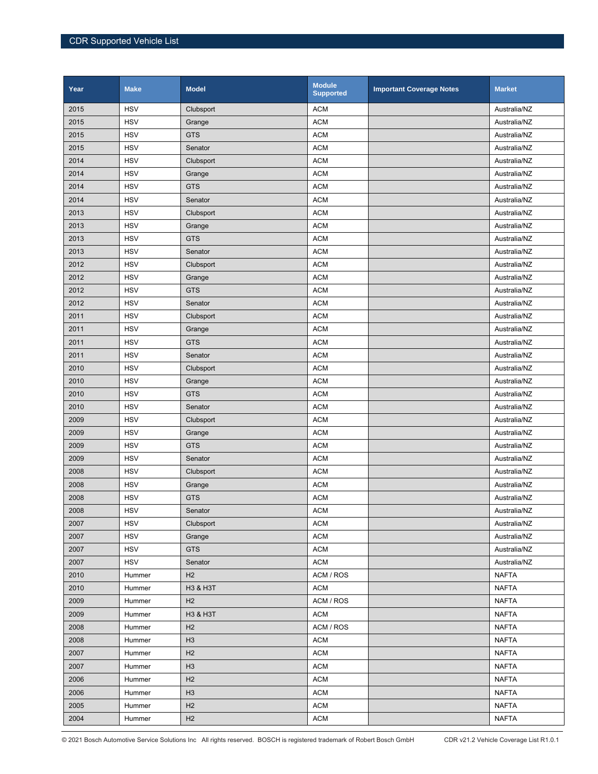| Year | <b>Make</b> | <b>Model</b>   | <b>Module</b><br><b>Supported</b> | <b>Important Coverage Notes</b> | <b>Market</b> |
|------|-------------|----------------|-----------------------------------|---------------------------------|---------------|
| 2015 | <b>HSV</b>  | Clubsport      | <b>ACM</b>                        |                                 | Australia/NZ  |
| 2015 | <b>HSV</b>  | Grange         | <b>ACM</b>                        |                                 | Australia/NZ  |
| 2015 | <b>HSV</b>  | <b>GTS</b>     | <b>ACM</b>                        |                                 | Australia/NZ  |
| 2015 | <b>HSV</b>  | Senator        | <b>ACM</b>                        |                                 | Australia/NZ  |
| 2014 | <b>HSV</b>  | Clubsport      | <b>ACM</b>                        |                                 | Australia/NZ  |
| 2014 | <b>HSV</b>  | Grange         | <b>ACM</b>                        |                                 | Australia/NZ  |
| 2014 | <b>HSV</b>  | <b>GTS</b>     | <b>ACM</b>                        |                                 | Australia/NZ  |
| 2014 | <b>HSV</b>  | Senator        | <b>ACM</b>                        |                                 | Australia/NZ  |
| 2013 | <b>HSV</b>  | Clubsport      | <b>ACM</b>                        |                                 | Australia/NZ  |
| 2013 | <b>HSV</b>  | Grange         | <b>ACM</b>                        |                                 | Australia/NZ  |
| 2013 | <b>HSV</b>  | <b>GTS</b>     | <b>ACM</b>                        |                                 | Australia/NZ  |
| 2013 | <b>HSV</b>  | Senator        | <b>ACM</b>                        |                                 | Australia/NZ  |
| 2012 | <b>HSV</b>  | Clubsport      | <b>ACM</b>                        |                                 | Australia/NZ  |
| 2012 | <b>HSV</b>  | Grange         | <b>ACM</b>                        |                                 | Australia/NZ  |
| 2012 | <b>HSV</b>  | <b>GTS</b>     | <b>ACM</b>                        |                                 | Australia/NZ  |
| 2012 | <b>HSV</b>  | Senator        | <b>ACM</b>                        |                                 | Australia/NZ  |
| 2011 | <b>HSV</b>  | Clubsport      | <b>ACM</b>                        |                                 | Australia/NZ  |
| 2011 | <b>HSV</b>  | Grange         | <b>ACM</b>                        |                                 | Australia/NZ  |
| 2011 | <b>HSV</b>  | <b>GTS</b>     | <b>ACM</b>                        |                                 | Australia/NZ  |
| 2011 | <b>HSV</b>  | Senator        | <b>ACM</b>                        |                                 | Australia/NZ  |
| 2010 | <b>HSV</b>  | Clubsport      | <b>ACM</b>                        |                                 | Australia/NZ  |
| 2010 | <b>HSV</b>  | Grange         | <b>ACM</b>                        |                                 | Australia/NZ  |
| 2010 | <b>HSV</b>  | <b>GTS</b>     | <b>ACM</b>                        |                                 | Australia/NZ  |
| 2010 | <b>HSV</b>  | Senator        | <b>ACM</b>                        |                                 | Australia/NZ  |
| 2009 | <b>HSV</b>  | Clubsport      | <b>ACM</b>                        |                                 | Australia/NZ  |
| 2009 | <b>HSV</b>  | Grange         | <b>ACM</b>                        |                                 | Australia/NZ  |
| 2009 | <b>HSV</b>  | <b>GTS</b>     | <b>ACM</b>                        |                                 | Australia/NZ  |
| 2009 | <b>HSV</b>  | Senator        | <b>ACM</b>                        |                                 | Australia/NZ  |
| 2008 | <b>HSV</b>  | Clubsport      | <b>ACM</b>                        |                                 | Australia/NZ  |
| 2008 | <b>HSV</b>  | Grange         | <b>ACM</b>                        |                                 | Australia/NZ  |
| 2008 | <b>HSV</b>  | <b>GTS</b>     | <b>ACM</b>                        |                                 | Australia/NZ  |
| 2008 | <b>HSV</b>  | Senator        | <b>ACM</b>                        |                                 | Australia/NZ  |
| 2007 | <b>HSV</b>  | Clubsport      | <b>ACM</b>                        |                                 | Australia/NZ  |
| 2007 | <b>HSV</b>  | Grange         | <b>ACM</b>                        |                                 | Australia/NZ  |
| 2007 | <b>HSV</b>  | <b>GTS</b>     | <b>ACM</b>                        |                                 | Australia/NZ  |
| 2007 | <b>HSV</b>  | Senator        | <b>ACM</b>                        |                                 | Australia/NZ  |
| 2010 | Hummer      | H <sub>2</sub> | ACM / ROS                         |                                 | <b>NAFTA</b>  |
| 2010 | Hummer      | H3 & H3T       | <b>ACM</b>                        |                                 | <b>NAFTA</b>  |
| 2009 | Hummer      | H2             | ACM / ROS                         |                                 | <b>NAFTA</b>  |
| 2009 | Hummer      | H3 & H3T       | <b>ACM</b>                        |                                 | <b>NAFTA</b>  |
| 2008 | Hummer      | H2             | ACM / ROS                         |                                 | <b>NAFTA</b>  |
| 2008 | Hummer      | H <sub>3</sub> | <b>ACM</b>                        |                                 | <b>NAFTA</b>  |
| 2007 | Hummer      | H2             | <b>ACM</b>                        |                                 | <b>NAFTA</b>  |
| 2007 | Hummer      | H3             | <b>ACM</b>                        |                                 | <b>NAFTA</b>  |
| 2006 | Hummer      | H <sub>2</sub> | <b>ACM</b>                        |                                 | <b>NAFTA</b>  |
| 2006 | Hummer      | H <sub>3</sub> | <b>ACM</b>                        |                                 | <b>NAFTA</b>  |
| 2005 | Hummer      | H2             | <b>ACM</b>                        |                                 | <b>NAFTA</b>  |
| 2004 | Hummer      | H2             | <b>ACM</b>                        |                                 | <b>NAFTA</b>  |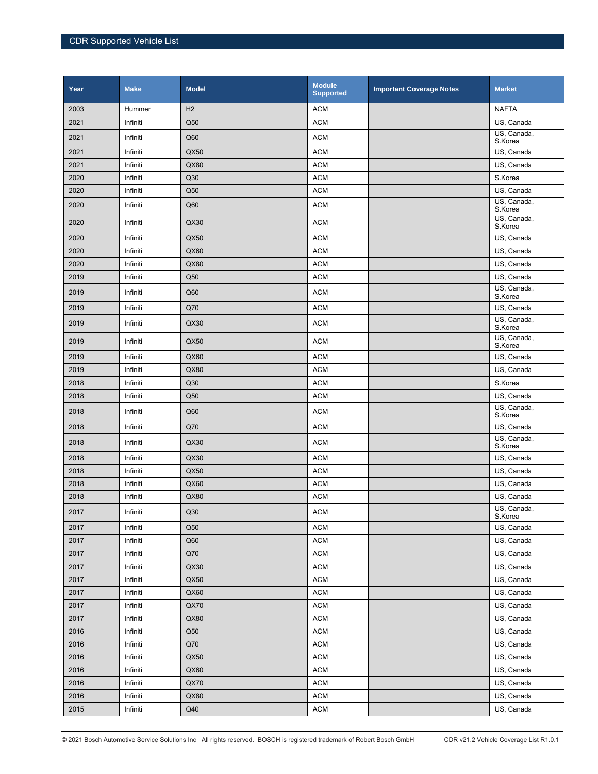| Year | <b>Make</b> | <b>Model</b>   | <b>Module</b><br><b>Supported</b> | <b>Important Coverage Notes</b> | <b>Market</b>                        |
|------|-------------|----------------|-----------------------------------|---------------------------------|--------------------------------------|
| 2003 | Hummer      | H <sub>2</sub> | <b>ACM</b>                        |                                 | <b>NAFTA</b>                         |
| 2021 | Infiniti    | Q50            | <b>ACM</b>                        |                                 | US, Canada                           |
| 2021 | Infiniti    | Q60            | <b>ACM</b>                        |                                 | US, Canada,<br>S.Korea               |
| 2021 | Infiniti    | QX50           | <b>ACM</b>                        |                                 | US, Canada                           |
| 2021 | Infiniti    | QX80           | <b>ACM</b>                        |                                 | US, Canada                           |
| 2020 | Infiniti    | Q30            | <b>ACM</b>                        |                                 | S.Korea                              |
| 2020 | Infiniti    | Q50            | <b>ACM</b>                        |                                 | US, Canada                           |
| 2020 | Infiniti    | Q60            | <b>ACM</b>                        |                                 | US, Canada,<br>S.Korea               |
| 2020 | Infiniti    | QX30           | <b>ACM</b>                        |                                 | US, Canada,<br>S.Korea               |
| 2020 | Infiniti    | QX50           | <b>ACM</b>                        |                                 | US, Canada                           |
| 2020 | Infiniti    | QX60           | <b>ACM</b>                        |                                 | US, Canada                           |
| 2020 | Infiniti    | QX80           | <b>ACM</b>                        |                                 | US, Canada                           |
| 2019 | Infiniti    | Q50            | <b>ACM</b>                        |                                 | US, Canada                           |
| 2019 | Infiniti    | Q60            | <b>ACM</b>                        |                                 | US, Canada,<br>S.Korea               |
| 2019 | Infiniti    | Q70            | <b>ACM</b>                        |                                 | US, Canada                           |
| 2019 | Infiniti    | QX30           | <b>ACM</b>                        |                                 | US, Canada,<br>S.Korea               |
| 2019 | Infiniti    | QX50           | <b>ACM</b>                        |                                 | US, Canada,<br>S.Korea               |
| 2019 | Infiniti    | QX60           | <b>ACM</b>                        |                                 | US, Canada                           |
| 2019 | Infiniti    | QX80           | <b>ACM</b>                        |                                 | US, Canada                           |
| 2018 | Infiniti    | Q30            | <b>ACM</b>                        |                                 | S.Korea                              |
| 2018 | Infiniti    | Q50            | <b>ACM</b>                        |                                 | US, Canada                           |
| 2018 | Infiniti    | Q60            | <b>ACM</b>                        |                                 | $\overline{Us}$ , Canada,<br>S.Korea |
| 2018 | Infiniti    | Q70            | <b>ACM</b>                        |                                 | US, Canada                           |
| 2018 | Infiniti    | QX30           | <b>ACM</b>                        |                                 | US, Canada,<br>S.Korea               |
| 2018 | Infiniti    | QX30           | <b>ACM</b>                        |                                 | US, Canada                           |
| 2018 | Infiniti    | QX50           | <b>ACM</b>                        |                                 | US, Canada                           |
| 2018 | Infiniti    | QX60           | <b>ACM</b>                        |                                 | US, Canada                           |
| 2018 | Infiniti    | QX80           | <b>ACM</b>                        |                                 | US, Canada                           |
| 2017 | Infiniti    | Q30            | $\mathsf{ACM}$                    |                                 | US, Canada,<br>S.Korea               |
| 2017 | Infiniti    | Q50            | <b>ACM</b>                        |                                 | US, Canada                           |
| 2017 | Infiniti    | Q60            | <b>ACM</b>                        |                                 | US, Canada                           |
| 2017 | Infiniti    | Q70            | <b>ACM</b>                        |                                 | US, Canada                           |
| 2017 | Infiniti    | QX30           | <b>ACM</b>                        |                                 | US, Canada                           |
| 2017 | Infiniti    | QX50           | <b>ACM</b>                        |                                 | US, Canada                           |
| 2017 | Infiniti    | QX60           | <b>ACM</b>                        |                                 | US, Canada                           |
| 2017 | Infiniti    | QX70           | <b>ACM</b>                        |                                 | US, Canada                           |
| 2017 | Infiniti    | QX80           | <b>ACM</b>                        |                                 | US, Canada                           |
| 2016 | Infiniti    | Q50            | <b>ACM</b>                        |                                 | US, Canada                           |
| 2016 | Infiniti    | Q70            | <b>ACM</b>                        |                                 | US, Canada                           |
| 2016 | Infiniti    | QX50           | <b>ACM</b>                        |                                 | US, Canada                           |
| 2016 | Infiniti    | QX60           | <b>ACM</b>                        |                                 | US, Canada                           |
| 2016 | Infiniti    | QX70           | <b>ACM</b>                        |                                 | US, Canada                           |
| 2016 | Infiniti    | QX80           | <b>ACM</b>                        |                                 | US, Canada                           |
| 2015 | Infiniti    | Q40            | <b>ACM</b>                        |                                 | US, Canada                           |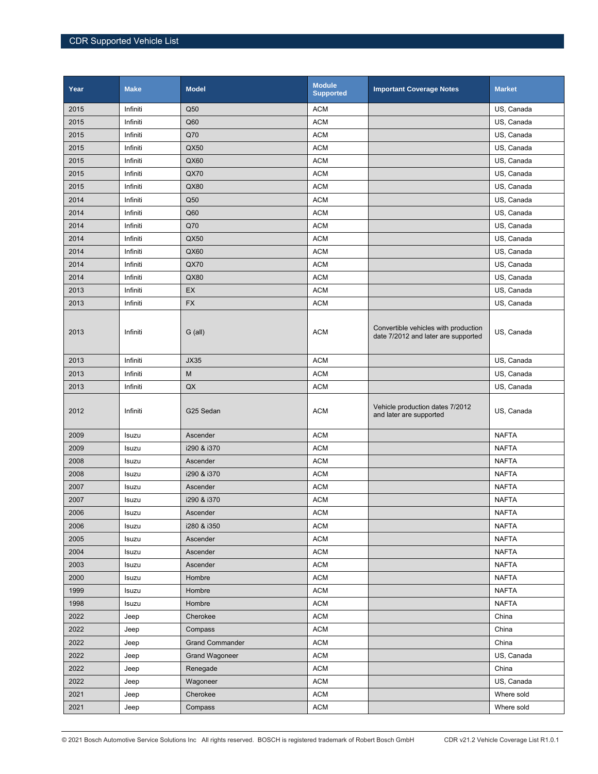| Year | <b>Make</b> | <b>Model</b>           | <b>Module</b><br><b>Supported</b> | <b>Important Coverage Notes</b>                                             | <b>Market</b> |
|------|-------------|------------------------|-----------------------------------|-----------------------------------------------------------------------------|---------------|
| 2015 | Infiniti    | Q50                    | <b>ACM</b>                        |                                                                             | US, Canada    |
| 2015 | Infiniti    | Q60                    | <b>ACM</b>                        |                                                                             | US, Canada    |
| 2015 | Infiniti    | Q70                    | <b>ACM</b>                        |                                                                             | US, Canada    |
| 2015 | Infiniti    | QX50                   | <b>ACM</b>                        |                                                                             | US, Canada    |
| 2015 | Infiniti    | QX60                   | <b>ACM</b>                        |                                                                             | US, Canada    |
| 2015 | Infiniti    | QX70                   | <b>ACM</b>                        |                                                                             | US, Canada    |
| 2015 | Infiniti    | QX80                   | <b>ACM</b>                        |                                                                             | US, Canada    |
| 2014 | Infiniti    | Q50                    | <b>ACM</b>                        |                                                                             | US, Canada    |
| 2014 | Infiniti    | Q60                    | <b>ACM</b>                        |                                                                             | US, Canada    |
| 2014 | Infiniti    | Q70                    | <b>ACM</b>                        |                                                                             | US, Canada    |
| 2014 | Infiniti    | QX50                   | <b>ACM</b>                        |                                                                             | US, Canada    |
| 2014 | Infiniti    | QX60                   | <b>ACM</b>                        |                                                                             | US, Canada    |
| 2014 | Infiniti    | <b>QX70</b>            | <b>ACM</b>                        |                                                                             | US, Canada    |
| 2014 | Infiniti    | QX80                   | <b>ACM</b>                        |                                                                             | US, Canada    |
| 2013 | Infiniti    | EX                     | <b>ACM</b>                        |                                                                             | US, Canada    |
| 2013 | Infiniti    | <b>FX</b>              | <b>ACM</b>                        |                                                                             | US, Canada    |
| 2013 | Infiniti    | $G$ (all)              | <b>ACM</b>                        | Convertible vehicles with production<br>date 7/2012 and later are supported | US, Canada    |
| 2013 | Infiniti    | <b>JX35</b>            | <b>ACM</b>                        |                                                                             | US, Canada    |
| 2013 | Infiniti    | M                      | <b>ACM</b>                        |                                                                             | US, Canada    |
| 2013 | Infiniti    | QX                     | <b>ACM</b>                        |                                                                             | US, Canada    |
| 2012 | Infiniti    | G25 Sedan              | <b>ACM</b>                        | Vehicle production dates 7/2012<br>and later are supported                  | US, Canada    |
| 2009 | Isuzu       | Ascender               | <b>ACM</b>                        |                                                                             | <b>NAFTA</b>  |
| 2009 | Isuzu       | i290 & i370            | <b>ACM</b>                        |                                                                             | <b>NAFTA</b>  |
| 2008 | Isuzu       | Ascender               | <b>ACM</b>                        |                                                                             | <b>NAFTA</b>  |
| 2008 | Isuzu       | i290 & i370            | <b>ACM</b>                        |                                                                             | <b>NAFTA</b>  |
| 2007 | Isuzu       | Ascender               | <b>ACM</b>                        |                                                                             | <b>NAFTA</b>  |
| 2007 | Isuzu       | i290 & i370            | <b>ACM</b>                        |                                                                             | <b>NAFTA</b>  |
| 2006 | Isuzu       | Ascender               | <b>ACM</b>                        |                                                                             | <b>NAFTA</b>  |
| 2006 | Isuzu       | i280 & i350            | <b>ACM</b>                        |                                                                             | <b>NAFTA</b>  |
| 2005 | Isuzu       | Ascender               | <b>ACM</b>                        |                                                                             | <b>NAFTA</b>  |
| 2004 | Isuzu       | Ascender               | <b>ACM</b>                        |                                                                             | <b>NAFTA</b>  |
| 2003 | Isuzu       | Ascender               | <b>ACM</b>                        |                                                                             | <b>NAFTA</b>  |
| 2000 | Isuzu       | Hombre                 | <b>ACM</b>                        |                                                                             | <b>NAFTA</b>  |
| 1999 | Isuzu       | Hombre                 | <b>ACM</b>                        |                                                                             | <b>NAFTA</b>  |
| 1998 | Isuzu       | Hombre                 | <b>ACM</b>                        |                                                                             | <b>NAFTA</b>  |
| 2022 | Jeep        | Cherokee               | ACM                               |                                                                             | China         |
| 2022 | Jeep        | Compass                | <b>ACM</b>                        |                                                                             | China         |
| 2022 | Jeep        | <b>Grand Commander</b> | <b>ACM</b>                        |                                                                             | China         |
| 2022 | Jeep        | <b>Grand Wagoneer</b>  | <b>ACM</b>                        |                                                                             | US, Canada    |
| 2022 | Jeep        | Renegade               | <b>ACM</b>                        |                                                                             | China         |
| 2022 | Jeep        | Wagoneer               | <b>ACM</b>                        |                                                                             | US, Canada    |
| 2021 | Jeep        | Cherokee               | <b>ACM</b>                        |                                                                             | Where sold    |
| 2021 | Jeep        | Compass                | <b>ACM</b>                        |                                                                             | Where sold    |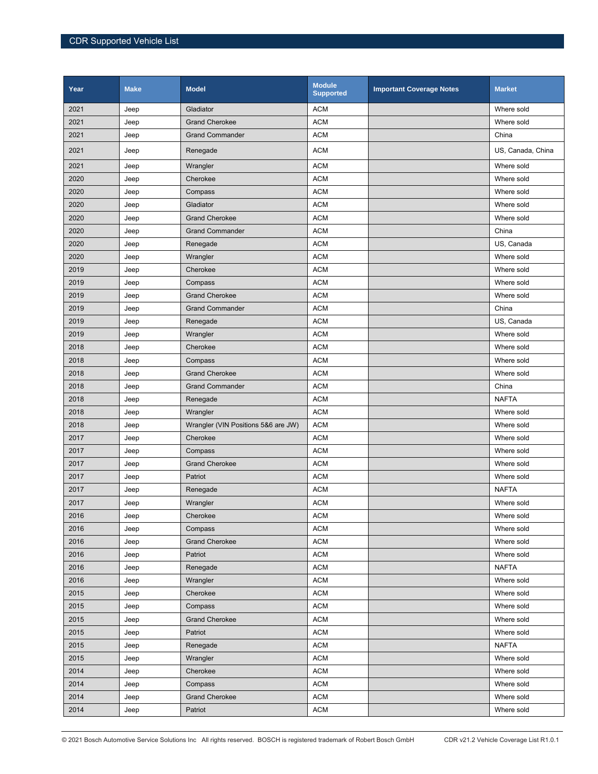| Year | <b>Make</b> | <b>Model</b>                        | <b>Module</b><br><b>Supported</b> | <b>Important Coverage Notes</b> | <b>Market</b>     |
|------|-------------|-------------------------------------|-----------------------------------|---------------------------------|-------------------|
| 2021 | Jeep        | Gladiator                           | <b>ACM</b>                        |                                 | Where sold        |
| 2021 | Jeep        | <b>Grand Cherokee</b>               | <b>ACM</b>                        |                                 | Where sold        |
| 2021 | Jeep        | <b>Grand Commander</b>              | <b>ACM</b>                        |                                 | China             |
| 2021 | Jeep        | Renegade                            | <b>ACM</b>                        |                                 | US, Canada, China |
| 2021 | Jeep        | Wrangler                            | <b>ACM</b>                        |                                 | Where sold        |
| 2020 | Jeep        | Cherokee                            | <b>ACM</b>                        |                                 | Where sold        |
| 2020 | Jeep        | Compass                             | <b>ACM</b>                        |                                 | Where sold        |
| 2020 | Jeep        | Gladiator                           | <b>ACM</b>                        |                                 | Where sold        |
| 2020 | Jeep        | <b>Grand Cherokee</b>               | <b>ACM</b>                        |                                 | Where sold        |
| 2020 | Jeep        | <b>Grand Commander</b>              | <b>ACM</b>                        |                                 | China             |
| 2020 | Jeep        | Renegade                            | <b>ACM</b>                        |                                 | US, Canada        |
| 2020 | Jeep        | Wrangler                            | <b>ACM</b>                        |                                 | Where sold        |
| 2019 | Jeep        | Cherokee                            | <b>ACM</b>                        |                                 | Where sold        |
| 2019 | Jeep        | Compass                             | <b>ACM</b>                        |                                 | Where sold        |
| 2019 | Jeep        | <b>Grand Cherokee</b>               | <b>ACM</b>                        |                                 | Where sold        |
| 2019 | Jeep        | <b>Grand Commander</b>              | <b>ACM</b>                        |                                 | China             |
| 2019 | Jeep        | Renegade                            | <b>ACM</b>                        |                                 | US, Canada        |
| 2019 | Jeep        | Wrangler                            | <b>ACM</b>                        |                                 | Where sold        |
| 2018 | Jeep        | Cherokee                            | <b>ACM</b>                        |                                 | Where sold        |
| 2018 | Jeep        | Compass                             | <b>ACM</b>                        |                                 | Where sold        |
| 2018 | Jeep        | <b>Grand Cherokee</b>               | <b>ACM</b>                        |                                 | Where sold        |
| 2018 | Jeep        | <b>Grand Commander</b>              | <b>ACM</b>                        |                                 | China             |
| 2018 | Jeep        | Renegade                            | <b>ACM</b>                        |                                 | <b>NAFTA</b>      |
| 2018 | Jeep        | Wrangler                            | <b>ACM</b>                        |                                 | Where sold        |
| 2018 | Jeep        | Wrangler (VIN Positions 5&6 are JW) | <b>ACM</b>                        |                                 | Where sold        |
| 2017 | Jeep        | Cherokee                            | <b>ACM</b>                        |                                 | Where sold        |
| 2017 | Jeep        | Compass                             | <b>ACM</b>                        |                                 | Where sold        |
| 2017 | Jeep        | <b>Grand Cherokee</b>               | <b>ACM</b>                        |                                 | Where sold        |
| 2017 | Jeep        | Patriot                             | <b>ACM</b>                        |                                 | Where sold        |
| 2017 | Jeep        | Renegade                            | <b>ACM</b>                        |                                 | <b>NAFTA</b>      |
| 2017 | Jeep        | Wrangler                            | <b>ACM</b>                        |                                 | Where sold        |
| 2016 | Jeep        | Cherokee                            | <b>ACM</b>                        |                                 | Where sold        |
| 2016 | Jeep        | Compass                             | <b>ACM</b>                        |                                 | Where sold        |
| 2016 | Jeep        | <b>Grand Cherokee</b>               | <b>ACM</b>                        |                                 | Where sold        |
| 2016 | Jeep        | Patriot                             | <b>ACM</b>                        |                                 | Where sold        |
| 2016 | Jeep        | Renegade                            | <b>ACM</b>                        |                                 | <b>NAFTA</b>      |
| 2016 | Jeep        | Wrangler                            | <b>ACM</b>                        |                                 | Where sold        |
| 2015 | Jeep        | Cherokee                            | <b>ACM</b>                        |                                 | Where sold        |
| 2015 | Jeep        | Compass                             | <b>ACM</b>                        |                                 | Where sold        |
| 2015 | Jeep        | <b>Grand Cherokee</b>               | <b>ACM</b>                        |                                 | Where sold        |
| 2015 | Jeep        | Patriot                             | <b>ACM</b>                        |                                 | Where sold        |
| 2015 | Jeep        | Renegade                            | <b>ACM</b>                        |                                 | <b>NAFTA</b>      |
| 2015 | Jeep        | Wrangler                            | <b>ACM</b>                        |                                 | Where sold        |
| 2014 | Jeep        | Cherokee                            | <b>ACM</b>                        |                                 | Where sold        |
| 2014 | Jeep        | Compass                             | <b>ACM</b>                        |                                 | Where sold        |
| 2014 | Jeep        | <b>Grand Cherokee</b>               | ACM                               |                                 | Where sold        |
| 2014 | Jeep        | Patriot                             | <b>ACM</b>                        |                                 | Where sold        |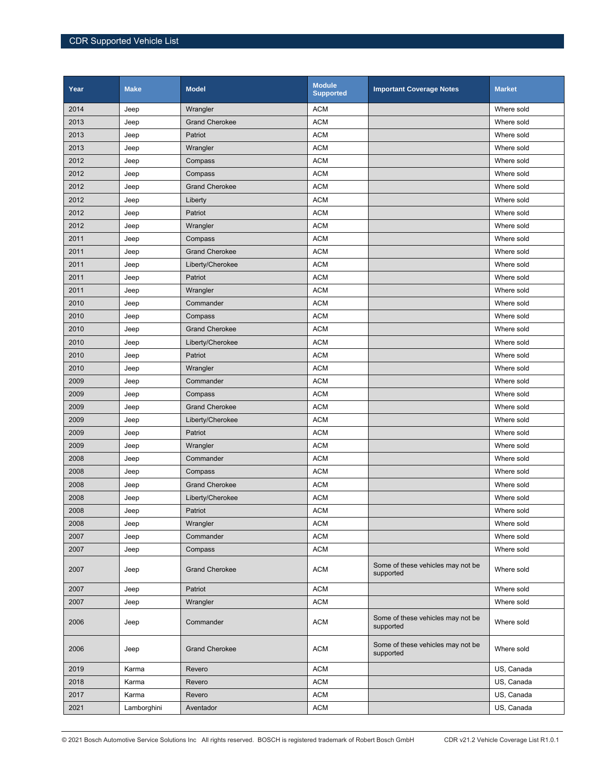| Year | <b>Make</b> | <b>Model</b>          | <b>Module</b><br><b>Supported</b> | <b>Important Coverage Notes</b>                | <b>Market</b> |
|------|-------------|-----------------------|-----------------------------------|------------------------------------------------|---------------|
| 2014 | Jeep        | Wrangler              | <b>ACM</b>                        |                                                | Where sold    |
| 2013 | Jeep        | <b>Grand Cherokee</b> | <b>ACM</b>                        |                                                | Where sold    |
| 2013 | Jeep        | Patriot               | <b>ACM</b>                        |                                                | Where sold    |
| 2013 | Jeep        | Wrangler              | <b>ACM</b>                        |                                                | Where sold    |
| 2012 | Jeep        | Compass               | <b>ACM</b>                        |                                                | Where sold    |
| 2012 | Jeep        | Compass               | <b>ACM</b>                        |                                                | Where sold    |
| 2012 | Jeep        | <b>Grand Cherokee</b> | <b>ACM</b>                        |                                                | Where sold    |
| 2012 | Jeep        | Liberty               | <b>ACM</b>                        |                                                | Where sold    |
| 2012 | Jeep        | Patriot               | <b>ACM</b>                        |                                                | Where sold    |
| 2012 | Jeep        | Wrangler              | <b>ACM</b>                        |                                                | Where sold    |
| 2011 | Jeep        | Compass               | <b>ACM</b>                        |                                                | Where sold    |
| 2011 | Jeep        | <b>Grand Cherokee</b> | <b>ACM</b>                        |                                                | Where sold    |
| 2011 | Jeep        | Liberty/Cherokee      | <b>ACM</b>                        |                                                | Where sold    |
| 2011 | Jeep        | Patriot               | <b>ACM</b>                        |                                                | Where sold    |
| 2011 | Jeep        | Wrangler              | <b>ACM</b>                        |                                                | Where sold    |
| 2010 | Jeep        | Commander             | <b>ACM</b>                        |                                                | Where sold    |
| 2010 | Jeep        | Compass               | <b>ACM</b>                        |                                                | Where sold    |
| 2010 | Jeep        | <b>Grand Cherokee</b> | <b>ACM</b>                        |                                                | Where sold    |
| 2010 | Jeep        | Liberty/Cherokee      | <b>ACM</b>                        |                                                | Where sold    |
| 2010 | Jeep        | Patriot               | <b>ACM</b>                        |                                                | Where sold    |
| 2010 | Jeep        | Wrangler              | <b>ACM</b>                        |                                                | Where sold    |
| 2009 | Jeep        | Commander             | <b>ACM</b>                        |                                                | Where sold    |
| 2009 | Jeep        | Compass               | <b>ACM</b>                        |                                                | Where sold    |
| 2009 | Jeep        | <b>Grand Cherokee</b> | <b>ACM</b>                        |                                                | Where sold    |
| 2009 | Jeep        | Liberty/Cherokee      | <b>ACM</b>                        |                                                | Where sold    |
| 2009 | Jeep        | Patriot               | <b>ACM</b>                        |                                                | Where sold    |
| 2009 | Jeep        | Wrangler              | <b>ACM</b>                        |                                                | Where sold    |
| 2008 | Jeep        | Commander             | <b>ACM</b>                        |                                                | Where sold    |
| 2008 | Jeep        | Compass               | <b>ACM</b>                        |                                                | Where sold    |
| 2008 | Jeep        | <b>Grand Cherokee</b> | <b>ACM</b>                        |                                                | Where sold    |
| 2008 | Jeep        | Liberty/Cherokee      | <b>ACM</b>                        |                                                | Where sold    |
| 2008 | Jeep        | Patriot               | <b>ACM</b>                        |                                                | Where sold    |
| 2008 | Jeep        | Wrangler              | <b>ACM</b>                        |                                                | Where sold    |
| 2007 | Jeep        | Commander             | <b>ACM</b>                        |                                                | Where sold    |
| 2007 | Jeep        | Compass               | <b>ACM</b>                        |                                                | Where sold    |
| 2007 | Jeep        | <b>Grand Cherokee</b> | <b>ACM</b>                        | Some of these vehicles may not be<br>supported | Where sold    |
| 2007 | Jeep        | Patriot               | <b>ACM</b>                        |                                                | Where sold    |
| 2007 | Jeep        | Wrangler              | <b>ACM</b>                        |                                                | Where sold    |
| 2006 | Jeep        | Commander             | <b>ACM</b>                        | Some of these vehicles may not be<br>supported | Where sold    |
| 2006 | Jeep        | <b>Grand Cherokee</b> | <b>ACM</b>                        | Some of these vehicles may not be<br>supported | Where sold    |
| 2019 | Karma       | Revero                | <b>ACM</b>                        |                                                | US, Canada    |
| 2018 | Karma       | Revero                | <b>ACM</b>                        |                                                | US, Canada    |
| 2017 | Karma       | Revero                | <b>ACM</b>                        |                                                | US, Canada    |
| 2021 | Lamborghini | Aventador             | <b>ACM</b>                        |                                                | US, Canada    |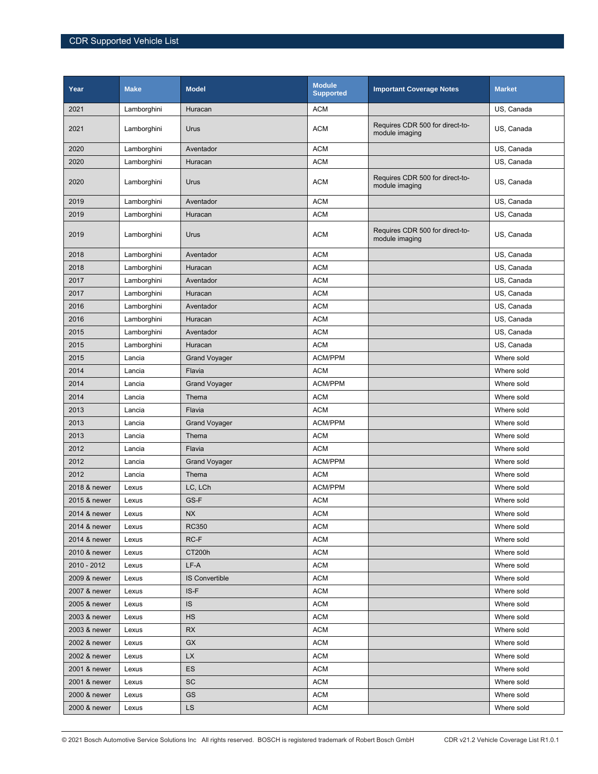| Year         | <b>Make</b> | <b>Model</b>          | <b>Module</b><br><b>Supported</b> | <b>Important Coverage Notes</b>                   | <b>Market</b> |
|--------------|-------------|-----------------------|-----------------------------------|---------------------------------------------------|---------------|
| 2021         | Lamborghini | Huracan               | <b>ACM</b>                        |                                                   | US, Canada    |
| 2021         | Lamborghini | Urus                  | <b>ACM</b>                        | Requires CDR 500 for direct-to-<br>module imaging | US, Canada    |
| 2020         | Lamborghini | Aventador             | <b>ACM</b>                        |                                                   | US, Canada    |
| 2020         | Lamborghini | Huracan               | <b>ACM</b>                        |                                                   | US, Canada    |
| 2020         | Lamborghini | Urus                  | <b>ACM</b>                        | Requires CDR 500 for direct-to-<br>module imaging | US, Canada    |
| 2019         | Lamborghini | Aventador             | <b>ACM</b>                        |                                                   | US, Canada    |
| 2019         | Lamborghini | Huracan               | <b>ACM</b>                        |                                                   | US, Canada    |
| 2019         | Lamborghini | Urus                  | <b>ACM</b>                        | Requires CDR 500 for direct-to-<br>module imaging | US, Canada    |
| 2018         | Lamborghini | Aventador             | <b>ACM</b>                        |                                                   | US, Canada    |
| 2018         | Lamborghini | Huracan               | <b>ACM</b>                        |                                                   | US, Canada    |
| 2017         | Lamborghini | Aventador             | <b>ACM</b>                        |                                                   | US, Canada    |
| 2017         | Lamborghini | Huracan               | <b>ACM</b>                        |                                                   | US, Canada    |
| 2016         | Lamborghini | Aventador             | <b>ACM</b>                        |                                                   | US, Canada    |
| 2016         | Lamborghini | Huracan               | <b>ACM</b>                        |                                                   | US, Canada    |
| 2015         | Lamborghini | Aventador             | <b>ACM</b>                        |                                                   | US, Canada    |
| 2015         | Lamborghini | Huracan               | <b>ACM</b>                        |                                                   | US, Canada    |
| 2015         | Lancia      | <b>Grand Voyager</b>  | <b>ACM/PPM</b>                    |                                                   | Where sold    |
| 2014         | Lancia      | Flavia                | <b>ACM</b>                        |                                                   | Where sold    |
| 2014         | Lancia      | <b>Grand Voyager</b>  | <b>ACM/PPM</b>                    |                                                   | Where sold    |
| 2014         | Lancia      | Thema                 | <b>ACM</b>                        |                                                   | Where sold    |
| 2013         | Lancia      | Flavia                | <b>ACM</b>                        |                                                   | Where sold    |
| 2013         | Lancia      | <b>Grand Voyager</b>  | <b>ACM/PPM</b>                    |                                                   | Where sold    |
| 2013         | Lancia      | Thema                 | <b>ACM</b>                        |                                                   | Where sold    |
| 2012         | Lancia      | Flavia                | <b>ACM</b>                        |                                                   | Where sold    |
| 2012         | Lancia      | <b>Grand Voyager</b>  | <b>ACM/PPM</b>                    |                                                   | Where sold    |
| 2012         | Lancia      | Thema                 | <b>ACM</b>                        |                                                   | Where sold    |
| 2018 & newer | Lexus       | LC, LCh               | <b>ACM/PPM</b>                    |                                                   | Where sold    |
| 2015 & newer | Lexus       | GS-F                  | <b>ACM</b>                        |                                                   | Where sold    |
| 2014 & newer | Lexus       | $N\!X$                | <b>ACM</b>                        |                                                   | Where sold    |
| 2014 & newer | Lexus       | RC350                 | <b>ACM</b>                        |                                                   | Where sold    |
| 2014 & newer | Lexus       | RC-F                  | <b>ACM</b>                        |                                                   | Where sold    |
| 2010 & newer | Lexus       | CT200h                | <b>ACM</b>                        |                                                   | Where sold    |
| 2010 - 2012  | Lexus       | LF-A                  | <b>ACM</b>                        |                                                   | Where sold    |
| 2009 & newer | Lexus       | <b>IS Convertible</b> | <b>ACM</b>                        |                                                   | Where sold    |
| 2007 & newer | Lexus       | IS-F                  | <b>ACM</b>                        |                                                   | Where sold    |
| 2005 & newer | Lexus       | <b>IS</b>             | ACM                               |                                                   | Where sold    |
| 2003 & newer | Lexus       | HS                    | <b>ACM</b>                        |                                                   | Where sold    |
| 2003 & newer | Lexus       | <b>RX</b>             | <b>ACM</b>                        |                                                   | Where sold    |
| 2002 & newer | Lexus       | GX                    | <b>ACM</b>                        |                                                   | Where sold    |
| 2002 & newer | Lexus       | <b>LX</b>             | <b>ACM</b>                        |                                                   | Where sold    |
| 2001 & newer | Lexus       | ES                    | <b>ACM</b>                        |                                                   | Where sold    |
| 2001 & newer | Lexus       | <b>SC</b>             | <b>ACM</b>                        |                                                   | Where sold    |
| 2000 & newer | Lexus       | GS                    | <b>ACM</b>                        |                                                   | Where sold    |
| 2000 & newer | Lexus       | LS                    | <b>ACM</b>                        |                                                   | Where sold    |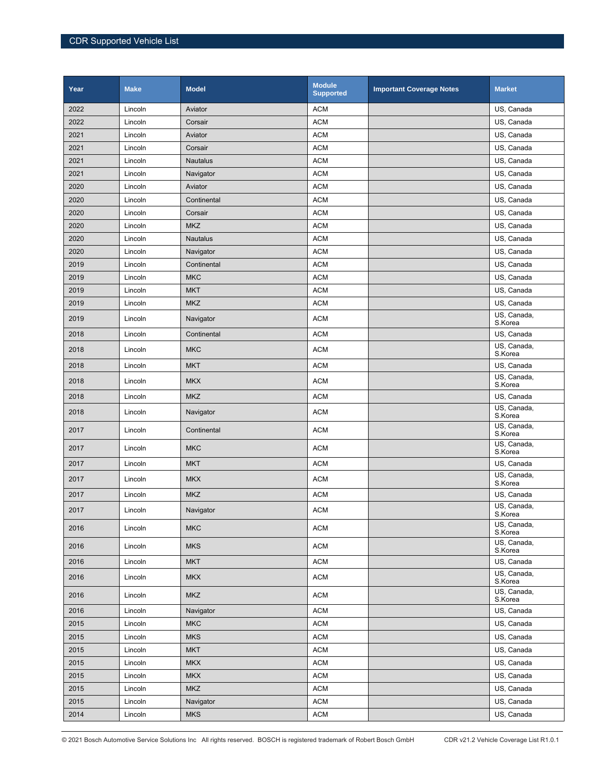| Year | <b>Make</b> | <b>Model</b>    | <b>Module</b><br><b>Supported</b> | <b>Important Coverage Notes</b> | <b>Market</b>             |
|------|-------------|-----------------|-----------------------------------|---------------------------------|---------------------------|
| 2022 | Lincoln     | Aviator         | <b>ACM</b>                        |                                 | US, Canada                |
| 2022 | Lincoln     | Corsair         | <b>ACM</b>                        |                                 | US, Canada                |
| 2021 | Lincoln     | Aviator         | <b>ACM</b>                        |                                 | US, Canada                |
| 2021 | Lincoln     | Corsair         | <b>ACM</b>                        |                                 | US, Canada                |
| 2021 | Lincoln     | <b>Nautalus</b> | <b>ACM</b>                        |                                 | US, Canada                |
| 2021 | Lincoln     | Navigator       | <b>ACM</b>                        |                                 | US, Canada                |
| 2020 | Lincoln     | Aviator         | <b>ACM</b>                        |                                 | US, Canada                |
| 2020 | Lincoln     | Continental     | <b>ACM</b>                        |                                 | US, Canada                |
| 2020 | Lincoln     | Corsair         | <b>ACM</b>                        |                                 | US, Canada                |
| 2020 | Lincoln     | <b>MKZ</b>      | <b>ACM</b>                        |                                 | US, Canada                |
| 2020 | Lincoln     | <b>Nautalus</b> | <b>ACM</b>                        |                                 | US, Canada                |
| 2020 | Lincoln     | Navigator       | <b>ACM</b>                        |                                 | US, Canada                |
| 2019 | Lincoln     | Continental     | <b>ACM</b>                        |                                 | US, Canada                |
| 2019 | Lincoln     | <b>MKC</b>      | <b>ACM</b>                        |                                 | US, Canada                |
| 2019 | Lincoln     | <b>MKT</b>      | <b>ACM</b>                        |                                 | US, Canada                |
| 2019 | Lincoln     | <b>MKZ</b>      | <b>ACM</b>                        |                                 | US, Canada<br>US, Canada, |
| 2019 | Lincoln     | Navigator       | <b>ACM</b>                        |                                 | S.Korea                   |
| 2018 | Lincoln     | Continental     | <b>ACM</b>                        |                                 | US, Canada                |
| 2018 | Lincoln     | <b>MKC</b>      | <b>ACM</b>                        |                                 | US, Canada,<br>S.Korea    |
| 2018 | Lincoln     | <b>MKT</b>      | <b>ACM</b>                        |                                 | US, Canada                |
| 2018 | Lincoln     | <b>MKX</b>      | <b>ACM</b>                        |                                 | US, Canada,<br>S.Korea    |
| 2018 | Lincoln     | <b>MKZ</b>      | <b>ACM</b>                        |                                 | US, Canada                |
| 2018 | Lincoln     | Navigator       | <b>ACM</b>                        |                                 | US, Canada,<br>S.Korea    |
| 2017 | Lincoln     | Continental     | <b>ACM</b>                        |                                 | US, Canada,<br>S.Korea    |
| 2017 | Lincoln     | <b>MKC</b>      | <b>ACM</b>                        |                                 | US, Canada,<br>S.Korea    |
| 2017 | Lincoln     | <b>MKT</b>      | <b>ACM</b>                        |                                 | US, Canada                |
| 2017 | Lincoln     | <b>MKX</b>      | <b>ACM</b>                        |                                 | US, Canada,<br>S.Korea    |
| 2017 | Lincoln     | <b>MKZ</b>      | <b>ACM</b>                        |                                 | US, Canada                |
| 2017 | Lincoln     | Navigator       | <b>ACM</b>                        |                                 | US, Canada,<br>S.Korea    |
| 2016 | Lincoln     | <b>MKC</b>      | <b>ACM</b>                        |                                 | US, Canada,<br>S.Korea    |
| 2016 | Lincoln     | <b>MKS</b>      | <b>ACM</b>                        |                                 | US, Canada,<br>S.Korea    |
| 2016 | Lincoln     | <b>MKT</b>      | <b>ACM</b>                        |                                 | US, Canada                |
| 2016 | Lincoln     | <b>MKX</b>      | <b>ACM</b>                        |                                 | US, Canada,<br>S.Korea    |
| 2016 | Lincoln     | <b>MKZ</b>      | <b>ACM</b>                        |                                 | US, Canada,<br>S.Korea    |
| 2016 | Lincoln     | Navigator       | <b>ACM</b>                        |                                 | US, Canada                |
| 2015 | Lincoln     | <b>MKC</b>      | <b>ACM</b>                        |                                 | US, Canada                |
| 2015 | Lincoln     | <b>MKS</b>      | <b>ACM</b>                        |                                 | US, Canada                |
| 2015 | Lincoln     | <b>MKT</b>      | <b>ACM</b>                        |                                 | US, Canada                |
| 2015 | Lincoln     | <b>MKX</b>      | <b>ACM</b>                        |                                 | US, Canada                |
| 2015 | Lincoln     | <b>MKX</b>      | <b>ACM</b>                        |                                 | US, Canada                |
| 2015 | Lincoln     | <b>MKZ</b>      | <b>ACM</b>                        |                                 | US, Canada                |
| 2015 | Lincoln     | Navigator       | $\mathsf{ACM}$                    |                                 | US, Canada                |
| 2014 | Lincoln     | <b>MKS</b>      | $\mathsf{ACM}$                    |                                 | US, Canada                |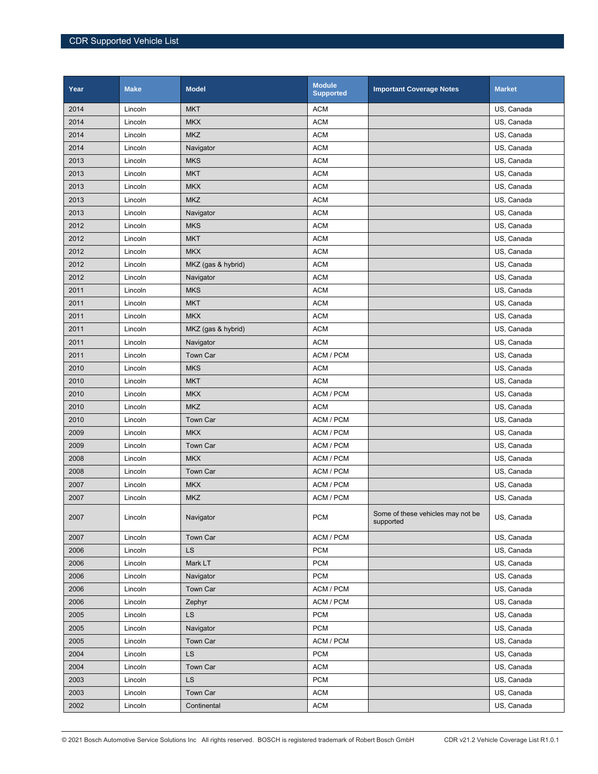| Year | <b>Make</b> | <b>Model</b>       | <b>Module</b><br><b>Supported</b> | <b>Important Coverage Notes</b>                | <b>Market</b> |
|------|-------------|--------------------|-----------------------------------|------------------------------------------------|---------------|
| 2014 | Lincoln     | <b>MKT</b>         | <b>ACM</b>                        |                                                | US, Canada    |
| 2014 | Lincoln     | <b>MKX</b>         | <b>ACM</b>                        |                                                | US, Canada    |
| 2014 | Lincoln     | <b>MKZ</b>         | <b>ACM</b>                        |                                                | US, Canada    |
| 2014 | Lincoln     | Navigator          | <b>ACM</b>                        |                                                | US, Canada    |
| 2013 | Lincoln     | <b>MKS</b>         | <b>ACM</b>                        |                                                | US, Canada    |
| 2013 | Lincoln     | <b>MKT</b>         | <b>ACM</b>                        |                                                | US, Canada    |
| 2013 | Lincoln     | <b>MKX</b>         | <b>ACM</b>                        |                                                | US, Canada    |
| 2013 | Lincoln     | <b>MKZ</b>         | <b>ACM</b>                        |                                                | US, Canada    |
| 2013 | Lincoln     | Navigator          | <b>ACM</b>                        |                                                | US, Canada    |
| 2012 | Lincoln     | <b>MKS</b>         | <b>ACM</b>                        |                                                | US, Canada    |
| 2012 | Lincoln     | <b>MKT</b>         | <b>ACM</b>                        |                                                | US, Canada    |
| 2012 | Lincoln     | <b>MKX</b>         | <b>ACM</b>                        |                                                | US, Canada    |
| 2012 | Lincoln     | MKZ (gas & hybrid) | <b>ACM</b>                        |                                                | US, Canada    |
| 2012 | Lincoln     | Navigator          | <b>ACM</b>                        |                                                | US, Canada    |
| 2011 | Lincoln     | <b>MKS</b>         | <b>ACM</b>                        |                                                | US, Canada    |
| 2011 | Lincoln     | <b>MKT</b>         | <b>ACM</b>                        |                                                | US, Canada    |
| 2011 | Lincoln     | <b>MKX</b>         | <b>ACM</b>                        |                                                | US, Canada    |
| 2011 | Lincoln     | MKZ (gas & hybrid) | <b>ACM</b>                        |                                                | US, Canada    |
| 2011 | Lincoln     | Navigator          | <b>ACM</b>                        |                                                | US, Canada    |
| 2011 | Lincoln     | <b>Town Car</b>    | ACM / PCM                         |                                                | US, Canada    |
| 2010 | Lincoln     | <b>MKS</b>         | <b>ACM</b>                        |                                                | US, Canada    |
| 2010 | Lincoln     | <b>MKT</b>         | <b>ACM</b>                        |                                                | US, Canada    |
| 2010 | Lincoln     | <b>MKX</b>         | ACM / PCM                         |                                                | US, Canada    |
| 2010 | Lincoln     | <b>MKZ</b>         | <b>ACM</b>                        |                                                | US, Canada    |
| 2010 | Lincoln     | Town Car           | ACM / PCM                         |                                                | US, Canada    |
| 2009 | Lincoln     | <b>MKX</b>         | ACM / PCM                         |                                                | US, Canada    |
| 2009 | Lincoln     | Town Car           | ACM / PCM                         |                                                | US, Canada    |
| 2008 | Lincoln     | <b>MKX</b>         | ACM / PCM                         |                                                | US, Canada    |
| 2008 | Lincoln     | Town Car           | ACM / PCM                         |                                                | US, Canada    |
| 2007 | Lincoln     | <b>MKX</b>         | ACM / PCM                         |                                                | US, Canada    |
| 2007 | Lincoln     | <b>MKZ</b>         | ACM / PCM                         |                                                | US, Canada    |
| 2007 | Lincoln     | Navigator          | <b>PCM</b>                        | Some of these vehicles may not be<br>supported | US, Canada    |
| 2007 | Lincoln     | Town Car           | ACM / PCM                         |                                                | US, Canada    |
| 2006 | Lincoln     | LS                 | <b>PCM</b>                        |                                                | US, Canada    |
| 2006 | Lincoln     | Mark LT            | <b>PCM</b>                        |                                                | US, Canada    |
| 2006 | Lincoln     | Navigator          | <b>PCM</b>                        |                                                | US, Canada    |
| 2006 | Lincoln     | Town Car           | ACM / PCM                         |                                                | US, Canada    |
| 2006 | Lincoln     | Zephyr             | ACM / PCM                         |                                                | US, Canada    |
| 2005 | Lincoln     | <b>LS</b>          | <b>PCM</b>                        |                                                | US, Canada    |
| 2005 | Lincoln     | Navigator          | <b>PCM</b>                        |                                                | US, Canada    |
| 2005 | Lincoln     | Town Car           | ACM / PCM                         |                                                | US, Canada    |
| 2004 | Lincoln     | <b>LS</b>          | <b>PCM</b>                        |                                                | US, Canada    |
| 2004 | Lincoln     | Town Car           | <b>ACM</b>                        |                                                | US, Canada    |
| 2003 | Lincoln     | <b>LS</b>          | <b>PCM</b>                        |                                                | US, Canada    |
| 2003 | Lincoln     | Town Car           | <b>ACM</b>                        |                                                | US, Canada    |
| 2002 | Lincoln     | Continental        | <b>ACM</b>                        |                                                | US, Canada    |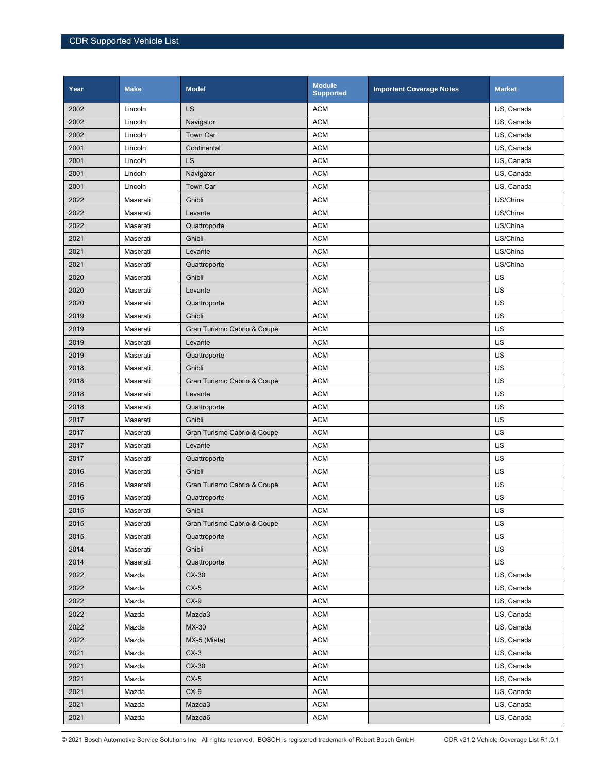| Year | <b>Make</b> | <b>Model</b>                | <b>Module</b><br><b>Supported</b> | <b>Important Coverage Notes</b> | <b>Market</b> |
|------|-------------|-----------------------------|-----------------------------------|---------------------------------|---------------|
| 2002 | Lincoln     | LS                          | <b>ACM</b>                        |                                 | US, Canada    |
| 2002 | Lincoln     | Navigator                   | <b>ACM</b>                        |                                 | US, Canada    |
| 2002 | Lincoln     | Town Car                    | <b>ACM</b>                        |                                 | US, Canada    |
| 2001 | Lincoln     | Continental                 | <b>ACM</b>                        |                                 | US, Canada    |
| 2001 | Lincoln     | LS                          | <b>ACM</b>                        |                                 | US, Canada    |
| 2001 | Lincoln     | Navigator                   | <b>ACM</b>                        |                                 | US, Canada    |
| 2001 | Lincoln     | Town Car                    | <b>ACM</b>                        |                                 | US, Canada    |
| 2022 | Maserati    | Ghibli                      | <b>ACM</b>                        |                                 | US/China      |
| 2022 | Maserati    | Levante                     | <b>ACM</b>                        |                                 | US/China      |
| 2022 | Maserati    | Quattroporte                | <b>ACM</b>                        |                                 | US/China      |
| 2021 | Maserati    | Ghibli                      | <b>ACM</b>                        |                                 | US/China      |
| 2021 | Maserati    | Levante                     | <b>ACM</b>                        |                                 | US/China      |
| 2021 | Maserati    | Quattroporte                | <b>ACM</b>                        |                                 | US/China      |
| 2020 | Maserati    | Ghibli                      | <b>ACM</b>                        |                                 | US            |
| 2020 | Maserati    | Levante                     | <b>ACM</b>                        |                                 | US            |
| 2020 | Maserati    | Quattroporte                | <b>ACM</b>                        |                                 | US            |
| 2019 | Maserati    | Ghibli                      | <b>ACM</b>                        |                                 | US            |
| 2019 | Maserati    | Gran Turismo Cabrio & Coupè | <b>ACM</b>                        |                                 | US            |
| 2019 | Maserati    | Levante                     | <b>ACM</b>                        |                                 | US            |
| 2019 | Maserati    | Quattroporte                | <b>ACM</b>                        |                                 | US            |
| 2018 | Maserati    | Ghibli                      | <b>ACM</b>                        |                                 | US            |
| 2018 | Maserati    | Gran Turismo Cabrio & Coupè | <b>ACM</b>                        |                                 | US            |
| 2018 | Maserati    | Levante                     | <b>ACM</b>                        |                                 | US            |
| 2018 | Maserati    | Quattroporte                | <b>ACM</b>                        |                                 | US            |
| 2017 | Maserati    | Ghibli                      | <b>ACM</b>                        |                                 | US            |
| 2017 | Maserati    | Gran Turismo Cabrio & Coupè | <b>ACM</b>                        |                                 | US            |
| 2017 | Maserati    | Levante                     | <b>ACM</b>                        |                                 | US            |
| 2017 | Maserati    | Quattroporte                | <b>ACM</b>                        |                                 | US            |
| 2016 | Maserati    | Ghibli                      | <b>ACM</b>                        |                                 | US            |
| 2016 | Maserati    | Gran Turismo Cabrio & Coupè | <b>ACM</b>                        |                                 | US            |
| 2016 | Maserati    | Quattroporte                | <b>ACM</b>                        |                                 | US            |
| 2015 | Maserati    | Ghibli                      | <b>ACM</b>                        |                                 | US            |
| 2015 | Maserati    | Gran Turismo Cabrio & Coupè | <b>ACM</b>                        |                                 | US            |
| 2015 | Maserati    | Quattroporte                | <b>ACM</b>                        |                                 | US            |
| 2014 | Maserati    | Ghibli                      | <b>ACM</b>                        |                                 | US            |
| 2014 | Maserati    | Quattroporte                | <b>ACM</b>                        |                                 | US            |
| 2022 | Mazda       | $CX-30$                     | <b>ACM</b>                        |                                 | US, Canada    |
| 2022 | Mazda       | $CX-5$                      | <b>ACM</b>                        |                                 | US, Canada    |
| 2022 | Mazda       | $CX-9$                      | <b>ACM</b>                        |                                 | US, Canada    |
| 2022 | Mazda       | Mazda3                      | <b>ACM</b>                        |                                 | US, Canada    |
| 2022 | Mazda       | MX-30                       | <b>ACM</b>                        |                                 | US, Canada    |
| 2022 | Mazda       | MX-5 (Miata)                | <b>ACM</b>                        |                                 | US, Canada    |
| 2021 | Mazda       | $CX-3$                      | <b>ACM</b>                        |                                 | US, Canada    |
| 2021 | Mazda       | $CX-30$                     | <b>ACM</b>                        |                                 | US, Canada    |
| 2021 | Mazda       | $CX-5$                      | <b>ACM</b>                        |                                 | US, Canada    |
| 2021 | Mazda       | $CX-9$                      | <b>ACM</b>                        |                                 | US, Canada    |
| 2021 | Mazda       | Mazda3                      | <b>ACM</b>                        |                                 | US, Canada    |
| 2021 | Mazda       | Mazda6                      | <b>ACM</b>                        |                                 | US, Canada    |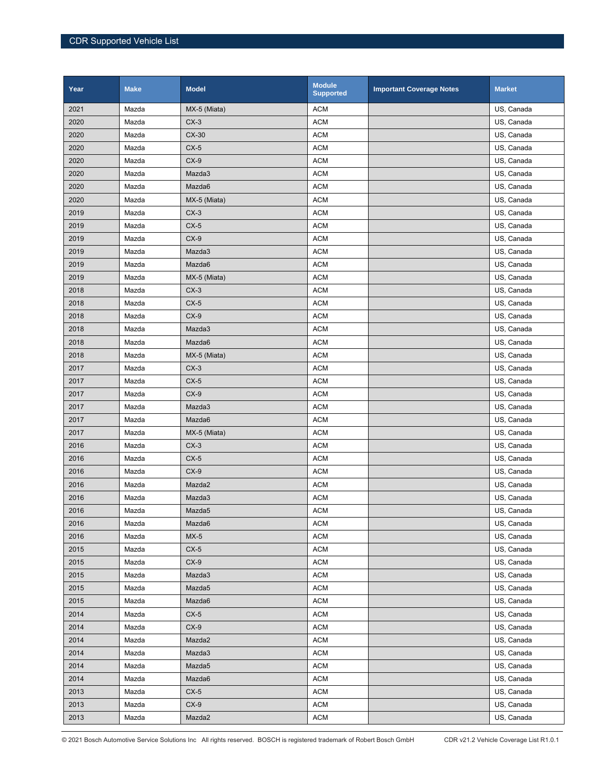| Year | <b>Make</b> | <b>Model</b> | <b>Module</b><br><b>Supported</b> | <b>Important Coverage Notes</b> | <b>Market</b> |
|------|-------------|--------------|-----------------------------------|---------------------------------|---------------|
| 2021 | Mazda       | MX-5 (Miata) | <b>ACM</b>                        |                                 | US, Canada    |
| 2020 | Mazda       | $CX-3$       | <b>ACM</b>                        |                                 | US, Canada    |
| 2020 | Mazda       | $CX-30$      | <b>ACM</b>                        |                                 | US, Canada    |
| 2020 | Mazda       | $CX-5$       | <b>ACM</b>                        |                                 | US, Canada    |
| 2020 | Mazda       | $CX-9$       | <b>ACM</b>                        |                                 | US, Canada    |
| 2020 | Mazda       | Mazda3       | <b>ACM</b>                        |                                 | US, Canada    |
| 2020 | Mazda       | Mazda6       | <b>ACM</b>                        |                                 | US, Canada    |
| 2020 | Mazda       | MX-5 (Miata) | <b>ACM</b>                        |                                 | US, Canada    |
| 2019 | Mazda       | $CX-3$       | <b>ACM</b>                        |                                 | US, Canada    |
| 2019 | Mazda       | $CX-5$       | <b>ACM</b>                        |                                 | US, Canada    |
| 2019 | Mazda       | $CX-9$       | <b>ACM</b>                        |                                 | US, Canada    |
| 2019 | Mazda       | Mazda3       | <b>ACM</b>                        |                                 | US, Canada    |
| 2019 | Mazda       | Mazda6       | <b>ACM</b>                        |                                 | US, Canada    |
| 2019 | Mazda       | MX-5 (Miata) | <b>ACM</b>                        |                                 | US, Canada    |
| 2018 | Mazda       | $CX-3$       | <b>ACM</b>                        |                                 | US, Canada    |
| 2018 | Mazda       | $CX-5$       | <b>ACM</b>                        |                                 | US, Canada    |
| 2018 | Mazda       | $CX-9$       | <b>ACM</b>                        |                                 | US, Canada    |
| 2018 | Mazda       | Mazda3       | <b>ACM</b>                        |                                 | US, Canada    |
| 2018 | Mazda       | Mazda6       | <b>ACM</b>                        |                                 | US, Canada    |
| 2018 | Mazda       | MX-5 (Miata) | <b>ACM</b>                        |                                 | US, Canada    |
| 2017 | Mazda       | $CX-3$       | <b>ACM</b>                        |                                 | US, Canada    |
| 2017 | Mazda       | $CX-5$       | <b>ACM</b>                        |                                 | US, Canada    |
| 2017 | Mazda       | $CX-9$       | <b>ACM</b>                        |                                 | US, Canada    |
| 2017 | Mazda       | Mazda3       | <b>ACM</b>                        |                                 | US, Canada    |
| 2017 | Mazda       | Mazda6       | <b>ACM</b>                        |                                 | US, Canada    |
| 2017 | Mazda       | MX-5 (Miata) | <b>ACM</b>                        |                                 | US, Canada    |
| 2016 | Mazda       | $CX-3$       | <b>ACM</b>                        |                                 | US, Canada    |
| 2016 | Mazda       | $CX-5$       | <b>ACM</b>                        |                                 | US, Canada    |
| 2016 | Mazda       | $CX-9$       | <b>ACM</b>                        |                                 | US, Canada    |
| 2016 | Mazda       | Mazda2       | <b>ACM</b>                        |                                 | US, Canada    |
| 2016 | Mazda       | Mazda3       | <b>ACM</b>                        |                                 | US, Canada    |
| 2016 | Mazda       | Mazda5       | <b>ACM</b>                        |                                 | US, Canada    |
| 2016 | Mazda       | Mazda6       | <b>ACM</b>                        |                                 | US, Canada    |
| 2016 | Mazda       | $MX-5$       | <b>ACM</b>                        |                                 | US, Canada    |
| 2015 | Mazda       | $CX-5$       | <b>ACM</b>                        |                                 | US, Canada    |
| 2015 | Mazda       | $CX-9$       | <b>ACM</b>                        |                                 | US, Canada    |
| 2015 | Mazda       | Mazda3       | <b>ACM</b>                        |                                 | US, Canada    |
| 2015 | Mazda       | Mazda5       | <b>ACM</b>                        |                                 | US, Canada    |
| 2015 | Mazda       | Mazda6       | <b>ACM</b>                        |                                 | US, Canada    |
| 2014 | Mazda       | $CX-5$       | <b>ACM</b>                        |                                 | US, Canada    |
| 2014 | Mazda       | $CX-9$       | <b>ACM</b>                        |                                 | US, Canada    |
| 2014 | Mazda       | Mazda2       | <b>ACM</b>                        |                                 | US, Canada    |
| 2014 | Mazda       | Mazda3       | <b>ACM</b>                        |                                 | US, Canada    |
| 2014 | Mazda       | Mazda5       | <b>ACM</b>                        |                                 | US, Canada    |
| 2014 | Mazda       | Mazda6       | <b>ACM</b>                        |                                 | US, Canada    |
| 2013 | Mazda       | $CX-5$       | <b>ACM</b>                        |                                 | US, Canada    |
| 2013 | Mazda       | $CX-9$       | <b>ACM</b>                        |                                 | US, Canada    |
| 2013 | Mazda       | Mazda2       | <b>ACM</b>                        |                                 | US, Canada    |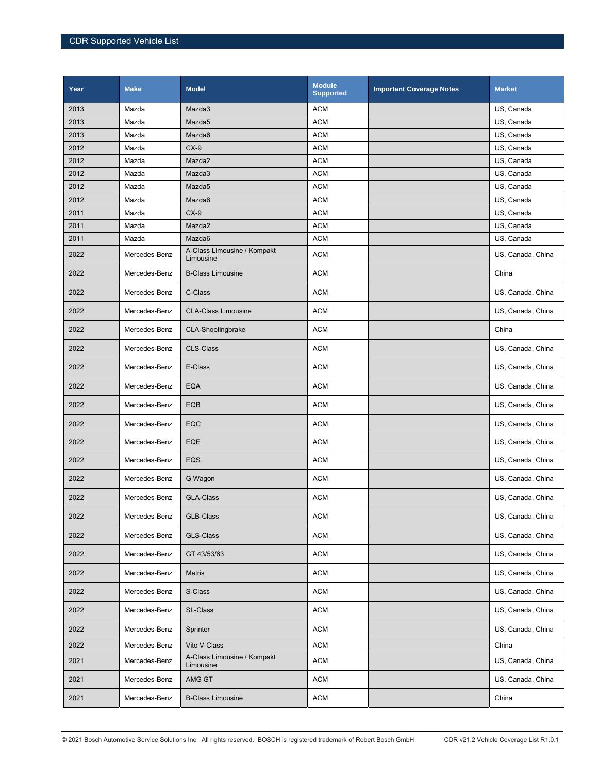| Year         | <b>Make</b>    | <b>Model</b>                             | <b>Module</b><br><b>Supported</b> | <b>Important Coverage Notes</b> | <b>Market</b>            |
|--------------|----------------|------------------------------------------|-----------------------------------|---------------------------------|--------------------------|
| 2013         | Mazda          | Mazda3                                   | <b>ACM</b>                        |                                 | US, Canada               |
| 2013         | Mazda          | Mazda <sub>5</sub>                       | <b>ACM</b>                        |                                 | US, Canada               |
| 2013         | Mazda          | Mazda6                                   | <b>ACM</b>                        |                                 | US, Canada               |
| 2012         | Mazda          | $CX-9$                                   | <b>ACM</b>                        |                                 | US, Canada               |
| 2012         | Mazda          | Mazda2                                   | <b>ACM</b>                        |                                 | US, Canada               |
| 2012         | Mazda          | Mazda3                                   | <b>ACM</b>                        |                                 | US, Canada               |
| 2012         | Mazda          | Mazda5                                   | <b>ACM</b>                        |                                 | US, Canada               |
| 2012         | Mazda          | Mazda6                                   | <b>ACM</b>                        |                                 | US, Canada               |
| 2011<br>2011 | Mazda<br>Mazda | $CX-9$<br>Mazda2                         | <b>ACM</b><br><b>ACM</b>          |                                 | US, Canada<br>US, Canada |
| 2011         | Mazda          | Mazda6                                   | <b>ACM</b>                        |                                 | US, Canada               |
| 2022         | Mercedes-Benz  | A-Class Limousine / Kompakt<br>Limousine | <b>ACM</b>                        |                                 | US, Canada, China        |
| 2022         | Mercedes-Benz  | <b>B-Class Limousine</b>                 | <b>ACM</b>                        |                                 | China                    |
| 2022         | Mercedes-Benz  | C-Class                                  | <b>ACM</b>                        |                                 | US, Canada, China        |
| 2022         | Mercedes-Benz  | <b>CLA-Class Limousine</b>               | <b>ACM</b>                        |                                 | US, Canada, China        |
| 2022         | Mercedes-Benz  | CLA-Shootingbrake                        | <b>ACM</b>                        |                                 | China                    |
| 2022         | Mercedes-Benz  | CLS-Class                                | <b>ACM</b>                        |                                 | US, Canada, China        |
| 2022         | Mercedes-Benz  | E-Class                                  | <b>ACM</b>                        |                                 | US, Canada, China        |
| 2022         | Mercedes-Benz  | <b>EQA</b>                               | <b>ACM</b>                        |                                 | US, Canada, China        |
| 2022         | Mercedes-Benz  | EQB                                      | <b>ACM</b>                        |                                 | US, Canada, China        |
| 2022         | Mercedes-Benz  | EQC                                      | <b>ACM</b>                        |                                 | US, Canada, China        |
| 2022         | Mercedes-Benz  | EQE                                      | <b>ACM</b>                        |                                 | US, Canada, China        |
| 2022         | Mercedes-Benz  | EQS                                      | <b>ACM</b>                        |                                 | US, Canada, China        |
| 2022         | Mercedes-Benz  | G Wagon                                  | <b>ACM</b>                        |                                 | US, Canada, China        |
| 2022         | Mercedes-Benz  | <b>GLA-Class</b>                         | <b>ACM</b>                        |                                 | US, Canada, China        |
| 2022         | Mercedes-Benz  | GLB-Class                                | $\mathsf{ACM}$                    |                                 | US, Canada, China        |
| 2022         | Mercedes-Benz  | GLS-Class                                | <b>ACM</b>                        |                                 | US, Canada, China        |
| 2022         | Mercedes-Benz  | GT 43/53/63                              | <b>ACM</b>                        |                                 | US, Canada, China        |
| 2022         | Mercedes-Benz  | Metris                                   | <b>ACM</b>                        |                                 | US, Canada, China        |
| 2022         | Mercedes-Benz  | S-Class                                  | ACM                               |                                 | US, Canada, China        |
| 2022         | Mercedes-Benz  | SL-Class                                 | <b>ACM</b>                        |                                 | US, Canada, China        |
| 2022         | Mercedes-Benz  | Sprinter                                 | <b>ACM</b>                        |                                 | US, Canada, China        |
| 2022         | Mercedes-Benz  | Vito V-Class                             | <b>ACM</b>                        |                                 | China                    |
| 2021         | Mercedes-Benz  | A-Class Limousine / Kompakt<br>Limousine | <b>ACM</b>                        |                                 | US, Canada, China        |
| 2021         | Mercedes-Benz  | AMG GT                                   | <b>ACM</b>                        |                                 | US, Canada, China        |
| 2021         | Mercedes-Benz  | <b>B-Class Limousine</b>                 | <b>ACM</b>                        |                                 | China                    |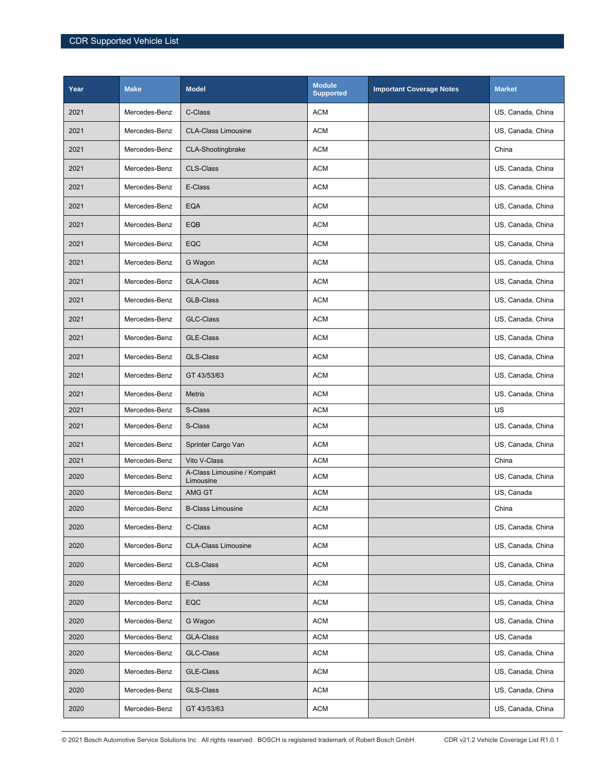| Year | <b>Make</b>   | <b>Model</b>                             | <b>Module</b><br><b>Supported</b> | <b>Important Coverage Notes</b> | <b>Market</b>     |
|------|---------------|------------------------------------------|-----------------------------------|---------------------------------|-------------------|
| 2021 | Mercedes-Benz | C-Class                                  | <b>ACM</b>                        |                                 | US, Canada, China |
| 2021 | Mercedes-Benz | <b>CLA-Class Limousine</b>               | <b>ACM</b>                        |                                 | US, Canada, China |
| 2021 | Mercedes-Benz | CLA-Shootingbrake                        | <b>ACM</b>                        |                                 | China             |
| 2021 | Mercedes-Benz | <b>CLS-Class</b>                         | <b>ACM</b>                        |                                 | US, Canada, China |
| 2021 | Mercedes-Benz | E-Class                                  | <b>ACM</b>                        |                                 | US, Canada, China |
| 2021 | Mercedes-Benz | <b>EQA</b>                               | <b>ACM</b>                        |                                 | US, Canada, China |
| 2021 | Mercedes-Benz | EQB                                      | <b>ACM</b>                        |                                 | US, Canada, China |
| 2021 | Mercedes-Benz | EQC                                      | <b>ACM</b>                        |                                 | US, Canada, China |
| 2021 | Mercedes-Benz | G Wagon                                  | <b>ACM</b>                        |                                 | US, Canada, China |
| 2021 | Mercedes-Benz | <b>GLA-Class</b>                         | ACM                               |                                 | US, Canada, China |
| 2021 | Mercedes-Benz | <b>GLB-Class</b>                         | <b>ACM</b>                        |                                 | US, Canada, China |
| 2021 | Mercedes-Benz | <b>GLC-Class</b>                         | <b>ACM</b>                        |                                 | US, Canada, China |
| 2021 | Mercedes-Benz | <b>GLE-Class</b>                         | <b>ACM</b>                        |                                 | US, Canada, China |
| 2021 | Mercedes-Benz | <b>GLS-Class</b>                         | <b>ACM</b>                        |                                 | US, Canada, China |
| 2021 | Mercedes-Benz | GT 43/53/63                              | ACM                               |                                 | US, Canada, China |
| 2021 | Mercedes-Benz | <b>Metris</b>                            | <b>ACM</b>                        |                                 | US, Canada, China |
| 2021 | Mercedes-Benz | S-Class                                  | <b>ACM</b>                        |                                 | US                |
| 2021 | Mercedes-Benz | S-Class                                  | <b>ACM</b>                        |                                 | US, Canada, China |
| 2021 | Mercedes-Benz | Sprinter Cargo Van                       | <b>ACM</b>                        |                                 | US, Canada, China |
| 2021 | Mercedes-Benz | Vito V-Class                             | <b>ACM</b>                        |                                 | China             |
| 2020 | Mercedes-Benz | A-Class Limousine / Kompakt<br>Limousine | <b>ACM</b>                        |                                 | US, Canada, China |
| 2020 | Mercedes-Benz | AMG GT                                   | <b>ACM</b>                        |                                 | US, Canada        |
| 2020 | Mercedes-Benz | <b>B-Class Limousine</b>                 | <b>ACM</b>                        |                                 | China             |
| 2020 | Mercedes-Benz | C-Class                                  | <b>ACM</b>                        |                                 | US, Canada, China |
| 2020 | Mercedes-Benz | <b>CLA-Class Limousine</b>               | <b>ACM</b>                        |                                 | US, Canada, China |
| 2020 | Mercedes-Benz | CLS-Class                                | <b>ACM</b>                        |                                 | US, Canada, China |
| 2020 | Mercedes-Benz | E-Class                                  | <b>ACM</b>                        |                                 | US, Canada, China |
| 2020 | Mercedes-Benz | EQC                                      | <b>ACM</b>                        |                                 | US, Canada, China |
| 2020 | Mercedes-Benz | G Wagon                                  | <b>ACM</b>                        |                                 | US, Canada, China |
| 2020 | Mercedes-Benz | <b>GLA-Class</b>                         | <b>ACM</b>                        |                                 | US, Canada        |
| 2020 | Mercedes-Benz | GLC-Class                                | <b>ACM</b>                        |                                 | US, Canada, China |
| 2020 | Mercedes-Benz | GLE-Class                                | <b>ACM</b>                        |                                 | US, Canada, China |
| 2020 | Mercedes-Benz | GLS-Class                                | <b>ACM</b>                        |                                 | US, Canada, China |
| 2020 | Mercedes-Benz | GT 43/53/63                              | <b>ACM</b>                        |                                 | US, Canada, China |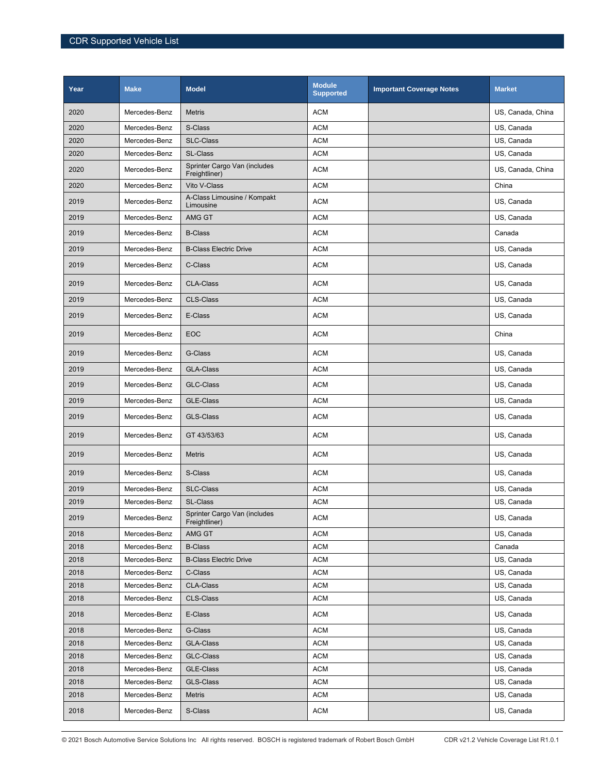| Year | <b>Make</b>   | <b>Model</b>                                  | <b>Module</b><br><b>Supported</b> | <b>Important Coverage Notes</b> | <b>Market</b>     |
|------|---------------|-----------------------------------------------|-----------------------------------|---------------------------------|-------------------|
| 2020 | Mercedes-Benz | <b>Metris</b>                                 | <b>ACM</b>                        |                                 | US, Canada, China |
| 2020 | Mercedes-Benz | S-Class                                       | <b>ACM</b>                        |                                 | US, Canada        |
| 2020 | Mercedes-Benz | <b>SLC-Class</b>                              | <b>ACM</b>                        |                                 | US, Canada        |
| 2020 | Mercedes-Benz | SL-Class                                      | <b>ACM</b>                        |                                 | US, Canada        |
| 2020 | Mercedes-Benz | Sprinter Cargo Van (includes<br>Freightliner) | <b>ACM</b>                        |                                 | US, Canada, China |
| 2020 | Mercedes-Benz | Vito V-Class                                  | <b>ACM</b>                        |                                 | China             |
| 2019 | Mercedes-Benz | A-Class Limousine / Kompakt<br>Limousine      | <b>ACM</b>                        |                                 | US, Canada        |
| 2019 | Mercedes-Benz | AMG GT                                        | <b>ACM</b>                        |                                 | US, Canada        |
| 2019 | Mercedes-Benz | <b>B-Class</b>                                | <b>ACM</b>                        |                                 | Canada            |
| 2019 | Mercedes-Benz | <b>B-Class Electric Drive</b>                 | <b>ACM</b>                        |                                 | US, Canada        |
| 2019 | Mercedes-Benz | C-Class                                       | <b>ACM</b>                        |                                 | US, Canada        |
| 2019 | Mercedes-Benz | <b>CLA-Class</b>                              | <b>ACM</b>                        |                                 | US, Canada        |
| 2019 | Mercedes-Benz | <b>CLS-Class</b>                              | <b>ACM</b>                        |                                 | US, Canada        |
| 2019 | Mercedes-Benz | E-Class                                       | <b>ACM</b>                        |                                 | US, Canada        |
| 2019 | Mercedes-Benz | <b>EOC</b>                                    | <b>ACM</b>                        |                                 | China             |
| 2019 | Mercedes-Benz | G-Class                                       | <b>ACM</b>                        |                                 | US, Canada        |
| 2019 | Mercedes-Benz | <b>GLA-Class</b>                              | <b>ACM</b>                        |                                 | US, Canada        |
| 2019 | Mercedes-Benz | <b>GLC-Class</b>                              | <b>ACM</b>                        |                                 | US, Canada        |
| 2019 | Mercedes-Benz | <b>GLE-Class</b>                              | <b>ACM</b>                        |                                 | US, Canada        |
| 2019 | Mercedes-Benz | <b>GLS-Class</b>                              | <b>ACM</b>                        |                                 | US, Canada        |
| 2019 | Mercedes-Benz | GT 43/53/63                                   | <b>ACM</b>                        |                                 | US, Canada        |
| 2019 | Mercedes-Benz | <b>Metris</b>                                 | <b>ACM</b>                        |                                 | US, Canada        |
| 2019 | Mercedes-Benz | S-Class                                       | <b>ACM</b>                        |                                 | US, Canada        |
| 2019 | Mercedes-Benz | <b>SLC-Class</b>                              | <b>ACM</b>                        |                                 | US, Canada        |
| 2019 | Mercedes-Benz | <b>SL-Class</b>                               | <b>ACM</b>                        |                                 | US, Canada        |
| 2019 | Mercedes-Benz | Sprinter Cargo Van (includes<br>Freightliner) | <b>ACM</b>                        |                                 | US, Canada        |
| 2018 | Mercedes-Benz | AMG GT                                        | <b>ACM</b>                        |                                 | US, Canada        |
| 2018 | Mercedes-Benz | <b>B-Class</b>                                | <b>ACM</b>                        |                                 | Canada            |
| 2018 | Mercedes-Benz | <b>B-Class Electric Drive</b>                 | ACM                               |                                 | US, Canada        |
| 2018 | Mercedes-Benz | C-Class                                       | <b>ACM</b>                        |                                 | US, Canada        |
| 2018 | Mercedes-Benz | CLA-Class                                     | <b>ACM</b>                        |                                 | US, Canada        |
| 2018 | Mercedes-Benz | CLS-Class                                     | ACM                               |                                 | US, Canada        |
| 2018 | Mercedes-Benz | E-Class                                       | <b>ACM</b>                        |                                 | US, Canada        |
| 2018 | Mercedes-Benz | G-Class                                       | <b>ACM</b>                        |                                 | US, Canada        |
| 2018 | Mercedes-Benz | GLA-Class                                     | <b>ACM</b>                        |                                 | US, Canada        |
| 2018 | Mercedes-Benz | GLC-Class                                     | ACM                               |                                 | US, Canada        |
| 2018 | Mercedes-Benz | GLE-Class                                     | <b>ACM</b>                        |                                 | US, Canada        |
| 2018 | Mercedes-Benz | GLS-Class                                     | <b>ACM</b>                        |                                 | US, Canada        |
| 2018 | Mercedes-Benz | Metris                                        | ACM                               |                                 | US, Canada        |
| 2018 | Mercedes-Benz | S-Class                                       | <b>ACM</b>                        |                                 | US, Canada        |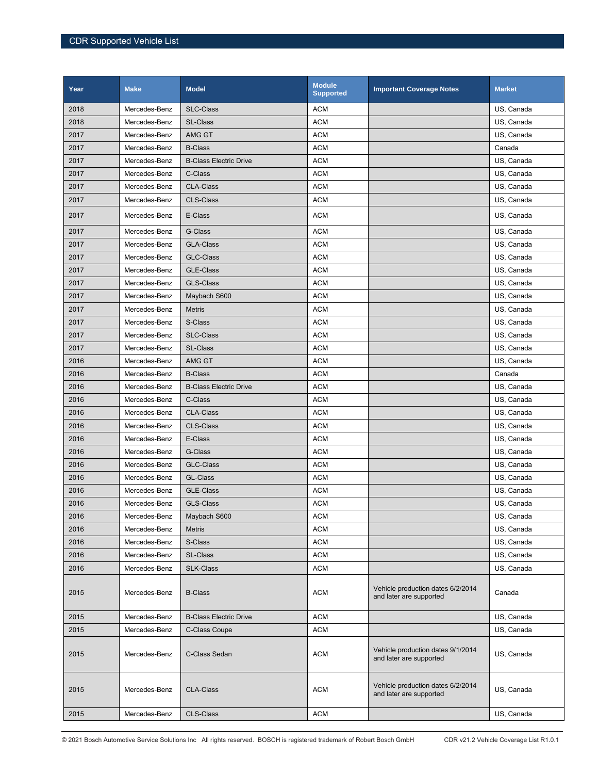| Year | <b>Make</b>   | <b>Model</b>                  | <b>Module</b><br><b>Supported</b> | <b>Important Coverage Notes</b>                              | <b>Market</b> |
|------|---------------|-------------------------------|-----------------------------------|--------------------------------------------------------------|---------------|
| 2018 | Mercedes-Benz | <b>SLC-Class</b>              | <b>ACM</b>                        |                                                              | US, Canada    |
| 2018 | Mercedes-Benz | <b>SL-Class</b>               | <b>ACM</b>                        |                                                              | US, Canada    |
| 2017 | Mercedes-Benz | AMG GT                        | <b>ACM</b>                        |                                                              | US, Canada    |
| 2017 | Mercedes-Benz | <b>B-Class</b>                | <b>ACM</b>                        |                                                              | Canada        |
| 2017 | Mercedes-Benz | <b>B-Class Electric Drive</b> | <b>ACM</b>                        |                                                              | US, Canada    |
| 2017 | Mercedes-Benz | C-Class                       | <b>ACM</b>                        |                                                              | US, Canada    |
| 2017 | Mercedes-Benz | <b>CLA-Class</b>              | <b>ACM</b>                        |                                                              | US, Canada    |
| 2017 | Mercedes-Benz | <b>CLS-Class</b>              | <b>ACM</b>                        |                                                              | US, Canada    |
| 2017 | Mercedes-Benz | E-Class                       | <b>ACM</b>                        |                                                              | US, Canada    |
| 2017 | Mercedes-Benz | G-Class                       | <b>ACM</b>                        |                                                              | US, Canada    |
| 2017 | Mercedes-Benz | <b>GLA-Class</b>              | <b>ACM</b>                        |                                                              | US, Canada    |
| 2017 | Mercedes-Benz | <b>GLC-Class</b>              | <b>ACM</b>                        |                                                              | US, Canada    |
| 2017 | Mercedes-Benz | <b>GLE-Class</b>              | <b>ACM</b>                        |                                                              | US, Canada    |
| 2017 | Mercedes-Benz | <b>GLS-Class</b>              | <b>ACM</b>                        |                                                              | US, Canada    |
| 2017 | Mercedes-Benz | Maybach S600                  | <b>ACM</b>                        |                                                              | US, Canada    |
| 2017 | Mercedes-Benz | <b>Metris</b>                 | <b>ACM</b>                        |                                                              | US, Canada    |
| 2017 | Mercedes-Benz | S-Class                       | <b>ACM</b>                        |                                                              | US, Canada    |
| 2017 | Mercedes-Benz | <b>SLC-Class</b>              | <b>ACM</b>                        |                                                              | US, Canada    |
| 2017 | Mercedes-Benz | <b>SL-Class</b>               | <b>ACM</b>                        |                                                              | US, Canada    |
| 2016 | Mercedes-Benz | AMG GT                        | <b>ACM</b>                        |                                                              | US, Canada    |
| 2016 | Mercedes-Benz | <b>B-Class</b>                | <b>ACM</b>                        |                                                              | Canada        |
| 2016 | Mercedes-Benz | <b>B-Class Electric Drive</b> | <b>ACM</b>                        |                                                              | US, Canada    |
| 2016 | Mercedes-Benz | C-Class                       | <b>ACM</b>                        |                                                              | US, Canada    |
| 2016 | Mercedes-Benz | <b>CLA-Class</b>              | <b>ACM</b>                        |                                                              | US, Canada    |
| 2016 | Mercedes-Benz | <b>CLS-Class</b>              | <b>ACM</b>                        |                                                              | US, Canada    |
| 2016 | Mercedes-Benz | E-Class                       | <b>ACM</b>                        |                                                              | US, Canada    |
| 2016 | Mercedes-Benz | G-Class                       | <b>ACM</b>                        |                                                              | US, Canada    |
| 2016 | Mercedes-Benz | <b>GLC-Class</b>              | <b>ACM</b>                        |                                                              | US, Canada    |
| 2016 | Mercedes-Benz | GL-Class                      | <b>ACM</b>                        |                                                              | US, Canada    |
| 2016 | Mercedes-Benz | <b>GLE-Class</b>              | <b>ACM</b>                        |                                                              | US, Canada    |
| 2016 | Mercedes-Benz | <b>GLS-Class</b>              | <b>ACM</b>                        |                                                              | US, Canada    |
| 2016 | Mercedes-Benz | Maybach S600                  | <b>ACM</b>                        |                                                              | US, Canada    |
| 2016 | Mercedes-Benz | <b>Metris</b>                 | <b>ACM</b>                        |                                                              | US. Canada    |
| 2016 | Mercedes-Benz | S-Class                       | <b>ACM</b>                        |                                                              | US. Canada    |
| 2016 | Mercedes-Benz | SL-Class                      | <b>ACM</b>                        |                                                              | US, Canada    |
| 2016 | Mercedes-Benz | <b>SLK-Class</b>              | ACM                               |                                                              | US, Canada    |
| 2015 | Mercedes-Benz | <b>B-Class</b>                | <b>ACM</b>                        | Vehicle production dates 6/2/2014<br>and later are supported | Canada        |
| 2015 | Mercedes-Benz | <b>B-Class Electric Drive</b> | <b>ACM</b>                        |                                                              | US, Canada    |
| 2015 | Mercedes-Benz | C-Class Coupe                 | <b>ACM</b>                        |                                                              | US, Canada    |
| 2015 | Mercedes-Benz | C-Class Sedan                 | <b>ACM</b>                        | Vehicle production dates 9/1/2014<br>and later are supported | US, Canada    |
| 2015 | Mercedes-Benz | <b>CLA-Class</b>              | <b>ACM</b>                        | Vehicle production dates 6/2/2014<br>and later are supported | US, Canada    |
| 2015 | Mercedes-Benz | CLS-Class                     | <b>ACM</b>                        |                                                              | US, Canada    |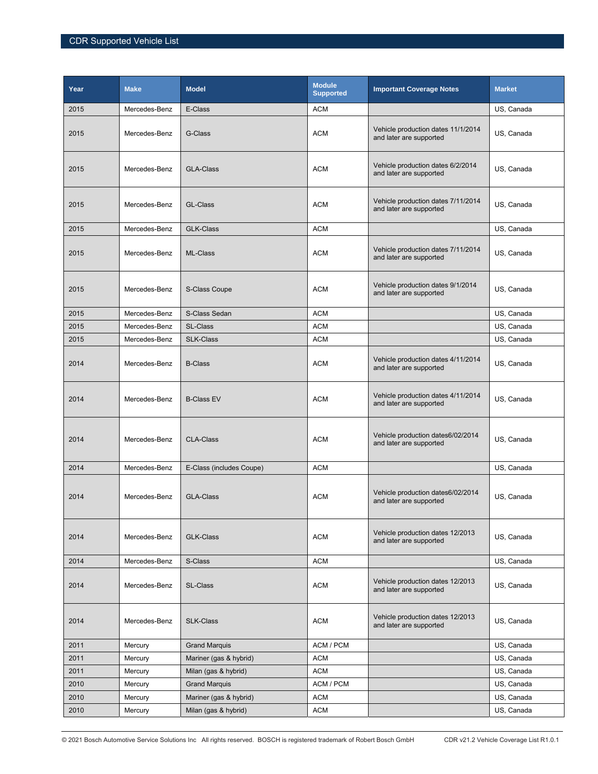| Year | <b>Make</b>   | <b>Model</b>             | <b>Module</b><br><b>Supported</b> | <b>Important Coverage Notes</b>                               | <b>Market</b> |
|------|---------------|--------------------------|-----------------------------------|---------------------------------------------------------------|---------------|
| 2015 | Mercedes-Benz | E-Class                  | <b>ACM</b>                        |                                                               | US, Canada    |
| 2015 | Mercedes-Benz | G-Class                  | <b>ACM</b>                        | Vehicle production dates 11/1/2014<br>and later are supported | US, Canada    |
| 2015 | Mercedes-Benz | <b>GLA-Class</b>         | <b>ACM</b>                        | Vehicle production dates 6/2/2014<br>and later are supported  | US, Canada    |
| 2015 | Mercedes-Benz | GL-Class                 | <b>ACM</b>                        | Vehicle production dates 7/11/2014<br>and later are supported | US, Canada    |
| 2015 | Mercedes-Benz | <b>GLK-Class</b>         | <b>ACM</b>                        |                                                               | US, Canada    |
| 2015 | Mercedes-Benz | ML-Class                 | <b>ACM</b>                        | Vehicle production dates 7/11/2014<br>and later are supported | US, Canada    |
| 2015 | Mercedes-Benz | S-Class Coupe            | <b>ACM</b>                        | Vehicle production dates 9/1/2014<br>and later are supported  | US, Canada    |
| 2015 | Mercedes-Benz | S-Class Sedan            | <b>ACM</b>                        |                                                               | US, Canada    |
| 2015 | Mercedes-Benz | <b>SL-Class</b>          | ACM                               |                                                               | US, Canada    |
| 2015 | Mercedes-Benz | <b>SLK-Class</b>         | <b>ACM</b>                        |                                                               | US, Canada    |
| 2014 | Mercedes-Benz | <b>B-Class</b>           | <b>ACM</b>                        | Vehicle production dates 4/11/2014<br>and later are supported | US, Canada    |
| 2014 | Mercedes-Benz | <b>B-Class EV</b>        | <b>ACM</b>                        | Vehicle production dates 4/11/2014<br>and later are supported | US, Canada    |
| 2014 | Mercedes-Benz | <b>CLA-Class</b>         | <b>ACM</b>                        | Vehicle production dates6/02/2014<br>and later are supported  | US, Canada    |
| 2014 | Mercedes-Benz | E-Class (includes Coupe) | <b>ACM</b>                        |                                                               | US, Canada    |
| 2014 | Mercedes-Benz | <b>GLA-Class</b>         | <b>ACM</b>                        | Vehicle production dates6/02/2014<br>and later are supported  | US, Canada    |
| 2014 | Mercedes-Benz | <b>GLK-Class</b>         | <b>ACM</b>                        | Vehicle production dates 12/2013<br>and later are supported   | US, Canada    |
| 2014 | Mercedes-Benz | S-Class                  | <b>ACM</b>                        |                                                               | US, Canada    |
| 2014 | Mercedes-Benz | SL-Class                 | <b>ACM</b>                        | Vehicle production dates 12/2013<br>and later are supported   | US, Canada    |
| 2014 | Mercedes-Benz | <b>SLK-Class</b>         | <b>ACM</b>                        | Vehicle production dates 12/2013<br>and later are supported   | US, Canada    |
| 2011 | Mercury       | <b>Grand Marquis</b>     | ACM / PCM                         |                                                               | US, Canada    |
| 2011 | Mercury       | Mariner (gas & hybrid)   | <b>ACM</b>                        |                                                               | US, Canada    |
| 2011 | Mercury       | Milan (gas & hybrid)     | ACM                               |                                                               | US, Canada    |
| 2010 | Mercury       | <b>Grand Marquis</b>     | ACM / PCM                         |                                                               | US, Canada    |
| 2010 | Mercury       | Mariner (gas & hybrid)   | <b>ACM</b>                        |                                                               | US, Canada    |
| 2010 | Mercury       | Milan (gas & hybrid)     | ACM                               |                                                               | US, Canada    |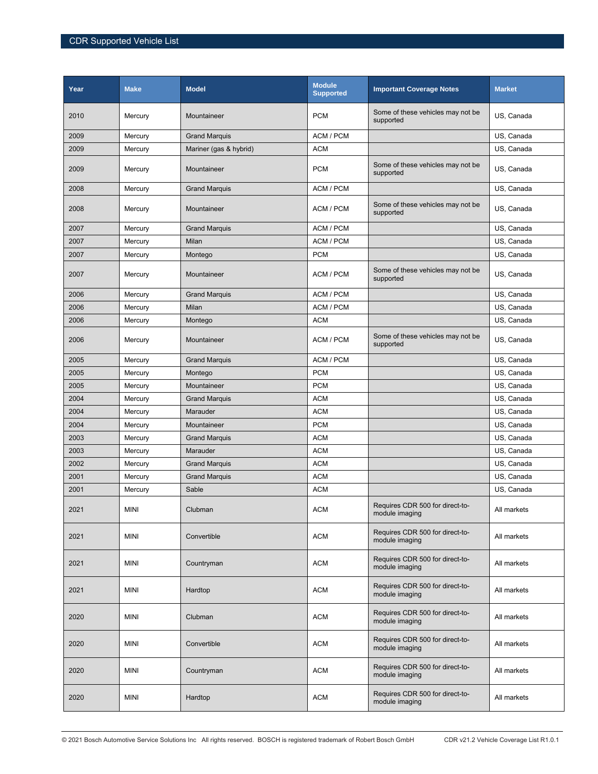| Year | <b>Make</b> | <b>Model</b>           | <b>Module</b><br><b>Supported</b> | <b>Important Coverage Notes</b>                   | <b>Market</b> |
|------|-------------|------------------------|-----------------------------------|---------------------------------------------------|---------------|
| 2010 | Mercury     | Mountaineer            | <b>PCM</b>                        | Some of these vehicles may not be<br>supported    | US, Canada    |
| 2009 | Mercury     | <b>Grand Marquis</b>   | ACM / PCM                         |                                                   | US, Canada    |
| 2009 | Mercury     | Mariner (gas & hybrid) | <b>ACM</b>                        |                                                   | US, Canada    |
| 2009 | Mercury     | Mountaineer            | <b>PCM</b>                        | Some of these vehicles may not be<br>supported    | US, Canada    |
| 2008 | Mercury     | <b>Grand Marquis</b>   | ACM / PCM                         |                                                   | US, Canada    |
| 2008 | Mercury     | Mountaineer            | ACM / PCM                         | Some of these vehicles may not be<br>supported    | US, Canada    |
| 2007 | Mercury     | <b>Grand Marquis</b>   | ACM / PCM                         |                                                   | US, Canada    |
| 2007 | Mercury     | Milan                  | ACM / PCM                         |                                                   | US, Canada    |
| 2007 | Mercury     | Montego                | <b>PCM</b>                        |                                                   | US, Canada    |
| 2007 | Mercury     | Mountaineer            | ACM / PCM                         | Some of these vehicles may not be<br>supported    | US, Canada    |
| 2006 | Mercury     | <b>Grand Marquis</b>   | ACM / PCM                         |                                                   | US, Canada    |
| 2006 | Mercury     | Milan                  | ACM / PCM                         |                                                   | US, Canada    |
| 2006 | Mercury     | Montego                | <b>ACM</b>                        |                                                   | US, Canada    |
| 2006 | Mercury     | Mountaineer            | ACM / PCM                         | Some of these vehicles may not be<br>supported    | US, Canada    |
| 2005 | Mercury     | <b>Grand Marquis</b>   | ACM / PCM                         |                                                   | US, Canada    |
| 2005 | Mercury     | Montego                | <b>PCM</b>                        |                                                   | US, Canada    |
| 2005 | Mercury     | Mountaineer            | <b>PCM</b>                        |                                                   | US, Canada    |
| 2004 | Mercury     | <b>Grand Marquis</b>   | <b>ACM</b>                        |                                                   | US, Canada    |
| 2004 | Mercury     | Marauder               | <b>ACM</b>                        |                                                   | US, Canada    |
| 2004 | Mercury     | Mountaineer            | <b>PCM</b>                        |                                                   | US, Canada    |
| 2003 | Mercury     | <b>Grand Marquis</b>   | <b>ACM</b>                        |                                                   | US, Canada    |
| 2003 | Mercury     | Marauder               | <b>ACM</b>                        |                                                   | US, Canada    |
| 2002 | Mercury     | <b>Grand Marquis</b>   | <b>ACM</b>                        |                                                   | US, Canada    |
| 2001 | Mercury     | <b>Grand Marquis</b>   | <b>ACM</b>                        |                                                   | US, Canada    |
| 2001 | Mercury     | Sable                  | <b>ACM</b>                        |                                                   | US, Canada    |
| 2021 | <b>MINI</b> | Clubman                | <b>ACM</b>                        | Requires CDR 500 for direct-to-<br>module imaging | All markets   |
| 2021 | <b>MINI</b> | Convertible            | <b>ACM</b>                        | Requires CDR 500 for direct-to-<br>module imaging | All markets   |
| 2021 | <b>MINI</b> | Countryman             | <b>ACM</b>                        | Requires CDR 500 for direct-to-<br>module imaging | All markets   |
| 2021 | <b>MINI</b> | Hardtop                | <b>ACM</b>                        | Requires CDR 500 for direct-to-<br>module imaging | All markets   |
| 2020 | MINI        | Clubman                | <b>ACM</b>                        | Requires CDR 500 for direct-to-<br>module imaging | All markets   |
| 2020 | <b>MINI</b> | Convertible            | <b>ACM</b>                        | Requires CDR 500 for direct-to-<br>module imaging | All markets   |
| 2020 | <b>MINI</b> | Countryman             | <b>ACM</b>                        | Requires CDR 500 for direct-to-<br>module imaging | All markets   |
| 2020 | <b>MINI</b> | Hardtop                | <b>ACM</b>                        | Requires CDR 500 for direct-to-<br>module imaging | All markets   |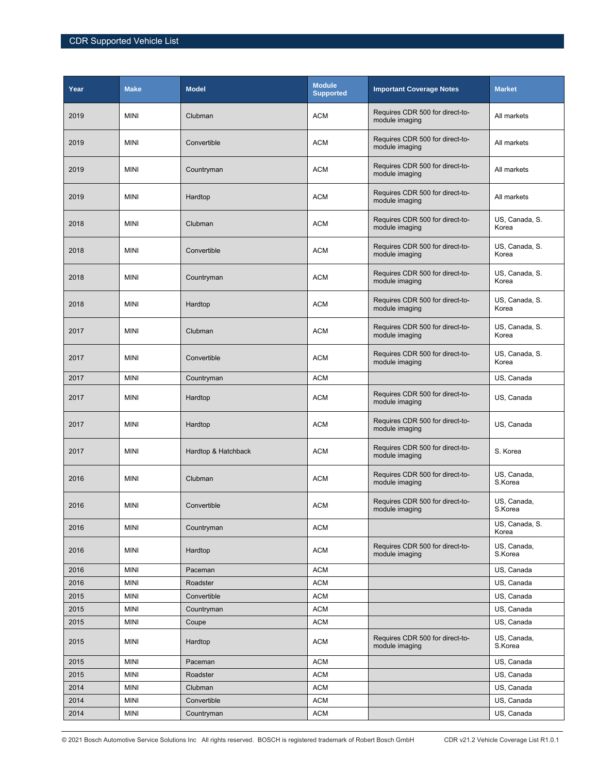| Year | <b>Make</b> | <b>Model</b>        | <b>Module</b><br><b>Supported</b> | <b>Important Coverage Notes</b>                   | <b>Market</b>           |
|------|-------------|---------------------|-----------------------------------|---------------------------------------------------|-------------------------|
| 2019 | <b>MINI</b> | Clubman             | <b>ACM</b>                        | Requires CDR 500 for direct-to-<br>module imaging | All markets             |
| 2019 | <b>MINI</b> | Convertible         | <b>ACM</b>                        | Requires CDR 500 for direct-to-<br>module imaging | All markets             |
| 2019 | <b>MINI</b> | Countryman          | <b>ACM</b>                        | Requires CDR 500 for direct-to-<br>module imaging | All markets             |
| 2019 | <b>MINI</b> | Hardtop             | <b>ACM</b>                        | Requires CDR 500 for direct-to-<br>module imaging | All markets             |
| 2018 | <b>MINI</b> | Clubman             | <b>ACM</b>                        | Requires CDR 500 for direct-to-<br>module imaging | US, Canada, S.<br>Korea |
| 2018 | <b>MINI</b> | Convertible         | <b>ACM</b>                        | Requires CDR 500 for direct-to-<br>module imaging | US, Canada, S.<br>Korea |
| 2018 | <b>MINI</b> | Countryman          | <b>ACM</b>                        | Requires CDR 500 for direct-to-<br>module imaging | US, Canada, S.<br>Korea |
| 2018 | <b>MINI</b> | Hardtop             | <b>ACM</b>                        | Requires CDR 500 for direct-to-<br>module imaging | US, Canada, S.<br>Korea |
| 2017 | <b>MINI</b> | Clubman             | <b>ACM</b>                        | Requires CDR 500 for direct-to-<br>module imaging | US, Canada, S.<br>Korea |
| 2017 | <b>MINI</b> | Convertible         | <b>ACM</b>                        | Requires CDR 500 for direct-to-<br>module imaging | US, Canada, S.<br>Korea |
| 2017 | <b>MINI</b> | Countryman          | <b>ACM</b>                        |                                                   | US, Canada              |
| 2017 | <b>MINI</b> | Hardtop             | <b>ACM</b>                        | Requires CDR 500 for direct-to-<br>module imaging | US, Canada              |
| 2017 | <b>MINI</b> | Hardtop             | <b>ACM</b>                        | Requires CDR 500 for direct-to-<br>module imaging | US, Canada              |
| 2017 | <b>MINI</b> | Hardtop & Hatchback | <b>ACM</b>                        | Requires CDR 500 for direct-to-<br>module imaging | S. Korea                |
| 2016 | <b>MINI</b> | Clubman             | <b>ACM</b>                        | Requires CDR 500 for direct-to-<br>module imaging | US, Canada,<br>S.Korea  |
| 2016 | <b>MINI</b> | Convertible         | <b>ACM</b>                        | Requires CDR 500 for direct-to-<br>module imaging | US, Canada,<br>S.Korea  |
| 2016 | <b>MINI</b> | Countryman          | <b>ACM</b>                        |                                                   | US, Canada, S.<br>Korea |
| 2016 | <b>MINI</b> | Hardtop             | <b>ACM</b>                        | Requires CDR 500 for direct-to-<br>module imaging | US, Canada,<br>S.Korea  |
| 2016 | <b>MINI</b> | Paceman             | <b>ACM</b>                        |                                                   | US, Canada              |
| 2016 | <b>MINI</b> | Roadster            | <b>ACM</b>                        |                                                   | US, Canada              |
| 2015 | <b>MINI</b> | Convertible         | <b>ACM</b>                        |                                                   | US, Canada              |
| 2015 | <b>MINI</b> | Countryman          | <b>ACM</b>                        |                                                   | US, Canada              |
| 2015 | <b>MINI</b> | Coupe               | <b>ACM</b>                        |                                                   | US, Canada              |
| 2015 | <b>MINI</b> | Hardtop             | <b>ACM</b>                        | Requires CDR 500 for direct-to-<br>module imaging | US, Canada,<br>S.Korea  |
| 2015 | <b>MINI</b> | Paceman             | <b>ACM</b>                        |                                                   | US, Canada              |
| 2015 | <b>MINI</b> | Roadster            | <b>ACM</b>                        |                                                   | US, Canada              |
| 2014 | <b>MINI</b> | Clubman             | <b>ACM</b>                        |                                                   | US, Canada              |
| 2014 | <b>MINI</b> | Convertible         | <b>ACM</b>                        |                                                   | US, Canada              |
| 2014 | <b>MINI</b> | Countryman          | <b>ACM</b>                        |                                                   | US, Canada              |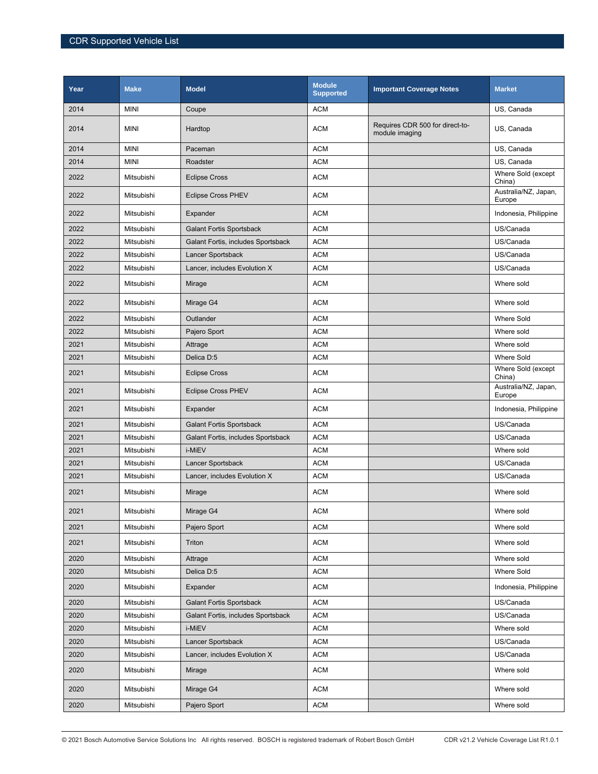| Year | <b>Make</b>       | <b>Model</b>                       | <b>Module</b><br><b>Supported</b> | <b>Important Coverage Notes</b>                   | <b>Market</b>                  |
|------|-------------------|------------------------------------|-----------------------------------|---------------------------------------------------|--------------------------------|
| 2014 | <b>MINI</b>       | Coupe                              | <b>ACM</b>                        |                                                   | US. Canada                     |
| 2014 | <b>MINI</b>       | Hardtop                            | ACM                               | Requires CDR 500 for direct-to-<br>module imaging | US, Canada                     |
| 2014 | <b>MINI</b>       | Paceman                            | <b>ACM</b>                        |                                                   | US, Canada                     |
| 2014 | <b>MINI</b>       | Roadster                           | <b>ACM</b>                        |                                                   | US, Canada                     |
| 2022 | <b>Mitsubishi</b> | <b>Eclipse Cross</b>               | <b>ACM</b>                        |                                                   | Where Sold (except<br>China)   |
| 2022 | Mitsubishi        | <b>Eclipse Cross PHEV</b>          | <b>ACM</b>                        |                                                   | Australia/NZ, Japan,<br>Europe |
| 2022 | Mitsubishi        | Expander                           | <b>ACM</b>                        |                                                   | Indonesia, Philippine          |
| 2022 | Mitsubishi        | <b>Galant Fortis Sportsback</b>    | <b>ACM</b>                        |                                                   | US/Canada                      |
| 2022 | Mitsubishi        | Galant Fortis, includes Sportsback | <b>ACM</b>                        |                                                   | US/Canada                      |
| 2022 | Mitsubishi        | Lancer Sportsback                  | <b>ACM</b>                        |                                                   | US/Canada                      |
| 2022 | Mitsubishi        | Lancer, includes Evolution X       | <b>ACM</b>                        |                                                   | US/Canada                      |
| 2022 | Mitsubishi        | Mirage                             | <b>ACM</b>                        |                                                   | Where sold                     |
| 2022 | Mitsubishi        | Mirage G4                          | <b>ACM</b>                        |                                                   | Where sold                     |
| 2022 | Mitsubishi        | Outlander                          | <b>ACM</b>                        |                                                   | <b>Where Sold</b>              |
| 2022 | Mitsubishi        | Pajero Sport                       | <b>ACM</b>                        |                                                   | Where sold                     |
| 2021 | Mitsubishi        | Attrage                            | <b>ACM</b>                        |                                                   | Where sold                     |
| 2021 | Mitsubishi        | Delica D:5                         | ACM                               |                                                   | <b>Where Sold</b>              |
| 2021 | Mitsubishi        | <b>Eclipse Cross</b>               | <b>ACM</b>                        |                                                   | Where Sold (except<br>China)   |
| 2021 | Mitsubishi        | <b>Eclipse Cross PHEV</b>          | <b>ACM</b>                        |                                                   | Australia/NZ, Japan,<br>Europe |
| 2021 | Mitsubishi        | Expander                           | <b>ACM</b>                        |                                                   | Indonesia, Philippine          |
| 2021 | Mitsubishi        | <b>Galant Fortis Sportsback</b>    | <b>ACM</b>                        |                                                   | US/Canada                      |
| 2021 | Mitsubishi        | Galant Fortis, includes Sportsback | <b>ACM</b>                        |                                                   | US/Canada                      |
| 2021 | Mitsubishi        | i-MiEV                             | <b>ACM</b>                        |                                                   | Where sold                     |
| 2021 | Mitsubishi        | Lancer Sportsback                  | ACM                               |                                                   | US/Canada                      |
| 2021 | Mitsubishi        | Lancer, includes Evolution X       | <b>ACM</b>                        |                                                   | US/Canada                      |
| 2021 | Mitsubishi        | Mirage                             | <b>ACM</b>                        |                                                   | Where sold                     |
| 2021 | Mitsubishi        | Mirage G4                          | <b>ACM</b>                        |                                                   | Where sold                     |
| 2021 | Mitsubishi        | Pajero Sport                       | ACM                               |                                                   | Where sold                     |
| 2021 | Mitsubishi        | Triton                             | <b>ACM</b>                        |                                                   | Where sold                     |
| 2020 | Mitsubishi        | Attrage                            | <b>ACM</b>                        |                                                   | Where sold                     |
| 2020 | Mitsubishi        | Delica D:5                         | <b>ACM</b>                        |                                                   | Where Sold                     |
| 2020 | Mitsubishi        | Expander                           | ACM                               |                                                   | Indonesia, Philippine          |
| 2020 | Mitsubishi        | <b>Galant Fortis Sportsback</b>    | <b>ACM</b>                        |                                                   | US/Canada                      |
| 2020 | Mitsubishi        | Galant Fortis, includes Sportsback | <b>ACM</b>                        |                                                   | US/Canada                      |
| 2020 | Mitsubishi        | i-MiEV                             | <b>ACM</b>                        |                                                   | Where sold                     |
| 2020 | Mitsubishi        | Lancer Sportsback                  | <b>ACM</b>                        |                                                   | US/Canada                      |
| 2020 | Mitsubishi        | Lancer, includes Evolution X       | <b>ACM</b>                        |                                                   | US/Canada                      |
| 2020 | Mitsubishi        | Mirage                             | <b>ACM</b>                        |                                                   | Where sold                     |
| 2020 | Mitsubishi        | Mirage G4                          | <b>ACM</b>                        |                                                   | Where sold                     |
| 2020 | Mitsubishi        | Pajero Sport                       | $\mathsf{ACM}$                    |                                                   | Where sold                     |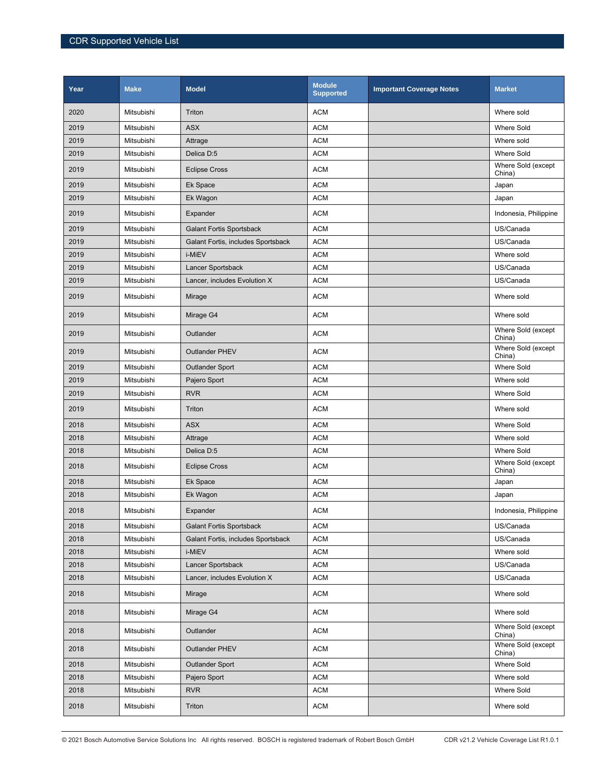| Year | <b>Make</b> | <b>Model</b>                       | <b>Module</b><br><b>Supported</b> | <b>Important Coverage Notes</b> | <b>Market</b>                |
|------|-------------|------------------------------------|-----------------------------------|---------------------------------|------------------------------|
| 2020 | Mitsubishi  | Triton                             | <b>ACM</b>                        |                                 | Where sold                   |
| 2019 | Mitsubishi  | <b>ASX</b>                         | <b>ACM</b>                        |                                 | <b>Where Sold</b>            |
| 2019 | Mitsubishi  | Attrage                            | <b>ACM</b>                        |                                 | Where sold                   |
| 2019 | Mitsubishi  | Delica D:5                         | <b>ACM</b>                        |                                 | <b>Where Sold</b>            |
| 2019 | Mitsubishi  | <b>Eclipse Cross</b>               | <b>ACM</b>                        |                                 | Where Sold (except<br>China) |
| 2019 | Mitsubishi  | Ek Space                           | <b>ACM</b>                        |                                 | Japan                        |
| 2019 | Mitsubishi  | Ek Wagon                           | <b>ACM</b>                        |                                 | Japan                        |
| 2019 | Mitsubishi  | Expander                           | <b>ACM</b>                        |                                 | Indonesia, Philippine        |
| 2019 | Mitsubishi  | <b>Galant Fortis Sportsback</b>    | <b>ACM</b>                        |                                 | US/Canada                    |
| 2019 | Mitsubishi  | Galant Fortis, includes Sportsback | <b>ACM</b>                        |                                 | US/Canada                    |
| 2019 | Mitsubishi  | i-MiEV                             | <b>ACM</b>                        |                                 | Where sold                   |
| 2019 | Mitsubishi  | Lancer Sportsback                  | <b>ACM</b>                        |                                 | US/Canada                    |
| 2019 | Mitsubishi  | Lancer, includes Evolution X       | <b>ACM</b>                        |                                 | US/Canada                    |
| 2019 | Mitsubishi  | Mirage                             | <b>ACM</b>                        |                                 | Where sold                   |
| 2019 | Mitsubishi  | Mirage G4                          | <b>ACM</b>                        |                                 | Where sold                   |
| 2019 | Mitsubishi  | Outlander                          | <b>ACM</b>                        |                                 | Where Sold (except<br>China) |
| 2019 | Mitsubishi  | <b>Outlander PHEV</b>              | <b>ACM</b>                        |                                 | Where Sold (except<br>China) |
| 2019 | Mitsubishi  | <b>Outlander Sport</b>             | <b>ACM</b>                        |                                 | <b>Where Sold</b>            |
| 2019 | Mitsubishi  | Pajero Sport                       | <b>ACM</b>                        |                                 | Where sold                   |
| 2019 | Mitsubishi  | <b>RVR</b>                         | <b>ACM</b>                        |                                 | <b>Where Sold</b>            |
| 2019 | Mitsubishi  | Triton                             | <b>ACM</b>                        |                                 | Where sold                   |
| 2018 | Mitsubishi  | <b>ASX</b>                         | <b>ACM</b>                        |                                 | <b>Where Sold</b>            |
| 2018 | Mitsubishi  | Attrage                            | <b>ACM</b>                        |                                 | Where sold                   |
| 2018 | Mitsubishi  | Delica D:5                         | <b>ACM</b>                        |                                 | <b>Where Sold</b>            |
| 2018 | Mitsubishi  | <b>Eclipse Cross</b>               | <b>ACM</b>                        |                                 | Where Sold (except<br>China) |
| 2018 | Mitsubishi  | Ek Space                           | <b>ACM</b>                        |                                 | Japan                        |
| 2018 | Mitsubishi  | Ek Wagon                           | <b>ACM</b>                        |                                 | Japan                        |
| 2018 | Mitsubishi  | Expander                           | <b>ACM</b>                        |                                 | Indonesia, Philippine        |
| 2018 | Mitsubishi  | <b>Galant Fortis Sportsback</b>    | <b>ACM</b>                        |                                 | US/Canada                    |
| 2018 | Mitsubishi  | Galant Fortis, includes Sportsback | <b>ACM</b>                        |                                 | US/Canada                    |
| 2018 | Mitsubishi  | i-MiEV                             | <b>ACM</b>                        |                                 | Where sold                   |
| 2018 | Mitsubishi  | Lancer Sportsback                  | <b>ACM</b>                        |                                 | US/Canada                    |
| 2018 | Mitsubishi  | Lancer, includes Evolution X       | <b>ACM</b>                        |                                 | US/Canada                    |
| 2018 | Mitsubishi  | Mirage                             | <b>ACM</b>                        |                                 | Where sold                   |
| 2018 | Mitsubishi  | Mirage G4                          | <b>ACM</b>                        |                                 | Where sold                   |
| 2018 | Mitsubishi  | Outlander                          | <b>ACM</b>                        |                                 | Where Sold (except<br>China) |
| 2018 | Mitsubishi  | <b>Outlander PHEV</b>              | <b>ACM</b>                        |                                 | Where Sold (except<br>China) |
| 2018 | Mitsubishi  | <b>Outlander Sport</b>             | <b>ACM</b>                        |                                 | Where Sold                   |
| 2018 | Mitsubishi  | Pajero Sport                       | <b>ACM</b>                        |                                 | Where sold                   |
| 2018 | Mitsubishi  | <b>RVR</b>                         | <b>ACM</b>                        |                                 | Where Sold                   |
| 2018 | Mitsubishi  | Triton                             | <b>ACM</b>                        |                                 | Where sold                   |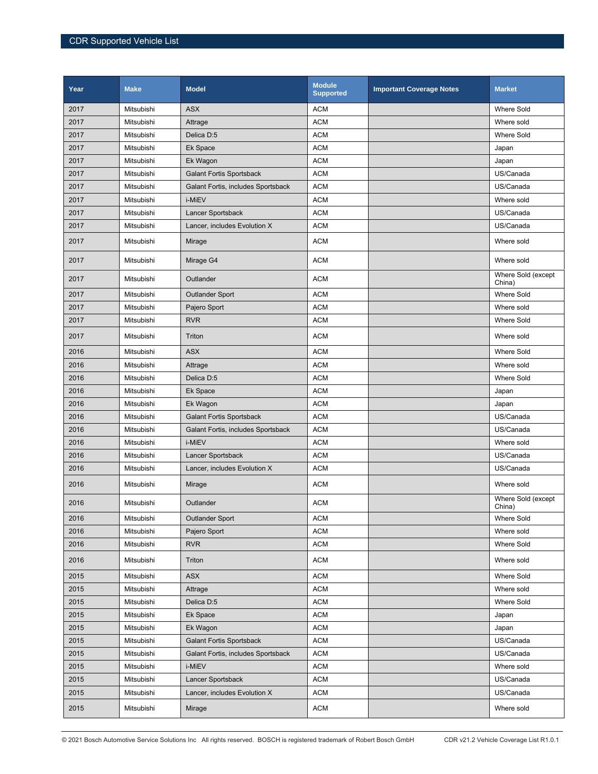| Year | <b>Make</b> | <b>Model</b>                       | <b>Module</b><br><b>Supported</b> | <b>Important Coverage Notes</b> | <b>Market</b>                |
|------|-------------|------------------------------------|-----------------------------------|---------------------------------|------------------------------|
| 2017 | Mitsubishi  | <b>ASX</b>                         | <b>ACM</b>                        |                                 | <b>Where Sold</b>            |
| 2017 | Mitsubishi  | Attrage                            | <b>ACM</b>                        |                                 | Where sold                   |
| 2017 | Mitsubishi  | Delica D:5                         | <b>ACM</b>                        |                                 | <b>Where Sold</b>            |
| 2017 | Mitsubishi  | Ek Space                           | <b>ACM</b>                        |                                 | Japan                        |
| 2017 | Mitsubishi  | Ek Wagon                           | <b>ACM</b>                        |                                 | Japan                        |
| 2017 | Mitsubishi  | <b>Galant Fortis Sportsback</b>    | <b>ACM</b>                        |                                 | US/Canada                    |
| 2017 | Mitsubishi  | Galant Fortis, includes Sportsback | <b>ACM</b>                        |                                 | US/Canada                    |
| 2017 | Mitsubishi  | i-MiEV                             | <b>ACM</b>                        |                                 | Where sold                   |
| 2017 | Mitsubishi  | Lancer Sportsback                  | <b>ACM</b>                        |                                 | US/Canada                    |
| 2017 | Mitsubishi  | Lancer, includes Evolution X       | <b>ACM</b>                        |                                 | US/Canada                    |
| 2017 | Mitsubishi  | Mirage                             | <b>ACM</b>                        |                                 | Where sold                   |
| 2017 | Mitsubishi  | Mirage G4                          | <b>ACM</b>                        |                                 | Where sold                   |
| 2017 | Mitsubishi  | Outlander                          | <b>ACM</b>                        |                                 | Where Sold (except<br>China) |
| 2017 | Mitsubishi  | <b>Outlander Sport</b>             | <b>ACM</b>                        |                                 | <b>Where Sold</b>            |
| 2017 | Mitsubishi  | Pajero Sport                       | <b>ACM</b>                        |                                 | Where sold                   |
| 2017 | Mitsubishi  | <b>RVR</b>                         | <b>ACM</b>                        |                                 | <b>Where Sold</b>            |
| 2017 | Mitsubishi  | Triton                             | <b>ACM</b>                        |                                 | Where sold                   |
| 2016 | Mitsubishi  | <b>ASX</b>                         | <b>ACM</b>                        |                                 | <b>Where Sold</b>            |
| 2016 | Mitsubishi  | Attrage                            | <b>ACM</b>                        |                                 | Where sold                   |
| 2016 | Mitsubishi  | Delica D:5                         | <b>ACM</b>                        |                                 | <b>Where Sold</b>            |
| 2016 | Mitsubishi  | Ek Space                           | <b>ACM</b>                        |                                 | Japan                        |
| 2016 | Mitsubishi  | Ek Wagon                           | <b>ACM</b>                        |                                 | Japan                        |
| 2016 | Mitsubishi  | <b>Galant Fortis Sportsback</b>    | <b>ACM</b>                        |                                 | US/Canada                    |
| 2016 | Mitsubishi  | Galant Fortis, includes Sportsback | <b>ACM</b>                        |                                 | US/Canada                    |
| 2016 | Mitsubishi  | i-MiEV                             | <b>ACM</b>                        |                                 | Where sold                   |
| 2016 | Mitsubishi  | Lancer Sportsback                  | <b>ACM</b>                        |                                 | US/Canada                    |
| 2016 | Mitsubishi  | Lancer, includes Evolution X       | <b>ACM</b>                        |                                 | US/Canada                    |
| 2016 | Mitsubishi  | Mirage                             | <b>ACM</b>                        |                                 | Where sold                   |
| 2016 | Mitsubishi  | Outlander                          | <b>ACM</b>                        |                                 | Where Sold (except<br>China) |
| 2016 | Mitsubishi  | <b>Outlander Sport</b>             | <b>ACM</b>                        |                                 | <b>Where Sold</b>            |
| 2016 | Mitsubishi  | Pajero Sport                       | <b>ACM</b>                        |                                 | Where sold                   |
| 2016 | Mitsubishi  | <b>RVR</b>                         | <b>ACM</b>                        |                                 | Where Sold                   |
| 2016 | Mitsubishi  | Triton                             | <b>ACM</b>                        |                                 | Where sold                   |
| 2015 | Mitsubishi  | <b>ASX</b>                         | <b>ACM</b>                        |                                 | <b>Where Sold</b>            |
| 2015 | Mitsubishi  | Attrage                            | <b>ACM</b>                        |                                 | Where sold                   |
| 2015 | Mitsubishi  | Delica D:5                         | <b>ACM</b>                        |                                 | Where Sold                   |
| 2015 | Mitsubishi  | Ek Space                           | <b>ACM</b>                        |                                 | Japan                        |
| 2015 | Mitsubishi  | Ek Wagon                           | <b>ACM</b>                        |                                 | Japan                        |
| 2015 | Mitsubishi  | <b>Galant Fortis Sportsback</b>    | <b>ACM</b>                        |                                 | US/Canada                    |
| 2015 | Mitsubishi  | Galant Fortis, includes Sportsback | <b>ACM</b>                        |                                 | US/Canada                    |
| 2015 | Mitsubishi  | i-MiEV                             | <b>ACM</b>                        |                                 | Where sold                   |
| 2015 | Mitsubishi  | Lancer Sportsback                  | <b>ACM</b>                        |                                 | US/Canada                    |
| 2015 | Mitsubishi  | Lancer, includes Evolution X       | <b>ACM</b>                        |                                 | US/Canada                    |
| 2015 | Mitsubishi  | Mirage                             | <b>ACM</b>                        |                                 | Where sold                   |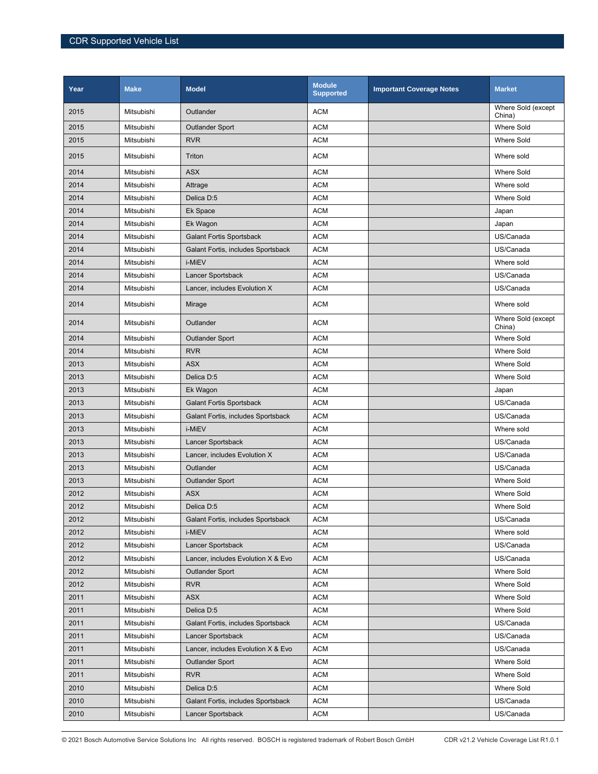| Year | <b>Make</b> | <b>Model</b>                       | <b>Module</b><br><b>Supported</b> | <b>Important Coverage Notes</b> | <b>Market</b>                |
|------|-------------|------------------------------------|-----------------------------------|---------------------------------|------------------------------|
| 2015 | Mitsubishi  | Outlander                          | <b>ACM</b>                        |                                 | Where Sold (except<br>China) |
| 2015 | Mitsubishi  | <b>Outlander Sport</b>             | <b>ACM</b>                        |                                 | <b>Where Sold</b>            |
| 2015 | Mitsubishi  | <b>RVR</b>                         | <b>ACM</b>                        |                                 | <b>Where Sold</b>            |
| 2015 | Mitsubishi  | Triton                             | <b>ACM</b>                        |                                 | Where sold                   |
| 2014 | Mitsubishi  | <b>ASX</b>                         | <b>ACM</b>                        |                                 | <b>Where Sold</b>            |
| 2014 | Mitsubishi  | Attrage                            | <b>ACM</b>                        |                                 | Where sold                   |
| 2014 | Mitsubishi  | Delica D:5                         | <b>ACM</b>                        |                                 | Where Sold                   |
| 2014 | Mitsubishi  | Ek Space                           | <b>ACM</b>                        |                                 | Japan                        |
| 2014 | Mitsubishi  | Ek Wagon                           | <b>ACM</b>                        |                                 | Japan                        |
| 2014 | Mitsubishi  | <b>Galant Fortis Sportsback</b>    | <b>ACM</b>                        |                                 | US/Canada                    |
| 2014 | Mitsubishi  | Galant Fortis, includes Sportsback | <b>ACM</b>                        |                                 | US/Canada                    |
| 2014 | Mitsubishi  | i-MiEV                             | <b>ACM</b>                        |                                 | Where sold                   |
| 2014 | Mitsubishi  | Lancer Sportsback                  | <b>ACM</b>                        |                                 | US/Canada                    |
| 2014 | Mitsubishi  | Lancer, includes Evolution X       | <b>ACM</b>                        |                                 | US/Canada                    |
| 2014 | Mitsubishi  | Mirage                             | <b>ACM</b>                        |                                 | Where sold                   |
| 2014 | Mitsubishi  | Outlander                          | <b>ACM</b>                        |                                 | Where Sold (except<br>China) |
| 2014 | Mitsubishi  | <b>Outlander Sport</b>             | <b>ACM</b>                        |                                 | <b>Where Sold</b>            |
| 2014 | Mitsubishi  | <b>RVR</b>                         | <b>ACM</b>                        |                                 | <b>Where Sold</b>            |
| 2013 | Mitsubishi  | <b>ASX</b>                         | <b>ACM</b>                        |                                 | <b>Where Sold</b>            |
| 2013 | Mitsubishi  | Delica D:5                         | <b>ACM</b>                        |                                 | <b>Where Sold</b>            |
| 2013 | Mitsubishi  | Ek Wagon                           | <b>ACM</b>                        |                                 | Japan                        |
| 2013 | Mitsubishi  | <b>Galant Fortis Sportsback</b>    | <b>ACM</b>                        |                                 | US/Canada                    |
| 2013 | Mitsubishi  | Galant Fortis, includes Sportsback | <b>ACM</b>                        |                                 | US/Canada                    |
| 2013 | Mitsubishi  | i-MiEV                             | <b>ACM</b>                        |                                 | Where sold                   |
| 2013 | Mitsubishi  | Lancer Sportsback                  | <b>ACM</b>                        |                                 | US/Canada                    |
| 2013 | Mitsubishi  | Lancer, includes Evolution X       | <b>ACM</b>                        |                                 | US/Canada                    |
| 2013 | Mitsubishi  | Outlander                          | <b>ACM</b>                        |                                 | US/Canada                    |
| 2013 | Mitsubishi  | <b>Outlander Sport</b>             | <b>ACM</b>                        |                                 | <b>Where Sold</b>            |
| 2012 | Mitsubishi  | <b>ASX</b>                         | <b>ACM</b>                        |                                 | <b>Where Sold</b>            |
| 2012 | Mitsubishi  | Delica D:5                         | <b>ACM</b>                        |                                 | <b>Where Sold</b>            |
| 2012 | Mitsubishi  | Galant Fortis, includes Sportsback | <b>ACM</b>                        |                                 | US/Canada                    |
| 2012 | Mitsubishi  | i-MiEV                             | <b>ACM</b>                        |                                 | Where sold                   |
| 2012 | Mitsubishi  | Lancer Sportsback                  | <b>ACM</b>                        |                                 | US/Canada                    |
| 2012 | Mitsubishi  | Lancer, includes Evolution X & Evo | <b>ACM</b>                        |                                 | US/Canada                    |
| 2012 | Mitsubishi  | <b>Outlander Sport</b>             | <b>ACM</b>                        |                                 | Where Sold                   |
| 2012 | Mitsubishi  | <b>RVR</b>                         | <b>ACM</b>                        |                                 | Where Sold                   |
| 2011 | Mitsubishi  | ASX                                | ACM                               |                                 | Where Sold                   |
| 2011 | Mitsubishi  | Delica D:5                         | <b>ACM</b>                        |                                 | Where Sold                   |
| 2011 | Mitsubishi  | Galant Fortis, includes Sportsback | <b>ACM</b>                        |                                 | US/Canada                    |
| 2011 | Mitsubishi  | Lancer Sportsback                  | <b>ACM</b>                        |                                 | US/Canada                    |
| 2011 | Mitsubishi  | Lancer, includes Evolution X & Evo | <b>ACM</b>                        |                                 | US/Canada                    |
| 2011 | Mitsubishi  | <b>Outlander Sport</b>             | <b>ACM</b>                        |                                 | Where Sold                   |
| 2011 | Mitsubishi  | <b>RVR</b>                         | <b>ACM</b>                        |                                 | Where Sold                   |
| 2010 | Mitsubishi  | Delica D:5                         | <b>ACM</b>                        |                                 | Where Sold                   |
| 2010 | Mitsubishi  | Galant Fortis, includes Sportsback | <b>ACM</b>                        |                                 | US/Canada                    |
| 2010 | Mitsubishi  | Lancer Sportsback                  | <b>ACM</b>                        |                                 | US/Canada                    |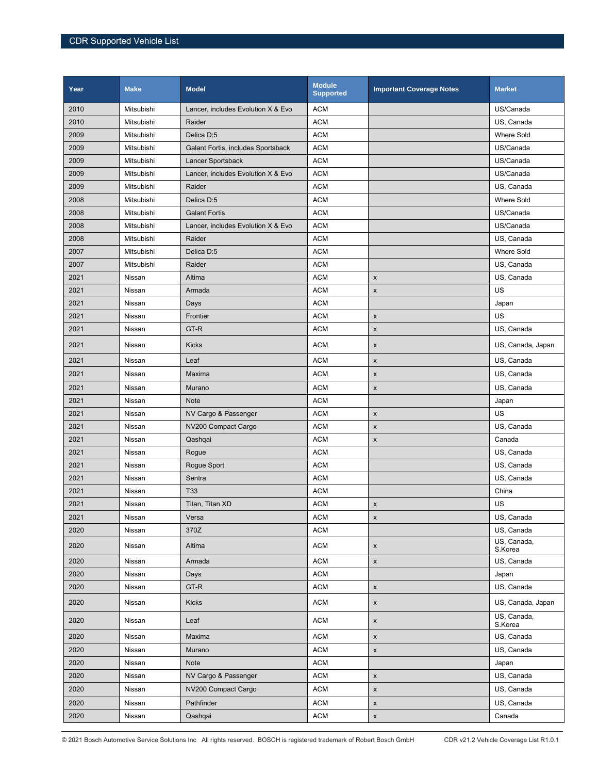| Year | <b>Make</b> | <b>Model</b>                       | <b>Module</b><br><b>Supported</b> | <b>Important Coverage Notes</b> | <b>Market</b>          |
|------|-------------|------------------------------------|-----------------------------------|---------------------------------|------------------------|
| 2010 | Mitsubishi  | Lancer, includes Evolution X & Evo | <b>ACM</b>                        |                                 | US/Canada              |
| 2010 | Mitsubishi  | Raider                             | <b>ACM</b>                        |                                 | US, Canada             |
| 2009 | Mitsubishi  | Delica D:5                         | <b>ACM</b>                        |                                 | Where Sold             |
| 2009 | Mitsubishi  | Galant Fortis, includes Sportsback | <b>ACM</b>                        |                                 | US/Canada              |
| 2009 | Mitsubishi  | Lancer Sportsback                  | <b>ACM</b>                        |                                 | US/Canada              |
| 2009 | Mitsubishi  | Lancer, includes Evolution X & Evo | <b>ACM</b>                        |                                 | US/Canada              |
| 2009 | Mitsubishi  | Raider                             | <b>ACM</b>                        |                                 | US, Canada             |
| 2008 | Mitsubishi  | Delica D:5                         | <b>ACM</b>                        |                                 | <b>Where Sold</b>      |
| 2008 | Mitsubishi  | <b>Galant Fortis</b>               | <b>ACM</b>                        |                                 | US/Canada              |
| 2008 | Mitsubishi  | Lancer, includes Evolution X & Evo | <b>ACM</b>                        |                                 | US/Canada              |
| 2008 | Mitsubishi  | Raider                             | <b>ACM</b>                        |                                 | US, Canada             |
| 2007 | Mitsubishi  | Delica D:5                         | <b>ACM</b>                        |                                 | Where Sold             |
| 2007 | Mitsubishi  | Raider                             | <b>ACM</b>                        |                                 | US, Canada             |
| 2021 | Nissan      | Altima                             | <b>ACM</b>                        | $\pmb{\mathsf{x}}$              | US, Canada             |
| 2021 | Nissan      | Armada                             | <b>ACM</b>                        | $\pmb{\times}$                  | US                     |
| 2021 | Nissan      | Days                               | <b>ACM</b>                        |                                 | Japan                  |
| 2021 | Nissan      | Frontier                           | <b>ACM</b>                        | $\pmb{\times}$                  | US                     |
| 2021 | Nissan      | GT-R                               | <b>ACM</b>                        | X                               | US, Canada             |
| 2021 | Nissan      | <b>Kicks</b>                       | <b>ACM</b>                        | X                               | US, Canada, Japan      |
| 2021 | Nissan      | Leaf                               | <b>ACM</b>                        | $\pmb{\times}$                  | US, Canada             |
| 2021 | Nissan      | Maxima                             | <b>ACM</b>                        | X                               | US, Canada             |
| 2021 | Nissan      | Murano                             | <b>ACM</b>                        | $\pmb{\times}$                  | US, Canada             |
| 2021 | Nissan      | Note                               | <b>ACM</b>                        |                                 | Japan                  |
| 2021 | Nissan      | NV Cargo & Passenger               | <b>ACM</b>                        | X                               | US                     |
| 2021 | Nissan      | NV200 Compact Cargo                | <b>ACM</b>                        | $\pmb{\times}$                  | US, Canada             |
| 2021 | Nissan      | Qashqai                            | <b>ACM</b>                        | $\pmb{\mathsf{x}}$              | Canada                 |
| 2021 | Nissan      | Rogue                              | <b>ACM</b>                        |                                 | US, Canada             |
| 2021 | Nissan      | Rogue Sport                        | <b>ACM</b>                        |                                 | US, Canada             |
| 2021 | Nissan      | Sentra                             | <b>ACM</b>                        |                                 | US, Canada             |
| 2021 | Nissan      | T33                                | <b>ACM</b>                        |                                 | China                  |
| 2021 | Nissan      | Titan, Titan XD                    | <b>ACM</b>                        | X                               | US                     |
| 2021 | Nissan      | Versa                              | <b>ACM</b>                        | X                               | US, Canada             |
| 2020 | Nissan      | 370Z                               | <b>ACM</b>                        |                                 | US, Canada             |
| 2020 | Nissan      | Altima                             | <b>ACM</b>                        | $\boldsymbol{\mathsf{X}}$       | US, Canada,<br>S.Korea |
| 2020 | Nissan      | Armada                             | <b>ACM</b>                        | $\mathsf X$                     | US, Canada             |
| 2020 | Nissan      | Days                               | <b>ACM</b>                        |                                 | Japan                  |
| 2020 | Nissan      | GT-R                               | <b>ACM</b>                        | $\pmb{\mathsf{x}}$              | US, Canada             |
| 2020 | Nissan      | <b>Kicks</b>                       | <b>ACM</b>                        | $\pmb{\mathsf{x}}$              | US, Canada, Japan      |
| 2020 | Nissan      | Leaf                               | <b>ACM</b>                        | $\pmb{\mathsf{x}}$              | US, Canada,<br>S.Korea |
| 2020 | Nissan      | Maxima                             | <b>ACM</b>                        | $\pmb{\mathsf{x}}$              | US, Canada             |
| 2020 | Nissan      | Murano                             | <b>ACM</b>                        | $\mathsf x$                     | US, Canada             |
| 2020 | Nissan      | Note                               | <b>ACM</b>                        |                                 | Japan                  |
| 2020 | Nissan      | NV Cargo & Passenger               | <b>ACM</b>                        | $\pmb{\mathsf{x}}$              | US, Canada             |
| 2020 | Nissan      | NV200 Compact Cargo                | <b>ACM</b>                        | $\pmb{\mathsf{x}}$              | US, Canada             |
| 2020 | Nissan      | Pathfinder                         | <b>ACM</b>                        | $\pmb{\mathsf{x}}$              | US, Canada             |
| 2020 | Nissan      | Qashqai                            | <b>ACM</b>                        | $\pmb{\mathsf{x}}$              | Canada                 |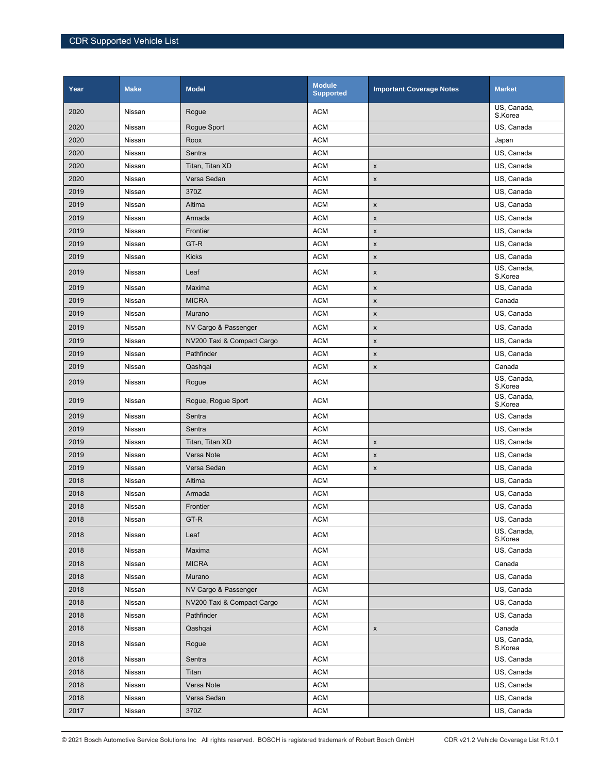| Year | <b>Make</b> | <b>Model</b>               | <b>Module</b><br><b>Supported</b> | <b>Important Coverage Notes</b> | <b>Market</b>          |
|------|-------------|----------------------------|-----------------------------------|---------------------------------|------------------------|
| 2020 | Nissan      | Rogue                      | <b>ACM</b>                        |                                 | US, Canada,<br>S.Korea |
| 2020 | Nissan      | Rogue Sport                | <b>ACM</b>                        |                                 | US, Canada             |
| 2020 | Nissan      | Roox                       | <b>ACM</b>                        |                                 | Japan                  |
| 2020 | Nissan      | Sentra                     | <b>ACM</b>                        |                                 | US, Canada             |
| 2020 | Nissan      | Titan, Titan XD            | <b>ACM</b>                        | X                               | US, Canada             |
| 2020 | Nissan      | Versa Sedan                | <b>ACM</b>                        | $\pmb{\mathsf{x}}$              | US, Canada             |
| 2019 | Nissan      | 370Z                       | <b>ACM</b>                        |                                 | US, Canada             |
| 2019 | Nissan      | Altima                     | <b>ACM</b>                        | $\pmb{\mathsf{x}}$              | US, Canada             |
| 2019 | Nissan      | Armada                     | <b>ACM</b>                        | $\pmb{\mathsf{x}}$              | US, Canada             |
| 2019 | Nissan      | Frontier                   | <b>ACM</b>                        | $\pmb{\mathsf{x}}$              | US, Canada             |
| 2019 | Nissan      | GT-R                       | <b>ACM</b>                        | $\pmb{\mathsf{x}}$              | US, Canada             |
| 2019 | Nissan      | <b>Kicks</b>               | <b>ACM</b>                        | $\pmb{\mathsf{x}}$              | US, Canada             |
| 2019 | Nissan      | Leaf                       | <b>ACM</b>                        | $\pmb{\mathsf{x}}$              | US, Canada,<br>S.Korea |
| 2019 | Nissan      | Maxima                     | <b>ACM</b>                        | $\pmb{\mathsf{x}}$              | US, Canada             |
| 2019 | Nissan      | <b>MICRA</b>               | <b>ACM</b>                        | X                               | Canada                 |
| 2019 | Nissan      | Murano                     | <b>ACM</b>                        | $\pmb{\mathsf{x}}$              | US, Canada             |
| 2019 | Nissan      | NV Cargo & Passenger       | <b>ACM</b>                        | $\pmb{\mathsf{x}}$              | US, Canada             |
| 2019 | Nissan      | NV200 Taxi & Compact Cargo | <b>ACM</b>                        | $\pmb{\mathsf{x}}$              | US, Canada             |
| 2019 | Nissan      | Pathfinder                 | <b>ACM</b>                        | $\pmb{\mathsf{x}}$              | US, Canada             |
| 2019 | Nissan      | Qashqai                    | <b>ACM</b>                        | $\pmb{\mathsf{x}}$              | Canada                 |
| 2019 | Nissan      | Rogue                      | <b>ACM</b>                        |                                 | US, Canada,<br>S.Korea |
| 2019 | Nissan      | Rogue, Rogue Sport         | <b>ACM</b>                        |                                 | US, Canada,<br>S.Korea |
| 2019 | Nissan      | Sentra                     | <b>ACM</b>                        |                                 | US, Canada             |
| 2019 | Nissan      | Sentra                     | <b>ACM</b>                        |                                 | US, Canada             |
| 2019 | Nissan      | Titan, Titan XD            | <b>ACM</b>                        | $\pmb{\mathsf{x}}$              | US, Canada             |
| 2019 | Nissan      | Versa Note                 | <b>ACM</b>                        | $\pmb{\mathsf{x}}$              | US, Canada             |
| 2019 | Nissan      | Versa Sedan                | <b>ACM</b>                        | $\pmb{\mathsf{x}}$              | US, Canada             |
| 2018 | Nissan      | Altima                     | <b>ACM</b>                        |                                 | US, Canada             |
| 2018 | Nissan      | Armada                     | <b>ACM</b>                        |                                 | US, Canada             |
| 2018 | Nissan      | Frontier                   | <b>ACM</b>                        |                                 | US, Canada             |
| 2018 | Nissan      | GT-R                       | <b>ACM</b>                        |                                 | US, Canada             |
| 2018 | Nissan      | Leaf                       | <b>ACM</b>                        |                                 | US, Canada,<br>S.Korea |
| 2018 | Nissan      | Maxima                     | <b>ACM</b>                        |                                 | US, Canada             |
| 2018 | Nissan      | <b>MICRA</b>               | <b>ACM</b>                        |                                 | Canada                 |
| 2018 | Nissan      | Murano                     | <b>ACM</b>                        |                                 | US, Canada             |
| 2018 | Nissan      | NV Cargo & Passenger       | <b>ACM</b>                        |                                 | US, Canada             |
| 2018 | Nissan      | NV200 Taxi & Compact Cargo | <b>ACM</b>                        |                                 | US, Canada             |
| 2018 | Nissan      | Pathfinder                 | ACM                               |                                 | US, Canada             |
| 2018 | Nissan      | Qashqai                    | <b>ACM</b>                        | $\pmb{\mathsf{x}}$              | Canada                 |
| 2018 | Nissan      | Rogue                      | <b>ACM</b>                        |                                 | US, Canada,<br>S.Korea |
| 2018 | Nissan      | Sentra                     | <b>ACM</b>                        |                                 | US, Canada             |
| 2018 | Nissan      | Titan                      | <b>ACM</b>                        |                                 | US, Canada             |
| 2018 | Nissan      | Versa Note                 | ACM                               |                                 | US, Canada             |
| 2018 | Nissan      | Versa Sedan                | <b>ACM</b>                        |                                 | US, Canada             |
| 2017 | Nissan      | 370Z                       | <b>ACM</b>                        |                                 | US, Canada             |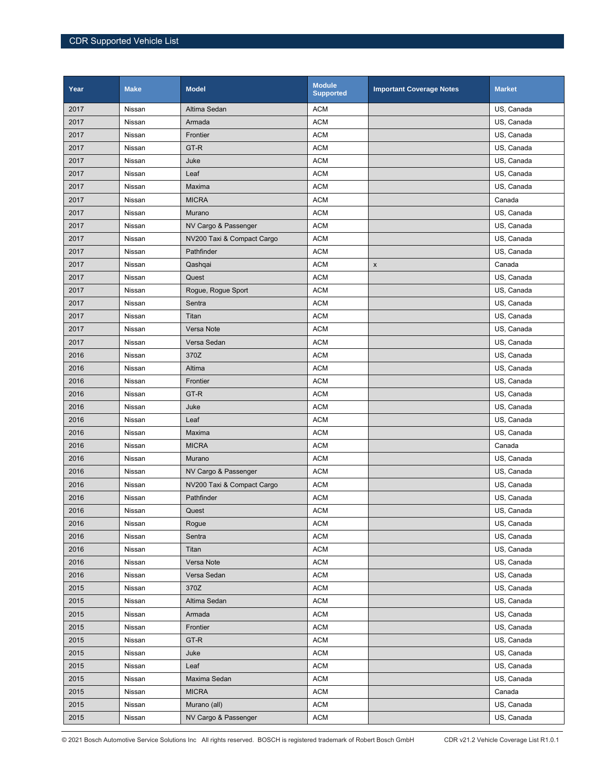| Year | <b>Make</b> | <b>Model</b>               | <b>Module</b><br><b>Supported</b> | <b>Important Coverage Notes</b> | <b>Market</b> |
|------|-------------|----------------------------|-----------------------------------|---------------------------------|---------------|
| 2017 | Nissan      | Altima Sedan               | <b>ACM</b>                        |                                 | US, Canada    |
| 2017 | Nissan      | Armada                     | <b>ACM</b>                        |                                 | US, Canada    |
| 2017 | Nissan      | Frontier                   | <b>ACM</b>                        |                                 | US, Canada    |
| 2017 | Nissan      | GT-R                       | <b>ACM</b>                        |                                 | US, Canada    |
| 2017 | Nissan      | Juke                       | <b>ACM</b>                        |                                 | US, Canada    |
| 2017 | Nissan      | Leaf                       | <b>ACM</b>                        |                                 | US, Canada    |
| 2017 | Nissan      | Maxima                     | <b>ACM</b>                        |                                 | US, Canada    |
| 2017 | Nissan      | <b>MICRA</b>               | <b>ACM</b>                        |                                 | Canada        |
| 2017 | Nissan      | Murano                     | <b>ACM</b>                        |                                 | US, Canada    |
| 2017 | Nissan      | NV Cargo & Passenger       | <b>ACM</b>                        |                                 | US, Canada    |
| 2017 | Nissan      | NV200 Taxi & Compact Cargo | <b>ACM</b>                        |                                 | US, Canada    |
| 2017 | Nissan      | Pathfinder                 | <b>ACM</b>                        |                                 | US, Canada    |
| 2017 | Nissan      | Qashqai                    | <b>ACM</b>                        | $\pmb{\mathsf{x}}$              | Canada        |
| 2017 | Nissan      | Quest                      | <b>ACM</b>                        |                                 | US, Canada    |
| 2017 | Nissan      | Rogue, Rogue Sport         | <b>ACM</b>                        |                                 | US, Canada    |
| 2017 | Nissan      | Sentra                     | <b>ACM</b>                        |                                 | US, Canada    |
| 2017 | Nissan      | Titan                      | <b>ACM</b>                        |                                 | US, Canada    |
| 2017 | Nissan      | Versa Note                 | <b>ACM</b>                        |                                 | US, Canada    |
| 2017 | Nissan      | Versa Sedan                | <b>ACM</b>                        |                                 | US, Canada    |
| 2016 | Nissan      | 370Z                       | <b>ACM</b>                        |                                 | US, Canada    |
| 2016 | Nissan      | Altima                     | <b>ACM</b>                        |                                 | US, Canada    |
| 2016 | Nissan      | Frontier                   | <b>ACM</b>                        |                                 | US, Canada    |
| 2016 | Nissan      | GT-R                       | <b>ACM</b>                        |                                 | US, Canada    |
| 2016 | Nissan      | Juke                       | <b>ACM</b>                        |                                 | US, Canada    |
| 2016 | Nissan      | Leaf                       | <b>ACM</b>                        |                                 | US, Canada    |
| 2016 | Nissan      | Maxima                     | <b>ACM</b>                        |                                 | US, Canada    |
| 2016 | Nissan      | <b>MICRA</b>               | <b>ACM</b>                        |                                 | Canada        |
| 2016 | Nissan      | Murano                     | <b>ACM</b>                        |                                 | US, Canada    |
| 2016 | Nissan      | NV Cargo & Passenger       | <b>ACM</b>                        |                                 | US, Canada    |
| 2016 | Nissan      | NV200 Taxi & Compact Cargo | <b>ACM</b>                        |                                 | US, Canada    |
| 2016 | Nissan      | Pathfinder                 | <b>ACM</b>                        |                                 | US, Canada    |
| 2016 | Nissan      | Quest                      | <b>ACM</b>                        |                                 | US, Canada    |
| 2016 | Nissan      | Rogue                      | <b>ACM</b>                        |                                 | US, Canada    |
| 2016 | Nissan      | Sentra                     | <b>ACM</b>                        |                                 | US, Canada    |
| 2016 | Nissan      | Titan                      | <b>ACM</b>                        |                                 | US, Canada    |
| 2016 | Nissan      | Versa Note                 | <b>ACM</b>                        |                                 | US, Canada    |
| 2016 | Nissan      | Versa Sedan                | <b>ACM</b>                        |                                 | US, Canada    |
| 2015 | Nissan      | 370Z                       | <b>ACM</b>                        |                                 | US, Canada    |
| 2015 | Nissan      | Altima Sedan               | <b>ACM</b>                        |                                 | US, Canada    |
| 2015 | Nissan      | Armada                     | <b>ACM</b>                        |                                 | US, Canada    |
| 2015 | Nissan      | Frontier                   | <b>ACM</b>                        |                                 | US, Canada    |
| 2015 | Nissan      | GT-R                       | <b>ACM</b>                        |                                 | US, Canada    |
| 2015 | Nissan      | Juke                       | <b>ACM</b>                        |                                 | US, Canada    |
| 2015 | Nissan      | Leaf                       | <b>ACM</b>                        |                                 | US, Canada    |
| 2015 | Nissan      | Maxima Sedan               | <b>ACM</b>                        |                                 | US, Canada    |
| 2015 | Nissan      | <b>MICRA</b>               | <b>ACM</b>                        |                                 | Canada        |
| 2015 | Nissan      | Murano (all)               | <b>ACM</b>                        |                                 | US, Canada    |
| 2015 | Nissan      | NV Cargo & Passenger       | <b>ACM</b>                        |                                 | US, Canada    |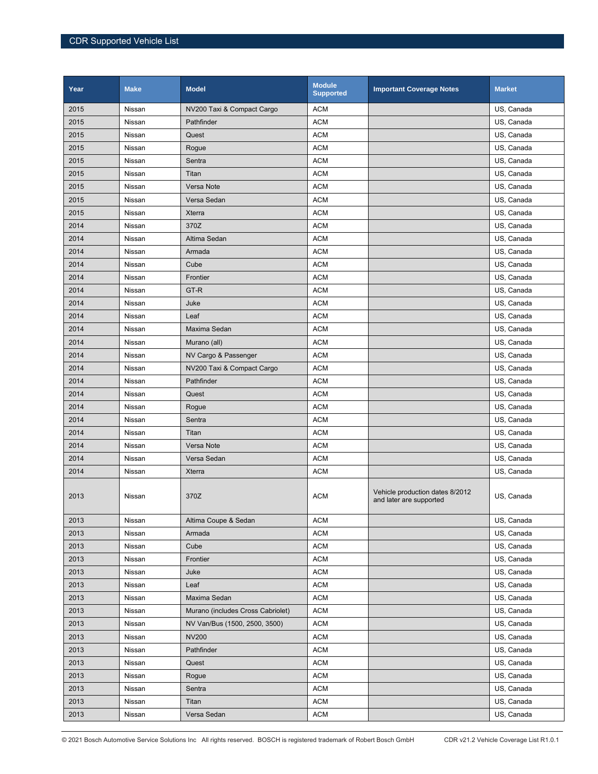| Year | <b>Make</b> | <b>Model</b>                      | <b>Module</b><br><b>Supported</b> | <b>Important Coverage Notes</b>                            | <b>Market</b> |
|------|-------------|-----------------------------------|-----------------------------------|------------------------------------------------------------|---------------|
| 2015 | Nissan      | NV200 Taxi & Compact Cargo        | <b>ACM</b>                        |                                                            | US, Canada    |
| 2015 | Nissan      | Pathfinder                        | <b>ACM</b>                        |                                                            | US, Canada    |
| 2015 | Nissan      | Quest                             | <b>ACM</b>                        |                                                            | US. Canada    |
| 2015 | Nissan      | Rogue                             | <b>ACM</b>                        |                                                            | US, Canada    |
| 2015 | Nissan      | Sentra                            | <b>ACM</b>                        |                                                            | US, Canada    |
| 2015 | Nissan      | Titan                             | <b>ACM</b>                        |                                                            | US, Canada    |
| 2015 | Nissan      | Versa Note                        | <b>ACM</b>                        |                                                            | US, Canada    |
| 2015 | Nissan      | Versa Sedan                       | <b>ACM</b>                        |                                                            | US, Canada    |
| 2015 | Nissan      | <b>Xterra</b>                     | <b>ACM</b>                        |                                                            | US, Canada    |
| 2014 | Nissan      | 370Z                              | <b>ACM</b>                        |                                                            | US, Canada    |
| 2014 | Nissan      | Altima Sedan                      | <b>ACM</b>                        |                                                            | US, Canada    |
| 2014 | Nissan      | Armada                            | <b>ACM</b>                        |                                                            | US, Canada    |
| 2014 | Nissan      | Cube                              | <b>ACM</b>                        |                                                            | US, Canada    |
| 2014 | Nissan      | Frontier                          | <b>ACM</b>                        |                                                            | US, Canada    |
| 2014 | Nissan      | GT-R                              | <b>ACM</b>                        |                                                            | US, Canada    |
| 2014 | Nissan      | Juke                              | <b>ACM</b>                        |                                                            | US, Canada    |
| 2014 | Nissan      | Leaf                              | <b>ACM</b>                        |                                                            | US, Canada    |
| 2014 | Nissan      | Maxima Sedan                      | <b>ACM</b>                        |                                                            | US, Canada    |
| 2014 | Nissan      | Murano (all)                      | <b>ACM</b>                        |                                                            | US, Canada    |
| 2014 | Nissan      | NV Cargo & Passenger              | <b>ACM</b>                        |                                                            | US, Canada    |
| 2014 | Nissan      | NV200 Taxi & Compact Cargo        | <b>ACM</b>                        |                                                            | US, Canada    |
| 2014 | Nissan      | Pathfinder                        | <b>ACM</b>                        |                                                            | US, Canada    |
| 2014 | Nissan      | Quest                             | <b>ACM</b>                        |                                                            | US, Canada    |
| 2014 | Nissan      | Rogue                             | <b>ACM</b>                        |                                                            | US, Canada    |
| 2014 | Nissan      | Sentra                            | <b>ACM</b>                        |                                                            | US, Canada    |
| 2014 | Nissan      | Titan                             | <b>ACM</b>                        |                                                            | US, Canada    |
| 2014 | Nissan      | Versa Note                        | <b>ACM</b>                        |                                                            | US, Canada    |
| 2014 | Nissan      | Versa Sedan                       | <b>ACM</b>                        |                                                            | US, Canada    |
| 2014 | Nissan      | <b>Xterra</b>                     | <b>ACM</b>                        |                                                            | US, Canada    |
| 2013 | Nissan      | 370Z                              | <b>ACM</b>                        | Vehicle production dates 8/2012<br>and later are supported | US, Canada    |
| 2013 | Nissan      | Altima Coupe & Sedan              | <b>ACM</b>                        |                                                            | US, Canada    |
| 2013 | Nissan      | Armada                            | <b>ACM</b>                        |                                                            | US. Canada    |
| 2013 | Nissan      | Cube                              | <b>ACM</b>                        |                                                            | US, Canada    |
| 2013 | Nissan      | Frontier                          | <b>ACM</b>                        |                                                            | US, Canada    |
| 2013 | Nissan      | Juke                              | <b>ACM</b>                        |                                                            | US, Canada    |
| 2013 | Nissan      | Leaf                              | <b>ACM</b>                        |                                                            | US, Canada    |
| 2013 | Nissan      | Maxima Sedan                      | <b>ACM</b>                        |                                                            | US, Canada    |
| 2013 | Nissan      | Murano (includes Cross Cabriolet) | <b>ACM</b>                        |                                                            | US, Canada    |
| 2013 | Nissan      | NV Van/Bus (1500, 2500, 3500)     | <b>ACM</b>                        |                                                            | US, Canada    |
| 2013 | Nissan      | <b>NV200</b>                      | <b>ACM</b>                        |                                                            | US, Canada    |
| 2013 | Nissan      | Pathfinder                        | <b>ACM</b>                        |                                                            | US, Canada    |
| 2013 | Nissan      | Quest                             | <b>ACM</b>                        |                                                            | US, Canada    |
| 2013 | Nissan      | Rogue                             | <b>ACM</b>                        |                                                            | US, Canada    |
| 2013 | Nissan      | Sentra                            | <b>ACM</b>                        |                                                            | US, Canada    |
| 2013 | Nissan      | Titan                             | <b>ACM</b>                        |                                                            | US, Canada    |
| 2013 | Nissan      | Versa Sedan                       | <b>ACM</b>                        |                                                            | US, Canada    |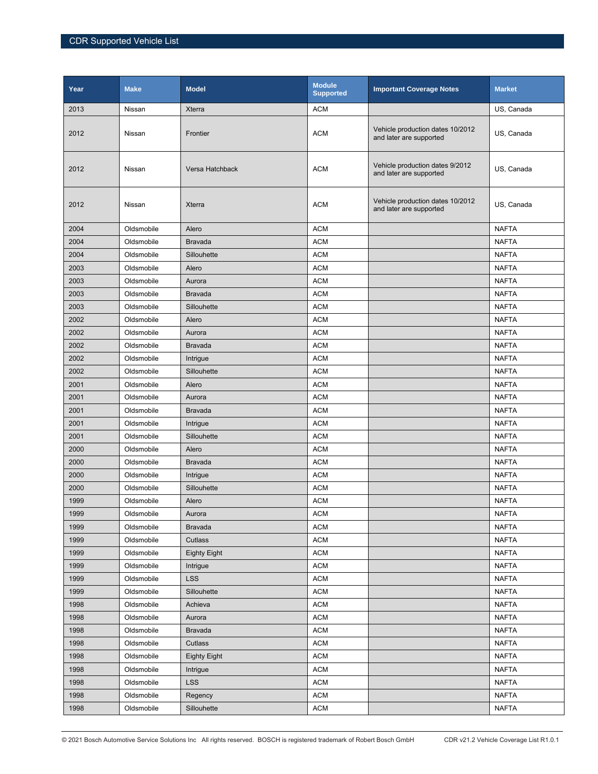| Year | <b>Make</b> | <b>Model</b>        | <b>Module</b><br><b>Supported</b> | <b>Important Coverage Notes</b>                             | <b>Market</b> |
|------|-------------|---------------------|-----------------------------------|-------------------------------------------------------------|---------------|
| 2013 | Nissan      | Xterra              | <b>ACM</b>                        |                                                             | US, Canada    |
| 2012 | Nissan      | Frontier            | <b>ACM</b>                        | Vehicle production dates 10/2012<br>and later are supported | US, Canada    |
| 2012 | Nissan      | Versa Hatchback     | <b>ACM</b>                        | Vehicle production dates 9/2012<br>and later are supported  | US, Canada    |
| 2012 | Nissan      | Xterra              | <b>ACM</b>                        | Vehicle production dates 10/2012<br>and later are supported | US, Canada    |
| 2004 | Oldsmobile  | Alero               | <b>ACM</b>                        |                                                             | NAFTA         |
| 2004 | Oldsmobile  | <b>Bravada</b>      | <b>ACM</b>                        |                                                             | <b>NAFTA</b>  |
| 2004 | Oldsmobile  | Sillouhette         | <b>ACM</b>                        |                                                             | <b>NAFTA</b>  |
| 2003 | Oldsmobile  | Alero               | <b>ACM</b>                        |                                                             | <b>NAFTA</b>  |
| 2003 | Oldsmobile  | Aurora              | <b>ACM</b>                        |                                                             | <b>NAFTA</b>  |
| 2003 | Oldsmobile  | <b>Bravada</b>      | <b>ACM</b>                        |                                                             | <b>NAFTA</b>  |
| 2003 | Oldsmobile  | Sillouhette         | <b>ACM</b>                        |                                                             | <b>NAFTA</b>  |
| 2002 | Oldsmobile  | Alero               | <b>ACM</b>                        |                                                             | <b>NAFTA</b>  |
| 2002 | Oldsmobile  | Aurora              | <b>ACM</b>                        |                                                             | <b>NAFTA</b>  |
| 2002 | Oldsmobile  | <b>Bravada</b>      | <b>ACM</b>                        |                                                             | <b>NAFTA</b>  |
| 2002 | Oldsmobile  | Intrigue            | <b>ACM</b>                        |                                                             | <b>NAFTA</b>  |
| 2002 | Oldsmobile  | Sillouhette         | <b>ACM</b>                        |                                                             | <b>NAFTA</b>  |
| 2001 | Oldsmobile  | Alero               | <b>ACM</b>                        |                                                             | <b>NAFTA</b>  |
| 2001 | Oldsmobile  | Aurora              | <b>ACM</b>                        |                                                             | <b>NAFTA</b>  |
| 2001 | Oldsmobile  | <b>Bravada</b>      | <b>ACM</b>                        |                                                             | <b>NAFTA</b>  |
| 2001 | Oldsmobile  | Intrigue            | <b>ACM</b>                        |                                                             | <b>NAFTA</b>  |
| 2001 | Oldsmobile  | Sillouhette         | <b>ACM</b>                        |                                                             | <b>NAFTA</b>  |
| 2000 | Oldsmobile  | Alero               | <b>ACM</b>                        |                                                             | <b>NAFTA</b>  |
| 2000 | Oldsmobile  | <b>Bravada</b>      | <b>ACM</b>                        |                                                             | <b>NAFTA</b>  |
| 2000 | Oldsmobile  | Intrigue            | <b>ACM</b>                        |                                                             | <b>NAFTA</b>  |
| 2000 | Oldsmobile  | Sillouhette         | <b>ACM</b>                        |                                                             | <b>NAFTA</b>  |
| 1999 | Oldsmobile  | Alero               | <b>ACM</b>                        |                                                             | <b>NAFTA</b>  |
| 1999 | Oldsmobile  | Aurora              | <b>ACM</b>                        |                                                             | <b>NAFTA</b>  |
| 1999 | Oldsmobile  | <b>Bravada</b>      | <b>ACM</b>                        |                                                             | <b>NAFTA</b>  |
| 1999 | Oldsmobile  | Cutlass             | <b>ACM</b>                        |                                                             | <b>NAFTA</b>  |
| 1999 | Oldsmobile  | <b>Eighty Eight</b> | <b>ACM</b>                        |                                                             | <b>NAFTA</b>  |
| 1999 | Oldsmobile  | Intrigue            | <b>ACM</b>                        |                                                             | <b>NAFTA</b>  |
| 1999 | Oldsmobile  | <b>LSS</b>          | <b>ACM</b>                        |                                                             | <b>NAFTA</b>  |
| 1999 | Oldsmobile  | Sillouhette         | <b>ACM</b>                        |                                                             | <b>NAFTA</b>  |
| 1998 | Oldsmobile  | Achieva             | ACM                               |                                                             | <b>NAFTA</b>  |
| 1998 | Oldsmobile  | Aurora              | $\mathsf{ACM}$                    |                                                             | <b>NAFTA</b>  |
| 1998 | Oldsmobile  | <b>Bravada</b>      | <b>ACM</b>                        |                                                             | <b>NAFTA</b>  |
| 1998 | Oldsmobile  | Cutlass             | <b>ACM</b>                        |                                                             | <b>NAFTA</b>  |
| 1998 | Oldsmobile  | <b>Eighty Eight</b> | <b>ACM</b>                        |                                                             | <b>NAFTA</b>  |
| 1998 | Oldsmobile  | Intrigue            | <b>ACM</b>                        |                                                             | <b>NAFTA</b>  |
| 1998 | Oldsmobile  | <b>LSS</b>          | <b>ACM</b>                        |                                                             | <b>NAFTA</b>  |
| 1998 | Oldsmobile  | Regency             | <b>ACM</b>                        |                                                             | <b>NAFTA</b>  |
| 1998 | Oldsmobile  | Sillouhette         | <b>ACM</b>                        |                                                             | <b>NAFTA</b>  |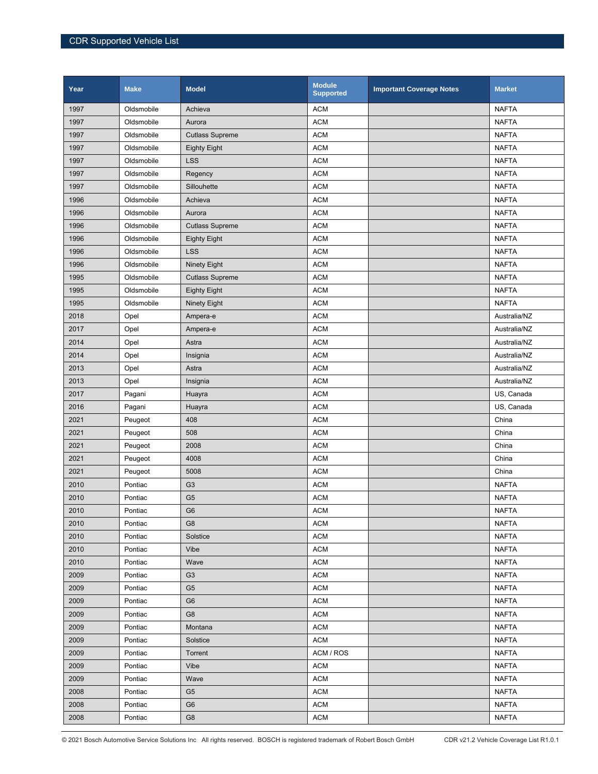| Year | <b>Make</b> | <b>Model</b>           | <b>Module</b><br><b>Supported</b> | <b>Important Coverage Notes</b> | <b>Market</b> |
|------|-------------|------------------------|-----------------------------------|---------------------------------|---------------|
| 1997 | Oldsmobile  | Achieva                | <b>ACM</b>                        |                                 | <b>NAFTA</b>  |
| 1997 | Oldsmobile  | Aurora                 | <b>ACM</b>                        |                                 | <b>NAFTA</b>  |
| 1997 | Oldsmobile  | <b>Cutlass Supreme</b> | <b>ACM</b>                        |                                 | <b>NAFTA</b>  |
| 1997 | Oldsmobile  | <b>Eighty Eight</b>    | <b>ACM</b>                        |                                 | <b>NAFTA</b>  |
| 1997 | Oldsmobile  | <b>LSS</b>             | <b>ACM</b>                        |                                 | <b>NAFTA</b>  |
| 1997 | Oldsmobile  | Regency                | <b>ACM</b>                        |                                 | <b>NAFTA</b>  |
| 1997 | Oldsmobile  | Sillouhette            | <b>ACM</b>                        |                                 | <b>NAFTA</b>  |
| 1996 | Oldsmobile  | Achieva                | <b>ACM</b>                        |                                 | <b>NAFTA</b>  |
| 1996 | Oldsmobile  | Aurora                 | <b>ACM</b>                        |                                 | <b>NAFTA</b>  |
| 1996 | Oldsmobile  | <b>Cutlass Supreme</b> | <b>ACM</b>                        |                                 | <b>NAFTA</b>  |
| 1996 | Oldsmobile  | <b>Eighty Eight</b>    | <b>ACM</b>                        |                                 | <b>NAFTA</b>  |
| 1996 | Oldsmobile  | <b>LSS</b>             | <b>ACM</b>                        |                                 | <b>NAFTA</b>  |
| 1996 | Oldsmobile  | <b>Ninety Eight</b>    | <b>ACM</b>                        |                                 | <b>NAFTA</b>  |
| 1995 | Oldsmobile  | <b>Cutlass Supreme</b> | <b>ACM</b>                        |                                 | <b>NAFTA</b>  |
| 1995 | Oldsmobile  | <b>Eighty Eight</b>    | <b>ACM</b>                        |                                 | <b>NAFTA</b>  |
| 1995 | Oldsmobile  | Ninety Eight           | <b>ACM</b>                        |                                 | <b>NAFTA</b>  |
| 2018 | Opel        | Ampera-e               | <b>ACM</b>                        |                                 | Australia/NZ  |
| 2017 | Opel        | Ampera-e               | <b>ACM</b>                        |                                 | Australia/NZ  |
| 2014 | Opel        | Astra                  | <b>ACM</b>                        |                                 | Australia/NZ  |
| 2014 | Opel        | Insignia               | <b>ACM</b>                        |                                 | Australia/NZ  |
| 2013 | Opel        | Astra                  | <b>ACM</b>                        |                                 | Australia/NZ  |
| 2013 | Opel        | Insignia               | <b>ACM</b>                        |                                 | Australia/NZ  |
| 2017 | Pagani      | Huayra                 | <b>ACM</b>                        |                                 | US, Canada    |
| 2016 | Pagani      | Huayra                 | <b>ACM</b>                        |                                 | US, Canada    |
| 2021 | Peugeot     | 408                    | <b>ACM</b>                        |                                 | China         |
| 2021 | Peugeot     | 508                    | <b>ACM</b>                        |                                 | China         |
| 2021 | Peugeot     | 2008                   | <b>ACM</b>                        |                                 | China         |
| 2021 | Peugeot     | 4008                   | <b>ACM</b>                        |                                 | China         |
| 2021 | Peugeot     | 5008                   | <b>ACM</b>                        |                                 | China         |
| 2010 | Pontiac     | G <sub>3</sub>         | <b>ACM</b>                        |                                 | <b>NAFTA</b>  |
| 2010 | Pontiac     | G <sub>5</sub>         | <b>ACM</b>                        |                                 | <b>NAFTA</b>  |
| 2010 | Pontiac     | G <sub>6</sub>         | <b>ACM</b>                        |                                 | <b>NAFTA</b>  |
| 2010 | Pontiac     | G <sub>8</sub>         | <b>ACM</b>                        |                                 | <b>NAFTA</b>  |
| 2010 | Pontiac     | Solstice               | <b>ACM</b>                        |                                 | <b>NAFTA</b>  |
| 2010 | Pontiac     | Vibe                   | <b>ACM</b>                        |                                 | <b>NAFTA</b>  |
| 2010 | Pontiac     | Wave                   | <b>ACM</b>                        |                                 | <b>NAFTA</b>  |
| 2009 | Pontiac     | G <sub>3</sub>         | <b>ACM</b>                        |                                 | <b>NAFTA</b>  |
| 2009 | Pontiac     | G <sub>5</sub>         | <b>ACM</b>                        |                                 | <b>NAFTA</b>  |
| 2009 | Pontiac     | G <sub>6</sub>         | <b>ACM</b>                        |                                 | <b>NAFTA</b>  |
| 2009 | Pontiac     | G <sub>8</sub>         | <b>ACM</b>                        |                                 | <b>NAFTA</b>  |
| 2009 | Pontiac     | Montana                | <b>ACM</b>                        |                                 | <b>NAFTA</b>  |
| 2009 | Pontiac     | Solstice               | <b>ACM</b>                        |                                 | <b>NAFTA</b>  |
| 2009 | Pontiac     | Torrent                | ACM / ROS                         |                                 | <b>NAFTA</b>  |
| 2009 | Pontiac     | Vibe                   | <b>ACM</b>                        |                                 | <b>NAFTA</b>  |
| 2009 | Pontiac     | Wave                   | <b>ACM</b>                        |                                 | <b>NAFTA</b>  |
| 2008 | Pontiac     | G <sub>5</sub>         | <b>ACM</b>                        |                                 | <b>NAFTA</b>  |
| 2008 | Pontiac     | G <sub>6</sub>         | <b>ACM</b>                        |                                 | <b>NAFTA</b>  |
| 2008 | Pontiac     | G8                     | <b>ACM</b>                        |                                 | <b>NAFTA</b>  |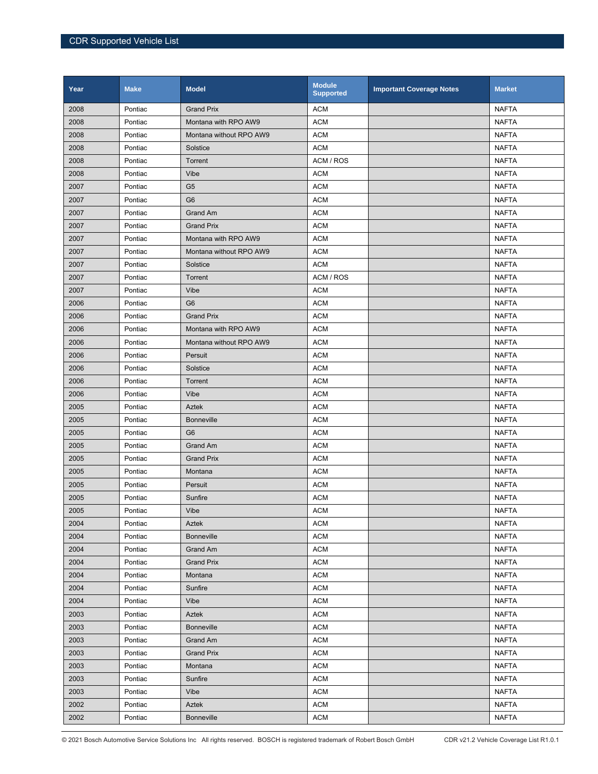| Year | <b>Make</b> | <b>Model</b>            | <b>Module</b><br><b>Supported</b> | <b>Important Coverage Notes</b> | <b>Market</b> |
|------|-------------|-------------------------|-----------------------------------|---------------------------------|---------------|
| 2008 | Pontiac     | <b>Grand Prix</b>       | <b>ACM</b>                        |                                 | <b>NAFTA</b>  |
| 2008 | Pontiac     | Montana with RPO AW9    | <b>ACM</b>                        |                                 | <b>NAFTA</b>  |
| 2008 | Pontiac     | Montana without RPO AW9 | <b>ACM</b>                        |                                 | <b>NAFTA</b>  |
| 2008 | Pontiac     | Solstice                | <b>ACM</b>                        |                                 | <b>NAFTA</b>  |
| 2008 | Pontiac     | Torrent                 | ACM / ROS                         |                                 | <b>NAFTA</b>  |
| 2008 | Pontiac     | Vibe                    | <b>ACM</b>                        |                                 | <b>NAFTA</b>  |
| 2007 | Pontiac     | G <sub>5</sub>          | <b>ACM</b>                        |                                 | <b>NAFTA</b>  |
| 2007 | Pontiac     | G <sub>6</sub>          | <b>ACM</b>                        |                                 | <b>NAFTA</b>  |
| 2007 | Pontiac     | Grand Am                | <b>ACM</b>                        |                                 | <b>NAFTA</b>  |
| 2007 | Pontiac     | <b>Grand Prix</b>       | <b>ACM</b>                        |                                 | <b>NAFTA</b>  |
| 2007 | Pontiac     | Montana with RPO AW9    | <b>ACM</b>                        |                                 | <b>NAFTA</b>  |
| 2007 | Pontiac     | Montana without RPO AW9 | <b>ACM</b>                        |                                 | <b>NAFTA</b>  |
| 2007 | Pontiac     | Solstice                | <b>ACM</b>                        |                                 | <b>NAFTA</b>  |
| 2007 | Pontiac     | Torrent                 | ACM / ROS                         |                                 | <b>NAFTA</b>  |
| 2007 | Pontiac     | Vibe                    | <b>ACM</b>                        |                                 | <b>NAFTA</b>  |
| 2006 | Pontiac     | G <sub>6</sub>          | <b>ACM</b>                        |                                 | <b>NAFTA</b>  |
| 2006 | Pontiac     | <b>Grand Prix</b>       | <b>ACM</b>                        |                                 | <b>NAFTA</b>  |
| 2006 | Pontiac     | Montana with RPO AW9    | <b>ACM</b>                        |                                 | <b>NAFTA</b>  |
| 2006 | Pontiac     | Montana without RPO AW9 | <b>ACM</b>                        |                                 | <b>NAFTA</b>  |
| 2006 | Pontiac     | Persuit                 | <b>ACM</b>                        |                                 | <b>NAFTA</b>  |
| 2006 | Pontiac     | Solstice                | <b>ACM</b>                        |                                 | <b>NAFTA</b>  |
| 2006 | Pontiac     | Torrent                 | <b>ACM</b>                        |                                 | <b>NAFTA</b>  |
| 2006 | Pontiac     | Vibe                    | <b>ACM</b>                        |                                 | <b>NAFTA</b>  |
| 2005 | Pontiac     | Aztek                   | <b>ACM</b>                        |                                 | <b>NAFTA</b>  |
| 2005 | Pontiac     | <b>Bonneville</b>       | <b>ACM</b>                        |                                 | <b>NAFTA</b>  |
| 2005 | Pontiac     | G <sub>6</sub>          | <b>ACM</b>                        |                                 | <b>NAFTA</b>  |
| 2005 | Pontiac     | <b>Grand Am</b>         | <b>ACM</b>                        |                                 | <b>NAFTA</b>  |
| 2005 | Pontiac     | <b>Grand Prix</b>       | <b>ACM</b>                        |                                 | <b>NAFTA</b>  |
| 2005 | Pontiac     | Montana                 | <b>ACM</b>                        |                                 | <b>NAFTA</b>  |
| 2005 | Pontiac     | Persuit                 | <b>ACM</b>                        |                                 | <b>NAFTA</b>  |
| 2005 | Pontiac     | Sunfire                 | <b>ACM</b>                        |                                 | <b>NAFTA</b>  |
| 2005 | Pontiac     | Vibe                    | <b>ACM</b>                        |                                 | <b>NAFTA</b>  |
| 2004 | Pontiac     | Aztek                   | <b>ACM</b>                        |                                 | <b>NAFTA</b>  |
| 2004 | Pontiac     | <b>Bonneville</b>       | <b>ACM</b>                        |                                 | <b>NAFTA</b>  |
| 2004 | Pontiac     | Grand Am                | <b>ACM</b>                        |                                 | <b>NAFTA</b>  |
| 2004 | Pontiac     | <b>Grand Prix</b>       | <b>ACM</b>                        |                                 | <b>NAFTA</b>  |
| 2004 | Pontiac     | Montana                 | <b>ACM</b>                        |                                 | <b>NAFTA</b>  |
| 2004 | Pontiac     | Sunfire                 | <b>ACM</b>                        |                                 | <b>NAFTA</b>  |
| 2004 | Pontiac     | Vibe                    | <b>ACM</b>                        |                                 | <b>NAFTA</b>  |
| 2003 | Pontiac     | Aztek                   | <b>ACM</b>                        |                                 | <b>NAFTA</b>  |
| 2003 | Pontiac     | <b>Bonneville</b>       | <b>ACM</b>                        |                                 | <b>NAFTA</b>  |
| 2003 | Pontiac     | Grand Am                | <b>ACM</b>                        |                                 | <b>NAFTA</b>  |
| 2003 | Pontiac     | <b>Grand Prix</b>       | <b>ACM</b>                        |                                 | <b>NAFTA</b>  |
| 2003 | Pontiac     | Montana                 | <b>ACM</b>                        |                                 | NAFTA         |
| 2003 | Pontiac     | Sunfire                 | <b>ACM</b>                        |                                 | <b>NAFTA</b>  |
| 2003 | Pontiac     | Vibe                    | <b>ACM</b>                        |                                 | <b>NAFTA</b>  |
| 2002 | Pontiac     | Aztek                   | <b>ACM</b>                        |                                 | <b>NAFTA</b>  |
| 2002 | Pontiac     | <b>Bonneville</b>       | <b>ACM</b>                        |                                 | <b>NAFTA</b>  |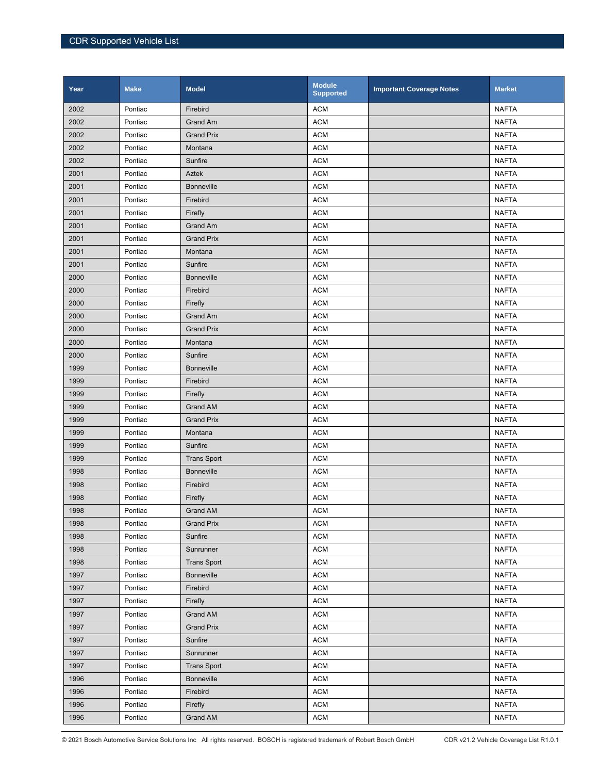| Year | <b>Make</b> | <b>Model</b>       | <b>Module</b><br><b>Supported</b> | <b>Important Coverage Notes</b> | <b>Market</b> |
|------|-------------|--------------------|-----------------------------------|---------------------------------|---------------|
| 2002 | Pontiac     | Firebird           | <b>ACM</b>                        |                                 | <b>NAFTA</b>  |
| 2002 | Pontiac     | Grand Am           | <b>ACM</b>                        |                                 | <b>NAFTA</b>  |
| 2002 | Pontiac     | <b>Grand Prix</b>  | <b>ACM</b>                        |                                 | <b>NAFTA</b>  |
| 2002 | Pontiac     | Montana            | <b>ACM</b>                        |                                 | <b>NAFTA</b>  |
| 2002 | Pontiac     | Sunfire            | <b>ACM</b>                        |                                 | <b>NAFTA</b>  |
| 2001 | Pontiac     | Aztek              | <b>ACM</b>                        |                                 | <b>NAFTA</b>  |
| 2001 | Pontiac     | <b>Bonneville</b>  | <b>ACM</b>                        |                                 | <b>NAFTA</b>  |
| 2001 | Pontiac     | Firebird           | <b>ACM</b>                        |                                 | <b>NAFTA</b>  |
| 2001 | Pontiac     | Firefly            | <b>ACM</b>                        |                                 | <b>NAFTA</b>  |
| 2001 | Pontiac     | Grand Am           | <b>ACM</b>                        |                                 | <b>NAFTA</b>  |
| 2001 | Pontiac     | <b>Grand Prix</b>  | <b>ACM</b>                        |                                 | <b>NAFTA</b>  |
| 2001 | Pontiac     | Montana            | <b>ACM</b>                        |                                 | <b>NAFTA</b>  |
| 2001 | Pontiac     | Sunfire            | <b>ACM</b>                        |                                 | <b>NAFTA</b>  |
| 2000 | Pontiac     | <b>Bonneville</b>  | <b>ACM</b>                        |                                 | <b>NAFTA</b>  |
| 2000 | Pontiac     | Firebird           | <b>ACM</b>                        |                                 | <b>NAFTA</b>  |
| 2000 | Pontiac     | Firefly            | <b>ACM</b>                        |                                 | <b>NAFTA</b>  |
| 2000 | Pontiac     | Grand Am           | <b>ACM</b>                        |                                 | <b>NAFTA</b>  |
| 2000 | Pontiac     | <b>Grand Prix</b>  | <b>ACM</b>                        |                                 | <b>NAFTA</b>  |
| 2000 | Pontiac     | Montana            | <b>ACM</b>                        |                                 | <b>NAFTA</b>  |
| 2000 | Pontiac     | Sunfire            | <b>ACM</b>                        |                                 | <b>NAFTA</b>  |
| 1999 | Pontiac     | <b>Bonneville</b>  | <b>ACM</b>                        |                                 | <b>NAFTA</b>  |
| 1999 | Pontiac     | Firebird           | <b>ACM</b>                        |                                 | <b>NAFTA</b>  |
| 1999 | Pontiac     | Firefly            | <b>ACM</b>                        |                                 | <b>NAFTA</b>  |
| 1999 | Pontiac     | <b>Grand AM</b>    | <b>ACM</b>                        |                                 | <b>NAFTA</b>  |
| 1999 | Pontiac     | <b>Grand Prix</b>  | <b>ACM</b>                        |                                 | <b>NAFTA</b>  |
| 1999 | Pontiac     | Montana            | <b>ACM</b>                        |                                 | <b>NAFTA</b>  |
| 1999 | Pontiac     | Sunfire            | <b>ACM</b>                        |                                 | <b>NAFTA</b>  |
| 1999 | Pontiac     | <b>Trans Sport</b> | <b>ACM</b>                        |                                 | <b>NAFTA</b>  |
| 1998 | Pontiac     | <b>Bonneville</b>  | <b>ACM</b>                        |                                 | <b>NAFTA</b>  |
| 1998 | Pontiac     | Firebird           | <b>ACM</b>                        |                                 | <b>NAFTA</b>  |
| 1998 | Pontiac     | Firefly            | <b>ACM</b>                        |                                 | <b>NAFTA</b>  |
| 1998 | Pontiac     | Grand AM           | <b>ACM</b>                        |                                 | <b>NAFTA</b>  |
| 1998 | Pontiac     | <b>Grand Prix</b>  | <b>ACM</b>                        |                                 | <b>NAFTA</b>  |
| 1998 | Pontiac     | Sunfire            | <b>ACM</b>                        |                                 | <b>NAFTA</b>  |
| 1998 | Pontiac     | Sunrunner          | <b>ACM</b>                        |                                 | <b>NAFTA</b>  |
| 1998 | Pontiac     | <b>Trans Sport</b> | <b>ACM</b>                        |                                 | <b>NAFTA</b>  |
| 1997 | Pontiac     | <b>Bonneville</b>  | <b>ACM</b>                        |                                 | <b>NAFTA</b>  |
| 1997 | Pontiac     | Firebird           | <b>ACM</b>                        |                                 | <b>NAFTA</b>  |
| 1997 | Pontiac     | Firefly            | <b>ACM</b>                        |                                 | <b>NAFTA</b>  |
| 1997 | Pontiac     | Grand AM           | <b>ACM</b>                        |                                 | <b>NAFTA</b>  |
| 1997 | Pontiac     | <b>Grand Prix</b>  | <b>ACM</b>                        |                                 | <b>NAFTA</b>  |
| 1997 | Pontiac     | Sunfire            | <b>ACM</b>                        |                                 | <b>NAFTA</b>  |
| 1997 | Pontiac     | Sunrunner          | <b>ACM</b>                        |                                 | <b>NAFTA</b>  |
| 1997 | Pontiac     | <b>Trans Sport</b> | <b>ACM</b>                        |                                 | <b>NAFTA</b>  |
| 1996 | Pontiac     | <b>Bonneville</b>  | <b>ACM</b>                        |                                 | <b>NAFTA</b>  |
| 1996 | Pontiac     | Firebird           | <b>ACM</b>                        |                                 | <b>NAFTA</b>  |
| 1996 | Pontiac     | Firefly            | <b>ACM</b>                        |                                 | <b>NAFTA</b>  |
| 1996 | Pontiac     | Grand AM           | <b>ACM</b>                        |                                 | <b>NAFTA</b>  |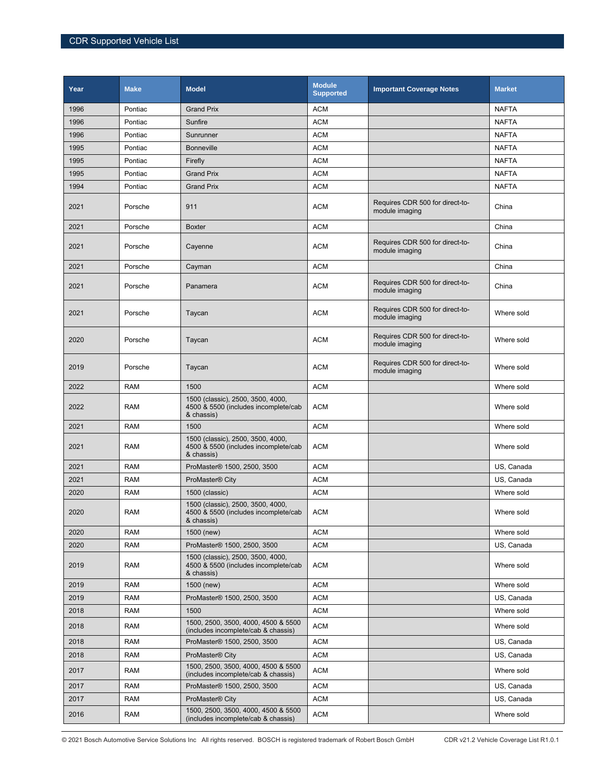| Year | <b>Make</b> | <b>Model</b>                                                                            | <b>Module</b><br><b>Supported</b> | <b>Important Coverage Notes</b>                   | <b>Market</b> |
|------|-------------|-----------------------------------------------------------------------------------------|-----------------------------------|---------------------------------------------------|---------------|
| 1996 | Pontiac     | <b>Grand Prix</b>                                                                       | <b>ACM</b>                        |                                                   | <b>NAFTA</b>  |
| 1996 | Pontiac     | Sunfire                                                                                 | <b>ACM</b>                        |                                                   | <b>NAFTA</b>  |
| 1996 | Pontiac     | Sunrunner                                                                               | <b>ACM</b>                        |                                                   | <b>NAFTA</b>  |
| 1995 | Pontiac     | <b>Bonneville</b>                                                                       | <b>ACM</b>                        |                                                   | <b>NAFTA</b>  |
| 1995 | Pontiac     | Firefly                                                                                 | <b>ACM</b>                        |                                                   | <b>NAFTA</b>  |
| 1995 | Pontiac     | <b>Grand Prix</b>                                                                       | <b>ACM</b>                        |                                                   | <b>NAFTA</b>  |
| 1994 | Pontiac     | <b>Grand Prix</b>                                                                       | <b>ACM</b>                        |                                                   | <b>NAFTA</b>  |
| 2021 | Porsche     | 911                                                                                     | <b>ACM</b>                        | Requires CDR 500 for direct-to-<br>module imaging | China         |
| 2021 | Porsche     | <b>Boxter</b>                                                                           | <b>ACM</b>                        |                                                   | China         |
| 2021 | Porsche     | Cayenne                                                                                 | <b>ACM</b>                        | Requires CDR 500 for direct-to-<br>module imaging | China         |
| 2021 | Porsche     | Cayman                                                                                  | <b>ACM</b>                        |                                                   | China         |
| 2021 | Porsche     | Panamera                                                                                | <b>ACM</b>                        | Requires CDR 500 for direct-to-<br>module imaging | China         |
| 2021 | Porsche     | Taycan                                                                                  | <b>ACM</b>                        | Requires CDR 500 for direct-to-<br>module imaging | Where sold    |
| 2020 | Porsche     | Taycan                                                                                  | <b>ACM</b>                        | Requires CDR 500 for direct-to-<br>module imaging | Where sold    |
| 2019 | Porsche     | Taycan                                                                                  | <b>ACM</b>                        | Requires CDR 500 for direct-to-<br>module imaging | Where sold    |
| 2022 | <b>RAM</b>  | 1500                                                                                    | <b>ACM</b>                        |                                                   | Where sold    |
| 2022 | <b>RAM</b>  | 1500 (classic), 2500, 3500, 4000,<br>4500 & 5500 (includes incomplete/cab<br>& chassis) | <b>ACM</b>                        |                                                   | Where sold    |
| 2021 | <b>RAM</b>  | 1500                                                                                    | <b>ACM</b>                        |                                                   | Where sold    |
| 2021 | <b>RAM</b>  | 1500 (classic), 2500, 3500, 4000,<br>4500 & 5500 (includes incomplete/cab<br>& chassis) | <b>ACM</b>                        |                                                   | Where sold    |
| 2021 | <b>RAM</b>  | ProMaster® 1500, 2500, 3500                                                             | <b>ACM</b>                        |                                                   | US, Canada    |
| 2021 | <b>RAM</b>  | ProMaster <sup>®</sup> City                                                             | <b>ACM</b>                        |                                                   | US, Canada    |
| 2020 | <b>RAM</b>  | 1500 (classic)                                                                          | <b>ACM</b>                        |                                                   | Where sold    |
| 2020 | <b>RAM</b>  | 1500 (classic), 2500, 3500, 4000,<br>4500 & 5500 (includes incomplete/cab<br>& chassis) | <b>ACM</b>                        |                                                   | Where sold    |
| 2020 | <b>RAM</b>  | 1500 (new)                                                                              | <b>ACM</b>                        |                                                   | Where sold    |
| 2020 | <b>RAM</b>  | ProMaster® 1500, 2500, 3500                                                             | <b>ACM</b>                        |                                                   | US. Canada    |
| 2019 | <b>RAM</b>  | 1500 (classic), 2500, 3500, 4000,<br>4500 & 5500 (includes incomplete/cab<br>& chassis) | <b>ACM</b>                        |                                                   | Where sold    |
| 2019 | <b>RAM</b>  | 1500 (new)                                                                              | <b>ACM</b>                        |                                                   | Where sold    |
| 2019 | <b>RAM</b>  | ProMaster® 1500, 2500, 3500                                                             | <b>ACM</b>                        |                                                   | US, Canada    |
| 2018 | <b>RAM</b>  | 1500                                                                                    | <b>ACM</b>                        |                                                   | Where sold    |
| 2018 | <b>RAM</b>  | 1500, 2500, 3500, 4000, 4500 & 5500<br>(includes incomplete/cab & chassis)              | <b>ACM</b>                        |                                                   | Where sold    |
| 2018 | <b>RAM</b>  | ProMaster® 1500, 2500, 3500                                                             | <b>ACM</b>                        |                                                   | US, Canada    |
| 2018 | <b>RAM</b>  | ProMaster <sup>®</sup> City                                                             | <b>ACM</b>                        |                                                   | US, Canada    |
| 2017 | RAM         | 1500, 2500, 3500, 4000, 4500 & 5500<br>(includes incomplete/cab & chassis)              | <b>ACM</b>                        |                                                   | Where sold    |
| 2017 | <b>RAM</b>  | ProMaster® 1500, 2500, 3500                                                             | <b>ACM</b>                        |                                                   | US, Canada    |
| 2017 | RAM         | ProMaster <sup>®</sup> City                                                             | ACM                               |                                                   | US, Canada    |
| 2016 | <b>RAM</b>  | 1500, 2500, 3500, 4000, 4500 & 5500<br>(includes incomplete/cab & chassis)              | <b>ACM</b>                        |                                                   | Where sold    |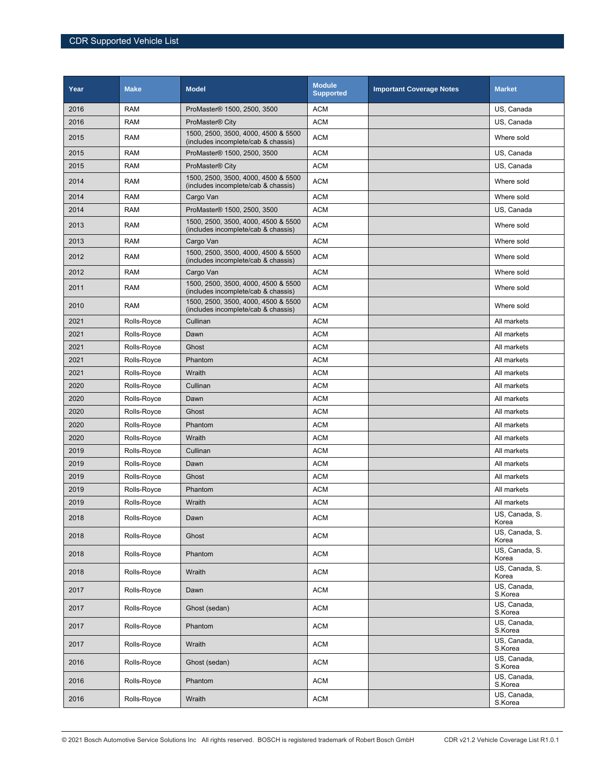| Year | <b>Make</b> | <b>Model</b>                                                               | <b>Module</b><br><b>Supported</b> | <b>Important Coverage Notes</b> | <b>Market</b>                        |
|------|-------------|----------------------------------------------------------------------------|-----------------------------------|---------------------------------|--------------------------------------|
| 2016 | <b>RAM</b>  | ProMaster® 1500, 2500, 3500                                                | <b>ACM</b>                        |                                 | US, Canada                           |
| 2016 | <b>RAM</b>  | ProMaster <sup>®</sup> City                                                | <b>ACM</b>                        |                                 | US, Canada                           |
| 2015 | <b>RAM</b>  | 1500, 2500, 3500, 4000, 4500 & 5500<br>(includes incomplete/cab & chassis) | <b>ACM</b>                        |                                 | Where sold                           |
| 2015 | <b>RAM</b>  | ProMaster® 1500, 2500, 3500                                                | <b>ACM</b>                        |                                 | US, Canada                           |
| 2015 | <b>RAM</b>  | ProMaster <sup>®</sup> City                                                | <b>ACM</b>                        |                                 | US, Canada                           |
| 2014 | <b>RAM</b>  | 1500, 2500, 3500, 4000, 4500 & 5500<br>(includes incomplete/cab & chassis) | <b>ACM</b>                        |                                 | Where sold                           |
| 2014 | <b>RAM</b>  | Cargo Van                                                                  | <b>ACM</b>                        |                                 | Where sold                           |
| 2014 | <b>RAM</b>  | ProMaster® 1500, 2500, 3500                                                | <b>ACM</b>                        |                                 | US, Canada                           |
| 2013 | <b>RAM</b>  | 1500, 2500, 3500, 4000, 4500 & 5500<br>(includes incomplete/cab & chassis) | <b>ACM</b>                        |                                 | Where sold                           |
| 2013 | <b>RAM</b>  | Cargo Van                                                                  | <b>ACM</b>                        |                                 | Where sold                           |
| 2012 | <b>RAM</b>  | 1500, 2500, 3500, 4000, 4500 & 5500<br>(includes incomplete/cab & chassis) | <b>ACM</b>                        |                                 | Where sold                           |
| 2012 | <b>RAM</b>  | Cargo Van                                                                  | <b>ACM</b>                        |                                 | Where sold                           |
| 2011 | <b>RAM</b>  | 1500, 2500, 3500, 4000, 4500 & 5500<br>(includes incomplete/cab & chassis) | <b>ACM</b>                        |                                 | Where sold                           |
| 2010 | <b>RAM</b>  | 1500, 2500, 3500, 4000, 4500 & 5500<br>(includes incomplete/cab & chassis) | <b>ACM</b>                        |                                 | Where sold                           |
| 2021 | Rolls-Royce | Cullinan                                                                   | <b>ACM</b>                        |                                 | All markets                          |
| 2021 | Rolls-Royce | Dawn                                                                       | <b>ACM</b>                        |                                 | All markets                          |
| 2021 | Rolls-Royce | Ghost                                                                      | <b>ACM</b>                        |                                 | All markets                          |
| 2021 | Rolls-Royce | Phantom                                                                    | <b>ACM</b>                        |                                 | All markets                          |
| 2021 | Rolls-Royce | Wraith                                                                     | <b>ACM</b>                        |                                 | All markets                          |
| 2020 | Rolls-Royce | Cullinan                                                                   | <b>ACM</b>                        |                                 | All markets                          |
| 2020 | Rolls-Royce | Dawn                                                                       | <b>ACM</b>                        |                                 | All markets                          |
| 2020 | Rolls-Royce | Ghost                                                                      | <b>ACM</b>                        |                                 | All markets                          |
| 2020 | Rolls-Royce | Phantom                                                                    | <b>ACM</b>                        |                                 | All markets                          |
| 2020 | Rolls-Royce | Wraith                                                                     | <b>ACM</b>                        |                                 | All markets                          |
| 2019 | Rolls-Royce | Cullinan                                                                   | <b>ACM</b>                        |                                 | All markets                          |
| 2019 | Rolls-Royce | Dawn                                                                       | <b>ACM</b>                        |                                 | All markets                          |
| 2019 | Rolls-Royce | Ghost                                                                      | <b>ACM</b>                        |                                 | All markets                          |
| 2019 | Rolls-Royce | Phantom                                                                    | <b>ACM</b>                        |                                 | All markets                          |
| 2019 | Rolls-Royce | Wraith                                                                     | <b>ACM</b>                        |                                 | All markets                          |
| 2018 | Rolls-Royce | Dawn                                                                       | <b>ACM</b>                        |                                 | US, Canada, S.<br>Korea              |
| 2018 | Rolls-Royce | Ghost                                                                      | <b>ACM</b>                        |                                 | US, Canada, S.<br>Korea              |
| 2018 | Rolls-Royce | Phantom                                                                    | <b>ACM</b>                        |                                 | US, Canada, S.<br>Korea              |
| 2018 | Rolls-Royce | Wraith                                                                     | <b>ACM</b>                        |                                 | US, Canada, S.<br>Korea              |
| 2017 | Rolls-Royce | Dawn                                                                       | <b>ACM</b>                        |                                 | US, Canada,<br>S.Korea               |
| 2017 | Rolls-Royce | Ghost (sedan)                                                              | <b>ACM</b>                        |                                 | US, Canada,<br>S.Korea               |
| 2017 | Rolls-Royce | Phantom                                                                    | <b>ACM</b>                        |                                 | $\overline{US}$ , Canada,<br>S.Korea |
| 2017 | Rolls-Royce | Wraith                                                                     | <b>ACM</b>                        |                                 | US, Canada,<br>S.Korea               |
| 2016 | Rolls-Royce | Ghost (sedan)                                                              | ACM                               |                                 | US, Canada,<br>S.Korea               |
| 2016 | Rolls-Royce | Phantom                                                                    | ACM                               |                                 | $\overline{US}$ , Canada,<br>S.Korea |
| 2016 | Rolls-Royce | Wraith                                                                     | <b>ACM</b>                        |                                 | US, Canada,<br>S.Korea               |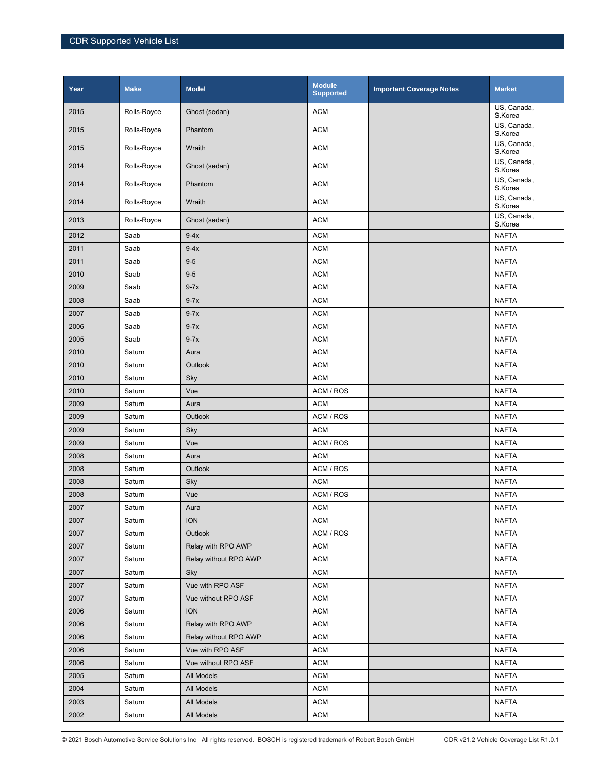| Year | <b>Make</b> | <b>Model</b>          | <b>Module</b><br><b>Supported</b> | <b>Important Coverage Notes</b> | <b>Market</b>          |
|------|-------------|-----------------------|-----------------------------------|---------------------------------|------------------------|
| 2015 | Rolls-Royce | Ghost (sedan)         | <b>ACM</b>                        |                                 | US, Canada,<br>S.Korea |
| 2015 | Rolls-Royce | Phantom               | <b>ACM</b>                        |                                 | US. Canada.<br>S.Korea |
| 2015 | Rolls-Royce | Wraith                | <b>ACM</b>                        |                                 | US, Canada,<br>S.Korea |
| 2014 | Rolls-Royce | Ghost (sedan)         | <b>ACM</b>                        |                                 | US, Canada,<br>S.Korea |
| 2014 | Rolls-Royce | Phantom               | <b>ACM</b>                        |                                 | US, Canada,<br>S.Korea |
| 2014 | Rolls-Royce | Wraith                | <b>ACM</b>                        |                                 | US, Canada,<br>S.Korea |
| 2013 | Rolls-Royce | Ghost (sedan)         | <b>ACM</b>                        |                                 | US. Canada.<br>S.Korea |
| 2012 | Saab        | $9-4x$                | <b>ACM</b>                        |                                 | <b>NAFTA</b>           |
| 2011 | Saab        | $9-4x$                | <b>ACM</b>                        |                                 | <b>NAFTA</b>           |
| 2011 | Saab        | $9-5$                 | <b>ACM</b>                        |                                 | <b>NAFTA</b>           |
| 2010 | Saab        | $9-5$                 | <b>ACM</b>                        |                                 | <b>NAFTA</b>           |
| 2009 | Saab        | $9-7x$                | <b>ACM</b>                        |                                 | <b>NAFTA</b>           |
| 2008 | Saab        | $9-7x$                | <b>ACM</b>                        |                                 | <b>NAFTA</b>           |
| 2007 | Saab        | $9-7x$                | <b>ACM</b>                        |                                 | <b>NAFTA</b>           |
| 2006 | Saab        | $9-7x$                | <b>ACM</b>                        |                                 | <b>NAFTA</b>           |
| 2005 | Saab        | $9-7x$                | <b>ACM</b>                        |                                 | <b>NAFTA</b>           |
| 2010 | Saturn      | Aura                  | <b>ACM</b>                        |                                 | <b>NAFTA</b>           |
| 2010 | Saturn      | Outlook               | <b>ACM</b>                        |                                 | <b>NAFTA</b>           |
| 2010 | Saturn      | Sky                   | <b>ACM</b>                        |                                 | <b>NAFTA</b>           |
| 2010 | Saturn      | Vue                   | ACM / ROS                         |                                 | <b>NAFTA</b>           |
| 2009 | Saturn      | Aura                  | <b>ACM</b>                        |                                 | <b>NAFTA</b>           |
| 2009 | Saturn      | Outlook               | ACM / ROS                         |                                 | <b>NAFTA</b>           |
| 2009 | Saturn      | Sky                   | <b>ACM</b>                        |                                 | <b>NAFTA</b>           |
| 2009 | Saturn      | Vue                   | ACM / ROS                         |                                 | <b>NAFTA</b>           |
| 2008 | Saturn      | Aura                  | <b>ACM</b>                        |                                 | <b>NAFTA</b>           |
| 2008 | Saturn      | Outlook               | ACM / ROS                         |                                 | <b>NAFTA</b>           |
| 2008 | Saturn      | Sky                   | <b>ACM</b>                        |                                 | <b>NAFTA</b>           |
| 2008 | Saturn      | Vue                   | ACM / ROS                         |                                 | <b>NAFTA</b>           |
| 2007 | Saturn      | Aura                  | <b>ACM</b>                        |                                 | <b>NAFTA</b>           |
| 2007 | Saturn      | <b>ION</b>            | <b>ACM</b>                        |                                 | <b>NAFTA</b>           |
| 2007 | Saturn      | Outlook               | ACM / ROS                         |                                 | <b>NAFTA</b>           |
| 2007 | Saturn      | Relay with RPO AWP    | <b>ACM</b>                        |                                 | <b>NAFTA</b>           |
| 2007 | Saturn      | Relay without RPO AWP | <b>ACM</b>                        |                                 | <b>NAFTA</b>           |
| 2007 | Saturn      | Sky                   | <b>ACM</b>                        |                                 | <b>NAFTA</b>           |
| 2007 | Saturn      | Vue with RPO ASF      | <b>ACM</b>                        |                                 | <b>NAFTA</b>           |
| 2007 | Saturn      | Vue without RPO ASF   | <b>ACM</b>                        |                                 | <b>NAFTA</b>           |
| 2006 | Saturn      | <b>ION</b>            | <b>ACM</b>                        |                                 | <b>NAFTA</b>           |
| 2006 | Saturn      | Relay with RPO AWP    | <b>ACM</b>                        |                                 | <b>NAFTA</b>           |
| 2006 | Saturn      | Relay without RPO AWP | <b>ACM</b>                        |                                 | <b>NAFTA</b>           |
| 2006 | Saturn      | Vue with RPO ASF      | <b>ACM</b>                        |                                 | <b>NAFTA</b>           |
| 2006 | Saturn      | Vue without RPO ASF   | <b>ACM</b>                        |                                 | <b>NAFTA</b>           |
| 2005 | Saturn      | All Models            | <b>ACM</b>                        |                                 | <b>NAFTA</b>           |
| 2004 | Saturn      | All Models            | <b>ACM</b>                        |                                 | <b>NAFTA</b>           |
| 2003 | Saturn      | All Models            | <b>ACM</b>                        |                                 | <b>NAFTA</b>           |
| 2002 | Saturn      | All Models            | <b>ACM</b>                        |                                 | <b>NAFTA</b>           |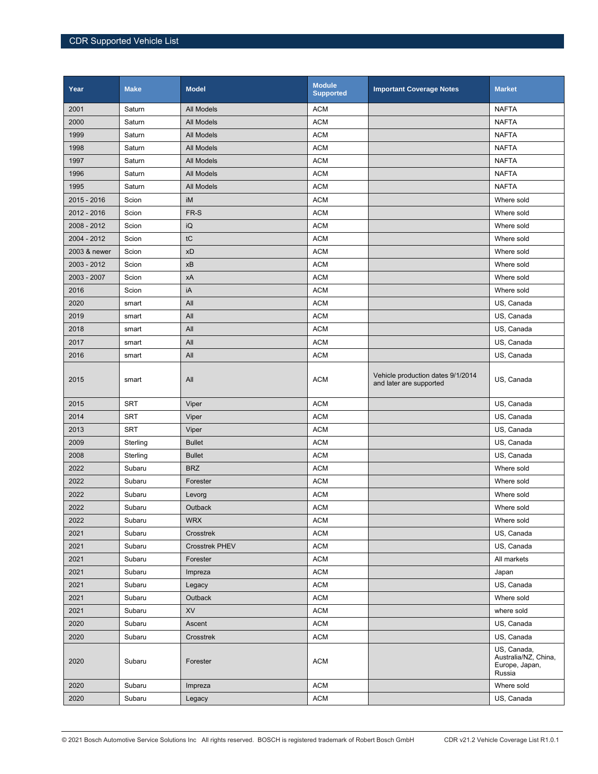| Year         | <b>Make</b> | <b>Model</b>      | <b>Module</b><br><b>Supported</b> | <b>Important Coverage Notes</b>                              | <b>Market</b>                                                   |
|--------------|-------------|-------------------|-----------------------------------|--------------------------------------------------------------|-----------------------------------------------------------------|
| 2001         | Saturn      | All Models        | <b>ACM</b>                        |                                                              | <b>NAFTA</b>                                                    |
| 2000         | Saturn      | All Models        | <b>ACM</b>                        |                                                              | <b>NAFTA</b>                                                    |
| 1999         | Saturn      | <b>All Models</b> | <b>ACM</b>                        |                                                              | <b>NAFTA</b>                                                    |
| 1998         | Saturn      | All Models        | <b>ACM</b>                        |                                                              | <b>NAFTA</b>                                                    |
| 1997         | Saturn      | All Models        | <b>ACM</b>                        |                                                              | <b>NAFTA</b>                                                    |
| 1996         | Saturn      | All Models        | <b>ACM</b>                        |                                                              | <b>NAFTA</b>                                                    |
| 1995         | Saturn      | All Models        | <b>ACM</b>                        |                                                              | <b>NAFTA</b>                                                    |
| 2015 - 2016  | Scion       | iM                | <b>ACM</b>                        |                                                              | Where sold                                                      |
| 2012 - 2016  | Scion       | FR-S              | <b>ACM</b>                        |                                                              | Where sold                                                      |
| 2008 - 2012  | Scion       | iQ                | <b>ACM</b>                        |                                                              | Where sold                                                      |
| 2004 - 2012  | Scion       | tC                | <b>ACM</b>                        |                                                              | Where sold                                                      |
| 2003 & newer | Scion       | xD                | <b>ACM</b>                        |                                                              | Where sold                                                      |
| 2003 - 2012  | Scion       | xB                | <b>ACM</b>                        |                                                              | Where sold                                                      |
| 2003 - 2007  | Scion       | хA                | <b>ACM</b>                        |                                                              | Where sold                                                      |
| 2016         | Scion       | iA                | <b>ACM</b>                        |                                                              | Where sold                                                      |
| 2020         | smart       | All               | <b>ACM</b>                        |                                                              | US, Canada                                                      |
| 2019         | smart       | All               | <b>ACM</b>                        |                                                              | US, Canada                                                      |
| 2018         | smart       | All               | <b>ACM</b>                        |                                                              | US, Canada                                                      |
| 2017         | smart       | All               | <b>ACM</b>                        |                                                              | US, Canada                                                      |
| 2016         | smart       | All               | <b>ACM</b>                        |                                                              | US, Canada                                                      |
| 2015         | smart       | All               | <b>ACM</b>                        | Vehicle production dates 9/1/2014<br>and later are supported | US, Canada                                                      |
| 2015         | <b>SRT</b>  | Viper             | <b>ACM</b>                        |                                                              | US, Canada                                                      |
| 2014         | <b>SRT</b>  | Viper             | <b>ACM</b>                        |                                                              | US, Canada                                                      |
| 2013         | <b>SRT</b>  | Viper             | <b>ACM</b>                        |                                                              | US, Canada                                                      |
| 2009         | Sterling    | <b>Bullet</b>     | <b>ACM</b>                        |                                                              | US, Canada                                                      |
| 2008         | Sterling    | <b>Bullet</b>     | <b>ACM</b>                        |                                                              | US, Canada                                                      |
| 2022         | Subaru      | <b>BRZ</b>        | <b>ACM</b>                        |                                                              | Where sold                                                      |
| 2022         | Subaru      | Forester          | <b>ACM</b>                        |                                                              | Where sold                                                      |
| 2022         | Subaru      | Levorg            | <b>ACM</b>                        |                                                              | Where sold                                                      |
| 2022         | Subaru      | Outback           | <b>ACM</b>                        |                                                              | Where sold                                                      |
| 2022         | Subaru      | <b>WRX</b>        | <b>ACM</b>                        |                                                              | Where sold                                                      |
| 2021         | Subaru      | Crosstrek         | <b>ACM</b>                        |                                                              | US, Canada                                                      |
| 2021         | Subaru      | Crosstrek PHEV    | <b>ACM</b>                        |                                                              | US, Canada                                                      |
| 2021         | Subaru      | Forester          | <b>ACM</b>                        |                                                              | All markets                                                     |
| 2021         | Subaru      | Impreza           | <b>ACM</b>                        |                                                              | Japan                                                           |
| 2021         | Subaru      | Legacy            | <b>ACM</b>                        |                                                              | US, Canada                                                      |
| 2021         | Subaru      | <b>Outback</b>    | <b>ACM</b>                        |                                                              | Where sold                                                      |
| 2021         | Subaru      | <b>XV</b>         | <b>ACM</b>                        |                                                              | where sold                                                      |
| 2020         | Subaru      | Ascent            | <b>ACM</b>                        |                                                              | US, Canada                                                      |
| 2020         | Subaru      | Crosstrek         | <b>ACM</b>                        |                                                              | US, Canada                                                      |
| 2020         | Subaru      | Forester          | <b>ACM</b>                        |                                                              | US, Canada,<br>Australia/NZ, China,<br>Europe, Japan,<br>Russia |
| 2020         | Subaru      | Impreza           | <b>ACM</b>                        |                                                              | Where sold                                                      |
| 2020         | Subaru      | Legacy            | <b>ACM</b>                        |                                                              | US, Canada                                                      |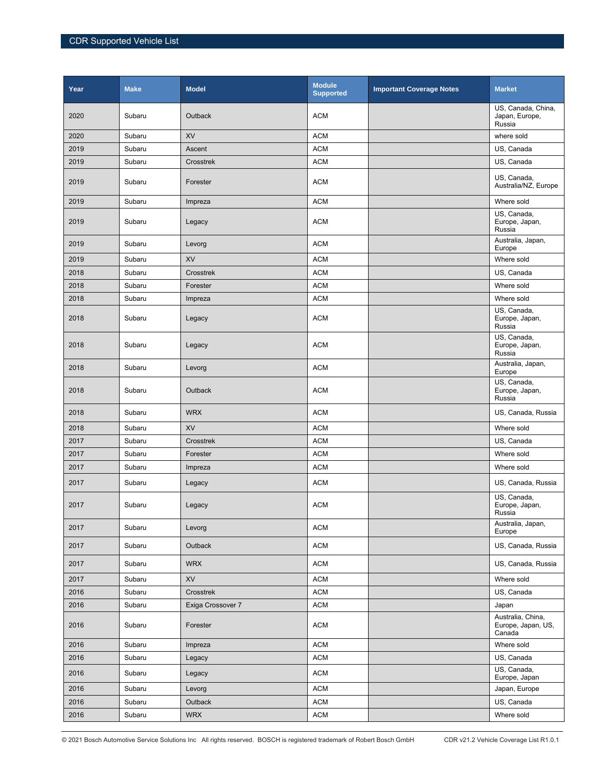| Year | <b>Make</b> | <b>Model</b>      | <b>Module</b><br><b>Supported</b> | <b>Important Coverage Notes</b> | <b>Market</b>                                     |
|------|-------------|-------------------|-----------------------------------|---------------------------------|---------------------------------------------------|
| 2020 | Subaru      | <b>Outback</b>    | <b>ACM</b>                        |                                 | US, Canada, China,<br>Japan, Europe,<br>Russia    |
| 2020 | Subaru      | <b>XV</b>         | <b>ACM</b>                        |                                 | where sold                                        |
| 2019 | Subaru      | Ascent            | <b>ACM</b>                        |                                 | US, Canada                                        |
| 2019 | Subaru      | Crosstrek         | <b>ACM</b>                        |                                 | US, Canada                                        |
| 2019 | Subaru      | Forester          | <b>ACM</b>                        |                                 | US, Canada,<br>Australia/NZ, Europe               |
| 2019 | Subaru      | Impreza           | <b>ACM</b>                        |                                 | Where sold                                        |
| 2019 | Subaru      | Legacy            | <b>ACM</b>                        |                                 | US, Canada,<br>Europe, Japan,<br>Russia           |
| 2019 | Subaru      | Levorg            | <b>ACM</b>                        |                                 | Australia, Japan,<br>Europe                       |
| 2019 | Subaru      | <b>XV</b>         | <b>ACM</b>                        |                                 | Where sold                                        |
| 2018 | Subaru      | Crosstrek         | <b>ACM</b>                        |                                 | US, Canada                                        |
| 2018 | Subaru      | Forester          | <b>ACM</b>                        |                                 | Where sold                                        |
| 2018 | Subaru      | Impreza           | <b>ACM</b>                        |                                 | Where sold                                        |
| 2018 | Subaru      | Legacy            | <b>ACM</b>                        |                                 | US, Canada,<br>Europe, Japan,<br>Russia           |
| 2018 | Subaru      | Legacy            | <b>ACM</b>                        |                                 | US, Canada,<br>Europe, Japan,<br>Russia           |
| 2018 | Subaru      | Levorg            | <b>ACM</b>                        |                                 | Australia, Japan,<br>Europe                       |
| 2018 | Subaru      | <b>Outback</b>    | <b>ACM</b>                        |                                 | US, Canada,<br>Europe, Japan,<br>Russia           |
| 2018 | Subaru      | <b>WRX</b>        | <b>ACM</b>                        |                                 | US, Canada, Russia                                |
| 2018 | Subaru      | <b>XV</b>         | <b>ACM</b>                        |                                 | Where sold                                        |
| 2017 | Subaru      | Crosstrek         | <b>ACM</b>                        |                                 | US, Canada                                        |
| 2017 | Subaru      | Forester          | <b>ACM</b>                        |                                 | Where sold                                        |
| 2017 | Subaru      | Impreza           | <b>ACM</b>                        |                                 | Where sold                                        |
| 2017 | Subaru      | Legacy            | <b>ACM</b>                        |                                 | US, Canada, Russia                                |
| 2017 | Subaru      | Legacy            | <b>ACM</b>                        |                                 | US, Canada,<br>Europe, Japan,<br>Russia           |
| 2017 | Subaru      | Levorg            | <b>ACM</b>                        |                                 | Australia, Japan,<br>Europe                       |
| 2017 | Subaru      | Outback           | <b>ACM</b>                        |                                 | US, Canada, Russia                                |
| 2017 | Subaru      | <b>WRX</b>        | <b>ACM</b>                        |                                 | US, Canada, Russia                                |
| 2017 | Subaru      | XV                | <b>ACM</b>                        |                                 | Where sold                                        |
| 2016 | Subaru      | Crosstrek         | <b>ACM</b>                        |                                 | US, Canada                                        |
| 2016 | Subaru      | Exiga Crossover 7 | <b>ACM</b>                        |                                 | Japan                                             |
| 2016 | Subaru      | Forester          | <b>ACM</b>                        |                                 | Australia, China,<br>Europe, Japan, US,<br>Canada |
| 2016 | Subaru      | Impreza           | <b>ACM</b>                        |                                 | Where sold                                        |
| 2016 | Subaru      | Legacy            | <b>ACM</b>                        |                                 | US, Canada                                        |
| 2016 | Subaru      | Legacy            | <b>ACM</b>                        |                                 | US, Canada,<br>Europe, Japan                      |
| 2016 | Subaru      | Levorg            | <b>ACM</b>                        |                                 | Japan, Europe                                     |
| 2016 | Subaru      | Outback           | <b>ACM</b>                        |                                 | US, Canada                                        |
| 2016 | Subaru      | <b>WRX</b>        | <b>ACM</b>                        |                                 | Where sold                                        |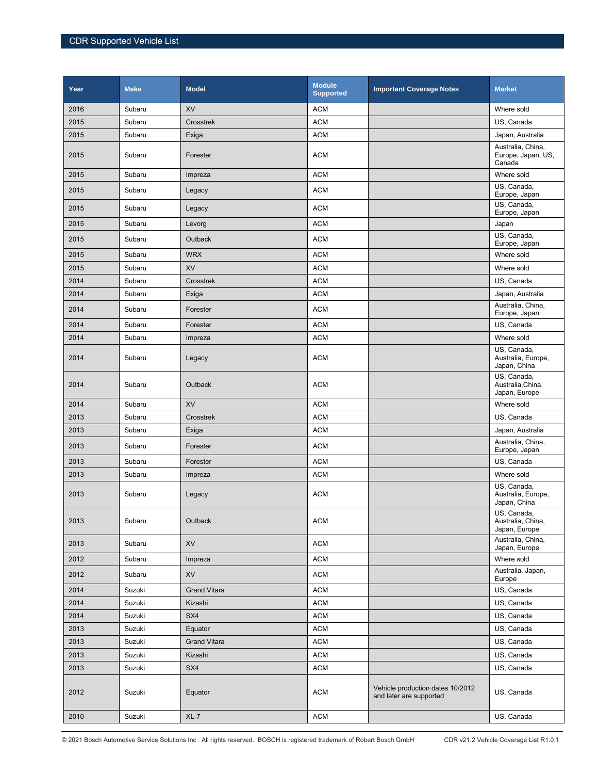| Year | <b>Make</b> | <b>Model</b>        | <b>Module</b><br><b>Supported</b> | <b>Important Coverage Notes</b>                             | <b>Market</b>                                     |
|------|-------------|---------------------|-----------------------------------|-------------------------------------------------------------|---------------------------------------------------|
| 2016 | Subaru      | <b>XV</b>           | <b>ACM</b>                        |                                                             | Where sold                                        |
| 2015 | Subaru      | Crosstrek           | <b>ACM</b>                        |                                                             | US, Canada                                        |
| 2015 | Subaru      | Exiga               | <b>ACM</b>                        |                                                             | Japan, Australia                                  |
| 2015 | Subaru      | Forester            | <b>ACM</b>                        |                                                             | Australia, China,<br>Europe, Japan, US,<br>Canada |
| 2015 | Subaru      | Impreza             | <b>ACM</b>                        |                                                             | Where sold                                        |
| 2015 | Subaru      | Legacy              | <b>ACM</b>                        |                                                             | US, Canada,<br>Europe, Japan                      |
| 2015 | Subaru      | Legacy              | <b>ACM</b>                        |                                                             | US, Canada,<br>Europe, Japan                      |
| 2015 | Subaru      | Levorg              | <b>ACM</b>                        |                                                             | Japan                                             |
| 2015 | Subaru      | <b>Outback</b>      | <b>ACM</b>                        |                                                             | $\overline{US}$ , Canada,<br>Europe, Japan        |
| 2015 | Subaru      | <b>WRX</b>          | <b>ACM</b>                        |                                                             | Where sold                                        |
| 2015 | Subaru      | <b>XV</b>           | <b>ACM</b>                        |                                                             | Where sold                                        |
| 2014 | Subaru      | Crosstrek           | <b>ACM</b>                        |                                                             | US, Canada                                        |
| 2014 | Subaru      | Exiga               | <b>ACM</b>                        |                                                             | Japan, Australia                                  |
| 2014 | Subaru      | Forester            | <b>ACM</b>                        |                                                             | Australia, China,<br>Europe, Japan                |
| 2014 | Subaru      | Forester            | <b>ACM</b>                        |                                                             | US, Canada                                        |
| 2014 | Subaru      | Impreza             | <b>ACM</b>                        |                                                             | Where sold                                        |
| 2014 | Subaru      | Legacy              | <b>ACM</b>                        |                                                             | US, Canada,<br>Australia, Europe,<br>Japan, China |
| 2014 | Subaru      | Outback             | <b>ACM</b>                        |                                                             | US, Canada,<br>Australia, China,<br>Japan, Europe |
| 2014 | Subaru      | <b>XV</b>           | <b>ACM</b>                        |                                                             | Where sold                                        |
| 2013 | Subaru      | Crosstrek           | <b>ACM</b>                        |                                                             | US, Canada                                        |
| 2013 | Subaru      | Exiga               | <b>ACM</b>                        |                                                             | Japan, Australia                                  |
| 2013 | Subaru      | Forester            | <b>ACM</b>                        |                                                             | Australia, China,<br>Europe, Japan                |
| 2013 | Subaru      | Forester            | <b>ACM</b>                        |                                                             | US, Canada                                        |
| 2013 | Subaru      | Impreza             | <b>ACM</b>                        |                                                             | Where sold                                        |
| 2013 | Subaru      | Legacy              | <b>ACM</b>                        |                                                             | US, Canada,<br>Australia, Europe,<br>Japan, China |
| 2013 | Subaru      | Outback             | <b>ACM</b>                        |                                                             | US, Canada,<br>Australia, China,<br>Japan, Europe |
| 2013 | Subaru      | XV                  | <b>ACM</b>                        |                                                             | Australia, China,<br>Japan, Europe                |
| 2012 | Subaru      | Impreza             | <b>ACM</b>                        |                                                             | Where sold                                        |
| 2012 | Subaru      | <b>XV</b>           | <b>ACM</b>                        |                                                             | Australia, Japan,<br>Europe                       |
| 2014 | Suzuki      | <b>Grand Vitara</b> | <b>ACM</b>                        |                                                             | US, Canada                                        |
| 2014 | Suzuki      | Kizashi             | <b>ACM</b>                        |                                                             | US, Canada                                        |
| 2014 | Suzuki      | SX4                 | ACM                               |                                                             | US, Canada                                        |
| 2013 | Suzuki      | Equator             | <b>ACM</b>                        |                                                             | US, Canada                                        |
| 2013 | Suzuki      | <b>Grand Vitara</b> | <b>ACM</b>                        |                                                             | US, Canada                                        |
| 2013 | Suzuki      | Kizashi             | ACM                               |                                                             | US, Canada                                        |
| 2013 | Suzuki      | SX4                 | <b>ACM</b>                        |                                                             | US, Canada                                        |
| 2012 | Suzuki      | Equator             | <b>ACM</b>                        | Vehicle production dates 10/2012<br>and later are supported | US, Canada                                        |
| 2010 | Suzuki      | $XL-7$              | <b>ACM</b>                        |                                                             | US, Canada                                        |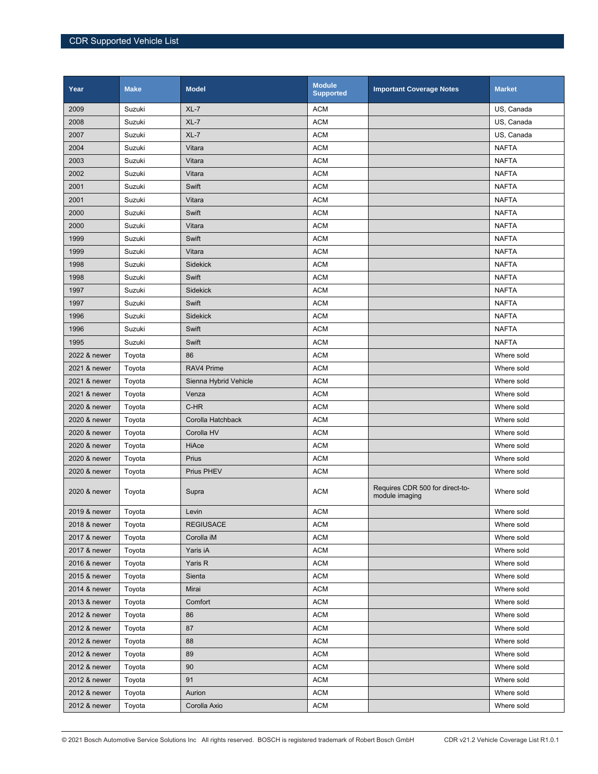| Year         | <b>Make</b> | <b>Model</b>          | <b>Module</b><br><b>Supported</b> | <b>Important Coverage Notes</b>                   | <b>Market</b> |
|--------------|-------------|-----------------------|-----------------------------------|---------------------------------------------------|---------------|
| 2009         | Suzuki      | $XL-7$                | <b>ACM</b>                        |                                                   | US, Canada    |
| 2008         | Suzuki      | $XL-7$                | <b>ACM</b>                        |                                                   | US, Canada    |
| 2007         | Suzuki      | $XL-7$                | <b>ACM</b>                        |                                                   | US, Canada    |
| 2004         | Suzuki      | Vitara                | <b>ACM</b>                        |                                                   | <b>NAFTA</b>  |
| 2003         | Suzuki      | Vitara                | <b>ACM</b>                        |                                                   | <b>NAFTA</b>  |
| 2002         | Suzuki      | Vitara                | <b>ACM</b>                        |                                                   | <b>NAFTA</b>  |
| 2001         | Suzuki      | Swift                 | <b>ACM</b>                        |                                                   | <b>NAFTA</b>  |
| 2001         | Suzuki      | Vitara                | <b>ACM</b>                        |                                                   | <b>NAFTA</b>  |
| 2000         | Suzuki      | Swift                 | <b>ACM</b>                        |                                                   | <b>NAFTA</b>  |
| 2000         | Suzuki      | Vitara                | <b>ACM</b>                        |                                                   | <b>NAFTA</b>  |
| 1999         | Suzuki      | Swift                 | <b>ACM</b>                        |                                                   | <b>NAFTA</b>  |
| 1999         | Suzuki      | Vitara                | <b>ACM</b>                        |                                                   | <b>NAFTA</b>  |
| 1998         | Suzuki      | <b>Sidekick</b>       | <b>ACM</b>                        |                                                   | <b>NAFTA</b>  |
| 1998         | Suzuki      | Swift                 | <b>ACM</b>                        |                                                   | <b>NAFTA</b>  |
| 1997         | Suzuki      | <b>Sidekick</b>       | <b>ACM</b>                        |                                                   | <b>NAFTA</b>  |
| 1997         | Suzuki      | Swift                 | <b>ACM</b>                        |                                                   | <b>NAFTA</b>  |
| 1996         | Suzuki      | <b>Sidekick</b>       | <b>ACM</b>                        |                                                   | <b>NAFTA</b>  |
| 1996         | Suzuki      | Swift                 | <b>ACM</b>                        |                                                   | <b>NAFTA</b>  |
| 1995         | Suzuki      | Swift                 | <b>ACM</b>                        |                                                   | <b>NAFTA</b>  |
| 2022 & newer | Toyota      | 86                    | <b>ACM</b>                        |                                                   | Where sold    |
| 2021 & newer | Toyota      | RAV4 Prime            | <b>ACM</b>                        |                                                   | Where sold    |
| 2021 & newer | Toyota      | Sienna Hybrid Vehicle | <b>ACM</b>                        |                                                   | Where sold    |
| 2021 & newer | Toyota      | Venza                 | <b>ACM</b>                        |                                                   | Where sold    |
| 2020 & newer | Toyota      | C-HR                  | <b>ACM</b>                        |                                                   | Where sold    |
| 2020 & newer | Toyota      | Corolla Hatchback     | <b>ACM</b>                        |                                                   | Where sold    |
| 2020 & newer | Toyota      | Corolla HV            | <b>ACM</b>                        |                                                   | Where sold    |
| 2020 & newer | Toyota      | HiAce                 | <b>ACM</b>                        |                                                   | Where sold    |
| 2020 & newer | Toyota      | Prius                 | <b>ACM</b>                        |                                                   | Where sold    |
| 2020 & newer | Toyota      | Prius PHEV            | <b>ACM</b>                        |                                                   | Where sold    |
| 2020 & newer | Toyota      | Supra                 | <b>ACM</b>                        | Requires CDR 500 for direct-to-<br>module imaging | Where sold    |
| 2019 & newer | Toyota      | Levin                 | <b>ACM</b>                        |                                                   | Where sold    |
| 2018 & newer | Toyota      | <b>REGIUSACE</b>      | <b>ACM</b>                        |                                                   | Where sold    |
| 2017 & newer | Toyota      | Corolla iM            | <b>ACM</b>                        |                                                   | Where sold    |
| 2017 & newer | Toyota      | Yaris iA              | <b>ACM</b>                        |                                                   | Where sold    |
| 2016 & newer | Toyota      | Yaris R               | <b>ACM</b>                        |                                                   | Where sold    |
| 2015 & newer | Toyota      | Sienta                | <b>ACM</b>                        |                                                   | Where sold    |
| 2014 & newer | Toyota      | Mirai                 | <b>ACM</b>                        |                                                   | Where sold    |
| 2013 & newer | Toyota      | Comfort               | <b>ACM</b>                        |                                                   | Where sold    |
| 2012 & newer | Toyota      | 86                    | <b>ACM</b>                        |                                                   | Where sold    |
| 2012 & newer | Toyota      | 87                    | <b>ACM</b>                        |                                                   | Where sold    |
| 2012 & newer | Toyota      | 88                    | <b>ACM</b>                        |                                                   | Where sold    |
| 2012 & newer | Toyota      | 89                    | <b>ACM</b>                        |                                                   | Where sold    |
| 2012 & newer | Toyota      | 90                    | <b>ACM</b>                        |                                                   | Where sold    |
| 2012 & newer | Toyota      | 91                    | <b>ACM</b>                        |                                                   | Where sold    |
| 2012 & newer | Toyota      | Aurion                | <b>ACM</b>                        |                                                   | Where sold    |
| 2012 & newer | Toyota      | Corolla Axio          | <b>ACM</b>                        |                                                   | Where sold    |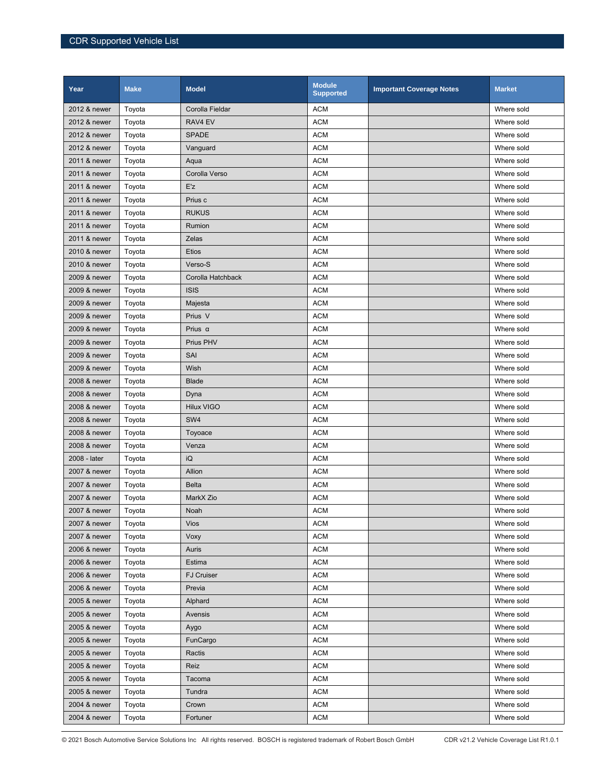| Year         | <b>Make</b> | <b>Model</b>      | <b>Module</b><br><b>Supported</b> | <b>Important Coverage Notes</b> | <b>Market</b> |
|--------------|-------------|-------------------|-----------------------------------|---------------------------------|---------------|
| 2012 & newer | Toyota      | Corolla Fieldar   | <b>ACM</b>                        |                                 | Where sold    |
| 2012 & newer | Toyota      | RAV4 EV           | <b>ACM</b>                        |                                 | Where sold    |
| 2012 & newer | Toyota      | <b>SPADE</b>      | <b>ACM</b>                        |                                 | Where sold    |
| 2012 & newer | Toyota      | Vanguard          | <b>ACM</b>                        |                                 | Where sold    |
| 2011 & newer | Toyota      | Aqua              | <b>ACM</b>                        |                                 | Where sold    |
| 2011 & newer | Toyota      | Corolla Verso     | <b>ACM</b>                        |                                 | Where sold    |
| 2011 & newer | Toyota      | E'z               | <b>ACM</b>                        |                                 | Where sold    |
| 2011 & newer | Toyota      | Prius c           | <b>ACM</b>                        |                                 | Where sold    |
| 2011 & newer | Toyota      | <b>RUKUS</b>      | <b>ACM</b>                        |                                 | Where sold    |
| 2011 & newer | Toyota      | Rumion            | <b>ACM</b>                        |                                 | Where sold    |
| 2011 & newer | Toyota      | Zelas             | <b>ACM</b>                        |                                 | Where sold    |
| 2010 & newer | Toyota      | <b>Etios</b>      | <b>ACM</b>                        |                                 | Where sold    |
| 2010 & newer | Toyota      | Verso-S           | <b>ACM</b>                        |                                 | Where sold    |
| 2009 & newer | Toyota      | Corolla Hatchback | <b>ACM</b>                        |                                 | Where sold    |
| 2009 & newer | Toyota      | <b>ISIS</b>       | <b>ACM</b>                        |                                 | Where sold    |
| 2009 & newer | Toyota      | Majesta           | <b>ACM</b>                        |                                 | Where sold    |
| 2009 & newer | Toyota      | Prius V           | <b>ACM</b>                        |                                 | Where sold    |
| 2009 & newer | Toyota      | Prius $\alpha$    | <b>ACM</b>                        |                                 | Where sold    |
| 2009 & newer | Toyota      | Prius PHV         | <b>ACM</b>                        |                                 | Where sold    |
| 2009 & newer | Toyota      | SAI               | <b>ACM</b>                        |                                 | Where sold    |
| 2009 & newer | Toyota      | Wish              | <b>ACM</b>                        |                                 | Where sold    |
| 2008 & newer | Toyota      | <b>Blade</b>      | <b>ACM</b>                        |                                 | Where sold    |
| 2008 & newer | Toyota      | Dyna              | <b>ACM</b>                        |                                 | Where sold    |
| 2008 & newer | Toyota      | <b>Hilux VIGO</b> | <b>ACM</b>                        |                                 | Where sold    |
| 2008 & newer | Toyota      | SW4               | <b>ACM</b>                        |                                 | Where sold    |
| 2008 & newer | Toyota      | Toyoace           | <b>ACM</b>                        |                                 | Where sold    |
| 2008 & newer | Toyota      | Venza             | <b>ACM</b>                        |                                 | Where sold    |
| 2008 - later | Toyota      | iQ                | <b>ACM</b>                        |                                 | Where sold    |
| 2007 & newer | Toyota      | Allion            | <b>ACM</b>                        |                                 | Where sold    |
| 2007 & newer | Toyota      | <b>Belta</b>      | <b>ACM</b>                        |                                 | Where sold    |
| 2007 & newer | Toyota      | MarkX Zio         | <b>ACM</b>                        |                                 | Where sold    |
| 2007 & newer | Toyota      | Noah              | <b>ACM</b>                        |                                 | Where sold    |
| 2007 & newer | Toyota      | Vios              | <b>ACM</b>                        |                                 | Where sold    |
| 2007 & newer | Toyota      | Voxy              | <b>ACM</b>                        |                                 | Where sold    |
| 2006 & newer | Toyota      | Auris             | <b>ACM</b>                        |                                 | Where sold    |
| 2006 & newer | Toyota      | Estima            | <b>ACM</b>                        |                                 | Where sold    |
| 2006 & newer | Toyota      | <b>FJ Cruiser</b> | <b>ACM</b>                        |                                 | Where sold    |
| 2006 & newer | Toyota      | Previa            | <b>ACM</b>                        |                                 | Where sold    |
| 2005 & newer | Toyota      | Alphard           | <b>ACM</b>                        |                                 | Where sold    |
| 2005 & newer | Toyota      | Avensis           | <b>ACM</b>                        |                                 | Where sold    |
| 2005 & newer | Toyota      | Aygo              | <b>ACM</b>                        |                                 | Where sold    |
| 2005 & newer | Toyota      | FunCargo          | <b>ACM</b>                        |                                 | Where sold    |
| 2005 & newer | Toyota      | Ractis            | <b>ACM</b>                        |                                 | Where sold    |
| 2005 & newer | Toyota      | Reiz              | <b>ACM</b>                        |                                 | Where sold    |
| 2005 & newer | Toyota      | Tacoma            | <b>ACM</b>                        |                                 | Where sold    |
| 2005 & newer | Toyota      | Tundra            | <b>ACM</b>                        |                                 | Where sold    |
| 2004 & newer | Toyota      | Crown             | <b>ACM</b>                        |                                 | Where sold    |
| 2004 & newer | Toyota      | Fortuner          | <b>ACM</b>                        |                                 | Where sold    |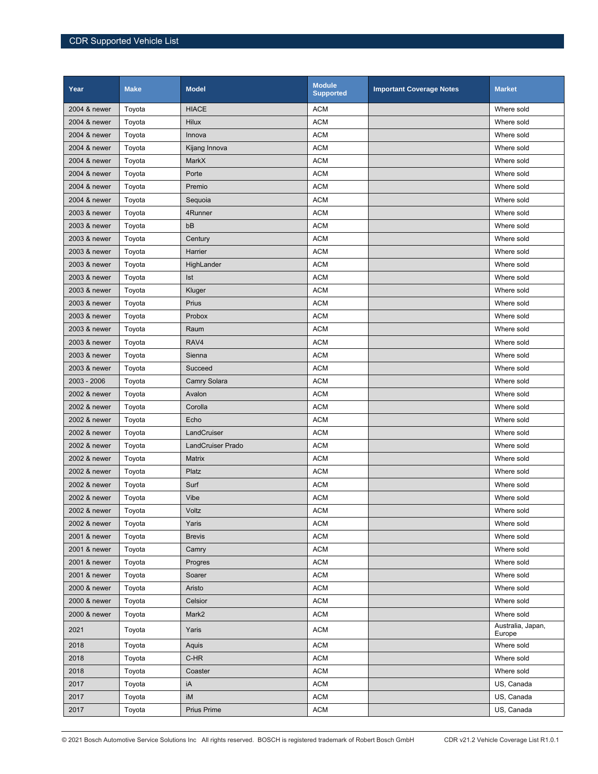| Year         | <b>Make</b> | <b>Model</b>             | <b>Module</b><br><b>Supported</b> | <b>Important Coverage Notes</b> | <b>Market</b>               |
|--------------|-------------|--------------------------|-----------------------------------|---------------------------------|-----------------------------|
| 2004 & newer | Toyota      | <b>HIACE</b>             | <b>ACM</b>                        |                                 | Where sold                  |
| 2004 & newer | Toyota      | <b>Hilux</b>             | <b>ACM</b>                        |                                 | Where sold                  |
| 2004 & newer | Toyota      | Innova                   | <b>ACM</b>                        |                                 | Where sold                  |
| 2004 & newer | Toyota      | Kijang Innova            | <b>ACM</b>                        |                                 | Where sold                  |
| 2004 & newer | Toyota      | MarkX                    | <b>ACM</b>                        |                                 | Where sold                  |
| 2004 & newer | Toyota      | Porte                    | <b>ACM</b>                        |                                 | Where sold                  |
| 2004 & newer | Toyota      | Premio                   | <b>ACM</b>                        |                                 | Where sold                  |
| 2004 & newer | Toyota      | Sequoia                  | <b>ACM</b>                        |                                 | Where sold                  |
| 2003 & newer | Toyota      | 4Runner                  | <b>ACM</b>                        |                                 | Where sold                  |
| 2003 & newer | Toyota      | bB                       | <b>ACM</b>                        |                                 | Where sold                  |
| 2003 & newer | Toyota      | Century                  | <b>ACM</b>                        |                                 | Where sold                  |
| 2003 & newer | Toyota      | Harrier                  | <b>ACM</b>                        |                                 | Where sold                  |
| 2003 & newer | Toyota      | HighLander               | <b>ACM</b>                        |                                 | Where sold                  |
| 2003 & newer | Toyota      | Ist                      | <b>ACM</b>                        |                                 | Where sold                  |
| 2003 & newer | Toyota      | Kluger                   | <b>ACM</b>                        |                                 | Where sold                  |
| 2003 & newer | Toyota      | Prius                    | <b>ACM</b>                        |                                 | Where sold                  |
| 2003 & newer | Toyota      | Probox                   | <b>ACM</b>                        |                                 | Where sold                  |
| 2003 & newer | Toyota      | Raum                     | <b>ACM</b>                        |                                 | Where sold                  |
| 2003 & newer | Toyota      | RAV4                     | <b>ACM</b>                        |                                 | Where sold                  |
| 2003 & newer | Toyota      | Sienna                   | <b>ACM</b>                        |                                 | Where sold                  |
| 2003 & newer | Toyota      | Succeed                  | <b>ACM</b>                        |                                 | Where sold                  |
| 2003 - 2006  | Toyota      | Camry Solara             | <b>ACM</b>                        |                                 | Where sold                  |
| 2002 & newer | Toyota      | Avalon                   | <b>ACM</b>                        |                                 | Where sold                  |
| 2002 & newer | Toyota      | Corolla                  | <b>ACM</b>                        |                                 | Where sold                  |
| 2002 & newer | Toyota      | Echo                     | <b>ACM</b>                        |                                 | Where sold                  |
| 2002 & newer | Toyota      | LandCruiser              | <b>ACM</b>                        |                                 | Where sold                  |
| 2002 & newer | Toyota      | <b>LandCruiser Prado</b> | <b>ACM</b>                        |                                 | Where sold                  |
| 2002 & newer | Toyota      | <b>Matrix</b>            | <b>ACM</b>                        |                                 | Where sold                  |
| 2002 & newer | Toyota      | Platz                    | <b>ACM</b>                        |                                 | Where sold                  |
| 2002 & newer | Toyota      | Surf                     | <b>ACM</b>                        |                                 | Where sold                  |
| 2002 & newer | Toyota      | Vibe                     | <b>ACM</b>                        |                                 | Where sold                  |
| 2002 & newer | Toyota      | Voltz                    | <b>ACM</b>                        |                                 | Where sold                  |
| 2002 & newer | Toyota      | Yaris                    | <b>ACM</b>                        |                                 | Where sold                  |
| 2001 & newer | Toyota      | <b>Brevis</b>            | <b>ACM</b>                        |                                 | Where sold                  |
| 2001 & newer | Toyota      | Camry                    | <b>ACM</b>                        |                                 | Where sold                  |
| 2001 & newer | Toyota      | Progres                  | <b>ACM</b>                        |                                 | Where sold                  |
| 2001 & newer | Toyota      | Soarer                   | <b>ACM</b>                        |                                 | Where sold                  |
| 2000 & newer | Toyota      | Aristo                   | <b>ACM</b>                        |                                 | Where sold                  |
| 2000 & newer | Toyota      | Celsior                  | <b>ACM</b>                        |                                 | Where sold                  |
| 2000 & newer | Toyota      | Mark <sub>2</sub>        | <b>ACM</b>                        |                                 | Where sold                  |
| 2021         | Toyota      | Yaris                    | <b>ACM</b>                        |                                 | Australia, Japan,<br>Europe |
| 2018         | Toyota      | Aquis                    | <b>ACM</b>                        |                                 | Where sold                  |
| 2018         | Toyota      | $C-HR$                   | <b>ACM</b>                        |                                 | Where sold                  |
| 2018         | Toyota      | Coaster                  | <b>ACM</b>                        |                                 | Where sold                  |
| 2017         | Toyota      | iA                       | <b>ACM</b>                        |                                 | US, Canada                  |
| 2017         | Toyota      | iM                       | <b>ACM</b>                        |                                 | US, Canada                  |
| 2017         | Toyota      | Prius Prime              | <b>ACM</b>                        |                                 | US, Canada                  |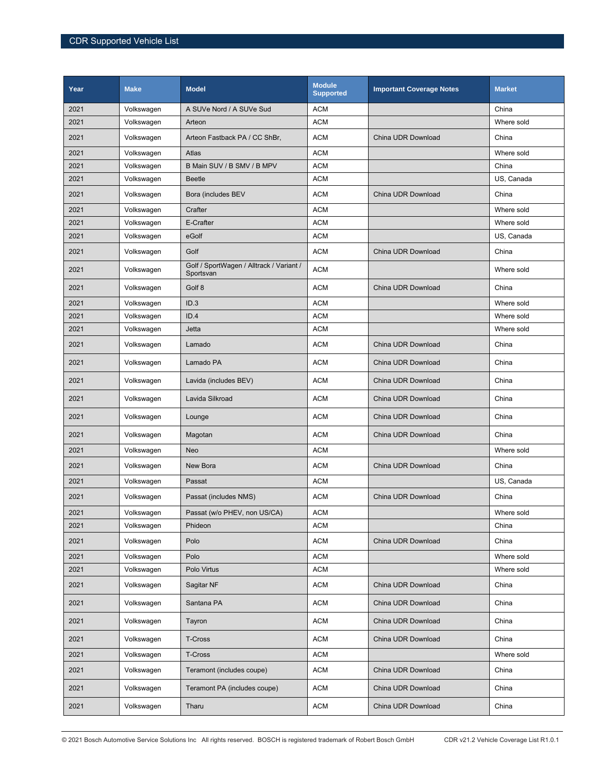| Year | <b>Make</b> | <b>Model</b>                                          | <b>Module</b><br><b>Supported</b> | <b>Important Coverage Notes</b> | <b>Market</b> |
|------|-------------|-------------------------------------------------------|-----------------------------------|---------------------------------|---------------|
| 2021 | Volkswagen  | A SUVe Nord / A SUVe Sud                              | <b>ACM</b>                        |                                 | China         |
| 2021 | Volkswagen  | Arteon                                                | <b>ACM</b>                        |                                 | Where sold    |
| 2021 | Volkswagen  | Arteon Fastback PA / CC ShBr,                         | <b>ACM</b>                        | China UDR Download              | China         |
| 2021 | Volkswagen  | Atlas                                                 | <b>ACM</b>                        |                                 | Where sold    |
| 2021 | Volkswagen  | B Main SUV / B SMV / B MPV                            | <b>ACM</b>                        |                                 | China         |
| 2021 | Volkswagen  | <b>Beetle</b>                                         | <b>ACM</b>                        |                                 | US, Canada    |
| 2021 | Volkswagen  | Bora (includes BEV                                    | <b>ACM</b>                        | China UDR Download              | China         |
| 2021 | Volkswagen  | Crafter                                               | <b>ACM</b>                        |                                 | Where sold    |
| 2021 | Volkswagen  | E-Crafter                                             | <b>ACM</b>                        |                                 | Where sold    |
| 2021 | Volkswagen  | eGolf                                                 | <b>ACM</b>                        |                                 | US, Canada    |
| 2021 | Volkswagen  | Golf                                                  | <b>ACM</b>                        | China UDR Download              | China         |
| 2021 | Volkswagen  | Golf / SportWagen / Alltrack / Variant /<br>Sportsvan | <b>ACM</b>                        |                                 | Where sold    |
| 2021 | Volkswagen  | Golf 8                                                | <b>ACM</b>                        | China UDR Download              | China         |
| 2021 | Volkswagen  | ID.3                                                  | <b>ACM</b>                        |                                 | Where sold    |
| 2021 | Volkswagen  | ID.4                                                  | <b>ACM</b>                        |                                 | Where sold    |
| 2021 | Volkswagen  | Jetta                                                 | <b>ACM</b>                        |                                 | Where sold    |
| 2021 | Volkswagen  | Lamado                                                | <b>ACM</b>                        | China UDR Download              | China         |
| 2021 | Volkswagen  | Lamado PA                                             | <b>ACM</b>                        | China UDR Download              | China         |
| 2021 | Volkswagen  | Lavida (includes BEV)                                 | <b>ACM</b>                        | China UDR Download              | China         |
| 2021 | Volkswagen  | Lavida Silkroad                                       | <b>ACM</b>                        | China UDR Download              | China         |
| 2021 | Volkswagen  | Lounge                                                | <b>ACM</b>                        | China UDR Download              | China         |
| 2021 | Volkswagen  | Magotan                                               | <b>ACM</b>                        | China UDR Download              | China         |
| 2021 | Volkswagen  | Neo                                                   | <b>ACM</b>                        |                                 | Where sold    |
| 2021 | Volkswagen  | New Bora                                              | <b>ACM</b>                        | China UDR Download              | China         |
| 2021 | Volkswagen  | Passat                                                | <b>ACM</b>                        |                                 | US, Canada    |
| 2021 | Volkswagen  | Passat (includes NMS)                                 | <b>ACM</b>                        | China UDR Download              | China         |
| 2021 | Volkswagen  | Passat (w/o PHEV, non US/CA)                          | <b>ACM</b>                        |                                 | Where sold    |
| 2021 | Volkswagen  | Phideon                                               | <b>ACM</b>                        |                                 | China         |
| 2021 | Volkswagen  | Polo                                                  | <b>ACM</b>                        | China UDR Download              | China         |
| 2021 | Volkswagen  | Polo                                                  | <b>ACM</b>                        |                                 | Where sold    |
| 2021 | Volkswagen  | Polo Virtus                                           | <b>ACM</b>                        |                                 | Where sold    |
| 2021 | Volkswagen  | Sagitar NF                                            | <b>ACM</b>                        | China UDR Download              | China         |
| 2021 | Volkswagen  | Santana PA                                            | <b>ACM</b>                        | China UDR Download              | China         |
| 2021 | Volkswagen  | Tayron                                                | <b>ACM</b>                        | China UDR Download              | China         |
| 2021 | Volkswagen  | T-Cross                                               | <b>ACM</b>                        | China UDR Download              | China         |
| 2021 | Volkswagen  | T-Cross                                               | <b>ACM</b>                        |                                 | Where sold    |
| 2021 | Volkswagen  | Teramont (includes coupe)                             | <b>ACM</b>                        | China UDR Download              | China         |
| 2021 | Volkswagen  | Teramont PA (includes coupe)                          | <b>ACM</b>                        | China UDR Download              | China         |
| 2021 | Volkswagen  | Tharu                                                 | <b>ACM</b>                        | China UDR Download              | China         |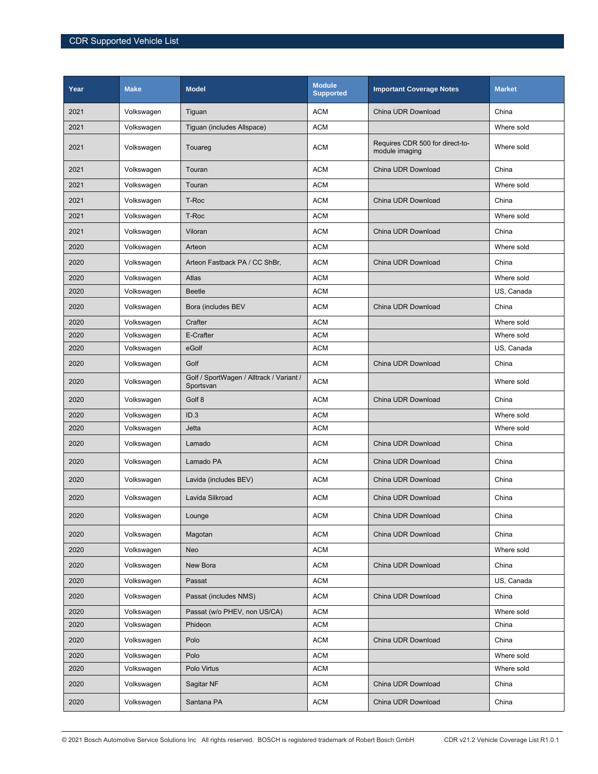| Year | <b>Make</b> | <b>Model</b>                                          | <b>Module</b><br><b>Supported</b> | <b>Important Coverage Notes</b>                   | <b>Market</b> |
|------|-------------|-------------------------------------------------------|-----------------------------------|---------------------------------------------------|---------------|
| 2021 | Volkswagen  | Tiguan                                                | <b>ACM</b>                        | China UDR Download                                | China         |
| 2021 | Volkswagen  | Tiguan (includes Allspace)                            | <b>ACM</b>                        |                                                   | Where sold    |
| 2021 | Volkswagen  | Touareg                                               | <b>ACM</b>                        | Requires CDR 500 for direct-to-<br>module imaging | Where sold    |
| 2021 | Volkswagen  | Touran                                                | <b>ACM</b>                        | China UDR Download                                | China         |
| 2021 | Volkswagen  | Touran                                                | <b>ACM</b>                        |                                                   | Where sold    |
| 2021 | Volkswagen  | T-Roc                                                 | <b>ACM</b>                        | China UDR Download                                | China         |
| 2021 | Volkswagen  | T-Roc                                                 | <b>ACM</b>                        |                                                   | Where sold    |
| 2021 | Volkswagen  | Viloran                                               | <b>ACM</b>                        | China UDR Download                                | China         |
| 2020 | Volkswagen  | Arteon                                                | <b>ACM</b>                        |                                                   | Where sold    |
| 2020 | Volkswagen  | Arteon Fastback PA / CC ShBr,                         | <b>ACM</b>                        | China UDR Download                                | China         |
| 2020 | Volkswagen  | Atlas                                                 | <b>ACM</b>                        |                                                   | Where sold    |
| 2020 | Volkswagen  | <b>Beetle</b>                                         | <b>ACM</b>                        |                                                   | US, Canada    |
| 2020 | Volkswagen  | Bora (includes BEV                                    | <b>ACM</b>                        | China UDR Download                                | China         |
| 2020 | Volkswagen  | Crafter                                               | <b>ACM</b>                        |                                                   | Where sold    |
| 2020 | Volkswagen  | E-Crafter                                             | <b>ACM</b>                        |                                                   | Where sold    |
| 2020 | Volkswagen  | eGolf                                                 | <b>ACM</b>                        |                                                   | US, Canada    |
| 2020 | Volkswagen  | Golf                                                  | <b>ACM</b>                        | China UDR Download                                | China         |
| 2020 | Volkswagen  | Golf / SportWagen / Alltrack / Variant /<br>Sportsvan | <b>ACM</b>                        |                                                   | Where sold    |
| 2020 | Volkswagen  | Golf 8                                                | <b>ACM</b>                        | China UDR Download                                | China         |
| 2020 | Volkswagen  | ID.3                                                  | <b>ACM</b>                        |                                                   | Where sold    |
| 2020 | Volkswagen  | Jetta                                                 | <b>ACM</b>                        |                                                   | Where sold    |
| 2020 | Volkswagen  | Lamado                                                | <b>ACM</b>                        | China UDR Download                                | China         |
| 2020 | Volkswagen  | Lamado PA                                             | <b>ACM</b>                        | China UDR Download                                | China         |
| 2020 | Volkswagen  | Lavida (includes BEV)                                 | <b>ACM</b>                        | China UDR Download                                | China         |
| 2020 | Volkswagen  | Lavida Silkroad                                       | <b>ACM</b>                        | China UDR Download                                | China         |
| 2020 | Volkswagen  | Lounge                                                | <b>ACM</b>                        | China UDR Download                                | China         |
| 2020 | Volkswagen  | Magotan                                               | <b>ACM</b>                        | China UDR Download                                | China         |
| 2020 | Volkswagen  | Neo                                                   | <b>ACM</b>                        |                                                   | Where sold    |
| 2020 | Volkswagen  | New Bora                                              | <b>ACM</b>                        | China UDR Download                                | China         |
| 2020 | Volkswagen  | Passat                                                | <b>ACM</b>                        |                                                   | US, Canada    |
| 2020 | Volkswagen  | Passat (includes NMS)                                 | <b>ACM</b>                        | China UDR Download                                | China         |
| 2020 | Volkswagen  | Passat (w/o PHEV, non US/CA)                          | <b>ACM</b>                        |                                                   | Where sold    |
| 2020 | Volkswagen  | Phideon                                               | <b>ACM</b>                        |                                                   | China         |
| 2020 | Volkswagen  | Polo                                                  | <b>ACM</b>                        | China UDR Download                                | China         |
| 2020 | Volkswagen  | Polo                                                  | <b>ACM</b>                        |                                                   | Where sold    |
| 2020 | Volkswagen  | Polo Virtus                                           | <b>ACM</b>                        |                                                   | Where sold    |
| 2020 | Volkswagen  | Sagitar NF                                            | <b>ACM</b>                        | China UDR Download                                | China         |
| 2020 | Volkswagen  | Santana PA                                            | <b>ACM</b>                        | China UDR Download                                | China         |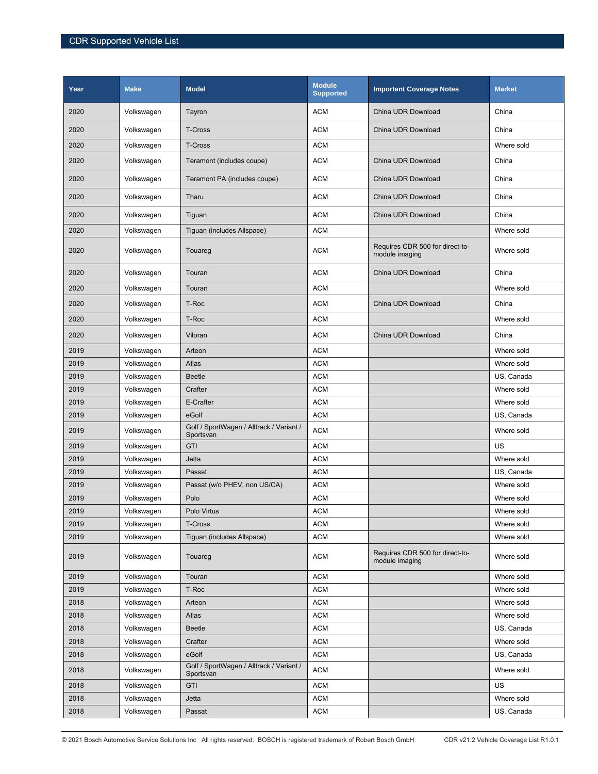| Year | <b>Make</b> | <b>Model</b>                                          | <b>Module</b><br><b>Supported</b> | <b>Important Coverage Notes</b>                   | <b>Market</b> |
|------|-------------|-------------------------------------------------------|-----------------------------------|---------------------------------------------------|---------------|
| 2020 | Volkswagen  | Tayron                                                | <b>ACM</b>                        | China UDR Download                                | China         |
| 2020 | Volkswagen  | <b>T-Cross</b>                                        | <b>ACM</b>                        | China UDR Download                                | China         |
| 2020 | Volkswagen  | T-Cross                                               | <b>ACM</b>                        |                                                   | Where sold    |
| 2020 | Volkswagen  | Teramont (includes coupe)                             | <b>ACM</b>                        | China UDR Download                                | China         |
| 2020 | Volkswagen  | Teramont PA (includes coupe)                          | <b>ACM</b>                        | China UDR Download                                | China         |
| 2020 | Volkswagen  | Tharu                                                 | <b>ACM</b>                        | China UDR Download                                | China         |
| 2020 | Volkswagen  | Tiguan                                                | <b>ACM</b>                        | China UDR Download                                | China         |
| 2020 | Volkswagen  | Tiguan (includes Allspace)                            | <b>ACM</b>                        |                                                   | Where sold    |
| 2020 | Volkswagen  | Touareg                                               | <b>ACM</b>                        | Requires CDR 500 for direct-to-<br>module imaging | Where sold    |
| 2020 | Volkswagen  | Touran                                                | <b>ACM</b>                        | China UDR Download                                | China         |
| 2020 | Volkswagen  | Touran                                                | <b>ACM</b>                        |                                                   | Where sold    |
| 2020 | Volkswagen  | T-Roc                                                 | <b>ACM</b>                        | China UDR Download                                | China         |
| 2020 | Volkswagen  | T-Roc                                                 | <b>ACM</b>                        |                                                   | Where sold    |
| 2020 | Volkswagen  | Viloran                                               | <b>ACM</b>                        | China UDR Download                                | China         |
| 2019 | Volkswagen  | Arteon                                                | <b>ACM</b>                        |                                                   | Where sold    |
| 2019 | Volkswagen  | Atlas                                                 | <b>ACM</b>                        |                                                   | Where sold    |
| 2019 | Volkswagen  | <b>Beetle</b>                                         | <b>ACM</b>                        |                                                   | US, Canada    |
| 2019 | Volkswagen  | Crafter                                               | <b>ACM</b>                        |                                                   | Where sold    |
| 2019 | Volkswagen  | E-Crafter                                             | <b>ACM</b>                        |                                                   | Where sold    |
| 2019 | Volkswagen  | eGolf                                                 | <b>ACM</b>                        |                                                   | US, Canada    |
| 2019 | Volkswagen  | Golf / SportWagen / Alltrack / Variant /<br>Sportsvan | <b>ACM</b>                        |                                                   | Where sold    |
| 2019 | Volkswagen  | GTI                                                   | <b>ACM</b>                        |                                                   | US            |
| 2019 | Volkswagen  | Jetta                                                 | <b>ACM</b>                        |                                                   | Where sold    |
| 2019 | Volkswagen  | Passat                                                | <b>ACM</b>                        |                                                   | US, Canada    |
| 2019 | Volkswagen  | Passat (w/o PHEV, non US/CA)                          | <b>ACM</b>                        |                                                   | Where sold    |
| 2019 | Volkswagen  | Polo                                                  | <b>ACM</b>                        |                                                   | Where sold    |
| 2019 | Volkswagen  | Polo Virtus                                           | <b>ACM</b>                        |                                                   | Where sold    |
| 2019 | Volkswagen  | T-Cross                                               | <b>ACM</b>                        |                                                   | Where sold    |
| 2019 | Volkswagen  | Tiguan (includes Allspace)                            | <b>ACM</b>                        |                                                   | Where sold    |
| 2019 | Volkswagen  | Touareg                                               | <b>ACM</b>                        | Requires CDR 500 for direct-to-<br>module imaging | Where sold    |
| 2019 | Volkswagen  | Touran                                                | <b>ACM</b>                        |                                                   | Where sold    |
| 2019 | Volkswagen  | T-Roc                                                 | <b>ACM</b>                        |                                                   | Where sold    |
| 2018 | Volkswagen  | Arteon                                                | <b>ACM</b>                        |                                                   | Where sold    |
| 2018 | Volkswagen  | Atlas                                                 | <b>ACM</b>                        |                                                   | Where sold    |
| 2018 | Volkswagen  | Beetle                                                | <b>ACM</b>                        |                                                   | US, Canada    |
| 2018 | Volkswagen  | Crafter                                               | <b>ACM</b>                        |                                                   | Where sold    |
| 2018 | Volkswagen  | eGolf                                                 | <b>ACM</b>                        |                                                   | US, Canada    |
| 2018 | Volkswagen  | Golf / SportWagen / Alltrack / Variant /<br>Sportsvan | <b>ACM</b>                        |                                                   | Where sold    |
| 2018 | Volkswagen  | <b>GTI</b>                                            | <b>ACM</b>                        |                                                   | US            |
| 2018 | Volkswagen  | Jetta                                                 | <b>ACM</b>                        |                                                   | Where sold    |
| 2018 | Volkswagen  | Passat                                                | <b>ACM</b>                        |                                                   | US, Canada    |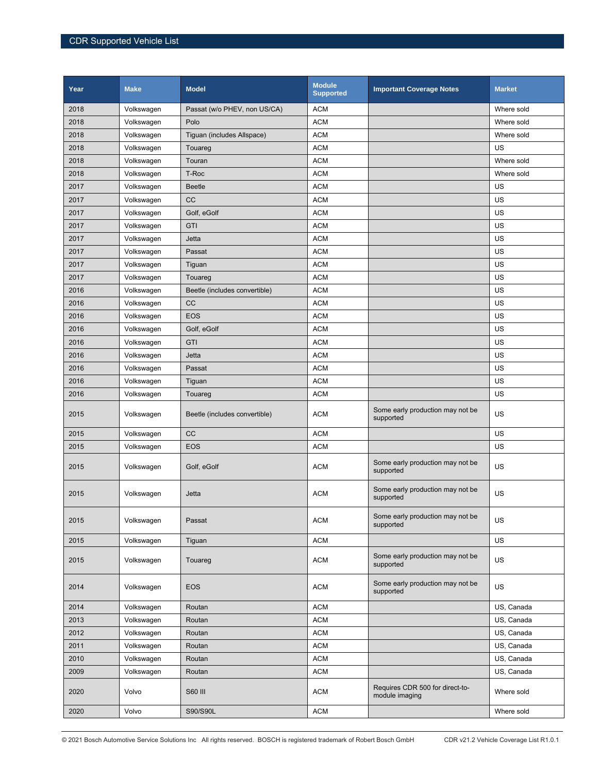| Year | <b>Make</b> | <b>Model</b>                  | Module<br><b>Supported</b> | <b>Important Coverage Notes</b>                   | <b>Market</b> |
|------|-------------|-------------------------------|----------------------------|---------------------------------------------------|---------------|
| 2018 | Volkswagen  | Passat (w/o PHEV, non US/CA)  | <b>ACM</b>                 |                                                   | Where sold    |
| 2018 | Volkswagen  | Polo                          | <b>ACM</b>                 |                                                   | Where sold    |
| 2018 | Volkswagen  | Tiguan (includes Allspace)    | <b>ACM</b>                 |                                                   | Where sold    |
| 2018 | Volkswagen  | Touareg                       | <b>ACM</b>                 |                                                   | US            |
| 2018 | Volkswagen  | Touran                        | <b>ACM</b>                 |                                                   | Where sold    |
| 2018 | Volkswagen  | T-Roc                         | <b>ACM</b>                 |                                                   | Where sold    |
| 2017 | Volkswagen  | <b>Beetle</b>                 | <b>ACM</b>                 |                                                   | US            |
| 2017 | Volkswagen  | <b>CC</b>                     | <b>ACM</b>                 |                                                   | US            |
| 2017 | Volkswagen  | Golf, eGolf                   | <b>ACM</b>                 |                                                   | US            |
| 2017 | Volkswagen  | GTI                           | <b>ACM</b>                 |                                                   | US            |
| 2017 | Volkswagen  | Jetta                         | <b>ACM</b>                 |                                                   | US            |
| 2017 | Volkswagen  | Passat                        | <b>ACM</b>                 |                                                   | US            |
| 2017 | Volkswagen  | Tiguan                        | <b>ACM</b>                 |                                                   | US            |
| 2017 | Volkswagen  | Touareg                       | <b>ACM</b>                 |                                                   | US            |
| 2016 | Volkswagen  | Beetle (includes convertible) | <b>ACM</b>                 |                                                   | US            |
| 2016 | Volkswagen  | <b>CC</b>                     | <b>ACM</b>                 |                                                   | US            |
| 2016 | Volkswagen  | <b>EOS</b>                    | <b>ACM</b>                 |                                                   | US            |
| 2016 | Volkswagen  | Golf, eGolf                   | <b>ACM</b>                 |                                                   | US            |
| 2016 | Volkswagen  | GTI                           | <b>ACM</b>                 |                                                   | US            |
| 2016 | Volkswagen  | Jetta                         | <b>ACM</b>                 |                                                   | US            |
| 2016 | Volkswagen  | Passat                        | <b>ACM</b>                 |                                                   | US            |
| 2016 | Volkswagen  | Tiguan                        | <b>ACM</b>                 |                                                   | US            |
| 2016 | Volkswagen  | Touareg                       | <b>ACM</b>                 |                                                   | US            |
| 2015 | Volkswagen  | Beetle (includes convertible) | <b>ACM</b>                 | Some early production may not be<br>supported     | US            |
| 2015 | Volkswagen  | <b>CC</b>                     | <b>ACM</b>                 |                                                   | US            |
| 2015 | Volkswagen  | <b>EOS</b>                    | <b>ACM</b>                 |                                                   | US            |
| 2015 | Volkswagen  | Golf, eGolf                   | <b>ACM</b>                 | Some early production may not be<br>supported     | US            |
| 2015 | Volkswagen  | Jetta                         | <b>ACM</b>                 | Some early production may not be<br>supported     | US            |
| 2015 | Volkswagen  | Passat                        | <b>ACM</b>                 | Some early production may not be<br>supported     | US            |
| 2015 | Volkswagen  | Tiguan                        | <b>ACM</b>                 |                                                   | US            |
| 2015 | Volkswagen  | Touareg                       | <b>ACM</b>                 | Some early production may not be<br>supported     | US            |
| 2014 | Volkswagen  | <b>EOS</b>                    | <b>ACM</b>                 | Some early production may not be<br>supported     | US            |
| 2014 | Volkswagen  | Routan                        | <b>ACM</b>                 |                                                   | US, Canada    |
| 2013 | Volkswagen  | Routan                        | <b>ACM</b>                 |                                                   | US, Canada    |
| 2012 | Volkswagen  | Routan                        | <b>ACM</b>                 |                                                   | US, Canada    |
| 2011 | Volkswagen  | Routan                        | <b>ACM</b>                 |                                                   | US, Canada    |
| 2010 | Volkswagen  | Routan                        | <b>ACM</b>                 |                                                   | US, Canada    |
| 2009 | Volkswagen  | Routan                        | <b>ACM</b>                 |                                                   | US, Canada    |
| 2020 | Volvo       | <b>S60 III</b>                | <b>ACM</b>                 | Requires CDR 500 for direct-to-<br>module imaging | Where sold    |
| 2020 | Volvo       | S90/S90L                      | <b>ACM</b>                 |                                                   | Where sold    |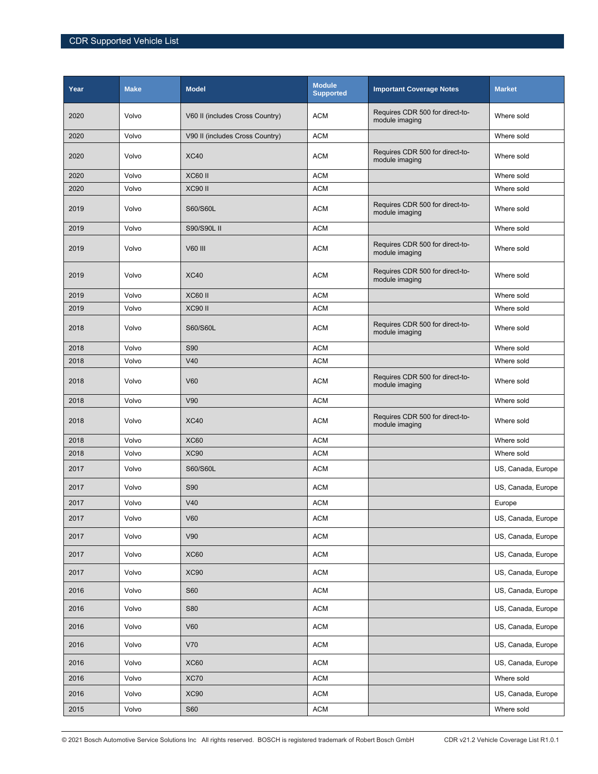| Year | <b>Make</b> | <b>Model</b>                    | <b>Module</b><br><b>Supported</b> | <b>Important Coverage Notes</b>                   | <b>Market</b>      |
|------|-------------|---------------------------------|-----------------------------------|---------------------------------------------------|--------------------|
| 2020 | Volvo       | V60 II (includes Cross Country) | <b>ACM</b>                        | Requires CDR 500 for direct-to-<br>module imaging | Where sold         |
| 2020 | Volvo       | V90 II (includes Cross Country) | <b>ACM</b>                        |                                                   | Where sold         |
| 2020 | Volvo       | <b>XC40</b>                     | <b>ACM</b>                        | Requires CDR 500 for direct-to-<br>module imaging | Where sold         |
| 2020 | Volvo       | <b>XC60 II</b>                  | <b>ACM</b>                        |                                                   | Where sold         |
| 2020 | Volvo       | <b>XC90 II</b>                  | <b>ACM</b>                        |                                                   | Where sold         |
| 2019 | Volvo       | S60/S60L                        | <b>ACM</b>                        | Requires CDR 500 for direct-to-<br>module imaging | Where sold         |
| 2019 | Volvo       | S90/S90L II                     | <b>ACM</b>                        |                                                   | Where sold         |
| 2019 | Volvo       | V60 III                         | <b>ACM</b>                        | Requires CDR 500 for direct-to-<br>module imaging | Where sold         |
| 2019 | Volvo       | <b>XC40</b>                     | <b>ACM</b>                        | Requires CDR 500 for direct-to-<br>module imaging | Where sold         |
| 2019 | Volvo       | <b>XC60 II</b>                  | <b>ACM</b>                        |                                                   | Where sold         |
| 2019 | Volvo       | XC90 II                         | <b>ACM</b>                        |                                                   | Where sold         |
| 2018 | Volvo       | S60/S60L                        | <b>ACM</b>                        | Requires CDR 500 for direct-to-<br>module imaging | Where sold         |
| 2018 | Volvo       | <b>S90</b>                      | <b>ACM</b>                        |                                                   | Where sold         |
| 2018 | Volvo       | V40                             | <b>ACM</b>                        |                                                   | Where sold         |
| 2018 | Volvo       | V60                             | <b>ACM</b>                        | Requires CDR 500 for direct-to-<br>module imaging | Where sold         |
| 2018 | Volvo       | V90                             | <b>ACM</b>                        |                                                   | Where sold         |
| 2018 | Volvo       | <b>XC40</b>                     | <b>ACM</b>                        | Requires CDR 500 for direct-to-<br>module imaging | Where sold         |
| 2018 | Volvo       | <b>XC60</b>                     | <b>ACM</b>                        |                                                   | Where sold         |
| 2018 | Volvo       | <b>XC90</b>                     | <b>ACM</b>                        |                                                   | Where sold         |
| 2017 | Volvo       | S60/S60L                        | <b>ACM</b>                        |                                                   | US, Canada, Europe |
| 2017 | Volvo       | <b>S90</b>                      | <b>ACM</b>                        |                                                   | US, Canada, Europe |
| 2017 | Volvo       | V40                             | <b>ACM</b>                        |                                                   | Europe             |
| 2017 | Volvo       | V60                             | <b>ACM</b>                        |                                                   | US, Canada, Europe |
| 2017 | Volvo       | V90                             | <b>ACM</b>                        |                                                   | US, Canada, Europe |
| 2017 | Volvo       | <b>XC60</b>                     | <b>ACM</b>                        |                                                   | US, Canada, Europe |
| 2017 | Volvo       | <b>XC90</b>                     | <b>ACM</b>                        |                                                   | US, Canada, Europe |
| 2016 | Volvo       | <b>S60</b>                      | <b>ACM</b>                        |                                                   | US, Canada, Europe |
| 2016 | Volvo       | <b>S80</b>                      | <b>ACM</b>                        |                                                   | US, Canada, Europe |
| 2016 | Volvo       | <b>V60</b>                      | <b>ACM</b>                        |                                                   | US, Canada, Europe |
| 2016 | Volvo       | V70                             | <b>ACM</b>                        |                                                   | US, Canada, Europe |
| 2016 | Volvo       | <b>XC60</b>                     | <b>ACM</b>                        |                                                   | US, Canada, Europe |
| 2016 | Volvo       | <b>XC70</b>                     | <b>ACM</b>                        |                                                   | Where sold         |
| 2016 | Volvo       | XC90                            | <b>ACM</b>                        |                                                   | US, Canada, Europe |
| 2015 | Volvo       | <b>S60</b>                      | <b>ACM</b>                        |                                                   | Where sold         |